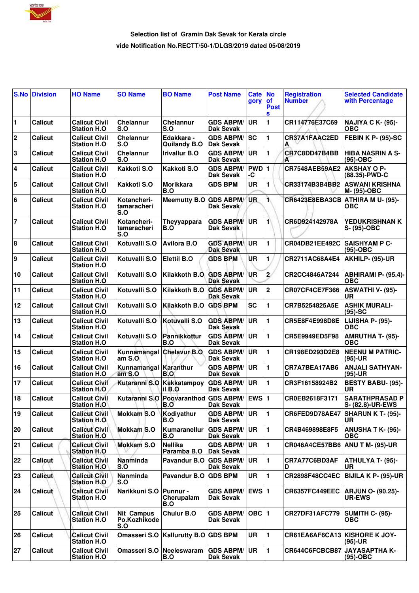

## **Selection list of Gramin Dak Sevak for Kerala circle vide Notification No.RECTT/50-1/DLGS/2019 dated 05/08/2019**

|                         | <b>S.No Division</b> | <b>HO Name</b>                              | <b>SO Name</b>                           | <b>BO Name</b>                                    | <b>Post Name</b>                     | <b>Cate</b><br>gory | No<br>οf<br><b>Post</b><br>S | <b>Registration</b><br><b>Number</b> | <b>Selected Candidate</b><br>with Percentage |
|-------------------------|----------------------|---------------------------------------------|------------------------------------------|---------------------------------------------------|--------------------------------------|---------------------|------------------------------|--------------------------------------|----------------------------------------------|
| 1                       | <b>Calicut</b>       | <b>Calicut Civil</b><br><b>Station H.O.</b> | <b>Chelannur</b><br>S.O                  | <b>Chelannur</b><br>S.O                           | <b>GDS ABPM/</b><br><b>Dak Sevak</b> | UR                  | 1                            | CR114776E37C69                       | <b>NAJIYA C K- (95)-</b><br><b>OBC</b>       |
| $\mathbf 2$             | <b>Calicut</b>       | <b>Calicut Civil</b><br><b>Station H.O.</b> | <b>Chelannur</b><br>S.O                  | Edakkara -<br><b>Quilandy B.O</b>                 | <b>GDS ABPM/</b><br><b>Dak Sevak</b> | <b>ISC</b>          | 1                            | CR37A1FAAC2ED<br>А                   | <b>FEBIN K P- (95)-SC</b>                    |
| 3                       | <b>Calicut</b>       | <b>Calicut Civil</b><br><b>Station H.O</b>  | Chelannur<br>S.O                         | <b>Irivallur B.O</b>                              | <b>GDS ABPM/</b><br><b>Dak Sevak</b> | <b>UR</b>           | 1                            | CR7C8DD47B4BB<br>А                   | <b>HIBA NASRIN A S-</b><br>$(95)-OBC$        |
| 4                       | <b>Calicut</b>       | <b>Calicut Civil</b><br><b>Station H.O.</b> | Kakkoti S.O                              | Kakkoti S.O                                       | <b>GDS ABPM/</b><br><b>Dak Sevak</b> | PWD<br>-C           | 1                            | <b>CR7548AEB59AE2</b>                | <b>AKSHAY O P-</b><br>(88.35)-PWD-C          |
| 5                       | <b>Calicut</b>       | <b>Calicut Civil</b><br><b>Station H.O</b>  | Kakkoti S.O                              | <b>Morikkara</b><br>B.O                           | <b>GDS BPM</b>                       | <b>UR</b>           | 1                            | CR33174B3B4BB2                       | <b>ASWANI KRISHNA</b><br>M- (95)-OBC         |
| 6                       | <b>Calicut</b>       | <b>Calicut Civil</b><br><b>Station H.O.</b> | Kotancheri-<br>tamaracheri<br><b>S.O</b> | Meemutty B.O GDS ABPM/                            | Dak Sevak                            | <b>UR</b>           | 1.                           | CR6423E8EBA3CB                       | ATHIRA M U- (95)-<br>ОВС                     |
| $\overline{\mathbf{r}}$ | <b>Calicut</b>       | <b>Calicut Civil</b><br><b>Station H.O</b>  | Kotancheri-<br>tamaracheri<br><b>S.O</b> | Theyyappara<br>B.O                                | <b>GDS ABPM/</b><br><b>Dak Sevak</b> | <b>UR</b>           | 1                            | CR6D924142978A                       | <b>YEDUKRISHNAN K</b><br>S- (95)-OBC         |
| 8                       | <b>Calicut</b>       | <b>Calicut Civil</b><br><b>Station H.O</b>  | Kotuvalli S.O                            | <b>Avilora B.O</b>                                | <b>GDS ABPM/</b><br><b>Dak Sevak</b> | <b>UR</b>           | 1                            | CR04DB21EE492C                       | <b>SAISHYAM P C-</b><br>$(95)-OBC$           |
| 9                       | <b>Calicut</b>       | <b>Calicut Civil</b><br><b>Station H.O</b>  | Kotuvalli S.O                            | <b>Elettil B.O</b>                                | <b>GDS BPM</b>                       | UR                  | 1                            | CR2711AC68A4E4                       | AKHILP- (95)-UR                              |
| 10                      | <b>Calicut</b>       | <b>Calicut Civil</b><br><b>Station H.O.</b> | Kotuvalli S.O                            | Kilakkoth B.O.                                    | <b>GDS ABPM/</b><br><b>Dak Sevak</b> | <b>UR</b>           | $\overline{2}$               | CR2CC4846A7244                       | ABHIRAMI P- (95.4)-<br><b>OBC</b>            |
| 11                      | <b>Calicut</b>       | <b>Calicut Civil</b><br><b>Station H.O.</b> | Kotuvalli S.O                            | <b>Kilakkoth B.O</b>                              | <b>GDS ABPM/</b><br><b>Dak Sevak</b> | <b>UR</b>           | $\mathbf 2$                  | CR07CF4CE7F366                       | ASWATHI V- (95)-<br>UR                       |
| 12                      | <b>Calicut</b>       | <b>Calicut Civil</b><br><b>Station H.O.</b> | Kotuvalli S.O                            | Kilakkoth B.O                                     | <b>GDS BPM</b>                       | <b>SC</b>           | 1                            | CR7B5254825A5E                       | <b>ASHIK MURALI-</b><br>$(95)-SC$            |
| 13                      | Calicut              | <b>Calicut Civil</b><br><b>Station H.O</b>  | Kotuvalli S.O                            | Kotuvalli S.O                                     | <b>GDS ABPM/</b><br><b>Dak Sevak</b> | UR                  | 1                            | CR5E8F4E998D8E                       | LIJISHA P- (95)-<br><b>OBC</b>               |
| 14                      | <b>Calicut</b>       | <b>Calicut Civil</b><br><b>Station H.O</b>  | Kotuvalli S.O                            | Pannikkottur<br>B.O                               | <b>GDS ABPM/</b><br><b>Dak Sevak</b> | <b>UR</b>           | 1                            | CR5E9949ED5F98                       | <b>AMRUTHA T- (95)-</b><br><b>OBC</b>        |
| 15                      | <b>Calicut</b>       | <b>Calicut Civil</b><br><b>Station H.O</b>  | Kunnamangal<br>amS.0                     | <b>Chelavur B.O</b>                               | <b>GDS ABPM/</b><br><b>Dak Sevak</b> | <b>UR</b>           | 1                            | CR198ED293D2E8                       | <b>NEENU M PATRIC-</b><br>$(95)-UR$          |
| 16                      | <b>Calicut</b>       | <b>Calicut Civil</b><br><b>Station H.O.</b> | <b>Kunnamangal</b><br>am S.O             | Karanthur<br>B.O                                  | <b>GDS ABPM/</b><br>Dak Sevak        | <b>UR</b>           | 1                            | CR7A7BEA17AB6<br>D                   | <b>ANJALI SATHYAN-</b><br>(95)-UR            |
| 17                      | <b>Calicut</b>       | <b>Calicut Civil</b><br><b>Station H.O.</b> |                                          | Kutaranni S.O Kakkatampoy GDS ABPM/<br>il B.O     | <b>Dak Sevak</b>                     | <b>UR</b>           | 1                            | CR3F16158924B2                       | <b>BESTY BABU- (95)-</b><br>UR               |
| 18                      | <b>Calicut</b>       | <b>Calicut Civil</b><br>Station H.O         |                                          | Kutaranni S.O Poovaranthod GDS ABPM/ EWS 1<br>6.O | Dak Sevak                            |                     |                              | CR0EB2618F3171                       | <b>SARATHPRASAD P</b><br>S- (82.8)-UR-EWS    |
| 19                      | Calicut              | <b>Calicut Civil</b><br><b>Station H.O.</b> | <b>Mokkam S.O</b>                        | Kodiyathur<br>B.O                                 | <b>GDS ABPM/</b><br><b>Dak Sevak</b> | <b>UR</b>           | 1                            | CR6FED9D78AE47                       | SHARUN K T- (95)-<br>UR.                     |
| 20                      | <b>Calicut</b>       | <b>Calicut Civil</b><br><b>Station H.O.</b> | <b>Mokkam S.O</b>                        | Kumaranellur<br>B.O                               | <b>GDS ABPM/</b><br>Dak Sevak        | <b>UR</b>           | 1                            | CR4B469898E8F5                       | <b>ANUSHA T K- (95)-</b><br><b>OBC</b>       |
| 21                      | <b>Calicut</b>       | <b>Calicut Civil</b><br><b>Station H.O.</b> | <b>Mokkam S.O</b>                        | <b>Nellika</b><br>Paramba B.O                     | <b>GDS ABPM/</b><br>Dak Sevak        | <b>UR</b>           | 1                            | CR046A4CE57BB6                       | <b>ANU T M- (95)-UR</b>                      |
| 22                      | Calicut              | <b>Calicut Civil</b><br><b>Station H.O.</b> | Nanminda<br>S.O                          | Pavandur B.O                                      | <b>GDS ABPM/</b><br>Dak Sevak        | UR.                 | 1                            | CR7A77C6BD3AF<br>D                   | <b>ATHULYA T- (95)-</b><br>UR.               |
| 23                      | Calicut              | <b>Calicut Civil</b><br><b>Station H.O.</b> | Nanminda<br>S.O                          | Pavandur B.O                                      | <b>GDS BPM</b>                       | UR                  | 1                            | <b>CR2898F48CC4EC</b>                | <b>BIJILA K P- (95)-UR</b>                   |
| 24                      | <b>Calicut</b>       | <b>Calicut Civil</b><br><b>Station H.O</b>  | Narikkuni S.O                            | <b>Punnur -</b><br>Cherupalam<br>B.O              | <b>GDS ABPM/</b><br><b>Dak Sevak</b> | EWS 1               |                              | CR6357FC449EEC                       | <b>ARJUN O- (90.25)-</b><br><b>UR-EWS</b>    |
| 25                      | Calicut              | <b>Calicut Civil</b><br><b>Station H.O.</b> | <b>Nit Campus</b><br>Po.Kozhikode<br>S.O | <b>Chulur B.O</b>                                 | <b>GDS ABPM/</b><br><b>Dak Sevak</b> | OBC  1              |                              | CR27DF31AFC779                       | <b>SUMITH C- (95)-</b><br><b>OBC</b>         |
| 26                      | <b>Calicut</b>       | <b>Calicut Civil</b><br><b>Station H.O</b>  | Omasseri S.O                             | Kallurutty B.O GDS BPM                            |                                      | <b>UR</b>           | 1                            | CR61EA6AF6CA13 KISHORE K JOY-        | $(95)-UR$                                    |
| 27                      | Calicut              | <b>Calicut Civil</b><br><b>Station H.O</b>  | Omasseri S.O                             | Neeleswaram<br>B.O                                | <b>GDS ABPM/</b><br><b>Dak Sevak</b> | <b>UR</b>           | $\mathbf{1}$                 | CR644C6FCBCB87                       | <b>JAYASAPTHA K-</b><br>$(95)-OBC$           |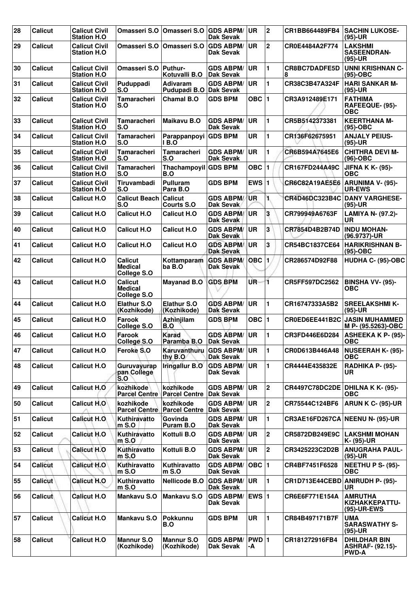| 28 | <b>Calicut</b> | <b>Calicut Civil</b><br><b>Station H.O.</b> |                                                       | Omasseri S.O   Omasseri S.O                         | <b>GDS ABPM/</b><br><b>Dak Sevak</b>    | <b>UR</b>    | $\mathbf{2}$   | CR1BB664489FB4                   | <b>SACHIN LUKOSE-</b><br>(95)-UR                               |
|----|----------------|---------------------------------------------|-------------------------------------------------------|-----------------------------------------------------|-----------------------------------------|--------------|----------------|----------------------------------|----------------------------------------------------------------|
| 29 | <b>Calicut</b> | <b>Calicut Civil</b><br><b>Station H.O</b>  | Omasseri S.O   Omasseri S.O                           |                                                     | <b>GDS ABPM/</b><br>Dak Sevak           | <b>UR</b>    | $\mathbf 2$    | CR0E4484A2F774                   | <b>LAKSHMI</b><br><b>SASEENDRAN-</b><br>(95)-UR                |
| 30 | <b>Calicut</b> | <b>Calicut Civil</b><br><b>Station H.O</b>  | Omasseri S.O   Puthur-                                | Kotuvalli B.O                                       | <b>GDS ABPM/</b><br><b>Dak Sevak</b>    | <b>UR</b>    | 1              | <b>CR8BC7DADFE5D</b><br>8        | <b>UNNI KRISHNAN C-</b><br>$(95)-OBC$                          |
| 31 | <b>Calicut</b> | <b>Calicut Civil</b><br><b>Station H.O.</b> | Puduppadi<br>S.O                                      | <b>Adivaram</b><br>Pudupadi B.O                     | <b>GDS ABPM/</b><br><b>Dak Sevak</b>    | <b>UR</b>    | 1              | CR38C3B47A324F                   | <b>HARI SANKAR M-</b><br>(95)-UR                               |
| 32 | <b>Calicut</b> | <b>Calicut Civil</b><br><b>Station H.O.</b> | <b>Tamaracheri</b><br>S.O                             | <b>Chamal B.O</b>                                   | <b>GDS BPM</b>                          | OBC  1       |                | CR3A912489E171                   | <b>FATHIMA</b><br>RAFEEQUE- (95)-<br><b>OBC</b>                |
| 33 | Calicut        | <b>Calicut Civil</b><br><b>Station H.O</b>  | Tamaracheri<br>S.O                                    | <b>Maikavu B.O</b>                                  | <b>GDS ABPM/</b><br><b>Dak Sevak</b>    | <b>UR</b>    | 1              | CR5B5142373381                   | <b>KEERTHANA M-</b><br>(95)-OBC                                |
| 34 | <b>Calicut</b> | <b>Calicut Civil</b><br><b>Station H.O.</b> | <b>Tamaracheri</b><br>S.O                             | Parappanpoyi<br>I B.O                               | <b>GDS BPM</b>                          | <b>UR</b>    | 1              | CR136F62675951                   | <b>ANJALY PEIUS-</b><br>(95)-UR                                |
| 35 | <b>Calicut</b> | <b>Calicut Civil</b><br><b>Station H.O.</b> | Tamaracheri<br>S.O                                    | <b>Tamaracheri</b><br>S.O                           | <b>GDS ABPM/</b><br><b>Dak Sevak</b>    | <b>UR</b>    | 1              | CR6B594A7645E6                   | <b>CHITHRA DEVI M-</b><br>$(96)-OBC$                           |
| 36 | <b>Calicut</b> | <b>Calicut Civil</b><br><b>Station H.O</b>  | <b>Tamaracheri</b><br>S.O                             | Thachampoyil GDS BPM<br>B.O                         |                                         | OBC ∣1       |                | CR167FD244A49C                   | <b>JIFNA K K- (95)-</b><br>ОВС                                 |
| 37 | <b>Calicut</b> | <b>Calicut Civil</b><br><b>Station H.O.</b> | Tiruvambadi<br>S.O                                    | <b>Pulluram</b><br>Para B.O                         | <b>GDS BPM</b>                          | EWS $ 1$     |                | CR6C82A19AE5E6                   | ARUNIMA V- (95)-<br><b>UR-EWS</b>                              |
| 38 | <b>Calicut</b> | <b>Calicut H.O</b>                          | <b>Calicut Beach Calicut</b><br>S.O                   | <b>Courts S.O.</b>                                  | <b>GDS ABPM/</b><br>Dak Sevak           | <b>UR</b>    | 1.             | CR4D46DC323B4C                   | <b>DANY VARGHESE-</b><br>(95)-UR                               |
| 39 | <b>Calicut</b> | <b>Calicut H.O.</b>                         | <b>Calicut H.O</b>                                    | <b>Calicut H.O</b>                                  | <b>GDS ABPM/</b><br><b>Dak Sevak</b>    | UR           | 3              | CR799949A6763F                   | LAMIYA N- (97.2)-<br>UR                                        |
| 40 | <b>Calicut</b> | <b>Calicut H.O.</b>                         | Calicut H.O                                           | <b>Calicut H.O</b>                                  | <b>GDS ABPM/</b><br>Dak Sevak           | UR           | 3              | CR7854D4B2B74D                   | <b>INDU MOHAN-</b><br>(96.9737)-UR                             |
| 41 | <b>Calicut</b> | <b>Calicut H.O</b>                          | <b>Calicut H.O</b>                                    | <b>Calicut H.O</b>                                  | <b>GDS ABPM/</b><br><b>Dak Sevak</b>    | <b>UR</b>    | 3              | CR54BC1837CE64                   | <b>HARIKRISHNAN B-</b><br>(95)-OBC                             |
| 42 | <b>Calicut</b> | <b>Calicut H.O.</b>                         | <b>Calicut</b><br><b>Medical</b><br>College S.O       | Kottamparam<br>ba B.O                               | <b>GDS ABPM/</b><br><b>Dak Sevak</b>    | <b>OBC</b>   |                | CR286574D92F88                   | HUDHA C- (95)-OBC                                              |
| 43 | <b>Calicut</b> | <b>Calicut H.O</b>                          | <b>Calicut</b><br><b>Medical</b><br>College S.O       | <b>Mayanad B.O</b>                                  | <b>GDS BPM</b>                          | UR-          | 1              | CR5FF597DC2562                   | <b>BINSHA VV- (95)-</b><br><b>OBC</b>                          |
| 44 | <b>Calicut</b> | <b>Calicut H.O</b>                          | <b>Elathur S.O</b><br>(Kozhikode)                     | <b>Elathur S.O</b><br>(Kozhikode)                   | <b>GDS ABPM/</b><br><b>Dak Sevak</b>    | <b>UR</b>    | 1              | CR16747333A5B2                   | <b>SREELAKSHMI K-</b><br>$(95)-UR$                             |
| 45 | <b>Calicut</b> | <b>Calicut H.O.</b>                         | Farook<br>College S.O                                 | Azhinjilam<br>B.O                                   | <b>GDS BPM</b>                          | OBC $ 1$     |                | CR0ED6EE441B2C                   | <b>JASIN MUHAMMED</b><br>M P- (95.5263)-OBC                    |
| 46 | <b>Calicut</b> | <b>Calicut H.O</b>                          | Farook<br>College S.O                                 | Karad<br>Paramba B.O Dak Sevak                      | <b>GDS ABPM/</b>                        | <b>UR</b>    | 1              | CR3FD446E6D284                   | <b>ASHEEKA K P- (95)-</b><br><b>OBC</b>                        |
| 47 | <b>Calicut</b> | <b>Calicut H.O.</b>                         | Feroke S.O                                            | Karuvanthuru GDS ABPM/<br>thy B.O                   | <b>Dak Sevak</b>                        | <b>UR</b>    | $\blacksquare$ | CR0D613B446A48                   | NUSEERAH K- (95)-  <br><b>OBC</b>                              |
| 48 | <b>Calicut</b> | <b>Calicut H.O</b>                          | Guruvayurap<br>pan College<br>$\mathsf{S}.\mathsf{O}$ | <b>Iringallur B.O</b>                               | <b>GDS ABPM/</b><br>Dak Sevak           | ∣UR.         | 1              | CR4444E435832E                   | RADHIKA P- (95)-<br>UR                                         |
| 49 | <b>Calicut</b> | <b>Calicut H.O</b>                          | kozhikode                                             | kozhikode<br><b>Parcel Centre   Parcel Centre</b>   | <b>GDS ABPM/ UR</b><br><b>Dak Sevak</b> |              | $\overline{2}$ | CR4497C78DC2DE DHILNA K K- (95)- | <b>OBC</b>                                                     |
| 50 | <b>Calicut</b> | Calicut H.O                                 | kozhikode                                             | kozhikode<br><b>Parcel Centre   Parcel Centre  </b> | <b>GDS ABPM/</b><br>Dak Sevak           | <b>IUR</b>   | $\mathbf 2$    | CR75544C124BF6                   | ARUN K C- (95)-UR                                              |
| 51 | <b>Calicut</b> | <b>Calicut H.O.</b>                         | Kuthiravatto<br>m S.O                                 | Govinda<br>Puram B.O                                | <b>GDS ABPM/</b><br>Dak Sevak           | ∣UR.         | 1              |                                  | CR3AE16FD267CA NEENU N- (95)-UR                                |
| 52 | <b>Calicut</b> | <b>Calicut H.O</b>                          | Kuthiravatto<br>$m$ S.O                               | Kottuli B.O                                         | <b>GDS ABPM/ UR</b><br><b>Dak Sevak</b> |              | $\overline{2}$ | CR5872DB249E9C                   | <b>LAKSHMI MOHAN</b><br>K- (95)-UR                             |
| 53 | <b>Calicut</b> | <b>Calicut H.O</b>                          | Kuthiravatto<br>$m S.$ O                              | Kottuli B.O                                         | <b>GDS ABPM/ UR</b><br>Dak Sevak        |              | $\overline{2}$ | CR3425223C2D2B                   | <b>ANUGRAHA PAUL-</b><br>(95)-UR                               |
| 54 | <b>Calicut</b> | <b>Calicut H.O</b>                          | Kuthiravatto<br>$m$ S.O                               | Kuthiravatto<br>$m$ S.O                             | <b>GDS ABPM/</b><br>Dak Sevak           | OBC  1       |                | CR4BF7451F6528                   | <b>NEETHU P S- (95)-</b><br><b>OBC</b>                         |
| 55 | Calicut        | <b>Calicut H.O</b>                          | Kuthiravatto<br>$m$ S.O                               | Nellicode B.O                                       | <b>GDS ABPM/</b><br><b>Dak Sevak</b>    | ∣UR.         | 1              | CR1D713E44CEBD ANIRUDH P- (95)-  | UR.                                                            |
| 56 | Calicut        | <b>Calicut H.O</b>                          | <b>Mankavu S.O</b>                                    | Mankavu S.O                                         | <b>GDS ABPM/</b><br>Dak Sevak           | <b>EWS 1</b> |                | CR6E6F771E154A                   | <b>AMRUTHA</b><br>KIZHAKKEPATTU-<br>(95)-UR-EWS                |
| 57 | <b>Calicut</b> | <b>Calicut H.O</b>                          | Mankavu S.O                                           | <b>Pokkunnu</b><br>B.O                              | <b>GDS BPM</b>                          | <b>UR</b>    | 1              | CR84B497171B7F                   | <b>UMA</b><br><b>SARASWATHY S-</b><br>(95)-UR                  |
| 58 | <b>Calicut</b> | <b>Calicut H.O</b>                          | <b>Mannur S.O</b><br>(Kozhikode)                      | <b>Mannur S.O</b><br>(Kozhikode)                    | <b>GDS ABPM/</b><br><b>Dak Sevak</b>    | PWD 1<br>-A  |                | CR181272916FB4                   | <b>DHILDHAR BIN</b><br><b>ASHRAF- (92.15)-</b><br><b>PWD-A</b> |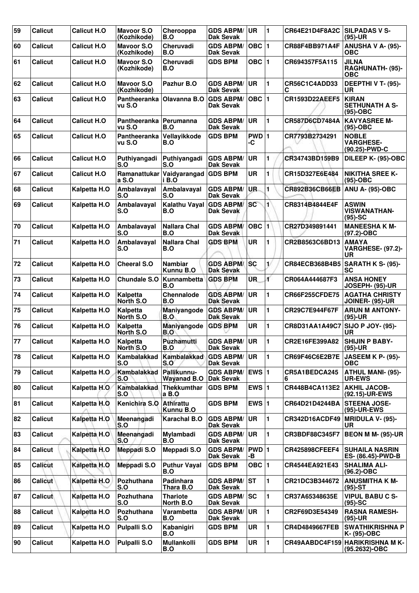| 59 | <b>Calicut</b> | <b>Calicut H.O</b> | <b>Mayoor S.O</b><br>(Kozhikode) | Cherooppa<br>B.O                  | <b>GDS ABPM/</b><br><b>Dak Sevak</b>   | <b>UR</b>   | 1            | CR64E21D4F8A2C        | <b>SILPADAS V S-</b><br>$(95)-UR$                     |
|----|----------------|--------------------|----------------------------------|-----------------------------------|----------------------------------------|-------------|--------------|-----------------------|-------------------------------------------------------|
| 60 | <b>Calicut</b> | <b>Calicut H.O</b> | <b>Mayoor S.O</b><br>(Kozhikode) | Cheruvadi<br>B.O                  | <b>GDS ABPM/</b><br><b>Dak Sevak</b>   | OBC $ 1$    |              | CR88F4BB971A4F        | <b>ANUSHA V A- (95)-</b><br><b>OBC</b>                |
| 61 | <b>Calicut</b> | <b>Calicut H.O</b> | <b>Mayoor S.O</b><br>(Kozhikode) | Cheruvadi<br>B.O                  | <b>GDS BPM</b>                         | OBC $ 1$    |              | CR694357F5A115        | <b>JILNA</b><br>RAGHUNATH- (95)-<br>ОВС               |
| 62 | <b>Calicut</b> | <b>Calicut H.O</b> | <b>Mavoor S.O</b><br>(Kozhikode) | Pazhur B.O                        | <b>GDS ABPM/</b><br><b>Dak Sevak</b>   | <b>UR</b>   | 1            | CR56C1C4ADD33<br>C    | DEEPTHI V T- (95)-<br>UR                              |
| 63 | <b>Calicut</b> | <b>Calicut H.O</b> | Pantheeranka<br>vu S.O           | Olavanna B.O                      | <b>GDS ABPM/</b><br>Dak Sevak          | OBC $ 1$    |              | <b>CR1593D22AEEF5</b> | <b>KIRAN</b><br><b>SETHUNATH A S-</b><br>$(95)-OBC$   |
| 64 | <b>Calicut</b> | <b>Calicut H.O</b> | Pantheeranka<br>vu S.O           | Perumanna<br>B.O                  | <b>GDS ABPM/</b><br>Dak Sevak          | <b>UR</b>   | 1            | CR587D6CD7484A        | <b>KAVYASREE M-</b><br>$(95)-OBC$                     |
| 65 | Calicut        | <b>Calicut H.O</b> | Pantheeranka<br>vu S.O           | Vellayikkode<br>B.O               | <b>GDS BPM</b>                         | PWD 1<br>-C |              | CR7793B2734291        | <b>NOBLE</b><br><b>VARGHESE-</b><br>(90.25)-PWD-C     |
| 66 | <b>Calicut</b> | <b>Calicut H.O</b> | Puthiyangadi<br>S.O              | Puthiyangadi<br>S.O               | <b>GDS ABPM/</b><br>Dak Sevak          | <b>UR</b>   | 1            | CR34743BD159B9        | DILEEP K- (95)-OBC                                    |
| 67 | Calicut        | <b>Calicut H.O</b> | Ramanattukar<br>a S.O            | Vaidyarangad<br>i B.O             | <b>GDS BPM</b>                         | <b>UR</b>   | 1            | CR15D327E6E484        | <b>NIKITHA SREE K-</b><br>$(95)-OBC$                  |
| 68 | Calicut        | Kalpetta H.O       | Ambalavayal<br><b>S.O</b>        | Ambalavayal<br>S.O                | <b>GDS ABPM/</b><br><b>Dak Sevak</b>   | UR.         | 1            | <b>CR892B36CB66EB</b> | ANU A- (95)-OBC                                       |
| 69 | <b>Calicut</b> | Kalpetta H.O       | Ambalavayal<br>S.O               | Kalathu Vayal<br>B.O              | <b>GDS ABPM/</b><br>Dak Sevak          | sc          | 1            | CR8314B4844E4F        | <b>ASWIN</b><br><b>VISWANATHAN-</b><br>$(95)-SC$      |
| 70 | <b>Calicut</b> | Kalpetta H.O       | Ambalavayal<br>S.O               | <b>Nallara Chal</b><br>B.O        | <b>GDS ABPM/</b><br>Dak Sevak          | OBC  1      |              | CR27D349891441        | <b>MANEESHAK M-</b><br>$(97.2) - OBC$                 |
| 71 | Calicut        | Kalpetta H.O       | Ambalavayal<br>S.O               | <b>Nallara Chal</b><br>B.O        | <b>GDS BPM</b>                         | <b>UR</b>   | 1            | CR2B8563C6BD13        | <b>AMAYA</b><br><b>VARGHESE- (97.2)-</b><br><b>UR</b> |
| 72 | <b>Calicut</b> | Kalpetta H.O       | <b>Cheeral S.O</b>               | <b>Nambiar</b><br>Kunnu B.O       | <b>GDS ABPM/</b><br>Dak Sevak          | lsc         | 1/           | CR84ECB368B4B5        | <b>SARATH K S- (95)-</b><br>SC                        |
| 73 | <b>Calicut</b> | Kalpetta H.O       | <b>Chundale S.O</b>              | Kunnambetta<br>B.O                | <b>GDS BPM</b>                         | ŨR.         | ď            | CR064A444687F3        | <b>ANSA HONEY</b><br>JOSEPH- (95)-UR                  |
| 74 | Calicut        | Kalpetta H.O       | Kalpetta<br>North S.O            | Chennalode<br>B.O                 | <b>GDS ABPM/</b><br><b>Dak Sevak</b>   | <b>UR</b>   | 1            | <b>CR66F255CFDE75</b> | <b>AGATHA CHRISTY</b><br><b>JOINER- (95)-UR</b>       |
| 75 | <b>Calicut</b> | Kalpetta H.O       | Kalpetta<br>North S.O            | Maniyangode<br>B.O                | <b>GDS ABPM/</b><br><b>Dak Sevak</b>   | <b>UR</b>   | 1            | CR29C7E944F67F        | <b>ARUN M ANTONY-</b><br>$(95)-UR$                    |
| 76 | Calicut        | Kalpetta H.O       | Kalpetta<br>North S.O            | Maniyangode<br>B.O                | <b>GDS BPM</b>                         | UR          | 1            | CR8D31AA1A49C7        | <b>SIJO P JOY- (95)-</b><br>UR                        |
| 77 | Calicut        | Kalpetta H.O       | Kalpetta<br>North S.O            | Puzhamutti<br>B.O                 | <b>GDS ABPM/UR</b><br><b>Dak Sevak</b> |             | 1            | CR2E16FE399A82        | <b>SHIJIN P BABY-</b><br>$(95)-UR$                    |
| 78 | <b>Calicut</b> | Kalpetta H.O       | Kambalakkad<br>S.O               | Kambalakkad<br>S.O                | <b>GDS ABPM/</b><br>Dak Sevak          | ∣UR.        | 1            | CR69F46C6E2B7E        | <b>JASEEM K P- (95)-</b><br><b>OBC</b>                |
| 79 | Calicut        | Kalpetta H.O.      | Kambalakkad<br>S.O               | Pallikunnu-<br><b>Wayanad B.O</b> | <b>GDS ABPM/</b><br><b>Dak Sevak</b>   | $EWS$ 1     |              | CR5A1BEDCA245<br>6    | <b>ATHUL MANI- (95)-</b><br><b>UR-EWS</b>             |
| 80 | <b>Calicut</b> | Kalpetta H.O       | <b>Kambalakkad</b><br>S.O        | <b>Thekkumthar</b><br>a B.O       | <b>GDS BPM</b>                         | EWS $ 1$    |              | CR448B4CA113E2        | <b>AKHIL JACOB-</b><br>(92.15)-UR-EWS                 |
| 81 | <b>Calicut</b> | Kalpetta H.O       | Kenichira S.O                    | <b>Athirattu</b><br>Kunnu B.O     | <b>GDS BPM</b>                         | EWS $ 1$    |              | CR64D21D4244BA        | <b>STEENA JOSE-</b><br>(95)-UR-EWS                    |
| 82 | Calicut        | Kalpetta H.O       | Meenangadi<br>S.O                | Karachal B.O                      | <b>GDS ABPM/</b><br>Dak Sevak          | <b>UR</b>   | 1            | CR342D16ACDF49        | MRIDULA V- (95)-<br>UR                                |
| 83 | <b>Calicut</b> | Kalpetta H.O       | Meenangadi<br>S.O                | Mylambadi<br>B.O                  | <b>GDS ABPM/</b><br>Dak Sevak          | ∣UR         | $\mathbf{1}$ | CR3BDF88C345F7        | <b>BEON M M- (95)-UR</b>                              |
| 84 | <b>Calicut</b> | Kalpetta H.O       | <b>Meppadi S.O</b>               | Meppadi S.O                       | <b>GDS ABPM/</b><br>Dak Sevak          | PWD 1<br>-В |              | <b>CR425898CFEEF4</b> | <b>SUHAILA NASRIN</b><br>ES- (86.45)-PWD-B            |
| 85 | <b>Calicut</b> | Kalpetta H.O       | <b>Meppadi S.O</b>               | <b>Puthur Vayal</b><br>B.O        | <b>GDS BPM</b>                         | $OBC$  1    |              | CR4544EA921E43        | <b>SHALIMA ALI-</b><br>(96.2)-OBC                     |
| 86 | <b>Calicut</b> | Kalpetta H.O       | Pozhuthana<br>S.O                | <b>Padinhara</b><br>Thara B.O     | <b>GDS ABPM/</b><br>Dak Sevak          | <b>ST</b>   | 1            | CR21DC3B344672        | <b>ANUSMITHA K M-</b><br>$(95)-ST$                    |
| 87 | Calicut        | Kalpetta H.O       | Pozhuthana<br>S.O                | <b>Thariote</b><br>North B.O      | <b>GDS ABPM/</b><br>Dak Sevak          | SC          | 1.           | CR37A65348635E        | <b>VIPUL BABU C S-</b><br>$(95)$ -SC                  |
| 88 | <b>Calicut</b> | Kalpetta H.O       | Pozhuthana<br>S.O                | Varambetta<br>B.O                 | <b>GDS ABPM/</b><br>Dak Sevak          | <b>UR</b>   | 1            | CR2F69D3E54349        | <b>RASNA RAMESH-</b><br>(95)-UR                       |
| 89 | <b>Calicut</b> | Kalpetta H.O       | <b>Pulpalli S.O</b>              | Kabanigiri<br>B.O                 | <b>GDS BPM</b>                         | <b>UR</b>   | 1            | <b>CR4D4849667FEB</b> | <b>SWATHIKRISHNA P</b><br>K- (95)-OBC                 |
| 90 | Calicut        | Kalpetta H.O       | <b>Pulpalli S.O</b>              | Mullankolli<br>B.O                | <b>GDS BPM</b>                         | UR          | 1            | CR49AABDC4F159        | <b>HARIKRISHNA MK-</b><br>(95.2632)-OBC               |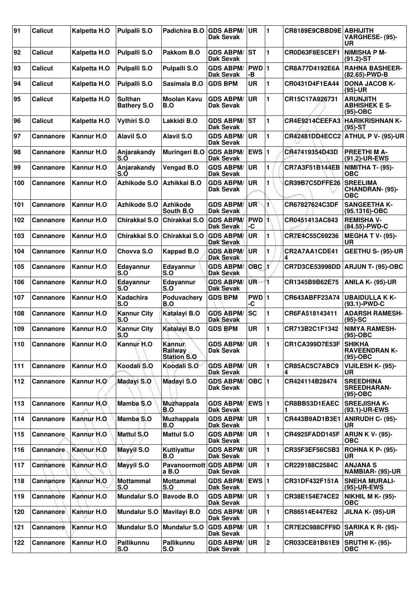| 91  | <b>Calicut</b>   | Kalpetta H.O | <b>Pulpalli S.O</b>                  | Padichira B.O                           | <b>GDS ABPM/</b><br>Dak Sevak        | <b>UR</b>                | 11             | CR8189E9CBBD9E ABHIJITH | VARGHESE- (95)-<br>UR                                   |
|-----|------------------|--------------|--------------------------------------|-----------------------------------------|--------------------------------------|--------------------------|----------------|-------------------------|---------------------------------------------------------|
| 92  | Calicut          | Kalpetta H.O | <b>Pulpalli S.O</b>                  | Pakkom B.O                              | <b>GDS ABPM/</b><br><b>Dak Sevak</b> | lst                      | 1              | CR0D63F8E5CEF1          | <b>NIMISHA P M-</b><br>$(91.2)$ -ST                     |
| 93  | <b>Calicut</b>   | Kalpetta H.O | <b>Pulpalli S.O</b>                  | Pulpalli S.O                            | <b>GDS ABPM/</b><br>Dak Sevak        | PWD 1<br>-В              |                | CR8A77D4192E6A          | <b>RAHNA BASHEER-</b><br>(82.65)-PWD-B                  |
| 94  | <b>Calicut</b>   | Kalpetta H.O | <b>Pulpalli S.O</b>                  | Sasimala B.O                            | <b>GDS BPM</b>                       | UR                       | 1              | CR0431D4F1EA44          | <b>DONA JACOB K-</b><br>$(95)-UR$                       |
| 95  | <b>Calicut</b>   | Kalpetta H.O | <b>Sulthan</b><br><b>Bathery S.O</b> | <b>Moolan Kavu</b><br>B.O               | <b>GDS ABPM/</b><br>Dak Sevak        | <b>UR</b>                | 1              | CR15C17A926731          | <b>ARUNJITH</b><br><b>ABHISHEK E S-</b><br>$(95)-OBC$   |
| 96  | Calicut          | Kalpetta H.O | Vythiri S.O                          | Lakkidi B.O                             | <b>GDS ABPM/</b><br>Dak Sevak        | lst                      | 1              | CR4E9214CEEFA3          | <b>HARIKRISHNAN K-</b><br>$(95)-ST$                     |
| 97  | <b>Cannanore</b> | Kannur H.O   | <b>Alavil S.O</b>                    | <b>Alavil S.O</b>                       | <b>GDS ABPM/</b><br><b>Dak Sevak</b> | <b>UR</b>                | $\blacksquare$ | <b>CR42481DD4ECC2</b>   | ATHUL P V- (95)-UR                                      |
| 98  | <b>Cannanore</b> | Kannur H.O   | Anjarakandy<br>S.O                   | Muringeri B.O                           | <b>GDS ABPM/</b><br>Dak Sevak        | EWS $ 1$                 |                | CR47419354D43D          | <b>PREETHIMA-</b><br>(91.2)-UR-EWS                      |
| 99  | <b>Cannanore</b> | Kannur H.O   | Anjarakandy<br>S.O                   | Vengad B.O                              | <b>GDS ABPM/</b><br>Dak Sevak        | <b>UR</b>                | 1              | CR7A3F51B144EB          | <b>NIMITHA T- (95)-</b><br><b>OBC</b>                   |
| 100 | <b>Cannanore</b> | Kannur H.O   | Azhikode S.O                         | <b>Azhikkal B.O</b>                     | <b>GDS ABPM/</b><br><b>Dak Sevak</b> | <b>UR</b>                | 1              | CR39B7C5DFFE26          | <b>SREELIMA</b><br><b>CHANDRAN- (95)-</b><br><b>OBC</b> |
| 101 | <b>Cannanore</b> | Kannur H.O   | Azhikode S.O                         | <b>Azhikode</b><br>South B.O            | <b>GDS ABPM/</b><br>Dak Sevak        | UR                       | $\blacksquare$ | CR67827624C3DF          | <b>SANGEETHA K-</b><br>(95.1316)-OBC                    |
| 102 | Cannanore        | Kannur H.O   | Chirakkal S.O                        | Chirakkal S.O                           | <b>GDS ABPM/</b><br><b>Dak Sevak</b> | $PWD$ <sup>1</sup><br>-C |                | CR0451413AC843          | <b>REMISHA V-</b><br>(84.55)-PWD-C                      |
| 103 | Cannanore        | Kannur H.O   | Chirakkal S.O                        | Chirakkal S.O                           | <b>GDS ABPM/</b><br>Dak Sevak        | <b>UR</b>                | 1              | CR7E4C55C69236          | <b>MEGHA T V- (95)-</b><br>UR                           |
| 104 | <b>Cannanore</b> | Kannur H.O   | Chovya S.O                           | <b>Kappad B.O</b>                       | <b>GDS ABPM/</b><br><b>Dak Sevak</b> | UR                       | 1              | CR2A7AA1CDE41           | <b>GEETHU S- (95)-UR</b>                                |
| 105 | <b>Cannanore</b> | Kannur H.O   | Edayannur<br>S.O                     | Edayannur<br>S.O                        | <b>GDS ABPM</b><br><b>Dak Sevak</b>  | $OBC$ 1                  |                | <b>CR7D3CE53998DD</b>   | ARJUN T- (95)-OBC                                       |
| 106 | <b>Cannanore</b> | Kannur H.O   | Edayannur<br>S.O                     | Edayannur<br>S.O                        | <b>GDS ABPM/</b><br><b>Dak Sevak</b> | UR-                      | 11             | CR1345B9B62E75          | <b>ANILA K- (95)-UR</b>                                 |
| 107 | Cannanore        | Kannur H.O   | <b>Kadachira</b><br>S.O              | Poduvachery<br>B.O                      | <b>GDS BPM</b>                       | PWD 1<br>۰C              |                | CR643ABFF23A74          | <b>UBAIDULLA K K-</b><br>$(93.1)$ -PWD-C                |
| 108 | Cannanore        | Kannur H.O   | <b>Kannur City</b><br>S.O            | Katalayi B.O                            | <b>GDS ABPM/</b><br><b>Dak Sevak</b> | <b>SC</b>                | 1              | CR6FA518143411          | <b>ADARSH RAMESH-</b><br>$(95)-SC$                      |
| 109 | Cannanore        | Kannur H.O   | <b>Kannur City</b><br>S.O            | Katalayi B.O                            | <b>GDS BPM</b>                       | UR                       | 1              | CR713B2C1F1342          | <b>NIMYA RAMESH-</b><br>$(95)-OBC$                      |
| 110 | <b>Cannanore</b> | Kannur H.O   | Kannur H.O                           | Kannur<br>Railway<br><b>Station S.O</b> | <b>GDS ABPM/ UR</b><br>Dak Sevak     |                          | 11             | <b>CR1CA399D7E53F</b>   | <b>SHIKHA</b><br><b>RAVEENDRAN K-</b><br>$(95)-OBC$     |
| 111 | <b>Cannanore</b> | Kannur H.O   | Koodali S.O                          | Koodali S.O                             | <b>GDS ABPM/</b><br>Dak Sevak        | UR                       | $\mathbf{1}$   | CR85AC5C7ABC9<br>4      | VIJILESH K- (95)-<br>UR                                 |
| 112 | <b>Cannanore</b> | Kannur H.O   | <b>Madayi S.O</b>                    | Madayi S.O                              | <b>GDS ABPM/</b><br>Dak Sevak        | OBC $ 1$                 |                | CR424114B28474          | <b>SREEDHINA</b><br><b>SREEDHARAN-</b><br>$(95)-OBC$    |
| 113 | <b>Cannanore</b> | Kannur H.O   | Mamba S.O                            | <b>Muzhappala</b><br>B.O                | <b>GDS ABPM/</b><br>Dak Sevak        | $EWS$ 1                  |                | CR8BB53D1EAEC           | <b>SREEJISHA K-</b><br>(93.1)-UR-EWS                    |
| 114 | Cannanore        | Kannur H.O   | Mamba S.O                            | <b>Muzhappala</b><br>B.O                | <b>GDS ABPM/</b><br>Dak Sevak        | <b>UR</b>                | $\blacksquare$ | CR443B9AD1B3E1          | <b>ANIRUDH C- (95)-</b><br><b>UR</b>                    |
| 115 | Cannanore        | Kannur H.O   | Mattul S.O                           | <b>Mattul S.O</b>                       | <b>GDS ABPM/</b><br><b>Dak Sevak</b> | UR                       | 1              | CR4925FADD145F          | <b>ARUN K V- (95)-</b><br><b>OBC</b>                    |
| 116 | Cannanore        | Kannur H.O   | <b>Mayyil S.O</b>                    | Kuttivattur<br>B.O                      | <b>GDS ABPM/</b><br>Dak Sevak        | <b>UR</b>                | 1              | CR35F3EF56C5B3          | <b>ROHNA K P- (95)-</b><br>UR                           |
| 117 | Cannanore        | Kannur H.O   | <b>Mayyil S.O</b>                    | Pavanoormott GDS ABPM/<br>a B.O         | Dak Sevak                            | <b>UR</b>                | 1              | CR229188C2584C          | <b>ANJANA S</b><br>NAMBIAR- (95)-UR                     |
| 118 | <b>Cannanore</b> | Kannur H.O   | <b>Mottammal</b><br>S.O              | <b>Mottammal</b><br>S.O                 | <b>GDS ABPM/</b><br><b>Dak Sevak</b> | EWS $ 1$                 |                | CR31DF432F151A          | <b>SNEHA MURALI-</b><br>(95)-UR-EWS                     |
| 119 | Cannanore        | Kannur H.O   | <b>Mundalur S.O</b>                  | <b>Bavode B.O</b>                       | <b>GDS ABPM/</b><br><b>Dak Sevak</b> | <b>UR</b>                | 1              | CR38E154E74CE2          | <b>NIKHIL M K- (95)-</b><br><b>OBC</b>                  |
| 120 | <b>Cannanore</b> | Kannur H.O   | <b>Mundalur S.O</b>                  | Mavilayi B.O                            | <b>GDS ABPM/</b><br>Dak Sevak        | <b>UR</b>                | 1              | CR86514E447E62          | JILNA K- (95)-UR                                        |
| 121 | Cannanore        | Kannur H.O   | <b>Mundalur S.O</b>                  | <b>Mundalur S.O</b>                     | <b>GDS ABPM/</b><br>Dak Sevak        | UR                       | 1              | CR7E2C988CFF9D          | <b>SARIKA K R- (95)-</b><br>UR                          |
| 122 | Cannanore        | Kannur H.O   | Pallikunnu<br>S.O                    | Pallikunnu<br>S.O                       | <b>GDS ABPM/</b><br><b>Dak Sevak</b> | <b>UR</b>                | $\overline{2}$ | CR033CE81B61E9          | <b>SRUTHI K- (95)-</b><br><b>OBC</b>                    |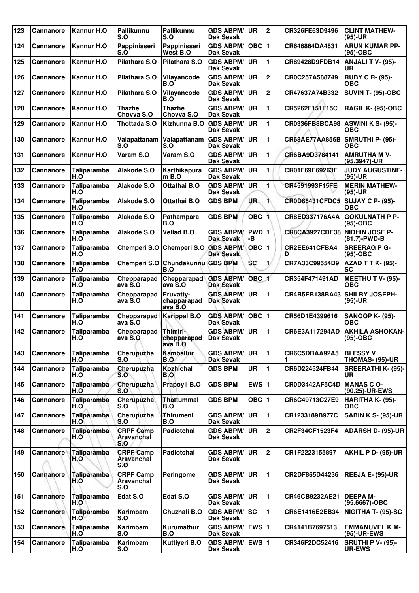| 123 | Cannanore        | Kannur H.O         | Pallikunnu<br>S.O                     | <b>Pallikunnu</b><br>S.O                | <b>GDS ABPM/</b><br><b>Dak Sevak</b> | UR                      | 2              | CR326FE63D9496                | <b>CLINT MATHEW-</b><br>$(95)-UR$         |
|-----|------------------|--------------------|---------------------------------------|-----------------------------------------|--------------------------------------|-------------------------|----------------|-------------------------------|-------------------------------------------|
| 124 | <b>Cannanore</b> | Kannur H.O         | Pappinisseri<br>S.Ò                   | Pappinisseri<br>West B.O                | <b>GDS ABPM/</b><br><b>Dak Sevak</b> | OBC $\vert$ 1           |                | CR646864DA4831                | <b>ARUN KUMAR PP-</b><br>(95)-OBC         |
| 125 | Cannanore        | Kannur H.O         | Pilathara S.O                         | Pilathara S.O                           | <b>GDS ABPM/</b><br>Dak Sevak        | UR                      | 1              | CR89428D9FDB14                | ANJALI T V- (95)-<br>UR                   |
| 126 | <b>Cannanore</b> | Kannur H.O         | Pilathara S.O                         | Vilayancode<br>B.O                      | <b>GDS ABPM/</b><br>Dak Sevak        | UR                      | $\overline{2}$ | CR0C257A588749                | <b>RUBY C R- (95)-</b><br><b>OBC</b>      |
| 127 | <b>Cannanore</b> | Kannur H.O         | Pilathara S.O                         | Vilayancode<br>B.O                      | <b>GDS ABPM/</b><br>Dak Sevak        | UR.                     | $\overline{2}$ | CR47637A74B332                | <b>SUVIN T- (95)-OBC</b>                  |
| 128 | <b>Cannanore</b> | Kannur H.O         | <b>Thazhe</b><br>Chovva S.O           | <b>Thazhe</b><br>Chovva S.O             | <b>GDS ABPM/</b><br>Dak Sevak        | UR                      | 1              | CR5262F151F15C                | <b>RAGIL K- (95)-OBC</b>                  |
| 129 | Cannanore        | Kannur H.O         | Thottada S.O                          | Kizhunna B.O                            | <b>GDS ABPM/</b><br>Dak Sevak        | UR                      | 1              | <b>CR0336FB8BCA98</b>         | <b>ASWINI K S- (95)-</b><br><b>OBC</b>    |
| 130 | <b>Cannanore</b> | Kannur H.O         | Valapattanam<br><b>S.O</b>            | Valapattanam<br>S.O                     | <b>GDS ABPM/</b><br>Dak Sevak        | UR.                     | 1              | <b>CR68AE77AA856B</b>         | SMRUTHI P- (95)-<br><b>OBC</b>            |
| 131 | <b>Cannanore</b> | Kannur H.O         | Varam S.O                             | Varam S.O                               | <b>GDS ABPM/</b><br><b>Dak Sevak</b> | UR                      | 1              | CR6BA9D3784141                | <b>AMRUTHA M V-</b><br>(95.3947)-UR       |
| 132 | <b>Cannanore</b> | Taliparamba<br>H.O | Alakode S.O                           | Karthikapura<br>m B.O                   | <b>GDS ABPM/</b><br>Dak Sevak        | UR                      | 1              | CR01F69E69263E                | <b>JUDY AUGUSTINE-</b><br>$(95)-UR$       |
| 133 | Cannanore        | Taliparamba<br>H.O | Alakode S.O                           | Ottathai B.O                            | <b>GDS ABPM/</b><br>Dak Sevak        | <b>UR</b>               | 1              | CR4591993F15FE                | <b>MERIN MATHEW-</b><br>(95)-UR           |
| 134 | <b>Cannanore</b> | Taliparamba<br>H.O | Alakode S.O                           | Ottathai B.O                            | <b>GDS BPM</b>                       | UR.                     | 1              | <b>CR0D85431CFDC5</b>         | <b>SUJAY C P- (95)-</b><br>ОВС            |
| 135 | <b>Cannanore</b> | Taliparamba<br>H.O | Alakode S.O                           | Pathampara<br>B.O                       | <b>GDS BPM</b>                       | OBC <sub>1</sub>        |                | CR8ED337176A4A                | <b>GOKULNATH P P-</b><br>$(95)-OBC$       |
| 136 | <b>Cannanore</b> | Taliparamba<br>H.O | Alakode S.O                           | <b>Vellad B.O</b>                       | <b>GDS ABPM/</b><br>Dak Sevak        | PWD 1 <br>-В            |                | CR8CA3927CDE38 NIDHIN JOSE P- | (81.7)-PWD-B                              |
| 137 | <b>Cannanore</b> | Taliparamba<br>H.O | <b>Chemperi S.O</b>                   | Chemperi S.O GDS ABPM/                  | <b>Dak Sevak</b>                     | $OBC$  1                |                | CR2EE641CFBA4<br>D            | <b>SREERAGPG-</b><br>$(95)-OBC$           |
| 138 | <b>Cannanore</b> | Taliparamba<br>H.O | Chemperi S.O                          | Chundakunnu<br>B.O                      | <b>GDS BPM</b>                       | <b>SC</b>               | 1/             | CR7A33C99554D9                | <b>AZAD T T K- (95)-</b><br><b>SC</b>     |
| 139 | Cannanore        | Taliparamba<br>H.O | Chepparapad<br>ava S.O                | <b>Chepparapad GDS ABPM/</b><br>ava S.O | <b>Dak Sevak</b>                     | <b>OBC</b>              | <b>X</b>       | CR354F471491AD                | MEETHU T V- (95)-<br><b>OBC</b>           |
| 140 | <b>Cannanore</b> | Taliparamba<br>H.O | Chepparapad<br>ava S.O                | Eruvatty-<br>chapparapad<br>ava B.O     | <b>GDS ABPM/</b><br><b>Dak Sevak</b> | UR                      | 1              | CR4B5EB138BA43                | <b>SHILBY JOSEPH-</b><br>$(95)-UR$        |
| 141 | <b>Cannanore</b> | Taliparamba<br>H.O | Chepparapad<br>ava S.O                | <b>Karippal B.O</b>                     | <b>GDS ABPM/</b><br><b>Dak Sevak</b> | $OBC$  1                |                | CR56D1E4399616                | <b>SANOOP K- (95)-</b><br><b>OBC</b>      |
| 142 | Cannanore        | Taliparamba<br>H.O | Chepparapad<br>ava S.O                | Thimiri-<br>chepparapad<br>ava B.O      | <b>GDS ABPM/</b><br><b>Dak Sevak</b> | <b>UR</b>               | 1              | CR6E3A117294AD                | <b>AKHILA ASHOKAN-</b><br>(95)-OBC        |
| 143 | <b>Cannanore</b> | Taliparamba<br>H.O | Cherupuzha<br>S.O                     | <b>Kamballur</b><br>B.O                 | <b>GDS ABPM/</b><br>Dak Sevak        | <b>UR</b>               | 1              | CR6C5DBAA92A5                 | <b>BLESSY V</b><br>THOMAS- (95)-UR        |
| 144 | <b>Cannanore</b> | Taliparamba<br>H.O | Cherupuzha<br>S.O                     | <b>Kozhichal</b><br>B.O                 | <b>GDS BPM</b>                       | <b>UR</b>               | 1              | CR6D224524FB44                | <b>SREERATHI K- (95)-</b><br>UR.          |
| 145 | <b>Cannanore</b> | Taliparamba<br>H.O | Cherupuzha<br>S.O                     | Prapoyil B.O                            | <b>GDS BPM</b>                       | EWS $ 1$                |                | CR0D3442AF5C4D                | <b>MANAS C O-</b><br>(90.25)-UR-EWS       |
| 146 | <b>Cannanore</b> | Taliparamba<br>H.O | Cherupuzha<br>S.O                     | <b>Thattummal</b><br>B.O                | <b>GDS BPM</b>                       | OBC $ 1$                |                | CR6C49713C27E9                | HARITHA K- (95)-<br><b>OBC</b>            |
| 147 | <b>Cannanore</b> | Taliparamba<br>H.O | Cherupuzha<br>S.O                     | Thirumeni<br>B.O                        | <b>GDS ABPM/</b><br>Dak Sevak        | <b>UR</b>               | 1              | CR1233189B977C                | <b>SABIN K S- (95)-UR</b>                 |
| 148 | <b>Cannanore</b> | Taliparamba<br>H.O | <b>CRPF Camp</b><br>Aravanchal<br>S.O | Padiotchal                              | <b>GDS ABPM/</b><br><b>Dak Sevak</b> | UR.                     | 2              | CR2F34CF1523F4                | <b>ADARSH D- (95)-UR</b>                  |
| 149 | Cannanore        | Taliparamba<br>H.O | <b>CRPF Camp</b><br>Aravanchal<br>S.O | <b>Padiotchal</b>                       | <b>GDS ABPM/</b><br>Dak Sevak        | UR                      | 2              | CR1F2223155897                | <b>AKHIL P D- (95)-UR</b>                 |
| 150 | Cannanore        | Taliparamba<br>H.O | <b>CRPF Camp</b><br>Aravanchal<br>S.O | Peringome                               | <b>GDS ABPM/</b><br>Dak Sevak        | UR                      | 1              | CR2DF865D44236                | REEJA E- (95)-UR                          |
| 151 | Cannanore        | Taliparamba<br>H.O | Edat S.O                              | Edat S.O                                | <b>GDS ABPM/</b><br>Dak Sevak        | <b>UR</b>               | 1              | CR46CB9232AE21                | <b>DEEPAM-</b><br>(95.6667)-OBC           |
| 152 | <b>Cannanore</b> | Taliparamba<br>H.O | Karimbam<br>S.O                       | Chuzhali B.O                            | <b>GDS ABPM/</b><br>Dak Sevak        | lsc                     | 1              | CR6E1416E2EB34                | NIGITHA T- (95)-SC                        |
| 153 | <b>Cannanore</b> | Taliparamba<br>H.O | Karimbam<br>S.O                       | Kurumathur<br>B.O                       | <b>GDS ABPM/</b><br><b>Dak Sevak</b> | <b>EWS</b> <sub>1</sub> |                | CR4141B7697513                | <b>EMMANUVEL K M-</b><br>(95)-UR-EWS      |
| 154 | <b>Cannanore</b> | Taliparamba<br>H.O | Karimbam<br>S.O                       | Kuttiyeri B.O                           | <b>GDS ABPM/</b><br>Dak Sevak        | <b>EWS</b> <sub>1</sub> |                | CR346F2DC52416                | <b>SRUTHI P V- (95)-</b><br><b>UR-EWS</b> |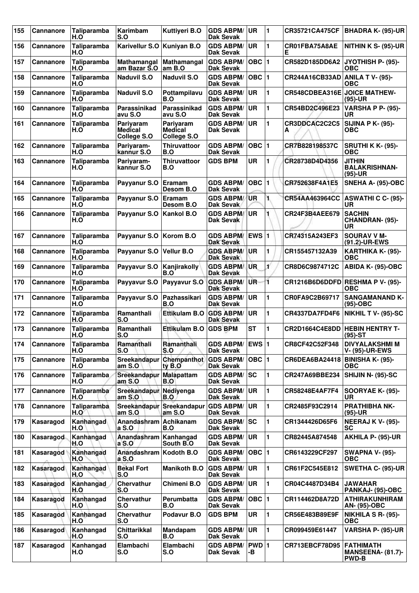| 155 | <b>Cannanore</b> | Taliparamba<br>H.O | Karimbam<br>S.O                            | Kuttiyeri B.O                                     | <b>GDS ABPM/</b><br>Dak Sevak        | <b>UR</b>    | $\blacksquare$ | <b>CR35721CA475CF</b>        | BHADRA K- (95)-UR                                            |
|-----|------------------|--------------------|--------------------------------------------|---------------------------------------------------|--------------------------------------|--------------|----------------|------------------------------|--------------------------------------------------------------|
| 156 | <b>Cannanore</b> | Taliparamba<br>H.O | Karivellur S.O Kuniyan B.O                 |                                                   | <b>GDS ABPM/</b><br><b>Dak Sevak</b> | <b>UR</b>    | 1              | CR01FBA75A8AE<br>Е           | NITHIN K S- (95)-UR                                          |
| 157 | <b>Cannanore</b> | Taliparamba<br>H.O | Mathamangal<br>am Bazar S.O                | Mathamangal<br>am B.O                             | <b>GDS ABPM/</b><br><b>Dak Sevak</b> | $OBC$ 1      |                | CR582D185DD6A2               | JYOTHISH P- (95)-<br>ОВС                                     |
| 158 | <b>Cannanore</b> | Taliparamba<br>H.O | <b>Naduvil S.O</b>                         | <b>Naduvil S.O</b>                                | <b>GDS ABPM/</b><br><b>Dak Sevak</b> | $OBC$ 1      |                | CR244A16CB33AD               | <b>ANILA T V- (95)-</b><br>ОВС                               |
| 159 | <b>Cannanore</b> | Taliparamba<br>H.O | <b>Naduvil S.O</b>                         | Pottampilavu<br>B.O                               | <b>GDS ABPM/</b><br><b>Dak Sevak</b> | ∣UR.         | 1              | CR548CDBEA316E JOICE MATHEW- | (95)-UR                                                      |
| 160 | <b>Cannanore</b> | Taliparamba<br>H.O | Parassinikad<br>avu S.O                    | Parassinikad<br>avu S.O                           | <b>GDS ABPM/</b><br><b>Dak Sevak</b> | <b>UR</b>    | 1              | CR54BD2C496E23               | <b>VARSHA P P- (95)-</b><br>UR                               |
| 161 | Cannanore        | Taliparamba<br>H.O | Pariyaram<br><b>Medical</b><br>College S.O | <b>Parivaram</b><br><b>Medical</b><br>College S.O | <b>GDS ABPM/</b><br>Dak Sevak        | UR           | 1              | CR3DDCAC2C2C5<br>А           | <b>SIJINA P K- (95)-</b><br>ОВС                              |
| 162 | <b>Cannanore</b> | Taliparamba<br>H.O | Pariyaram-<br>kannur S.O                   | Thiruvattoor<br>B.O                               | <b>GDS ABPM/</b><br><b>Dak Sevak</b> | $OBC$  1     |                | CR7B828198537C               | <b>SRUTHI K K- (95)-</b><br><b>OBC</b>                       |
| 163 | Cannanore        | Taliparamba<br>H.O | Pariyaram-<br>kannur S.O                   | <b>Thiruvattoor</b><br>B.O                        | <b>GDS BPM</b>                       | <b>UR</b>    | 1              | CR28738D4D4356               | <b>JITHIN</b><br><b>BALAKRISHNAN-</b><br>(95)-UR             |
| 164 | Cannanore        | Taliparamba<br>H.O | Payyanur S.O                               | Eramam<br>Desom B.O                               | <b>GDS ABPM/</b><br><b>Dak Sevak</b> | OBC  1       |                | CR752638F4A1E5               | SNEHA A- (95)-OBC                                            |
| 165 | <b>Cannanore</b> | Taliparamba<br>H.O | Payyanur S.O                               | Eramam<br>Desom B.O                               | <b>GDS ABPM/</b><br>Dak Sevak        | <b>UR</b>    | 1.             | CR54AA463964CC               | ASWATHI C C- (95)-<br>UR                                     |
| 166 | Cannanore        | Taliparamba<br>H.O | Payyanur S.O                               | Kankol B.O                                        | <b>GDS ABPM/</b><br><b>Dak Sevak</b> | UR           |                | CR24F3B4AEE679               | <b>SACHIN</b><br>CHANDRAN- (95)-<br>UR                       |
| 167 | <b>Cannanore</b> | Taliparamba<br>H.O | Payyanur S.O Korom B.O                     |                                                   | <b>GDS ABPM/</b><br><b>Dak Sevak</b> | <b>EWS 1</b> |                | CR74315A243EF3               | <b>SOURAV V M-</b><br>(91.2)-UR-EWS                          |
| 168 | <b>Cannanore</b> | Taliparamba<br>H.O | Payyanur S.O                               | <b>Vellur B.O</b>                                 | <b>GDS ABPM/</b><br><b>Dak Sevak</b> | <b>IUR</b>   | 1              | CR155457132A39               | KARTHIKA K- (95)-<br><b>OBC</b>                              |
| 169 | <b>Cannanore</b> | Taliparamba<br>H.O | Payyavur S.O                               | Kanjirakolly<br>B.O                               | <b>GDS ABPM</b><br><b>Dak Sevak</b>  | UR.          | ť              | CR8D6C9874712C               | ABIDA K- (95)-OBC                                            |
| 170 | Cannanore        | Taliparamba<br>H.O | Payyavur S.O                               | Payyavur S.O                                      | <b>GDS ABPM/</b><br><b>Dak Sevak</b> | UR-          | 1              |                              | CR1216B6D6DDFD RESHMA P V- (95)-<br><b>OBC</b>               |
| 171 | <b>Cannanore</b> | Taliparamba<br>H.O | Payyavur S.O                               | Pazhassikari<br>B.O                               | <b>GDS ABPM/</b><br><b>Dak Sevak</b> | UR           | 1              | CR0FA9C2B69717               | <b>SANGAMANAND K-</b><br>$(95)-OBC$                          |
| 172 | <b>Cannanore</b> | Taliparamba<br>H.O | Ramanthali<br>S.O                          | Ettikulam B.O                                     | <b>GDS ABPM/</b><br><b>Dak Sevak</b> | UR           | 1              | CR4337DA7FD4F6               | <b>NIKHIL T V- (95)-SC</b>                                   |
| 173 | Cannanore        | Taliparamba<br>H.O | Ramanthali<br>S.O                          | <b>Ettikulam B.O</b>                              | <b>GDS BPM</b>                       | <b>ST</b>    | 1              | CR2D1664C4E8DD               | <b>HEBIN HENTRY T-</b><br>$(95)-ST$                          |
| 174 | <b>Cannanore</b> | Taliparamba<br>H.O | Ramanthali<br>S.O                          | Ramanthali<br>S.O                                 | <b>GDS ABPM/ EWS 1</b><br>Dak Sevak  |              |                | CR8CF42C52F348               | <b>DIVYALAKSHMI M</b><br><b>V- (95)-UR-EWS</b>               |
| 175 | <b>Cannanore</b> | Taliparamba<br>H.O | Sreekandapur<br>am S.O                     | Chempanthot<br>ty B.O                             | <b>GDS ABPM/</b><br>Dak Sevak        | $OBC$  1     |                | CR6DEA6BA24418               | <b>BINISHA K- (95)-</b><br>ОВС                               |
| 176 | <b>Cannanore</b> | Taliparamba<br>H.O | Sreekandapur Malapattam<br>am S.O          | B.O                                               | <b>GDS ABPM/ SC</b><br>Dak Sevak     |              | 1              | CR247A69BBE234               | SHIJIN N- (95)-SC                                            |
| 177 | <b>Cannanore</b> | Taliparamba<br>H.O | Sreekandapur<br>am S.O                     | Nediyenga<br>B.O                                  | <b>GDS ABPM/</b><br>Dak Sevak        | <b>UR</b>    | 1              | CR58248E4AF7F4               | <b>SOORYAE K- (95)-</b><br>UR.                               |
| 178 | Cannanore        | Taliparamba<br>H.O | am S.O                                     | Sreekandapur Sreekandapur<br>am S.O               | <b>GDS ABPM/</b><br>Dak Sevak        | <b>UR</b>    | 1              | CR2485F93C2914               | <b>PRATHIBHA NK-</b><br>$(95)-UR$                            |
| 179 | Kasaragod        | Kanhangad<br>H.O   | Anandashram Achikanam<br>a S.O             | B.O                                               | <b>GDS ABPM/</b><br>Dak Sevak        | <b>SC</b>    | 1              | CR1344426D65F6               | <b>NEERAJ K V- (95)-</b><br><b>SC</b>                        |
| 180 | Kasaragod        | Kanhangad<br>H.O   | Anandashram<br>a S.O                       | Kanhangad<br>South B.O                            | <b>GDS ABPM/</b><br><b>Dak Sevak</b> | ∣UR.         | 1              | CR82445A874548               | AKHILA P- (95)-UR                                            |
| 181 | Kasaragod        | Kanhangad<br>H.O   | Anandashram<br>a S.0                       | Kodoth B.O                                        | <b>GDS ABPM/</b><br>Dak Sevak        | $OBC$ 1      |                | CR6143229CF297               | <b>SWAPNA V- (95)-</b><br><b>OBC</b>                         |
| 182 | Kasaragod        | Kanhangad<br>H.O   | <b>Bekal Fort</b><br>S.O                   | <b>Manikoth B.O</b>                               | <b>GDS ABPM/</b><br>Dak Sevak        | ∣UR.         | 1              | CR61F2C545E812               | <b>SWETHA C- (95)-UR</b>                                     |
| 183 | Kasaragod        | Kanhangad<br>H.O   | Chervathur<br>S.O                          | Chimeni B.O                                       | <b>GDS ABPM/</b><br>Dak Sevak        | UR.          | 1              | CR04C4487D34B4               | <b>JAWAHAR</b><br>PANKAJ- (95)-OBC                           |
| 184 | Kasaragod        | Kanhangad<br>H.O   | Chervathur<br>S.O                          | Perumbatta<br>B.O                                 | <b>GDS ABPM/</b><br>Dak Sevak        | $OBC$  1     |                | CR114462D8A72D               | <b>ATHIRAKUNHIRAM</b><br>AN- (95)-OBC                        |
| 185 | Kasaragod        | Kanhangad<br>H.O   | Chervathur<br>S.O                          | Podavur B.O                                       | <b>GDS BPM</b>                       | UR           | 1              | CR56E483B89E9F               | NIKHILA S R- (95)-<br><b>OBC</b>                             |
| 186 | Kasaragod        | Kanhangad<br>H.O   | <b>Chittarikkal</b><br>S.O                 | <b>Mandapam</b><br>B.O                            | <b>GDS ABPM/</b><br>Dak Sevak        | UR           | 1              | CR099459E61447               | <b>VARSHA P- (95)-UR</b>                                     |
| 187 | Kasaragod        | Kanhangad<br>H.O   | Elambachi<br>S.O                           | Elambachi<br>S.O                                  | <b>GDS ABPM/</b><br>Dak Sevak        | PWD 1<br>-в  |                | CR713EBCF78D95               | <b>FATHIMATH</b><br><b>MANSEENA- (81.7)-</b><br><b>PWD-B</b> |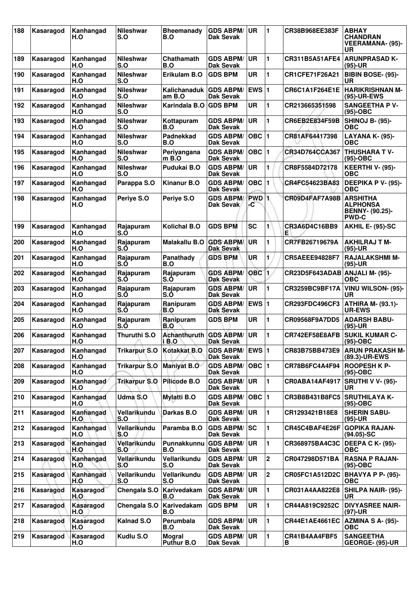| 188 | Kasaragod | Kanhangad<br>H.O | <b>Nileshwar</b><br>S.O | <b>Bheemanady</b><br>B.O | <b>GDS ABPM/</b><br>Dak Sevak        | <b>UR</b>              | 1            | CR38B968EE383F        | <b>ABHAY</b><br><b>CHANDRAN</b><br><b>VEERAMANA- (95)-</b><br>UR             |
|-----|-----------|------------------|-------------------------|--------------------------|--------------------------------------|------------------------|--------------|-----------------------|------------------------------------------------------------------------------|
| 189 | Kasaragod | Kanhangad<br>H.O | <b>Nileshwar</b><br>S.O | Chathamath<br>B.O        | <b>GDS ABPM/</b><br><b>Dak Sevak</b> | <b>UR</b>              | 1            | CR311B5A51AFE4        | <b>ARUNPRASAD K-</b><br>(95)-UR                                              |
| 190 | Kasaragod | Kanhangad<br>H.O | Nileshwar<br>S.O        | Erikulam B.O             | <b>GDS BPM</b>                       | <b>UR</b>              | 1            | CR1CFE71F26A21        | BIBIN BOSE- (95)-<br>UR                                                      |
| 191 | Kasaragod | Kanhangad<br>H.O | <b>Nileshwar</b><br>S.O | Kalichanaduk l<br>am B.O | <b>GDS ABPM/</b><br>Dak Sevak        | <b>EWS 1</b>           |              | <b>CR6C1A1F264E1E</b> | <b>HARIKRISHNAN M-</b><br><b>(95)-UR-EWS</b>                                 |
| 192 | Kasaragod | Kanhangad<br>H.O | <b>Nileshwar</b><br>S.O | Karindala B.O            | <b>GDS BPM</b>                       | UR                     | 1            | CR213665351598        | <b>SANGEETHA P V-</b><br>$(95)-OBC$                                          |
| 193 | Kasaragod | Kanhangad<br>H.O | <b>Nileshwar</b><br>S.O | Kottapuram<br>B.O        | <b>GDS ABPM/</b><br><b>Dak Sevak</b> | UR                     | 1            | CR6EB2E834F59B        | <b>SHINOJ B- (95)-</b><br>ОВС                                                |
| 194 | Kasaragod | Kanhangad<br>H.O | <b>Nileshwar</b><br>S.O | <b>Padnekkad</b><br>B.O  | <b>GDS ABPM/</b><br><b>Dak Sevak</b> | $OBC$  1               |              | CR81AF64417398        | <b>LAYANA K- (95)-</b><br>OBC                                                |
| 195 | Kasaragod | Kanhangad<br>H.O | <b>Nileshwar</b><br>S.O | Periyangana<br>$m$ B.O   | <b>GDS ABPM/</b><br><b>Dak Sevak</b> | $OBC$  1               |              | CR34D764CCA367        | <b>THUSHARA TV-</b><br>(95)-OBC                                              |
| 196 | Kasaragod | Kanhangad<br>H.O | <b>Nileshwar</b><br>S.O | Pudukai B.O              | <b>GDS ABPM/</b><br><b>Dak Sevak</b> | <b>UR</b>              | 1            | CR8F5584D72178        | KEERTHI V- (95)-<br><b>OBC</b>                                               |
| 197 | Kasaragod | Kanhangad<br>H.O | Parappa S.O             | <b>Kinanur B.O</b>       | <b>GDS ABPM/</b><br><b>Dak Sevak</b> | <b>OBC</b>             | 1            | CR4FC54623BA83        | DEEPIKA P V- (95)-<br>ОВС                                                    |
| 198 | Kasaragod | Kanhangad<br>H.O | Periye S.O              | Periye S.O               | <b>GDS ABPM/</b><br>Dak Sevak        | PWD <sub>1</sub><br>-C |              | CR09D4FAF7A98B        | <b>ARSHITHA</b><br><b>ALPHONSA</b><br><b>BENNY- (90.25)-</b><br><b>PWD-C</b> |
| 199 | Kasaragod | Kanhangad<br>H.O | Rajapuram<br>S.Ó        | <b>Kolichal B.O</b>      | <b>GDS BPM</b>                       | <b>SC</b>              | 1            | CR3A6D4C16BB9<br>Е    | AKHIL E- (95)-SC                                                             |
| 200 | Kasaragod | Kanhangad<br>H.O | Rajapuram<br>S.O        | Malakallu B.O            | <b>GDS ABPM/</b><br><b>Dak Sevak</b> | <b>UR</b>              | 1            | CR7FB26719679A        | AKHILRAJ T M-<br>(95)-UR                                                     |
| 201 | Kasaragod | Kanhangad<br>H.O | Rajapuram<br>S.Ó        | Panathady<br>B.O         | <b>GDS BPM</b>                       | UR                     | 1            | <b>CR5AEEE94828F7</b> | <b>RAJALAKSHMI M-</b><br>(95)-UR                                             |
| 202 | Kasaragod | Kanhangad<br>H.O | Rajapuram<br>S.O        | Rajapuram<br>S.O         | <b>GDS ABPM/</b><br><b>Dak Sevak</b> | <b>OBC</b>             | 1            | CR23D5F643ADAB        | ANJALI M- (95)-<br>ОВС                                                       |
| 203 | Kasaragod | Kanhangad<br>H.O | Rajapuram<br>S.O        | Rajapuram<br>S.O         | <b>GDS ABPM/</b><br><b>Dak Sevak</b> | UR                     |              | CR3259BC9BF17A        | VINU WILSON- (95)-<br>UR                                                     |
| 204 | Kasaragod | Kanhangad<br>H.O | Rajapuram<br>S.Ó        | Ranipuram<br>B.O         | <b>GDS ABPM/</b><br>Dak Sevak        | <b>EWS 1</b>           |              | <b>CR293FDC496CF3</b> | <b>ATHIRA M- (93.1)-</b><br><b>UR-EWS</b>                                    |
| 205 | Kasaragod | Kanhangad<br>H.O | Rajapuram<br>S.O        | Ranipuram<br>B.O         | <b>GDS BPM</b>                       | <b>UR</b>              | 1            | CR09568F9A7DD5        | <b>ADARSH BABU-</b><br>(95)-UR                                               |
| 206 | Kasaragod | Kanhangad<br>H.O | Thuruthi S.O            | Achanthuruth<br>$i$ B.O  | <b>GDS ABPM/</b><br><b>Dak Sevak</b> | <b>UR</b>              | 1            | CR742EF58E8AFB        | <b>SUKIL KUMAR C-</b><br>(95)-OBC                                            |
| 207 | Kasaragod | Kanhangad<br>H.O | <b>Trikarpur S.O</b>    | Kotakkat B.O             | <b>GDS ABPM/</b><br><b>Dak Sevak</b> | <b>EWS 1</b>           |              | CR83B75BB473E9        | <b>ARUN PRAKASH M-</b><br>(89.3)-UR-EWS                                      |
| 208 | Kasaragod | Kanhangad<br>H.O | <b>Trikarpur S.O</b>    | <b>Maniyat B.O</b>       | <b>GDS ABPM/</b><br><b>Dak Sevak</b> | OBC  1                 |              | CR78B6FC4A4F94        | <b>ROOPESH K P-</b><br>(95)-OBC                                              |
| 209 | Kasaragod | Kanhangad<br>H.O | <b>Trikarpur S.O</b>    | Pilicode B.O             | <b>GDS ABPM/</b><br>Dak Sevak        | ∣UR.                   | 1            | CR0ABA14AF4917        | <b>SRUTHI V V- (95)-</b><br>UR                                               |
| 210 | Kasaragod | Kanhangad<br>H.O | Udma S.O                | <b>Mylatti B.O</b>       | <b>GDS ABPM/</b><br><b>Dak Sevak</b> | $OBC$  1               |              | CR3B8B431B8FC5        | <b>SRUTHILAYA K-</b><br>(95)-OBC                                             |
| 211 | Kasaragod | Kanhangad<br>H.O | Vellarikundu<br>S.O     | Darkas B.O               | <b>GDS ABPM/</b><br><b>Dak Sevak</b> | <b>UR</b>              | 1            | CR1293421B18E8        | <b>SHERIN SABU-</b><br>(95)-UR                                               |
| 212 | Kasaragod | Kanhangad<br>H.O | Vellarikundu<br>S.O     | Paramba B.O              | <b>GDS ABPM/</b><br><b>Dak Sevak</b> | <b>SC</b>              | 1            | CR45C4BAF4E26F        | <b>GOPIKA RAJAN-</b><br>(94.05)-SC                                           |
| 213 | Kasaragod | Kanhangad<br>H.O | Vellarikundu<br>S.O     | Punnakkunnu<br>B.O       | <b>GDS ABPM/</b><br>Dak Sevak        | ∣UR.                   | 1            | CR368975BA4C3C        | <b>DEEPA C K- (95)-</b><br><b>OBC</b>                                        |
| 214 | Kasaragod | Kanhangad<br>H.O | Vellarikundu<br>S.O     | Vellarikundu<br>S.O      | <b>GDS ABPM/</b><br><b>Dak Sevak</b> | ∣UR                    | $\mathbf{2}$ | CR047298D571BA        | <b>RASNA P RAJAN-</b><br>(95)-OBC                                            |
| 215 | Kasaragod | Kanhangad<br>H.O | Vellarikundu<br>S.O     | Vellarikundu<br>S.O      | <b>GDS ABPM/</b><br>Dak Sevak        | ∣UR                    | $\mathbf 2$  | CR05FC1A512D2C        | <b>BHAVYA P P- (95)-</b><br>ОВС                                              |
| 216 | Kasaragod | Kasaragod<br>H.O | Chengala S.O            | Karivedakam<br>B.O       | <b>GDS ABPM/</b><br>Dak Sevak        | UR                     | 1            | CR031A4AA822E8        | <b>SHILPA NAIR- (95)-</b><br>UR                                              |
| 217 | Kasaragod | Kasaragod<br>H.O | Chengala S.O            | Karivedakam<br>B.O       | <b>GDS BPM</b>                       | UR                     | 1            | CR44A819C9252C        | <b>DIVYASREE NAIR-</b><br>(97)-UR                                            |
| 218 | Kasaragod | Kasaragod<br>H.O | Kalnad S.O              | Perumbala<br>B.O         | <b>GDS ABPM/</b><br>Dak Sevak        | UR.                    | 1            | CR44E1AE4661EC        | <b>AZMINA S A- (95)-</b><br>ОВС                                              |
| 219 | Kasaragod | Kasaragod<br>H.O | Kudlu S.O               | Mogral<br>Puthur B.O     | <b>GDS ABPM/</b><br><b>Dak Sevak</b> | UR.                    | 1            | CR41B4AA4FBF5<br>В    | <b>SANGEETHA</b><br>GEORGE- (95)-UR                                          |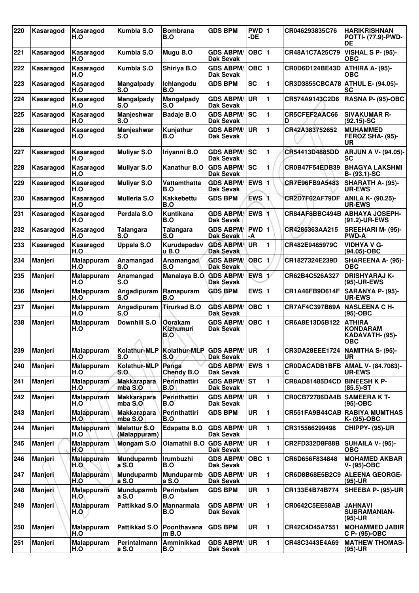| 220 | Kasaragod | Kasaragod<br>H.O         | Kumbla S.O                          | Bombrana<br>B.O             | <b>GDS BPM</b>                       | PWD 1<br>-DE            |                | CR046293835C76                   | <b>HARIKRISHNAN</b><br><b>POTTI- (77.9)-PWD-</b><br>DE     |
|-----|-----------|--------------------------|-------------------------------------|-----------------------------|--------------------------------------|-------------------------|----------------|----------------------------------|------------------------------------------------------------|
| 221 | Kasaragod | Kasaragod<br>H.O         | Kumbla S.O                          | Mugu B.O                    | <b>GDS ABPM/</b><br><b>Dak Sevak</b> | $OBC$  1                |                | CR48A1C7A25C79                   | <b>VISHAL S P- (95)-</b><br>ОВС                            |
| 222 | Kasaragod | Kasaragod<br>H.O         | Kumbla S.O                          | Shiriya B.O                 | <b>GDS ABPM/</b><br><b>Dak Sevak</b> | $OBC$  1                |                | CR0D6D124BE43D                   | ATHIRA A- (95)-<br><b>OBC</b>                              |
| 223 | Kasaragod | Kasaragod<br>H.O         | Mangalpady<br>S.O                   | Ichlangodu<br>B.O           | <b>GDS BPM</b>                       | <b>SC</b>               | 1              | CR3D3855CBCA78 ATHUL E- (94.05)- | SC                                                         |
| 224 | Kasaragod | Kasaragod<br>H.O         | Mangalpady<br>S.O                   | <b>Mangalpady</b><br>S.O    | <b>GDS ABPM/</b><br><b>Dak Sevak</b> | UR                      | 1              | CR574A9143C2D6                   | RASNA P- (95)-OBC                                          |
| 225 | Kasaragod | Kasaragod<br>H.O         | Manjeshwar<br>S.O                   | <b>Badaje B.O</b>           | <b>GDS ABPM/</b><br><b>Dak Sevak</b> | lsc                     | 1              | CR5CFEF2AAC66<br>D               | <b>SIVAKUMAR R-</b><br>$(92.15)$ -SC                       |
| 226 | Kasaragod | Kasaragod<br>H.O         | Manjeshwar<br>S.O                   | Kunjathur<br>B.O            | <b>GDS ABPM/</b><br><b>Dak Sevak</b> | <b>UR</b>               | 1              | CR42A383752652                   | <b>MUHAMMED</b><br>FEROZ SHA- (95)-<br>UR                  |
| 227 | Kasaragod | Kasaragod<br>H.O         | <b>Muliyar S.O</b>                  | Iriyanni B.O                | <b>GDS ABPM/</b><br><b>Dak Sevak</b> | lsc                     | 1              | CR54413D4885DD                   | <b>ARJUN A V- (94.05)-</b><br><b>SC</b>                    |
| 228 | Kasaragod | Kasaragod<br>H.O         | <b>Muliyar S.O</b>                  | <b>Kanathur B.O</b>         | <b>GDS ABPM/</b><br><b>Dak Sevak</b> | SC                      | 1              | CR0B47F54EDB39                   | <b>BHAGYA LAKSHMI</b><br>B- (93.1)-SC                      |
| 229 | Kasaragod | Kasaragod<br>H.O         | <b>Muliyar S.O</b>                  | Vattamthatta<br>B.O         | <b>GDS ABPM/</b><br><b>Dak Sevak</b> | <b>EWS</b> <sub>1</sub> |                | CR7E96FB9A5483                   | SHARATH A- (95)-<br><b>UR-EWS</b>                          |
| 230 | Kasaragod | Kasaragod<br>H.O         | <b>Mulleria S.O</b>                 | <b>Kakkebettu</b><br>B.O    | <b>GDS BPM</b>                       | <b>EWS 1</b>            |                | CR2D7F62AF79DF                   | <b>ANILA K- (90.25)-</b><br><b>UR-EWS</b>                  |
| 231 | Kasaragod | Kasaragod<br>H.O         | Perdala S.O                         | Kuntikana<br>B.O            | <b>GDS ABPM/</b><br><b>Dak Sevak</b> | <b>EWS</b> <sup>1</sup> |                | CR84AF8BBC494B                   | <b>ABHAYA JOSEPH-</b><br>(91.2)-UR-EWS                     |
| 232 | Kasaragod | Kasaragod<br>H.O         | Talangara<br>S.O                    | <b>Talangara</b><br>S.O     | <b>GDS ABPM/</b><br><b>Dak Sevak</b> | PWD 1<br>-A             |                | CR4285363AA215                   | <b>SREEHARI M- (95)-</b><br><b>PWD-A</b>                   |
| 233 | Kasaragod | Kasaragod<br>H.O         | Uppala S.O                          | Kurudapadav<br>u B.O        | <b>GDS ABPM/</b><br><b>Dak Sevak</b> | UR                      | 1              | CR482E9485979C                   | <b>VIDHYA V G-</b><br>(94.05)-OBC                          |
| 234 | Manjeri   | Malappuram<br>H.O        | Anamangad<br>S.O                    | Anamangad<br>S.O            | <b>GDS ABPM/</b><br><b>Dak Sevak</b> | OBC                     | $\blacksquare$ | CR1827324E239D                   | <b>SHAREENA A- (95)-</b><br><b>OBC</b>                     |
| 235 | Manjeri   | Malappuram<br>H.O        | Anamangad<br>S.O                    | Manalaya B.O                | <b>GDS ABPM/</b><br><b>Dak Sevak</b> | <b>EWS</b>              | 1,             | CR62B4C526A327                   | <b>DRISHYARAJ K-</b><br>(95)-UR-EWS                        |
| 236 | Manjeri   | Malappuram<br>H.O        | Angadipuram<br>$S.\overline{O}$     | Ramapuram<br>B.O            | <b>GDS BPM</b>                       | EWS $ 1$                |                | CR1A46FB9D614F                   | SARANYA P- (95)-<br><b>UR-EWS</b>                          |
| 237 | Manjeri   | Malappuram<br>H.O        | Angadipuram<br>$S.\overline{O}$     | <b>Tirurkad B.O</b>         | <b>GDS ABPM/</b><br><b>Dak Sevak</b> | $OBC$  1                |                | CR7AF4C397B69A                   | <b>NASLEENA C H-</b><br>(95)-OBC                           |
| 238 | Manjeri   | <b>Malappuram</b><br>H.O | <b>Downhill S.O</b>                 | Oorakam<br>Kizhumuri<br>B.O | <b>GDS ABPM/</b><br>Dak Sevak        | OBC $ 1$                |                | CR6A8E13D5B122                   | <b>ATHIRA</b><br>KONDARAM<br>KADAVATH- (95)-<br><b>OBC</b> |
| 239 | Manjeri   | <b>Malappuram</b><br>H.O | Kolathur-MLP<br>S.O                 | <b>Kolathur-MLP</b><br>S.O  | <b>GDS ABPM/</b><br>Dak Sevak        | UR                      | 1              | <b>CR3DA28EEE1724</b>            | NAMITHA S- (95)-<br><b>UR</b>                              |
| 240 | Manjeri   | Malappuram<br>H.O        | Kolathur-MLP<br>S.O                 | Panga<br><b>Chendy B.O</b>  | <b>GDS ABPM/</b><br><b>Dak Sevak</b> | EWS 1                   |                | <b>CRODACADB1BFB</b><br>С        | AMAL V- (84.7083)-<br><b>UR-EWS</b>                        |
| 241 | Manjeri   | Malappuram<br>H.O        | <b>Makkarapara</b><br>mba S.O       | Perinthattiri<br>B.O        | <b>GDS ABPM/</b><br>Dak Sevak        | <b>IST</b>              | 1              | CR8AD81485D4CD                   | <b>BINEESH K P-</b><br>$(85.5)$ -ST                        |
| 242 | Manjeri   | <b>Malappuram</b><br>H.O | <b>Makkarapara</b><br>mba S.O       | Perinthattiri<br>B.O        | <b>GDS ABPM/</b><br><b>Dak Sevak</b> | UR                      | 1              | CROCB72786DA4B SAMEERA KT-       | (95)-OBC                                                   |
| 243 | Manjeri   | <b>Malappuram</b><br>H.O | <b>Makkarapara</b><br>mba S.O       | Perinthattiri<br>B.O        | <b>GDS BPM</b>                       | UR                      | 1              |                                  | CR551FA9B44CAB RABIYA MUMTHAS<br>K- (95)-OBC               |
| 244 | Manjeri   | <b>Malappuram</b><br>H.O | <b>Melattur S.O</b><br>(Malappuram) | Edapatta B.O                | <b>GDS ABPM/</b><br>Dak Sevak        | <b>UR</b>               | 1              | CR315566299498                   | CHIPPY- (95)-UR                                            |
| 245 | Manjeri   | Malappuram<br>H.O        | Mongam S.O                          | <b>Olamathil B.O</b>        | <b>GDS ABPM/</b><br>Dak Sevak        | UR                      | 1              | CR2FD332D8F88B                   | SUHAILA V- (95)-<br><b>OBC</b>                             |
| 246 | Manjeri   | <b>Malappuram</b><br>H.O | <b>Munduparmb</b><br>a S.O          | Irumbuzhi<br>B.O            | <b>GDS ABPM/</b><br>Dak Sevak        | OBC  1                  |                | CR6D656F834848                   | <b>MOHAMED AKBAR</b><br>V- (95)-OBC                        |
| 247 | Manjeri   | <b>Malappuram</b><br>H.O | <b>Munduparmb</b><br>a S.O          | Munduparmb<br>a S.O         | <b>GDS ABPM/</b><br>Dak Sevak        | <b>UR</b>               | 1              | CR6D8B68E5B2C9                   | <b>ALEENA GEORGE-</b><br>(95)-UR                           |
| 248 | Manjeri   | <b>Malappuram</b><br>H.O | Munduparmb<br>a S.O                 | Perimbalam<br>B.O           | <b>GDS BPM</b>                       | <b>UR</b>               | 1              | CR133E4B74B774                   | SHEEBA P- (95)-UR                                          |
| 249 | Manjeri   | <b>Malappuram</b><br>H.O | Pattikkad S.O                       | <b>Mannarmala</b><br>B.O    | <b>GDS ABPM/</b><br><b>Dak Sevak</b> | UR                      | 1              | CR0642C5EE58AB                   | <b>JAHNAVI</b><br><b>SUBRAMANIAN-</b><br>(95)-UR           |
| 250 | Manjeri   | <b>Malappuram</b><br>H.O | Pattikkad S.O                       | Poonthavana<br>m B.O        | <b>GDS BPM</b>                       | <b>UR</b>               | 1              | CR42C4D45A7551                   | <b>MOHAMMED JABIR</b><br>C P- (95)-OBC                     |
| 251 | Manjeri   | <b>Malappuram</b><br>H.O | Perintalmann<br>a S.O               | Amminikkad<br>B.O           | <b>GDS ABPM/</b><br><b>Dak Sevak</b> | UR                      | 1              | CR48C3443E4A69                   | <b>MATHEW THOMAS-</b><br>(95)-UR                           |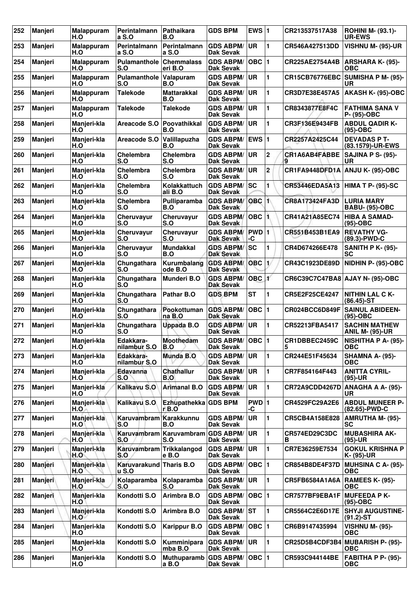| 252 | Manjeri        | <b>Malappuram</b><br>H.O | <b>Perintalmann</b><br>a S.O            | Pathaikara<br>B.O                         | <b>GDS BPM</b>                           | EWS $ 1$      |                | CR213537517A38                    | <b>ROHINI M- (93.1)-</b><br><b>UR-EWS</b>      |
|-----|----------------|--------------------------|-----------------------------------------|-------------------------------------------|------------------------------------------|---------------|----------------|-----------------------------------|------------------------------------------------|
| 253 | <b>Manjeri</b> | <b>Malappuram</b><br>H.O | <b>Perintalmann</b><br>a S.O            | <b>Perintalmann</b><br>a S.O              | <b>GDS ABPM/</b><br><b>Dak Sevak</b>     | <b>UR</b>     | 1              | <b>CR546A427513DD</b>             | <b>VISHNU M- (95)-UR</b>                       |
| 254 | <b>Manjeri</b> | Malappuram<br>H.O        | Pulamanthole<br>S.O                     | <b>Chemmalass</b><br>eri B.O              | <b>GDS ABPM/</b><br>Dak Sevak            | $OBC$  1      |                | CR225AE2754A4B                    | <b>ARSHARA K- (95)-</b><br>ОВС                 |
| 255 | <b>Manieri</b> | Malappuram<br>H.O        | Pulamanthole<br>S.O                     | Valapuram<br>B.O                          | <b>GDS ABPM/</b><br>Dak Sevak            | UR            | 1              | <b>CR15CB76776EBC</b>             | SUMISHA P M- (95)-<br>UR                       |
| 256 | Manjeri        | <b>Malappuram</b><br>H.O | <b>Talekode</b>                         | <b>Mattarakkal</b><br>B.O                 | <b>GDS ABPM/</b><br>Dak Sevak            | <b>UR</b>     | 1              | CR3D7E38E457A5                    | AKASH K- (95)-OBC                              |
| 257 | Manjeri        | Malappuram<br>H.O        | Talekode                                | <b>Talekode</b>                           | <b>GDS ABPM/</b><br>Dak Sevak            | <b>UR</b>     | 1              | CR8343877E8F4C                    | <b>FATHIMA SANA V</b><br>P- (95)-OBC           |
| 258 | Manjeri        | Manjeri-kla<br>H.O       | Areacode S.O                            | Poovathikkal<br>B.O                       | <b>GDS ABPM/</b><br>Dak Sevak            | <b>UR</b>     | 1              | CR3F136E9434FB                    | <b>ABDUL QADIR K-</b><br>$(95)-OBC$            |
| 259 | Manjeri        | Manjeri-kla<br>H.O       | Areacode S.O                            | Valillapuzha<br>B.O                       | <b>GDS ABPM/</b><br><b>Dak Sevak</b>     | EWS $ 1$      |                | <b>CR2257A2425C44</b>             | <b>DEVADAS P T-</b><br>(83.1579)-UR-EWS        |
| 260 | Manjeri        | Manjeri-kla<br>H.O       | <b>Chelembra</b><br>S.O                 | Chelembra<br>S.O                          | <b>GDS ABPM/</b><br>Dak Sevak            | <b>UR</b>     | $\mathbf{2}$   | <b>CR1A6AB4FABBE</b><br>9         | <b>SAJINA P S- (95)-</b><br>UR                 |
| 261 | <b>Manjeri</b> | Manjeri-kla<br>H.O       | <b>Chelembra</b><br>S.O                 | <b>Chelembra</b><br>S.O                   | <b>GDS ABPM/</b><br>Dak Sevak            | <b>UR</b>     | 2              | CR1FA9448DFD1A                    | <b>ANJU K- (95)-OBC</b>                        |
| 262 | <b>Manjeri</b> | Manjeri-kla<br>H.O       | <b>Chelembra</b><br>S.O                 | Kolakkattuch<br>ali B.O                   | <b>GDS ABPM/</b><br>Dak Sevak            | <b>SC</b>     | 1              | CR53446EDA5A13                    | HIMA T P- (95)-SC                              |
| 263 | <b>Manjeri</b> | Manjeri-kla<br>H.O       | <b>Chelembra</b><br>S.O                 | Pulliparamba<br>B.O                       | <b>GDS ABPM/</b><br>Dak Sevak            | $OBC$ 1       |                | CR8A173424FA3D                    | <b>LURIA MARY</b><br><b>BABU- (95)-OBC</b>     |
| 264 | Manjeri        | Manjeri-kla<br>H.O       | Cheruvayur<br>S.O                       | <b>Cheruvavur</b><br>S.O                  | <b>GDS ABPM/</b><br>Dak Sevak            | $OBC$ 1       |                | CR41A21A85EC74                    | <b>HIBA A SAMAD-</b><br>$(95)-OBC$             |
| 265 | Manjeri        | Manjeri-kla<br>H.O       | Cheruvayur<br>S.O                       | Cheruvayur<br>S.O                         | <b>GDS ABPM/</b><br><b>Dak Sevak</b>     | $PWD$ 1<br>-C |                | CR551B453B1EA9                    | <b>REVATHY VG-</b><br>(89.3)-PWD-C             |
| 266 | Manjeri        | Manjeri-kla<br>H.O       | Cheruvayur<br>S.O                       | <b>Mundakkal</b><br>B.O                   | <b>GDS ABPM/</b><br><b>Dak Sevak</b>     | <b>SC</b>     | 1              | CR4D674266E478                    | <b>SANITH P K- (95)-</b><br>SС                 |
| 267 | Manjeri        | Manjeri-kla<br>H.O       | Chungathara<br>S.O                      | Kurumbalang<br>ode B.O                    | <b>GDS ABPM/</b><br>Dak Sevak            | <b>OBC</b>    | $\mathbf{1}$   | CR43C1923DE89D                    | NIDHIN P- (95)-OBC                             |
| 268 | <b>Manjeri</b> | Manjeri-kla<br>H.O       | Chungathara<br>S.O                      | Munderi B.O                               | <b>GDS ABPM/</b><br><b>Dak Sevak</b>     | OBC 1         |                | CR6C39C7C47BA8   AJAY N- (95)-OBC |                                                |
| 269 | Manjeri        | Manjeri-kla<br>H.O       | Chungathara<br>S.O                      | Pathar B.O                                | <b>GDS BPM</b>                           | <b>ST</b>     | 1              | <b>CR5E2F25CE4247</b>             | <b>NITHIN LAL C K-</b><br>$(86.45)$ -ST        |
| 270 | Manjeri        | Manjeri-kla<br>H.O       | Chungathara<br>S.O                      | Pookottuman<br>na B.O                     | <b>GDS ABPM/</b><br><b>Dak Sevak</b>     | $OBC$  1      |                | CR024BCC6D849F                    | <b>SAINUL ABIDEEN-</b><br>$(95)-OBC$           |
| 271 | Manjeri        | Manjeri-kla<br>H.O       | Chungathara<br>S.O                      | Uppada B.O                                | <b>GDS ABPM/</b><br><b>Dak Sevak</b>     | <b>UR</b>     | 1              | CR52213FBA5417                    | <b>SACHIN MATHEW</b><br><b>ANIL M- (95)-UR</b> |
| 272 | <b>Manjeri</b> | Manjeri-kla<br>H.O       | Edakkara-<br>nilambur S.O               | Moothedam<br>B.O                          | <b>GDS ABPM/ OBC</b><br><b>Dak Sevak</b> |               | 1              | CR1DBBEC2459C<br>5                | <b>NISHITHA P A- (95)-</b><br><b>OBC</b>       |
| 273 | Manjeri        | Manjeri-kla<br>H.O       | Edakkara-<br>nilambur S.O               | Munda B.O                                 | <b>GDS ABPM/</b><br><b>Dak Sevak</b>     | <b>UR</b>     | 1.             | CR244E51F45634                    | <b>SHAMNA A- (95)-</b><br><b>OBC</b>           |
| 274 | Manjeri        | Manjeri-kla<br>H.O       | Edavanna<br>S.O                         | <b>Chathallur</b><br>B.O                  | <b>GDS ABPM/</b><br><b>Dak Sevak</b>     | <b>UR</b>     | $\mathbf{1}$   | CR7F854164F443                    | <b>ANITTA CYRIL-</b><br>$(95)-UR$              |
| 275 | Manjeri        | Manjeri-kla<br>H.O       | Kalikavu S.O                            | <b>Arimanal B.O</b>                       | <b>GDS ABPM/</b><br>Dak Sevak            | <b>UR</b>     | $\mathbf{1}$   | <b>CR72A9CDD4267D</b>             | <b>ANAGHA A A- (95)-</b><br>UR.                |
| 276 | Manjeri        | Manjeri-kla<br>H.O.      | Kalikavu S.O                            | <b>Ezhupathekka</b><br>$r$ <sub>B.O</sub> | <b>GDS BPM</b>                           | PWD 1<br>-C   |                | CR4529FC29A2E6                    | <b>ABDUL MUNEER P-</b><br>(82.65)-PWD-C        |
| 277 | Manjeri        | Manjeri-kla<br>H.O       | Karuvambram Karakkunnu<br>S.O           | B.O                                       | <b>GDS ABPM/</b><br>Dak Sevak            | <b>UR</b>     | $\blacksquare$ | CR5CB4A158E828                    | AMRUTHA M- (95)-<br><b>SC</b>                  |
| 278 | Manjeri        | Manjeri-kla<br>H.O       | <b>Karuvambram</b><br>S.O               | Karuvambram<br>S.O                        | <b>GDS ABPM/</b><br>Dak Sevak            | <b>UR</b>     | $\mathbf{1}$   | CR574ED29C3DC<br>в                | <b>MUBASHIRA AK-</b><br>(95)-UR                |
| 279 | Manjeri        | Manjeri-kla<br>H.O       | Karuvambram<br>S.O                      | Trikkalangod<br>e B.O                     | <b>GDS ABPM/</b><br>Dak Sevak            | UR            | 1              | CR7E36259E7534                    | <b>GOKUL KRISHNA P</b><br>K- (95)-UR           |
| 280 | Manjeri        | Manjeri-kla<br>H.O       | Karuvarakund Tharis B.O<br><b>u S.O</b> |                                           | <b>GDS ABPM/</b><br>Dak Sevak            | OBC $ 1$      |                | CR854B8DE4F37D                    | <b>MUHSINA C A- (95)-</b><br><b>OBC</b>        |
| 281 | Manjeri        | Manjeri-kla<br>H.O       | Kolaparamba<br>S.O                      | Kolaparamba<br>S.O                        | <b>GDS ABPM/</b><br>Dak Sevak            | <b>UR</b>     | $\mathbf{1}$   | CR5FB6584A1A6A                    | <b>RAMEES K- (95)-</b><br><b>OBC</b>           |
| 282 | Manjeri        | Manjeri-kla<br>H.O       | Kondotti S.O                            | Arimbra B.O                               | <b>GDS ABPM/</b><br>Dak Sevak            | OBC 1         |                | CR7577BF9EBA1F                    | <b>MUFEEDA P K-</b><br>(95)-OBC                |
| 283 | Manjeri        | Manjeri-kla<br>H.O       | Kondotti S.O                            | Arimbra B.O                               | <b>GDS ABPM/</b><br><b>Dak Sevak</b>     | lst           | 1              | CR5564C2E6D17E                    | <b>SHYJI AUGUSTINE-</b><br>$(91.2) - ST$       |
| 284 | Manjeri        | Manjeri-kla<br>H.O       | Kondotti S.O                            | <b>Karippur B.O</b>                       | <b>GDS ABPM/</b><br>Dak Sevak            | OBC  1        |                | CR6B9147435994                    | <b>VISHNU M- (95)-</b><br>ОВС                  |
| 285 | Manjeri        | Manjeri-kla<br>H.O       | Kondotti S.O                            | Kumminipara<br>mba B.O                    | <b>GDS ABPM/</b><br>Dak Sevak            | UR            | 1              |                                   | CR25D5B4CDF3B4 MUBARISH P- (95)-<br><b>OBC</b> |
| 286 | Manjeri        | Manjeri-kla<br>H.O       | Kondotti S.O                            | <b>Muthuparamb</b><br>a B.O               | <b>GDS ABPM/</b><br>Dak Sevak            | $OBC$  1      |                | CR593C944144BE                    | <b>FABITHA P P- (95)-</b><br><b>OBC</b>        |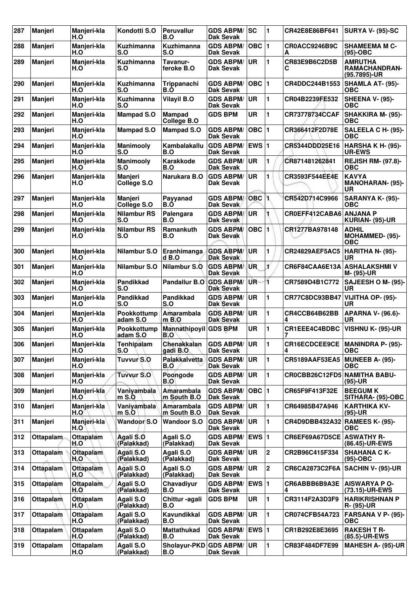| 287 | Manjeri          | Manjeri-kla<br>H.O      | Kondotti S.O                  | <b>Peruvallur</b><br>B.O          | <b>GDS ABPM/</b><br>Dak Sevak        | SC               | 1              | <b>CR42E8E86BF641</b>          | <b>SURYA V- (95)-SC</b>                         |
|-----|------------------|-------------------------|-------------------------------|-----------------------------------|--------------------------------------|------------------|----------------|--------------------------------|-------------------------------------------------|
| 288 | <b>Manjeri</b>   | Manjeri-kla<br>H.O      | <b>Kuzhimanna</b><br>S.O      | <b>Kuzhimanna</b><br>S.O          | <b>GDS ABPM/</b><br><b>Dak Sevak</b> | $OBC$  1         |                | CR0ACC9246B9C<br>А             | <b>SHAMEEMA M C-</b><br>$(95)-OBC$              |
| 289 | <b>Manjeri</b>   | Manjeri-kla<br>H.O      | Kuzhimanna<br>S.O             | Tavanur-<br>feroke B.O            | <b>GDS ABPM/</b><br><b>Dak Sevak</b> | <b>UR</b>        | 1              | CR83E9B6C2D5B<br>С             | <b>AMRUTHA</b><br>RAMACHANDRAN-<br>(95.7895)-UR |
| 290 | <b>Manjeri</b>   | Manjeri-kla<br>H.O      | <b>Kuzhimanna</b><br>S.O      | Trippanachi<br>B.O                | <b>GDS ABPM/</b><br><b>Dak Sevak</b> | $OBC$  1         |                | CR4DDC244B1553                 | SHAMLA AT- (95)-<br>ОВС                         |
| 291 | <b>Manjeri</b>   | Manjeri-kla<br>H.O      | Kuzhimanna<br>S.O             | <b>Vilayil B.O</b>                | <b>GDS ABPM/</b><br><b>Dak Sevak</b> | <b>UR</b>        | 1              | CR04B2239FE532                 | <b>SHEENA V- (95)-</b><br>ОВС                   |
| 292 | Manjeri          | Manjeri-kla<br>H.O      | <b>Mampad S.O</b>             | <b>Mampad</b><br>College B.O      | <b>GDS BPM</b>                       | UR               | 1              | <b>CR73778734CCAF</b>          | SHAKKIRA M- (95)-<br><b>OBC</b>                 |
| 293 | Manjeri          | Manjeri-kla<br>H.O      | <b>Mampad S.O</b>             | <b>Mampad S.O</b>                 | <b>GDS ABPM/</b><br><b>Dak Sevak</b> | $OBC$  1         |                | <b>CR366412F2D78E</b>          | SALEELA C H- (95)-<br><b>OBC</b>                |
| 294 | Manjeri          | Manjeri-kla<br>H.O      | <b>Manimooly</b><br>S.O       | Kambalakallu<br>B.O               | <b>GDS ABPM/</b><br>Dak Sevak        | EWS $ 1$         |                | CR5344DDD25E16                 | HARSHA K H- (95)-<br><b>UR-EWS</b>              |
| 295 | <b>Manjeri</b>   | Manjeri-kla<br>H.O      | Manimooly<br>S.O              | Karakkode<br>B.O                  | <b>GDS ABPM/</b><br><b>Dak Sevak</b> | <b>UR</b>        | 1              | CR871481262841                 | <b>REJISH RM- (97.8)-</b><br><b>OBC</b>         |
| 296 | <b>Manjeri</b>   | Manjeri-kla<br>H.O      | Manjeri<br>College S.O        | Narukara B.O                      | <b>GDS ABPM/</b><br>Dak Sevak        | <b>UR</b>        | 1              | CR3593F544EE4E                 | <b>KAVYA</b><br><b>MANOHARAN- (95)-</b><br>UR   |
| 297 | Manjeri          | Manjeri-kla<br>H.O      | <b>Manjeri</b><br>College S.O | Payyanad<br>B.Ó                   | <b>GDS ABPM/</b><br>Dak Sevak        | OBC <sub>1</sub> |                | CR542D714C9966                 | <b>SARANYA K- (95)-</b><br><b>OBC</b>           |
| 298 | Manjeri          | Manjeri-kla<br>H.O      | <b>Nilambur RS</b><br>S.O     | Palengara<br>B.O                  | <b>GDS ABPM/</b><br><b>Dak Sevak</b> | UR               | 1              | CR0EFF412CABA6                 | <b>ANJANA P</b><br>KURIAN- (95)-UR              |
| 299 | Manjeri          | Manjeri-kla<br>H.O      | <b>Nilambur RS</b><br>S.O     | Ramankuth<br>B.O                  | <b>GDS ABPM/</b><br>Dak Sevak        | OBC              | 1              | CR1277BA978148                 | <b>ADHIL</b><br>MOHAMMED- (95)-<br><b>OBC</b>   |
| 300 | <b>Manjeri</b>   | Manjeri-kla<br>H.O      | Nilambur S.O                  | Eranhimanga<br>d B.O              | <b>GDS ABPM/</b><br><b>Dak Sevak</b> | <b>UR</b>        | 1              | <b>CR24829AEF5AC5</b>          | HARITHA N- (95)-<br>UR                          |
| 301 | Manjeri          | Manjeri-kla<br>H.O      | Nilambur S.O                  | Nilambur S.O                      | <b>GDS ABPM</b><br><b>Dak Sevak</b>  | <b>UR</b>        | Ľ              | CR6F84CAA6E13A                 | ∣ASHALAKSHMI V<br>M- (95)-UR                    |
| 302 | <b>Manjeri</b>   | Manjeri-kla<br>H.O      | Pandikkad<br>S.O              | Pandallur B.O                     | <b>GDS ABPM/</b><br><b>Dak Sevak</b> | UR.              | 1              | CR7589D4B1C772                 | <b>SAJEESH O M- (95)-</b><br>UR                 |
| 303 | Manjeri          | Manjeri-kla<br>H.O      | Pandikkad<br>S.O              | <b>Pandikkad</b><br>S.O           | <b>GDS ABPM/</b><br><b>Dak Sevak</b> | <b>UR</b>        | 1              | <b>CR77C8DC93BB47</b>          | VIJITHA OP- (95)-<br>UR                         |
| 304 | Manjeri          | Manjeri-kla<br>H.O      | Pookkottump<br>adam S.O       | Amarambala<br>$m$ B.O             | <b>GDS ABPM/</b><br><b>Dak Sevak</b> | <b>UR</b>        | 1              | CR4CCB64B62BB<br>4             | <b>APARNA V- (96.6)-</b><br><b>UR</b>           |
| 305 | <b>Manjeri</b>   | Manjeri-kla<br>H.O      | Pookkottump<br>adam S.O       | Mannathipoyil<br>B.O              | <b>GDS BPM</b>                       | <b>UR</b>        | $\blacksquare$ | <b>CR1EEE4C4BDBC</b>           | <b>VISHNU K- (95)-UR</b>                        |
| 306 | <b>Manjeri</b>   | Manjeri-kla<br>H.O      | <b>Tenhipalam</b><br>S.O      | Chenakkalan<br>gadi B.O           | <b>GDS ABPM/</b><br>Dak Sevak        | ∣UR              | 11             | CR16ECDCEE9CE<br>4             | <b>MANINDRA P- (95)-</b><br>ОВС                 |
| 307 | Manjeri          | Manjeri-kla<br>H.O      | Tuvvur S.O                    | Palakkalvetta<br>B.O              | <b>GDS ABPM/</b><br>Dak Sevak        | UR               | 1              | CR5189AAF53EA5                 | <b>MUNEEB A- (95)-</b><br><b>OBC</b>            |
| 308 | Manjeri          | Manjeri-kla<br>H.O      | <b>Tuvvur S.O</b>             | Poongode<br>B.O                   | <b>GDS ABPM/</b><br>Dak Sevak        | <b>UR</b>        | $\mathbf{1}$   | CR0CBB26C12FD5 NAMITHA BABU-   | $(95)-UR$                                       |
| 309 | Manjeri          | Manjeri-kla<br>H.O      | Vaniyambala<br>$m$ S.O        | Amarambala<br>m South B.O         | <b>GDS ABPM/</b><br>Dak Sevak        | OBC  1           |                | <b>CR65F9F413F32E</b>          | <b>BEEGUM K</b><br>SITHARA- (95)-OBC            |
| 310 | Manjeri          | Manjeri-kla<br>H.O      | Vaniyambala<br>$m$ S.O        | <b>Amarambala</b><br>m South B.O. | <b>GDS ABPM/</b><br>Dak Sevak        | <b>UR</b>        | 1              | CR64985B47A946                 | <b>KARTHIKA KV-</b><br>$(95)-UR$                |
| 311 | Manjeri          | Manjeri-kla<br>H.O      | <b>Wandoor S.O</b>            | <b>Wandoor S.O</b>                | <b>GDS ABPM/</b><br>Dak Sevak        | <b>UR</b>        | $\mathbf{1}$   | CR4D9DBB432A32 RAMEES K- (95)- | <b>OBC</b>                                      |
| 312 | Ottapalam        | Ottapalam<br>H.O        | Agali S.O<br>(Palakkad)       | Agali S.O<br>(Palakkad)           | <b>GDS ABPM/</b><br>Dak Sevak        | EWS $ 1$         |                | <b>CR6EF69A67D5CE</b>          | <b>ASWATHY R-</b><br>(86.45)-UR-EWS             |
| 313 | Ottapalam        | Ottapalam<br>H.O        | Agali S.O<br>(Palakkad)       | Agali S.O<br>(Palakkad)           | <b>GDS ABPM/</b><br>Dak Sevak        | <b>UR</b>        | $\overline{2}$ | CR2B96C415F334                 | <b>SHAHANA C K-</b><br>$(95)-OBC$               |
| 314 | <b>Ottapalam</b> | Ottapalam<br>H.O        | Agali S.O<br>(Palakkad)       | Agali S.O<br>(Palakkad)           | <b>GDS ABPM/</b><br><b>Dak Sevak</b> | <b>UR</b>        | $\overline{2}$ | CR6CA2873C2F6A                 | <b>SACHIN V- (95)-UR</b>                        |
| 315 | Ottapalam        | <b>Ottapalam</b><br>H.O | Agali S.O<br>(Palakkad)       | Chavadiyur<br>B.O                 | <b>GDS ABPM/</b><br>Dak Sevak        | $EWS$ 1          |                | CR6ABBB6B9A3E<br>4             | <b>AISWARYA P O-</b><br>(73.15)-UR-EWS          |
| 316 | Ottapalam        | Ottapalam<br>H.O        | Agali S.O<br>(Palakkad)       | Chittur-agali<br>B.O              | <b>GDS BPM</b>                       | UR               | 1              | CR3114F2A3D3F9                 | <b>HARIKRISHNAN P</b><br>R- (95)-UR             |
| 317 | Ottapalam        | <b>Ottapalam</b><br>H.O | Agali S.O<br>(Palakkad)       | Kavundikkal<br>B.O                | <b>GDS ABPM/</b><br>Dak Sevak        | <b>UR</b>        | $\mathbf{1}$   | CR074CFB54A723                 | <b>FARSANA V P- (95)-</b><br><b>OBC</b>         |
| 318 | <b>Ottapalam</b> | Ottapalam<br>H.O        | Agali S.O<br>(Palakkad)       | <b>Mattathukad</b><br>B.O         | <b>GDS ABPM/</b><br>Dak Sevak        | EWS $ 1$         |                | <b>CR1B292E8E3695</b>          | <b>RAKESH T R-</b><br>(85.5)-UR-EWS             |
| 319 | Ottapalam        | Ottapalam<br>H.O        | Agali S.O<br>(Palakkad)       | Sholayur-PKD<br>B.O               | <b>GDS ABPM/</b><br><b>Dak Sevak</b> | UR               | 1.             | CR83F484DF7E99                 | <b>MAHESH A- (95)-UR</b>                        |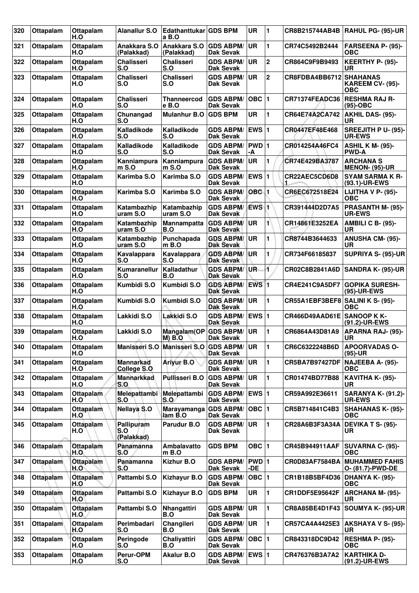| 320 | Ottapalam        | <b>Ottapalam</b><br>H.O | <b>Alanallur S.O</b>                   | Edathanttukar GDS BPM<br>a B.O |                                      | <b>UR</b>        | 1              | <b>CR8B215744AB4B</b>            | RAHUL PG- (95)-UR                                 |
|-----|------------------|-------------------------|----------------------------------------|--------------------------------|--------------------------------------|------------------|----------------|----------------------------------|---------------------------------------------------|
| 321 | Ottapalam        | Ottapalam<br>H.O        | Anakkara S.O<br>(Palakkad)             | Anakkara S.O<br>(Palakkad)     | <b>GDS ABPM/</b><br>Dak Sevak        | <b>UR</b>        | 1              | CR74C5492B2444                   | <b>FARSEENA P- (95)-</b><br>OBC                   |
| 322 | Ottapalam        | Ottapalam<br>H.O        | <b>Chalisseri</b><br>S.O               | <b>Chalisseri</b><br>S.O       | <b>GDS ABPM/</b><br>Dak Sevak        | UR               | $\overline{2}$ | CR864C9F9B9493                   | KEERTHY P- (95)-<br>UR                            |
| 323 | <b>Ottapalam</b> | Ottapalam<br>H.O        | <b>Chalisseri</b><br>S.O               | <b>Chalisseri</b><br>S.O       | <b>GDS ABPM/</b><br>Dak Sevak        | UR               | $\mathbf 2$    | CR8FDBA4BB6712                   | <b>SHAHANAS</b><br><b>KAREEM CV- (95)-</b><br>OBC |
| 324 | <b>Ottapalam</b> | <b>Ottapalam</b><br>H.O | <b>Chalisseri</b><br>S.O               | Thanneercod<br>e B.O           | <b>GDS ABPM/</b><br><b>Dak Sevak</b> | OBC $ 1$         |                | CR71374FEADC36                   | <b>RESHMA RAJ R-</b><br>(95)-OBC                  |
| 325 | Ottapalam        | Ottapalam<br>H.O        | Chunangad<br>S.O                       | <b>Mulanhur B.O</b>            | <b>GDS BPM</b>                       | <b>UR</b>        | 1              | CR64E74A2CA742                   | AKHIL DAS- (95)-<br>UR                            |
| 326 | Ottapalam        | Ottapalam<br>H.O        | Kalladikode<br>S.O                     | Kalladikode<br>S.O             | <b>GDS ABPM/</b><br>Dak Sevak        | EWS $ 1$         |                | CR0447EF48E468                   | SREEJITH P U- (95)-<br><b>UR-EWS</b>              |
| 327 | Ottapalam        | Ottapalam<br>H.O        | Kalladikode<br>S.O                     | Kalladikode<br>S.O             | <b>GDS ABPM/</b><br>Dak Sevak        | PWD 1<br>-A      |                | CR014254A46FC4                   | <b>ASHIL K M- (95)-</b><br><b>PWD-A</b>           |
| 328 | Ottapalam        | Ottapalam<br>H.O        | Kanniampura<br>$m$ S.O                 | Kanniampura<br>m S.O           | <b>GDS ABPM/</b><br>Dak Sevak        | <b>UR</b>        | 1              | CR74E429BA3787                   | <b>ARCHANA S</b><br><b>MENON- (95)-UR</b>         |
| 329 | Ottapalam        | Ottapalam<br>H.O        | Karimba S.O                            | Karimba S.O                    | <b>GDS ABPM/</b><br>Dak Sevak        | <b>EWS 1</b>     |                | CR22AEC5CD6D8                    | <b>SYAM SARMA K R-</b><br>(93.1)-UR-EWS           |
| 330 | Ottapalam        | Ottapalam<br>H.O        | Karimba S.O                            | Karimba S.O                    | <b>GDS ABPM/</b><br>Dak Sevak        | OBC 1            |                | CR6EC672518E24                   | LIJITHA V P- (95)-<br>OBC                         |
| 331 | Ottapalam        | Ottapalam<br>H.O        | Katambazhip<br>uram S.O                | Katambazhip<br>uram S.O        | <b>GDS ABPM/</b><br>Dak Sevak        | EWS <sup>1</sup> |                | CR391444D2D7A5                   | PRASANTH M- (95)-<br><b>UR-EWS</b>                |
| 332 | Ottapalam        | Ottapalam<br>H.O        | Katambazhip<br>uram S.O                | Mannampatta<br>B.O             | <b>GDS ABPM/</b><br>Dak Sevak        | UR.              | 1              | CR14861E3252EA                   | AMBILI C B- (95)-<br><b>UR</b>                    |
| 333 | Ottapalam        | Ottapalam<br>H.O        | Katambazhip<br>uram S.O                | Punchapada<br>m B.O            | <b>GDS ABPM/</b><br><b>Dak Sevak</b> | <b>UR</b>        | 1              | CR8744B3644633                   | <b>ANUSHA CM- (95)-</b><br><b>UR</b>              |
| 334 | Ottapalam        | Ottapalam<br>H.O        | Kavalappara<br>S.O                     | Kavalappara<br>S.O             | <b>GDS ABPM/</b><br>Dak Sevak        | UR               | 1              | CR734F66185837                   | SUPRIYA S- (95)-UR                                |
| 335 | Ottapalam        | Ottapalam<br>H.O        | Kumaranellur<br>S.O                    | Kalladathur<br>B.O             | <b>GDS ABPM/</b><br><b>Dak Sevak</b> | UR-              | 1              | CR02C8B2841A6D                   | <b>SANDRA K- (95)-UR</b>                          |
| 336 | Ottapalam        | Ottapalam<br>H.O        | Kumbidi S.O                            | Kumbidi S.O                    | <b>GDS ABPM/</b><br><b>Dak Sevak</b> | <b>EWS 1</b>     |                | CR4E241C9A5DF7                   | <b>GOPIKA SURESH-</b><br>(95)-UR-EWS              |
| 337 | Ottapalam        | Ottapalam<br>H.O        | Kumbidi S.O                            | Kumbidi S.O                    | <b>GDS ABPM/</b><br>Dak Sevak        | UR.              | 1              | CR55A1EBF3BEF8 SALINI K S- (95)- | <b>OBC</b>                                        |
| 338 | Ottapalam        | Ottapalam<br>H.O        | Lakkidi S.O                            | Lakkidi S.O                    | <b>GDS ABPM/</b><br><b>Dak Sevak</b> | EWS $ 1$         |                | CR466D49AAD61E SANOOP K K-       | (91.2)-UR-EWS                                     |
| 339 | Ottapalam        | Ottapalam<br>H.O        | Lakkidi S.O                            | Mangalam(OP<br><b>M) B.O</b>   | <b>GDS ABPM/</b><br>Dak Sevak        | <b>UR</b>        | 1              | CR6864A43D81A9                   | <b>APARNA RAJ- (95)-</b><br>UR                    |
| 340 | Ottapalam        | Ottapalam<br>H.O        | Manisseri S.O                          | Manisseri S.O GDS ABPM/        | Dak Sevak                            | UR               | $\mathbf 1$    | CR6C6322248B6D                   | <b>APOORVADAS O-</b><br>$(95)-UR$                 |
| 341 | Ottapalam        | Ottapalam<br>H.O        | <b>Mannarkad</b><br><b>College S.O</b> | Ariyur B.O                     | <b>GDS ABPM/</b><br><b>Dak Sevak</b> | <b>UR</b>        | 1              | <b>CR5BA7B97427DF</b>            | <b>NAJEEBA A- (95)-</b><br><b>OBC</b>             |
| 342 | Ottapalam        | Ottapalam<br>H.O        | <b>Mannarkkad</b><br>S.O               | <b>Pullisseri B.O</b>          | <b>GDS ABPM/</b><br>Dak Sevak        | <b>UR</b>        | 1              | CR01474BD77B88                   | KAVITHA K- (95)-<br>UR                            |
| 343 | Ottapalam        | <b>Ottapalam</b><br>H.O | Melepattambi<br>S.O                    | Melepattambi<br>S.O            | <b>GDS ABPM/</b><br>Dak Sevak        | EWS $ 1$         |                | CR59A992E36611                   | <b>SARANYA K- (91.2)-</b><br><b>UR-EWS</b>        |
| 344 | Ottapalam        | Ottapalam<br>H.O        | <b>Nellaya S.O</b>                     | <b>Marayamanga</b><br>lam B.O  | <b>GDS ABPM/</b><br>Dak Sevak        | OBC $ 1$         |                | CR5B714841C4B3                   | <b>SHAHANAS K- (95)-</b><br><b>OBC</b>            |
| 345 | Ottapalam        | Ottapalam<br>H.O        | Pallipuram<br>S.O<br>(Palakkad)        | Parudur B.O                    | <b>GDS ABPM/</b><br>Dak Sevak        | UR               | 1              | CR28A6B3F3A34A                   | DEVIKA T S- (95)-<br>UR                           |
| 346 | Ottapalam        | Ottapalam<br>H.O        | Panamanna<br>S.O                       | Ambalavatto<br>$m$ B.O         | <b>GDS BPM</b>                       | OBC $ 1$         |                | CR45B944911AAF                   | <b>SUVARNA C- (95)-</b><br><b>OBC</b>             |
| 347 | Ottapalam        | Ottapalam<br>H.O        | Panamanna<br>S.O                       | Kizhur B.O                     | <b>GDS ABPM/</b><br>Dak Sevak        | PWD 1<br>-DE     |                | CR0D83AF7584BA                   | <b>MUHAMMED FAHIS</b><br>O- (81.7)-PWD-DE         |
| 348 | Ottapalam        | <b>Ottapalam</b><br>H.O | Pattambi S.O                           | <b>Kizhayur B.O</b>            | <b>GDS ABPM/</b><br>Dak Sevak        | OBC $ 1$         |                | CR1B18B5BF4D36                   | <b>DHANYA K- (95)-</b><br><b>OBC</b>              |
| 349 | Ottapalam        | Ottapalam<br>H.O        | Pattambi S.O                           | <b>Kizhayur B.O</b>            | <b>GDS BPM</b>                       | UR               | 1              | CR1DDF5E95642F                   | <b>ARCHANA M- (95)-</b><br>UR                     |
| 350 | Ottapalam        | Ottapalam<br>H.O        | Pattambi S.O                           | Nhangattiri<br>B.O             | <b>GDS ABPM/</b><br>Dak Sevak        | <b>UR</b>        | 1              | CR8A85BE4D1F43                   | SOUMYA K- (95)-UR                                 |
| 351 | Ottapalam        | Ottapalam<br>H.O        | Perimbadari<br>S.O                     | Changileri<br>B.O              | <b>GDS ABPM/</b><br>Dak Sevak        | <b>UR</b>        | 1              | CR57CA4A4425E3                   | AKSHAYA V S- (95)-<br><b>UR</b>                   |
| 352 | Ottapalam        | Ottapalam<br>H.O        | Peringode<br>S.O                       | Chaliyattiri<br>B.O            | <b>GDS ABPM/</b><br>Dak Sevak        | $OBC$  1         |                | CR843318DC9D42                   | RESHMA P- (95)-<br><b>OBC</b>                     |
| 353 | Ottapalam        | Ottapalam<br>H.O        | Perur-OPM<br>S.O                       | <b>Akalur B.O</b>              | <b>GDS ABPM/</b><br>Dak Sevak        | EWS $ 1$         |                | CR476376B3A7A2                   | <b>KARTHIKA D-</b><br>(91.2)-UR-EWS               |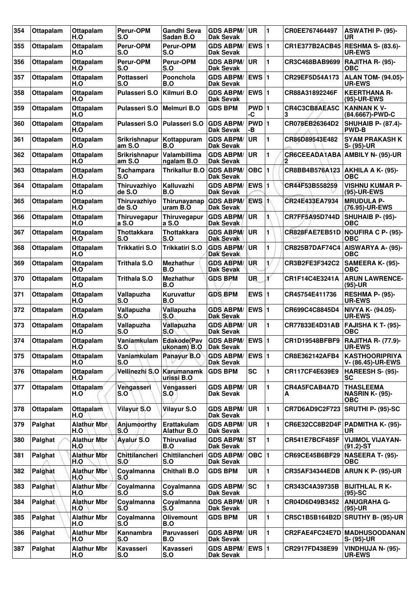| 354 | Ottapalam        | Ottapalam<br>H.O          | Perur-OPM<br>S.O               | Gandhi Seva<br>Sadan B.O                | <b>GDS ABPM/</b><br><b>Dak Sevak</b>    | ∣UR                     | 1  | CR0EE767464497            | ASWATHI P- (95)-<br>UR                                   |
|-----|------------------|---------------------------|--------------------------------|-----------------------------------------|-----------------------------------------|-------------------------|----|---------------------------|----------------------------------------------------------|
| 355 | Ottapalam        | Ottapalam<br>H.O          | Perur-OPM<br>S.O               | <b>Perur-OPM</b><br>S.O                 | <b>GDS ABPM/</b><br>Dak Sevak           | <b>EWS 1</b>            |    | <b>CR1E377B2ACB45</b>     | <b>RESHMA S- (83.6)-</b><br><b>UR-EWS</b>                |
| 356 | <b>Ottapalam</b> | Ottapalam<br>H.O          | Perur-OPM<br>S.O               | Perur-OPM<br>S.O                        | <b>GDS ABPM/</b><br><b>Dak Sevak</b>    | <b>UR</b>               | 1  | CR3C468BAB9699            | RAJITHA R- (95)-<br>ОВС                                  |
| 357 | Ottapalam        | Ottapalam<br>H.O          | <b>Pottasseri</b><br>S.O       | Poonchola<br>B.O                        | <b>GDS ABPM/</b><br>Dak Sevak           | EWS 1                   |    | CR29EF5D54A173            | <b>ALAN TOM- (94.05)-</b><br><b>UR-EWS</b>               |
| 358 | Ottapalam        | Ottapalam<br>H.O          | <b>Pulasseri S.O</b>           | Kilmuri B.O                             | <b>GDS ABPM/</b><br>Dak Sevak           | <b>EWS 1</b>            |    | CR88A31892246F            | <b>KEERTHANA R-</b><br>(95)-UR-EWS                       |
| 359 | Ottapalam        | Ottapalam<br>H.O          | <b>Pulasseri S.O</b>           | Melmuri B.O                             | <b>GDS BPM</b>                          | PWD 1<br>-C             |    | CR4C3CB8AEA5C<br>з        | <b>KANNAN K V-</b><br>(84.6667)-PWD-C                    |
| 360 | Ottapalam        | <b>Ottapalam</b><br>H.O   | <b>Pulasseri S.O</b>           | Pulasseri S.O                           | <b>GDS ABPM/</b><br><b>Dak Sevak</b>    | PWD 1<br>-В             |    | CR078EB26364D2            | <b>SHUHAIB P- (87.4)-</b><br><b>PWD-B</b>                |
| 361 | Ottapalam        | Ottapalam<br>H.O          | <b>Srikrishnapur</b><br>am S.O | Kottappuram<br>B.O                      | <b>GDS ABPM/</b><br>Dak Sevak           | UR                      | 1  | CR86D89543E482            | <b>SYAM PRAKASH K</b><br>S- (95)-UR                      |
| 362 | Ottapalam        | Ottapalam<br>H.O          | <b>Srikrishnapur</b><br>am S.O | Valambillima<br>ngalam B.O              | <b>GDS ABPM/</b><br>Dak Sevak           | UR                      | 1  | <b>CR6CEEADA1ABA</b><br>2 | AMBILY N- (95)-UR                                        |
| 363 | <b>Ottapalam</b> | Ottapalam<br>H.O          | <b>Tachampara</b><br>S.O       | <b>Thrikallur B.O</b>                   | <b>GDS ABPM/</b><br><b>Dak Sevak</b>    | <b>OBC</b>              |    | CR8BB4B576A123            | <b>AKHILA A K- (95)-</b><br>ОВС                          |
| 364 | Ottapalam        | Ottapalam<br>H.O          | Thiruvazhiyo<br>de S.O         | Kalluvazhi<br>B.O                       | <b>GDS ABPM/</b><br><b>Dak Sevak</b>    | <b>EWS1</b>             |    | CR44F53B558259            | <b>VISHNU KUMAR P-</b><br>(95)-UR-EWS                    |
| 365 | <b>Ottapalam</b> | Ottapalam<br>H.O          | Thiruvazhiyo<br>de S.O         | Thirunayanap<br>uram B.O                | <b>GDS ABPM/</b><br>Dak Sevak           | EWS <sub>1</sub>        |    | CR24E433EA7934            | <b>MRUDULA P-</b><br>(76.95)-UR-EWS                      |
| 366 | Ottapalam        | Ottapalam<br>H.O          | Thiruvegapur<br>a S.O          | Thiruvegapur<br>a S.O                   | <b>GDS ABPM/</b><br>Dak Sevak           | <b>UR</b>               |    | <b>CR7FF5A95D744D</b>     | SHUHAIB P- (95)-<br>ОВС                                  |
| 367 | Ottapalam        | Ottapalam<br>H.O          | <b>Thottakkara</b><br>S.O      | <b>Thottakkara</b><br>S.O               | <b>GDS ABPM/</b><br>Dak Sevak           | UR                      | 1  | CR828FAE7EB51D            | <b>NOUFIRA C P- (95)-</b><br><b>OBC</b>                  |
| 368 | Ottapalam        | Ottapalam<br>H.O          | Trikkatiri S.O                 | Trikkatiri S.O                          | <b>GDS ABPM/</b><br><b>Dak Sevak</b>    | UR                      | 1  | <b>CR825B7DAF74C4</b>     | AISWARYA A- (95)-<br><b>OBC</b>                          |
| 369 | Ottapalam        | Ottapalam<br>H.O          | <b>Trithala S.O</b>            | Mezhathur<br>B.O                        | <b>GDS ABPM/</b><br>Dak Sevak           | UR                      | 1/ | CR3B2FE3F342C2            | SAMEERA K- (95)-<br>ОВС                                  |
| 370 | Ottapalam        | Ottapalam<br>H.O          | <b>Trithala S.O</b>            | <b>Mezhathur</b><br>B.O                 | <b>GDS BPM</b>                          | ÜR                      | ¥  | CR1F14C4E3241A            | <b>ARUN LAWRENCE-</b><br>(95)-UR                         |
| 371 | Ottapalam        | Ottapalam<br>H.O          | Vallapuzha<br>S.O              | Kuruvattur<br>B.O                       | <b>GDS BPM</b>                          | EWS $ 1$                |    | CR45754E411736            | <b>RESHMA P- (95)-</b><br><b>UR-EWS</b>                  |
| 372 | <b>Ottapalam</b> | Ottapalam<br>H.O          | Vallapuzha<br>S.O              | Vallapuzha<br>S.O                       | <b>GDS ABPM/</b><br><b>Dak Sevak</b>    | <b>EWS 1</b>            |    | CR699C4C8845D4            | NIVYA K- (94.05)-<br><b>UR-EWS</b>                       |
| 373 | Ottapalam        | Ottapalam<br>H.O          | Vallapuzha<br>S.O              | Vallapuzha<br>S.O                       | <b>GDS ABPM/</b><br><b>Dak Sevak</b>    | <b>UR</b>               | 1  | CR77833E4D31AB            | <b>FAJISHA K T- (95)-</b><br>ОВС                         |
| 374 | Ottapalam        | Ottapalam<br>H.O          | S.O                            | Vaniamkulam Edakode(Pav<br>ukonam) B.O  | GDS ABPM/ EWS 1<br><b>Dak Sevak</b>     |                         |    | CR1D19548BFBF9            | <b>RAJITHA R- (77.9)-</b><br><b>UR-EWS</b>               |
| 375 | Ottapalam        | Ottapalam<br>H.O          | Vaniamkulam<br>S.O             | Panayur B.O                             | GDS ABPM/ EWS 1<br>Dak Sevak            |                         |    | CR8E362142AFB4            | <b>KASTHOORIPRIYA</b><br>V- (86.45)-UR-EWS               |
| 376 | Ottapalam        | Ottapalam<br>H.O          |                                | Vellinezhi S.O Karumanamk<br>urissi B.O | <b>GDS BPM</b>                          | <b>SC</b>               | 1  | CR117CF4E639E9            | <b>HAREESH S- (95)-</b><br><b>SC</b>                     |
| 377 | Ottapalam        | Ottapalam<br>H.O          | Vengasseri<br>S.O              | Vengasseri<br>S.O                       | <b>GDS ABPM/</b><br><b>Dak Sevak</b>    | ∣UR.                    | 1  | CR4A5FCAB4A7D<br>А        | <b>THASLEEMA</b><br><b>NASRIN K- (95)-</b><br><b>OBC</b> |
| 378 | Ottapalam        | <b>Ottapalam</b><br>H.O   | Vilayur S.O                    | Vilayur S.O                             | <b>GDS ABPM/</b><br>Dak Sevak           | ∣UR.                    | 1  | CR7D6AD9C2F723            | <b>SRUTHI P- (95)-SC</b>                                 |
| 379 | Palghat          | <b>Alathur Mbr</b><br>H.O | Anjumoorthy<br>S.O             | Erattakulam<br><b>Alathur B.O</b>       | <b>GDS ABPM/</b><br>Dak Sevak           | ∣UR.                    | 1  |                           | CR6E32CC8B2D4F   PADMITHA K- (95)-<br>UR.                |
| 380 | Palghat          | <b>Alathur Mbr</b><br>H.O | <b>Ayalur S.O</b>              | <b>Thiruvaliad</b><br>B.O               | <b>GDS ABPM/ ST</b><br><b>Dak Sevak</b> |                         | 1  | CR541E7BCF485F            | <b>VIJIMOL VIJAYAN-</b><br>$(91.2) - ST$                 |
| 381 | Palghat          | <b>Alathur Mbr</b><br>H.O | <b>Chittilancheri</b><br>S.O   | Chittilancheri<br>S.O                   | <b>GDS ABPM/</b><br>Dak Sevak           | $OBC$  1                |    | CR69CE45B6BF29            | <b>NASEERA T- (95)-</b><br><b>OBC</b>                    |
| 382 | Palghat          | <b>Alathur Mbr</b><br>H.O | Coyalmanna<br>S.O              | <b>Chithali B.O</b>                     | <b>GDS BPM</b>                          | UR                      | 1  | <b>CR35AF34344EDB</b>     | ARUN K P- (95)-UR                                        |
| 383 | Palghat          | <b>Alathur Mbr</b><br>H.O | Coyalmanna<br>S.O              | Coyalmanna<br>S.O                       | <b>GDS ABPM/ SC</b><br><b>Dak Sevak</b> |                         | 1  | CR343C4A39735B            | <b>BIJITHLAL RK-</b><br>$(95)-SC$                        |
| 384 | Palghat          | <b>Alathur Mbr</b><br>H.O | Coyalmanna<br>S.O              | Coyalmanna<br>S.O                       | <b>GDS ABPM/</b><br>Dak Sevak           | ∣UR                     | 1  | CR04D6D49B3452            | <b>ANUGRAHA G-</b><br>$(95)-UR$                          |
| 385 | Palghat          | <b>Alathur Mbr</b><br>H.O | Coyalmanna<br>S.O              | <b>Olivemount</b><br>B.O                | <b>GDS BPM</b>                          | UR                      | 1  | CR5C1B5B164B2D            | <b>SRUTHY B- (95)-UR</b>                                 |
| 386 | Palghat          | <b>Alathur Mbr</b><br>H.O | Kannambra<br>S.O               | Paruvasseri<br>B.O                      | <b>GDS ABPM/</b><br><b>Dak Sevak</b>    | UR                      | 1  |                           | CR2FAE4FC24E7D MADHUSOODANAN<br>S- (95)-UR               |
| 387 | Palghat          | <b>Alathur Mbr</b><br>H.O | Kavasseri<br>S.O               | Kavasseri<br>S.O                        | <b>GDS ABPM/</b><br><b>Dak Sevak</b>    | <b>EWS</b> <sub>1</sub> |    | CR2917FD438E99            | VINDHUJA N- (95)-<br><b>UR-EWS</b>                       |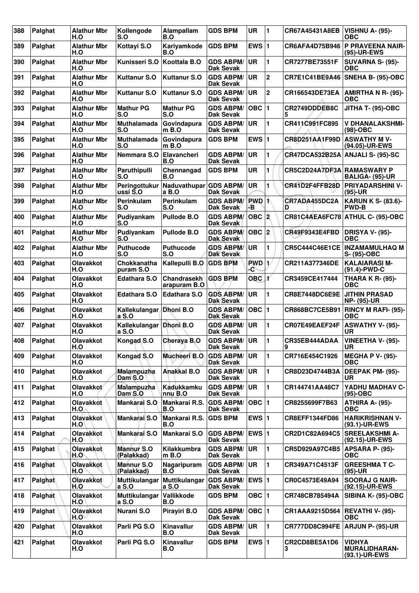| 388 | Palghat        | <b>Alathur Mbr</b><br>H.O | Kollengode<br>S.O                | Alampallam<br>B.O                  | <b>GDS BPM</b>                          | <b>UR</b>        | $\mathbf{1}$ | CR67A45431A8EB             | VISHNU A- (95)-<br><b>OBC</b>                          |
|-----|----------------|---------------------------|----------------------------------|------------------------------------|-----------------------------------------|------------------|--------------|----------------------------|--------------------------------------------------------|
| 389 | Palghat        | <b>Alathur Mbr</b><br>H.O | Kottayi S.O                      | Kariyamkode<br>B.O                 | <b>GDS BPM</b>                          | EWS $ 1$         |              | CR6AFA4D75B946             | <b>P PRAVEENA NAIR-</b><br>(95)-UR-EWS                 |
| 390 | Palghat        | <b>Alathur Mbr</b><br>H.O | Kunisseri S.O                    | Koottala B.O                       | <b>GDS ABPM/</b><br><b>Dak Sevak</b>    | UR               | 1            | <b>CR7277BE73551F</b>      | <b>SUVARNA S- (95)-</b><br>ОВС                         |
| 391 | Palghat        | <b>Alathur Mbr</b><br>H.O | <b>Kuttanur S.O</b>              | <b>Kuttanur S.O</b>                | <b>GDS ABPM/</b><br><b>Dak Sevak</b>    | <b>UR</b>        | $\mathbf 2$  | CR7E1C41BE9A46             | <b>SNEHA B- (95)-OBC</b>                               |
| 392 | Palghat        | <b>Alathur Mbr</b><br>H.O | <b>Kuttanur S.O</b>              | <b>Kuttanur S.O</b>                | <b>GDS ABPM/</b><br><b>Dak Sevak</b>    | <b>UR</b>        | $\mathbf 2$  | CR166543DE73EA             | AMIRTHA N R- (95)-<br>ОВС                              |
| 393 | Palghat        | <b>Alathur Mbr</b><br>H.O | <b>Mathur PG</b><br>S.O          | <b>Mathur PG</b><br>S.O            | <b>GDS ABPM/</b><br><b>Dak Sevak</b>    | OBC  1           |              | CR2749DDDEB8C              | JITHA T- (95)-OBC                                      |
| 394 | Palghat        | <b>Alathur Mbr</b><br>H.O | <b>Muthalamada</b><br>S.O        | Govindapura<br>m B.O               | <b>GDS ABPM/</b><br><b>Dak Sevak</b>    | UR               | 1            | CR411C991FC895             | <b>V DHANALAKSHMI-</b><br>(98)-OBC                     |
| 395 | Palghat        | <b>Alathur Mbr</b><br>H.O | <b>Muthalamada</b><br>S.O        | Govindapura<br>m B.O               | <b>GDS BPM</b>                          | EWS $ 1$         |              | CR8D251AA1F99D             | <b>ASWATHY M V-</b><br>(94.05)-UR-EWS                  |
| 396 | Palghat        | <b>Alathur Mbr</b><br>H.O | Nemmara S.O                      | Elavancheri<br>B.O                 | <b>GDS ABPM/</b><br><b>Dak Sevak</b>    | UR               | 1            | <b>CR47DCA532B25A</b>      | ANJALI S- (95)-SC                                      |
| 397 | Palghat        | <b>Alathur Mbr</b><br>H.O | Paruthipulli<br>S.O              | Chennangad<br>B.O                  | <b>GDS BPM</b>                          | <b>UR</b>        | 1            | CR5C2D24A7DF3A RAMASWARY P | <b>BALIGA- (95)-UR</b>                                 |
| 398 | Palghat        | <b>Alathur Mbr</b><br>H.O | Peringottukur<br>ussi S.O        | Naduvathupar<br>a B.O              | <b>GDS ABPM/</b><br><b>Dak Sevak</b>    | <b>UR</b>        | 1            | CR41D2F4FFB28D             | <b>PRIYADARSHINI V-</b><br>$(95)-UR$                   |
| 399 | Palghat        | <b>Alathur Mbr</b><br>H.O | <b>Perinkulam</b><br>S.O         | Perinkulam<br>S.O                  | <b>GDS ABPM/</b><br>Dak Sevak           | <b>PWD</b><br>ÆΒ | $\mathbf{1}$ | CR7ADA455DC2A<br>D         | <b>KARUN K S- (83.6)-</b><br><b>PWD-B</b>              |
| 400 | Palghat        | <b>Alathur Mbr</b><br>H.O | Pudiyankam<br>S.O                | <b>Pullode B.O</b>                 | <b>GDS ABPM/</b><br>Dak Sevak           |                  |              |                            | CR81C4AEA6FC78 ATHUL C- (95)-OBC                       |
| 401 | Palghat        | <b>Alathur Mbr</b><br>H.O | Pudiyankam<br>S.O                | <b>Pullode B.O</b>                 | <b>GDS ABPM/</b><br><b>Dak Sevak</b>    | OBC  2           |              | <b>CR49F9343E4FBD</b>      | <b>DRISYA V- (95)-</b><br><b>OBC</b>                   |
| 402 | Palghat        | <b>Alathur Mbr</b><br>H.O | <b>Puthucode</b><br>S.O          | <b>Puthucode</b><br>S.O            | <b>GDS ABPM/</b><br><b>Dak Sevak</b>    | UR               | 1            | <b>CR5C444C46E1CE</b>      | <b>INZAMAMULHAQ M</b><br>S- (95)-OBC                   |
| 403 | Palghat        | <b>Olavakkot</b><br>H.O   | Chokkanatha<br>puram S.O         | Kallepulli B.O GDS BPM             |                                         | PWD 1<br>-C      |              | CR211A377346DE             | <b>KALAIARASI M-</b><br>(91.4)-PWD-C                   |
| 404 | Palghat        | Olavakkot<br>H.O          | <b>Edathara S.O</b>              | <b>Chandrasekh</b><br>arapuram B.O | <b>GDS BPM</b>                          | OBC 1            |              | CR3459CE417444             | <b>THARA K R- (95)-</b><br>ОВС                         |
| 405 | Palghat        | Olavakkot<br>H.O          | <b>Edathara S.O</b>              | <b>Edathara S.O</b>                | <b>GDS ABPM/</b><br><b>Dak Sevak</b>    | UR               | 1            | <b>CR8E7448DC6E9E</b>      | <b>JITHIN PRASAD</b><br><b>NP- (95)-UR</b>             |
| 406 | Palghat        | <b>Olavakkot</b><br>H.O   | Kallekulangar Dhoni B.O<br>a S.O |                                    | <b>GDS ABPM/</b><br><b>Dak Sevak</b>    | $OBC$  1         |              | CR868BC7CE5B91             | <b>RINCY M RAFI- (95)-</b><br><b>OBC</b>               |
| 407 | Palghat        | <b>Olavakkot</b><br>H.O   | Kallekulangar Dhoni B.O<br>a S.O |                                    | <b>GDS ABPM/</b><br><b>Dak Sevak</b>    | <b>UR</b>        | 1            | CR07E49EAEF24F             | <b>ASWATHY V- (95)-</b><br>UR                          |
| 408 | Palghat        | Olavakkot<br>H.O          | Kongad S.O                       | Cheraya B.O                        | <b>GDS ABPM/ UR</b><br><b>Dak Sevak</b> |                  |              | CR35EB444ADAA<br>9         | <b>VINEETHA V- (95)-</b><br><b>UR</b>                  |
| 409 | Palghat        | Olavakkot<br>H.O          | Kongad S.O                       | <b>Mucheeri B.O</b>                | <b>GDS ABPM/</b><br><b>Dak Sevak</b>    | UR.              | 1            | CR716E454C1926             | <b>MEGHA P V- (95)-</b><br><b>OBC</b>                  |
| 410 | Palghat        | Olavakkot<br>H.O          | Malampuzha<br>Dam S.O.           | <b>Anakkal B.O</b>                 | <b>GDS ABPM/</b><br>Dak Sevak           | <b>UR</b>        | 1            | CR8D23D4744B3A             | DEEPAK PM- (95)-<br>UR.                                |
| 411 | Palghat        | Olavakkot<br>H.O          | <b>Malampuzha</b><br>Dam S.O     | <b>Kadukkamku</b><br>nnu B.O       | <b>GDS ABPM/</b><br>Dak Sevak           | ∣UR.             | 1            | CR144741AA48C7             | YADHU MADHAV C-<br>(95)-OBC                            |
| 412 | Palghat        | <b>Olavakkot</b><br>H.O.  | Mankarai S.O                     | Mankarai R.S.<br>B.O               | <b>GDS ABPM/</b><br>Dak Sevak           | $OBC$ 1          |              | CR8255699F7B63             | ATHIRA A- (95)-<br><b>OBC</b>                          |
| 413 | Palghat        | Olavakkot<br>H.O          | Mankarai S.O                     | Mankarai R.S.<br>B.O               | <b>GDS BPM</b>                          | EWS $ 1$         |              | CR8EFF1344FD86             | <b>HARIKRISHNAN V-</b><br>(93.1)-UR-EWS                |
| 414 | Palghat        | Olavakkot<br>H.O          | Mankarai S.O                     | Mankarai S.O                       | <b>GDS ABPM/</b><br><b>Dak Sevak</b>    | EWS 1            |              | CR2D1C82A694C5             | <b>SREELAKSHMI A-</b><br>(92.15)-UR-EWS                |
| 415 | Palghat        | <b>Olavakkot</b><br>H.O   | <b>Mannur S.O</b><br>(Palakkad)  | Kilakkumbra<br>$m$ B.O             | <b>GDS ABPM/</b><br><b>Dak Sevak</b>    | UR.              | 1            | CR5D929A97C4B5             | <b>APSARA P- (95)-</b><br><b>OBC</b>                   |
| 416 | Palghat        | Olavakkot<br>H.O          | <b>Mannur S.O</b><br>(Palakkad)  | Nagaripuram<br>B.O                 | <b>GDS ABPM/</b><br>Dak Sevak           | <b>UR</b>        | 1            | CR349A71C4513F             | <b>GREESHMATC-</b><br>$(95)-UR$                        |
| 417 | Palghat        | <b>Olavakkot</b><br>H.O   | Muttikulangar<br>a S.O           | Muttikulangar<br>a S.O             | <b>GDS ABPM/</b><br>Dak Sevak           | <b>EWS 1</b>     |              | CR0C4573E49A94             | <b>SOORAJ G NAIR-</b><br>(92.15)-UR-EWS                |
| 418 | Palghat        | Olavakkot<br>H.O          | Muttikulangar<br>a S.O           | Vallikkode<br>B.O                  | <b>GDS BPM</b>                          | $OBC$  1         |              | CR748CB785494A             | SIBINA K- (95)-OBC                                     |
| 419 | <b>Palghat</b> | <b>Olavakkot</b><br>H.O   | Nurani S.O                       | Pirayiri B.O                       | <b>GDS ABPM/</b><br>Dak Sevak           | OBC   1          |              | CR1AAA9215D564             | <b>REVATHI V- (95)-</b><br><b>OBC</b>                  |
| 420 | Palghat        | Olavakkot<br>H.O          | Parli PG S.O                     | Kinavallur<br>B.O                  | <b>GDS ABPM/</b><br>Dak Sevak           | UR               | 1            | CR777DD8C994FE             | <b>ARJUN P- (95)-UR</b>                                |
| 421 | Palghat        | Olavakkot<br>H.O          | Parli PG S.O                     | Kinavallur<br>B.O                  | <b>GDS BPM</b>                          | EWS $ 1$         |              | CR2CD8BE5A1D6<br>З         | <b>VIDHYA</b><br><b>MURALIDHARAN-</b><br>(93.1)-UR-EWS |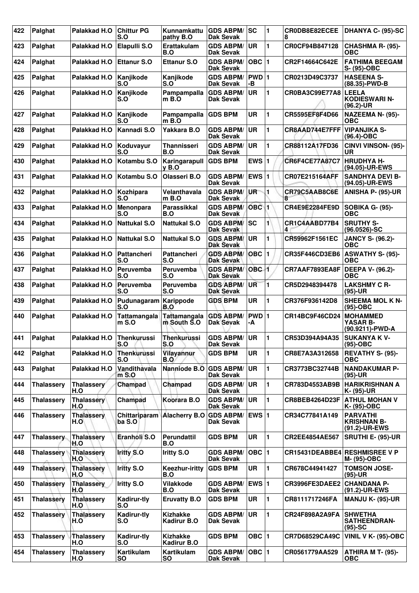| 422 | Palghat           | Palakkad H.O             | <b>Chittur PG</b><br>S.O  | Kunnamkattu<br>pathy B.O              | <b>GDS ABPM/</b><br>Dak Sevak        | SC               | 1  | CR0DB8E82ECEE<br>8                   | DHANYA C- (95)-SC                                      |
|-----|-------------------|--------------------------|---------------------------|---------------------------------------|--------------------------------------|------------------|----|--------------------------------------|--------------------------------------------------------|
| 423 | Palghat           | Palakkad H.O             | Elapulli S.O              | Erattakulam<br>B.O                    | <b>GDS ABPM/</b><br>Dak Sevak        | UR.              | 1  | CR0CF94B847128                       | CHASHMA R- (95)-<br><b>OBC</b>                         |
| 424 | Palghat           | Palakkad H.O             | Ettanur S.O               | <b>Ettanur S.O</b>                    | <b>GDS ABPM/</b><br><b>Dak Sevak</b> | OBC $ 1$         |    | CR2F14664C642E                       | <b>FATHIMA BEEGAM</b><br>S- (95)-OBC                   |
| 425 | Palghat           | Palakkad H.O             | Kanjikode<br>S.O          | Kanjikode<br>S.O                      | <b>GDS ABPM/</b><br><b>Dak Sevak</b> | PWD 1<br>-В      |    | CR0213D49C3737                       | <b>HASEENA S-</b><br>(88.35)-PWD-B                     |
| 426 | Palghat           | Palakkad H.O             | Kanjikode<br>S.O          | Pampampalla<br>$m$ B.O                | <b>GDS ABPM/</b><br>Dak Sevak        | UR.              | 1  | CR0BA3C99E77A8                       | <b>LEELA</b><br><b>KODIESWARI N-</b><br>$(96.2)$ -UR   |
| 427 | Palghat           | Palakkad H.O             | Kanjikode<br>S.O          | Pampampalla GDS BPM<br>$m$ B.O        |                                      | <b>UR</b>        | 1  | CR5595EF8F4D66                       | NAZEEMA N- (95)-<br><b>OBC</b>                         |
| 428 | Palghat           | Palakkad H.O             | Kannadi S.O               | Yakkara B.O                           | <b>GDS ABPM/</b><br>Dak Sevak        | UR               | 1  | CR8AAD744E7FFF                       | <b>VIPANJIKA S-</b><br>$(96.4) - OBC$                  |
| 429 | Palghat           | Palakkad H.O             | Koduvayur<br>S.O          | <b>Thannisseri</b><br>B.O             | <b>GDS ABPM/</b><br>Dak Sevak        | <b>UR</b>        | 1  | CR88112A17FD36                       | CINVI VINSON- (95)-<br>UR                              |
| 430 | Palghat           | Palakkad H.O             | Kotambu S.O               | Karingarapull<br>$v$ B.O              | <b>GDS BPM</b>                       | EWS $ 1$         |    | CR6F4CE77A87C7                       | <b>HRUDHYA H-</b><br>(94.05)-UR-EWS                    |
| 431 | Palghat           | Palakkad H.O             | Kotambu S.O               | Olasseri B.O                          | <b>GDS ABPM/</b><br><b>Dak Sevak</b> | <b>EWS 1</b>     |    | CR07E215164AFF                       | <b>SANDHYA DEVI B-</b><br>(94.05)-UR-EWS               |
| 432 | Palghat           | Palakkad H.O             | Kozhipara<br>S.O          | Velanthavala<br>m B.O                 | <b>GDS ABPM/</b><br>Dak Sevak        | UR <sup>-</sup>  | 1  | CR79C5AAB8C6E<br>8                   | ANISHA P- (95)-UR                                      |
| 433 | Palghat           | Palakkad H.O             | Menonpara<br>S.O          | Parassikkal<br>B.O                    | <b>GDS ABPM/</b><br>Dak Sevak        | OBC <sub>1</sub> |    | CR4E9E2284FE9D                       | SOBIKA G- (95)-<br><b>OBC</b>                          |
| 434 | Palghat           | Palakkad H.O             | Nattukal S.O              | <b>Nattukal S.O</b>                   | <b>GDS ABPM/</b><br>Dak Sevak        | <b>SC</b>        | 1  | CR1C4AABD77B4<br>4                   | <b>SRUTHY S-</b><br>$(96.0526) - SC$                   |
| 435 | Palghat           | Palakkad H.O             | <b>Nattukal S.O</b>       | <b>Nattukal S.O</b>                   | <b>GDS ABPM/</b><br><b>Dak Sevak</b> | <b>UR</b>        | 1  | CR59962F1561EC                       | <b>JANCY S- (96.2)-</b><br>ОВС                         |
| 436 | Palghat           | Palakkad H.O             | Pattancheri<br>S.O        | Pattancheri<br>S.O                    | <b>GDS ABPM/</b><br>Dak Sevak        | OBC 1            |    | CR35F446CD3EB6                       | <b>ASWATHY S- (95)-</b><br>ОВС                         |
| 437 | Palghat           | Palakkad H.O             | <b>Peruvemba</b><br>S.O   | Peruvemba<br>S.O                      | <b>GDS ABPM/</b><br><b>Dak Sevak</b> | OBC-1            |    | CR7AAF7893EA8F                       | <b>DEEPA V- (96.2)-</b><br>ОВС                         |
| 438 | Palghat           | Palakkad H.O             | Peruvemba<br>S.O          | Peruvemba<br>S.O                      | <b>GDS ABPM/</b><br>Dak Sevak        | UR               | 1  | CR5D2948394478                       | <b>LAKSHMY C R-</b><br>$(95)-UR$                       |
| 439 | Palghat           | Palakkad H.O             | Pudunagaram<br>S.O        | Karippode<br>B.O                      | <b>GDS BPM</b>                       | <b>UR</b>        | 1  | CR376F936142D8                       | <b>SHEEMA MOL K N-</b><br>$(95)-OBC$                   |
| 440 | Palghat           | Palakkad H.O             | Tattamangala<br>m S.O     | <b>Tattamangala</b><br>m South S.O    | <b>GDS ABPM/</b><br><b>Dak Sevak</b> | PWD 1<br>-A      |    | CR14BC9F46CD24                       | <b>MOHAMMED</b><br>YASAR B-<br>(90.9211)-PWD-A         |
| 441 | Palghat           | Palakkad H.O             | <b>Thenkurussi</b><br>S.O | <b>Thenkurussi</b><br>S.O             | <b>GDS ABPM/</b><br>Dak Sevak        | <b>UR</b>        | 11 | CR53D394A94A35                       | <b>SUKANYA K V-</b><br>(95)-OBC                        |
| 442 | Palghat           | Palakkad H.O             | <b>Thenkurussi</b><br>S.O | Vilayannur<br>B.O                     | <b>GDS BPM</b>                       | <b>UR</b>        | 1  | CR8E7A3A312658                       | <b>REVATHY S- (95)-</b><br><b>OBC</b>                  |
| 443 | Palghat           | Palakkad H.O             | Vandithavala<br>$m$ S.O   | Nanniode B.O                          | <b>GDS ABPM/</b><br>Dak Sevak        | <b>UR</b>        | 1  | CR3773BC32744B                       | <b>NANDAKUMAR P-</b><br>$(95)-UR$                      |
| 444 | <b>Thalassery</b> | Thalassery<br>H.O        | Champad                   | Champad                               | <b>GDS ABPM/</b><br>Dak Sevak        | <b>UR</b>        | 1  | CR783D4553AB9B                       | HARIKRISHNAN A<br>K- (95)-UR                           |
| 445 | <b>Thalassery</b> | Thalassery<br>H.O        | Champad                   | Koorara B.O                           | <b>GDS ABPM/</b><br>Dak Sevak        | <b>UR</b>        | 1  | CR8BEB4264D23F                       | <b>ATHUL MOHAN V</b><br>K- (95)-OBC                    |
| 446 | <b>Thalassery</b> | <b>Thalassery</b><br>H.O | Chittariparam<br>ba S.O   | <b>Alacherry B.O</b>                  | <b>GDS ABPM/</b><br>Dak Sevak        | EWS $ 1$         |    | CR34C77841A149                       | <b>PARVATHI</b><br><b>KRISHNAN B-</b><br>(91.2)-UR-EWS |
| 447 | <b>Thalassery</b> | <b>Thalassery</b><br>H.O | Eranholi S.O              | <b>Perundattil</b><br>B.O             | <b>GDS BPM</b>                       | <b>UR</b>        | 1  | CR2EE4854AE567                       | <b>SRUTHI E- (95)-UR</b>                               |
| 448 | <b>Thalassery</b> | Thalassery<br>H.O        | <b>Iritty S.O</b>         | <b>Iritty S.O</b>                     | <b>GDS ABPM/</b><br>Dak Sevak        | $OBC$ 1          |    | <b>CR15431DEABBE4 RESHMISREE V P</b> | M- (95)-OBC                                            |
| 449 | <b>Thalassery</b> | <b>Thalassery</b><br>H.O | <b>Iritty S.O</b>         | Keezhur-iritty<br>B.O                 | <b>GDS BPM</b>                       | UR               | 1  | CR678C44941427                       | <b>TOMSON JOSE-</b><br>$(95)-UR$                       |
| 450 | <b>Thalassery</b> | <b>Thalassery</b><br>H.O | Iritty S.O                | Vilakkode<br>B.O                      | <b>GDS ABPM/</b><br>Dak Sevak        | $EWS$ 1          |    | CR3996FE3DAEE2                       | <b>CHANDANA P-</b><br>(91.2)-UR-EWS                    |
| 451 | <b>Thalassery</b> | <b>Thalassery</b><br>H.O | Kadirur-tly<br>S.O        | <b>Eruvatty B.O</b>                   | <b>GDS BPM</b>                       | <b>UR</b>        | 1  | CR8111717246FA                       | MANJU K- (95)-UR                                       |
| 452 | <b>Thalassery</b> | <b>Thalassery</b><br>H.O | Kadirur-tly<br>S.O        | <b>Kizhakke</b><br><b>Kadirur B.O</b> | <b>GDS ABPM/</b><br><b>Dak Sevak</b> | <b>UR</b>        | 1  | CR24F898A2A9FA                       | <b>SHWETHA</b><br><b>SATHEENDRAN-</b><br>$(95)-SC$     |
| 453 | <b>Thalassery</b> | Thalassery<br>H.O        | Kadirur-tly<br>S.O        | <b>Kizhakke</b><br>Kadirur B.O        | <b>GDS BPM</b>                       | OBC $ 1$         |    | CR7D68529CA49C                       | <b>VINIL V K- (95)-OBC</b>                             |
| 454 | <b>Thalassery</b> | <b>Thalassery</b><br>H.O | Kartikulam<br><b>SO</b>   | Kartikulam<br>SO                      | <b>GDS ABPM/</b><br>Dak Sevak        | OBC  1           |    | CR0561779AA529                       | <b>ATHIRA M T- (95)-</b><br><b>OBC</b>                 |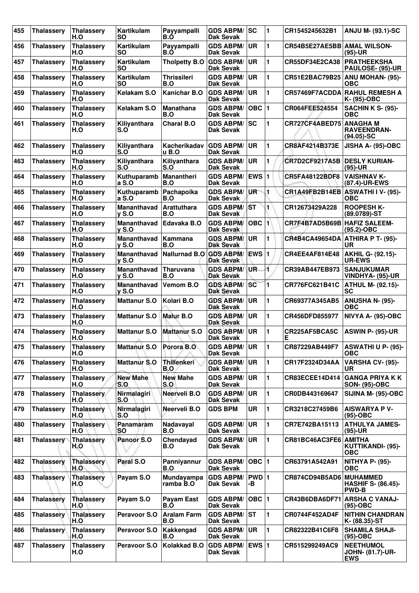| 455 | <b>Thalassery</b> | <b>Thalassery</b><br>H.O | Kartikulam<br><b>SO</b>         | Payyampalli<br>B.Ő        | <b>GDS ABPM/</b><br><b>Dak Sevak</b> | SC                      | $\blacksquare$ | CR1545245632B1               | <b>ANJU M- (93.1)-SC</b>                            |
|-----|-------------------|--------------------------|---------------------------------|---------------------------|--------------------------------------|-------------------------|----------------|------------------------------|-----------------------------------------------------|
| 456 | <b>Thalassery</b> | <b>Thalassery</b><br>H.O | Kartikulam<br>SΟ                | Payyampalli<br>B.O        | <b>GDS ABPM/</b><br>Dak Sevak        | UR.                     | 1              | CR54B5E27AE5BB AMAL WILSON-  | $(95)-UR$                                           |
| 457 | <b>Thalassery</b> | <b>Thalassery</b><br>H.O | Kartikulam<br><b>SO</b>         | <b>Tholpetty B.O</b>      | <b>GDS ABPM/</b><br>Dak Sevak        | <b>UR</b>               | 1              | CR55DF34E2CA38               | <b>PRATHEEKSHA</b><br><b>PAULOSE- (95)-UR</b>       |
| 458 | <b>Thalassery</b> | <b>Thalassery</b><br>H.O | Kartikulam<br><b>SO</b>         | <b>Thrissileri</b><br>B.O | <b>GDS ABPM/</b><br><b>Dak Sevak</b> | <b>UR</b>               | 1              | CR51E2BAC79B25               | <b>ANU MOHAN- (95)-</b><br><b>OBC</b>               |
| 459 | <b>Thalassery</b> | <b>Thalassery</b><br>H.O | Kelakam S.O                     | <b>Kanichar B.O</b>       | <b>GDS ABPM/</b><br>Dak Sevak        | <b>UR</b>               | 1              |                              | <b>CR57469F7ACDDA RAHUL REMESH A</b><br>K- (95)-OBC |
| 460 | <b>Thalassery</b> | <b>Thalassery</b><br>H.O | Kelakam S.O                     | <b>Manathana</b><br>B.O   | <b>GDS ABPM/</b><br>Dak Sevak        | <b>OBC</b>              | 1              | CR064FEE524554               | <b>SACHIN K S- (95)-</b><br>ОВС                     |
| 461 | <b>Thalassery</b> | <b>Thalassery</b><br>H.O | Kiliyanthara<br>S.O             | <b>Charal B.O</b>         | <b>GDS ABPM/</b><br><b>Dak Sevak</b> | <b>SC</b>               | 1              | CR727CF4ABED75               | ∣ANAGHA M<br><b>RAVEENDRAN-</b><br>$(94.05)$ -SC    |
| 462 | <b>Thalassery</b> | <b>Thalassery</b><br>H.O | Kiliyanthara<br>S.O             | Kacherikadav<br>u B.O     | <b>GDS ABPM/</b><br>Dak Sevak        | <b>UR</b>               | 1              | CR8AF4214B373E               | JISHA A- (95)-OBC                                   |
| 463 | <b>Thalassery</b> | Thalassery<br>H.O        | Kiliyanthara<br>S.O             | Kiliyanthara<br>S.O       | <b>GDS ABPM/</b><br><b>Dak Sevak</b> | <b>UR</b>               | 1              | CR7D2CF9217A5B DESLY KURIAN- | $(95)-UR$                                           |
| 464 | <b>Thalassery</b> | Thalassery<br>H.O        | Kuthuparamb<br>a S.O            | Manantheri<br>B.O         | <b>GDS ABPM/</b><br><b>Dak Sevak</b> | <b>EWS</b> <sub>1</sub> |                | CR5FA48122BDF8               | <b>VAISHNAV K-</b><br>(87.4)-UR-EWS                 |
| 465 | <b>Thalassery</b> | <b>Thalassery</b><br>H.O | Kuthuparamb<br>a S.O            | Pachapoika<br>B.O         | <b>GDS ABPM/</b><br>Dak Sevak        | UR <sup>-</sup>         | 1              | CR1A49FB2B14EB               | ASWATHI I V- (95)-<br>OBC                           |
| 466 | <b>Thalassery</b> | <b>Thalassery</b><br>H.O | <b>Mananthavad</b><br>$v S.$ O  | Arattuthara<br>B.O        | <b>GDS ABPM/</b><br><b>Dak Sevak</b> | <b>ST</b>               | 1              | CR12673429A228               | <b>ROOPESH K-</b><br>(89.0789)-ST                   |
| 467 | <b>Thalassery</b> | Thalassery<br>H.O        | Mananthavad<br>$V$ S.O          | Edavaka B.O               | <b>GDS ABPM/</b><br><b>Dak Sevak</b> | $OBC$ <sup>1</sup>      |                | CR7F4B7AD5B69B               | <b>HAFIZ SALEEM-</b><br>$(95.2)$ -OBC               |
| 468 | <b>Thalassery</b> | <b>Thalassery</b><br>H.O | <b>Mananthavad</b><br>$y S.$ O  | <b>Kammana</b><br>B.O     | <b>GDS ABPM/</b><br><b>Dak Sevak</b> | <b>UR</b>               | 1              | <b>CR4B4CA49654DA</b>        | ATHIRA P T- (95)-<br>UR                             |
| 469 | <b>Thalassery</b> | <b>Thalassery</b><br>H.O | Mananthavad<br>$V$ S.O          | Nallurnad B.O             | <b>GDS ABPM/</b><br>Dak Sevak        | EWS 1                   |                | CR4EE4AF814E48               | <b>AKHIL G- (92.15)-</b><br><b>UR-EWS</b>           |
| 470 | <b>Thalassery</b> | Thalassery<br>H.O        | Mananthavad<br>$\mathsf{v}$ S.O | <b>Tharuvana</b><br>B.O   | <b>GDS ABPM/</b><br><b>Dak Sevak</b> | UR-                     | 4              | CR39AB447EB973               | <b>SANJUKUMAR</b><br>VINDHYA- (95)-UR               |
| 471 | <b>Thalassery</b> | <b>Thalassery</b><br>H.O | Mananthavad<br>$\mathsf{v}$ S.O | Vemom B.O                 | <b>GDS ABPM/</b><br><b>Dak Sevak</b> | <b>SC</b>               | 1              | CR776FC621B41C               | <b>ATHUL M- (92.15)-</b><br>SC                      |
| 472 | <b>Thalassery</b> | <b>Thalassery</b><br>H.O | <b>Mattanur S.O</b>             | Kolari B.O                | <b>GDS ABPM/</b><br><b>Dak Sevak</b> | <b>UR</b>               | 1              | CR69377A345AB5               | <b>ANUSHA N- (95)-</b><br><b>OBC</b>                |
| 473 | <b>Thalassery</b> | Thalassery<br>H.O        | <b>Mattanur S.O</b>             | <b>Malur B.O</b>          | <b>GDS ABPM/</b><br><b>Dak Sevak</b> | UR                      | 1              | CR456DFD855977               | NIVYA A- (95)-OBC                                   |
| 474 | <b>Thalassery</b> | Thalassery<br>H.O        | <b>Mattanur S.O</b>             | <b>Mattanur S.O</b>       | <b>GDS ABPM/</b><br>Dak Sevak        | UR                      | 1              | CR225AF5BCA5C<br>Е           | <b>ASWIN P- (95)-UR</b>                             |
| 475 | <b>Thalassery</b> | <b>Thalassery</b><br>H.O | <b>Mattanur S.O</b>             | Porora B.O                | <b>GDS ABPM/</b><br>Dak Sevak        | UR                      | 11             | CR87229AB449F7               | <b>ASWATHI U P- (95)-</b><br>ОВС                    |
| 476 | <b>Thalassery</b> | <b>Thalassery</b><br>H.O | <b>Mattanur S.O</b>             | <b>Thillenkeri</b><br>B.O | <b>GDS ABPM/</b><br>Dak Sevak        | UR.                     | 1              | CR17F2324D34AA               | VARSHA CV- (95)-<br>UR                              |
| 477 | <b>Thalassery</b> | <b>Thalassery</b><br>H.O | <b>New Mahe</b><br>S.O          | <b>New Mahe</b><br>S.O    | <b>GDS ABPM/</b><br>Dak Sevak        | UR                      | 1              | CR83ECEE14D414               | <b>GANGA PRIYA K K</b><br><b>SON- (95)-OBC</b>      |
| 478 | <b>Thalassery</b> | Thalassery<br>H.O        | Nirmalagiri<br>S.O              | Neerveli B.O              | <b>GDS ABPM/</b><br>Dak Sevak        | <b>UR</b>               | 1              | CR0DB443169647               | SIJINA M- (95)-OBC                                  |
| 479 | <b>Thalassery</b> | <b>Thalassery</b><br>H.O | Nirmalagiri<br>S.O              | Neerveli B.O              | <b>GDS BPM</b>                       | UR                      | 1              | CR3218C27459B6               | <b>AISWARYA P V-</b><br>$(95)-OBC$                  |
| 480 | <b>Thalassery</b> | <b>Thalassery</b><br>H.O | Panamaram<br><b>SO</b>          | Nadavayal<br>B.O          | <b>GDS ABPM/</b><br>Dak Sevak        | <b>UR</b>               | 1              | CR7E742BA15113               | <b>ATHULYA JAMES-</b><br>$(95)-UR$                  |
| 481 | <b>Thalassery</b> | <b>Thalassery</b><br>H.O | Panoor S.O                      | Chendayad<br>B.O          | <b>GDS ABPM/</b><br>Dak Sevak        | <b>UR</b>               | 1              | CR81BC46AC3FE6 AMITHA        | KUTTIKANDI- (95)-<br><b>OBC</b>                     |
| 482 | <b>Thalassery</b> | <b>Thalassery</b><br>H.O | Paral S.O                       | Panniyannur<br>B.O        | <b>GDS ABPM/</b><br>Dak Sevak        | OBC  1                  |                | CR63791A542A91               | <b>NITHYA P- (95)-</b><br><b>OBC</b>                |
| 483 | <b>Thalassery</b> | <b>Thalassery</b><br>H.O | Payam S.O                       | Mundayampa<br>ramba B.O   | <b>GDS ABPM/</b><br>Dak Sevak        | PWD 1<br>-В             |                | CR874CD94B5AD6 MUHAMMED      | <b>HASHIF S- (86.45)-</b><br><b>PWD-B</b>           |
| 484 | <b>Thalassery</b> | <b>Thalassery</b><br>H.O | Payam S.O                       | Payam East<br>B.Ó         | <b>GDS ABPM/</b><br>Dak Sevak        | OBC $ 1$                |                | CR43B6DBA6DF71               | <b>ARSHA C VANAJ-</b><br>$(95)-OBC$                 |
| 485 | <b>Thalassery</b> | Thalassery<br>H.O        | Peravoor S.O                    | <b>Aralam Farm</b><br>B.O | <b>GDS ABPM/</b><br>Dak Sevak        | lst                     | 1              | CR0744F452AD4F               | <b>NITHIN CHANDRAN</b><br> K- (88.35)-ST            |
| 486 | <b>Thalassery</b> | <b>Thalassery</b><br>H.O | Peravoor S.O                    | Kakkengad<br>B.O          | <b>GDS ABPM/</b><br><b>Dak Sevak</b> | <b>UR</b>               | 1              | CR82322B41C6F8               | <b>SHAMILA SHAJI-</b><br>$(95)-OBC$                 |
| 487 | <b>Thalassery</b> | <b>Thalassery</b><br>H.O | Peravoor S.O                    | Kolakkad B.O              | <b>GDS ABPM/</b><br>Dak Sevak        | $EWS$ 1                 |                | CR515299249AC9               | <b>NEETHUMOL</b><br>JOHN- (81.7)-UR-<br><b>EWS</b>  |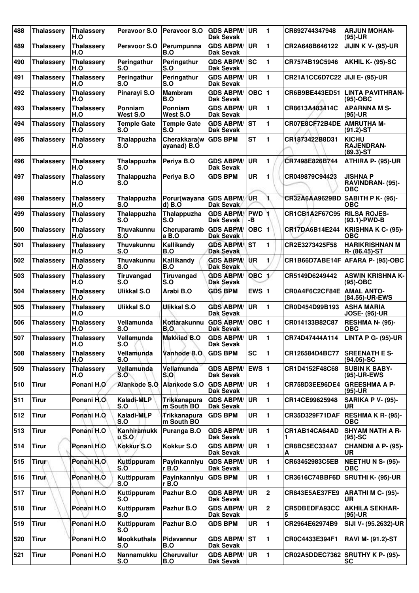| 488 | <b>Thalassery</b> | <b>Thalassery</b><br>H.O | Peravoor S.O              | <b>Peravoor S.O</b>               | <b>GDS ABPM/</b><br>Dak Sevak        | UR                      | 1              | CR892744347948                   | <b>ARJUN MOHAN-</b><br>(95)-UR                     |
|-----|-------------------|--------------------------|---------------------------|-----------------------------------|--------------------------------------|-------------------------|----------------|----------------------------------|----------------------------------------------------|
| 489 | <b>Thalassery</b> | <b>Thalassery</b><br>H.O | Peravoor S.O              | Perumpunna<br>B.O                 | <b>GDS ABPM/</b><br><b>Dak Sevak</b> | <b>UR</b>               | 1              | CR2A648B646122                   | <b>JIJIN K V- (95)-UR</b>                          |
| 490 | <b>Thalassery</b> | <b>Thalassery</b><br>H.O | Peringathur<br>S.O        | Peringathur<br>S.O                | <b>GDS ABPM/</b><br><b>Dak Sevak</b> | <b>SC</b>               | 1              | CR7574B19C5946                   | <b>AKHIL K- (95)-SC</b>                            |
| 491 | <b>Thalassery</b> | <b>Thalassery</b><br>H.O | Peringathur<br>S.O        | Peringathur<br>S.O                | <b>GDS ABPM/</b><br><b>Dak Sevak</b> | UR                      | 1              | CR21A1CC6D7C22                   | JIJI E- (95)-UR                                    |
| 492 | <b>Thalassery</b> | <b>Thalassery</b><br>H.O | Pinarayi S.O              | <b>Mambram</b><br>B.O             | <b>GDS ABPM/</b><br><b>Dak Sevak</b> | OBC  1                  |                | CR6B9BE443ED51                   | LINTA PAVITHRAN-<br>$(95)-OBC$                     |
| 493 | <b>Thalassery</b> | <b>Thalassery</b><br>H.O | Ponniam<br>West S.O       | Ponniam<br>West S.O               | <b>GDS ABPM/</b><br><b>Dak Sevak</b> | <b>UR</b>               | 1              | CR8613A483414C                   | <b>APARNNA M S-</b><br>(95)-UR                     |
| 494 | <b>Thalassery</b> | <b>Thalassery</b><br>H.O | <b>Temple Gate</b><br>S.O | <b>Temple Gate</b><br>S.O         | <b>GDS ABPM/</b><br><b>Dak Sevak</b> | <b>ST</b>               | 1              | CR07E8CF72B4DE                   | <b>AMRUTHA M-</b><br>$(91.2)$ -ST                  |
| 495 | <b>Thalassery</b> | <b>Thalassery</b><br>H.O | Thalappuzha<br>S.O        | Cherakkara(w<br>ayanad) B.O       | <b>GDS BPM</b>                       | <b>ST</b>               | 1              | CR1873422B8D31                   | <b>KICHU</b><br><b>RAJENDRAN-</b><br>$(89.3) - ST$ |
| 496 | <b>Thalassery</b> | <b>Thalassery</b><br>H.O | Thalappuzha<br>S.O        | Periya B.O                        | <b>GDS ABPM/</b><br><b>Dak Sevak</b> | <b>UR</b>               | 1              | CR7498E826B744                   | ATHIRA P- (95)-UR                                  |
| 497 | <b>Thalassery</b> | <b>Thalassery</b><br>H.O | Thalappuzha<br>S.O        | Periya B.O                        | <b>GDS BPM</b>                       | <b>UR</b>               | 1              | CR049879C94423                   | JISHNA P<br>RAVINDRAN- (95)-<br>ОВС                |
| 498 | <b>Thalassery</b> | <b>Thalassery</b><br>H.O | Thalappuzha<br>S.O        | Porur(wayana<br>$d)$ $B.$ O       | <b>GDS ABPM/</b><br>Dak Sevak        | UR                      | 1.             | CR32A6AA9629BD SABITH P K- (95)- | <b>OBC</b>                                         |
| 499 | <b>Thalassery</b> | <b>Thalassery</b><br>H.O | Thalappuzha<br>S.O        | Thalappuzha<br>S.O                | <b>GDS ABPM/</b><br>Dak Sevak        | <b>PWD</b><br>-В        |                | CR1CB1A2F67C95                   | <b>RILSA ROJES-</b><br>(93.1)-PWD-B                |
| 500 | <b>Thalassery</b> | <b>Thalassery</b><br>H.O | <b>Thuvakunnu</b><br>S.O  | Cheruparamb<br>a B.O              | <b>GDS ABPM/</b><br><b>Dak Sevak</b> | <b>OBC</b>              | $\blacksquare$ | CR17DA6B14E244                   | KRISHNA K C- (95)-<br>ОВС                          |
| 501 | <b>Thalassery</b> | <b>Thalassery</b><br>H.O | Thuvakunnu<br>S.O         | Kallikandy<br>B.O                 | <b>GDS ABPM/</b><br><b>Dak Sevak</b> | <b>ST</b>               | 1              | CR2E3273425F58                   | <b>HARIKRISHNAN M</b><br>R- (86.45)-ST             |
| 502 | <b>Thalassery</b> | <b>Thalassery</b><br>H.O | Thuvakunnu<br>S.O         | Kallikandy<br>B.O                 | <b>GDS ABPM/</b><br><b>Dak Sevak</b> | <b>UR</b>               | 1              | CR1B66D7ABE14F                   | AFARA P- (95)-OBC                                  |
| 503 | <b>Thalassery</b> | <b>Thalassery</b><br>H.O | Tiruvangad<br>S.O         | Tiruvangad<br>S.O                 | <b>GDS ABPM/</b><br><b>Dak Sevak</b> | OBC                     | 17             | CR5149D6249442                   | <b>ASWIN KRISHNA K-</b><br>(95)-OBC                |
| 504 | <b>Thalassery</b> | <b>Thalassery</b><br>H.O | <b>Ulikkal S.O</b>        | Arabi B.O                         | <b>GDS BPM</b>                       | EWS $ 1$                |                | CR0A4F6C2CF84E                   | <b>AMAL ANTO-</b><br>(84.55)-UR-EWS                |
| 505 | <b>Thalassery</b> | <b>Thalassery</b><br>H.O | <b>Ulikkal S.O</b>        | Ulikkal S.O                       | <b>GDS ABPM/</b><br><b>Dak Sevak</b> | UR                      | 1              | CR0D454D99B193                   | <b>ASHA MARIA</b><br><b>JOSE- (95)-UR</b>          |
| 506 | <b>Thalassery</b> | <b>Thalassery</b><br>H.O | Vellamunda<br>S.O         | Kottarakunnu<br>B.O               | <b>GDS ABPM/</b><br>Dak Sevak        | $OBC$  1                |                | CR014133B82C87                   | <b>RESHMA N- (95)-</b><br>OBC                      |
| 507 | Thalasserv        | <b>Thalassery</b><br>H.O | Vellamunda<br>S.O         | <b>Makkiad B.O</b>                | <b>GDS ABPM/</b><br><b>Dak Sevak</b> | ∣UR                     | 1              | CR74D47444A114                   | LINTA P G- (95)-UR                                 |
| 508 | <b>Thalassery</b> | <b>Thalassery</b><br>H.O | Vellamunda<br>S.O         | Vanhode B.O                       | <b>GDS BPM</b>                       | <b>SC</b>               | 1              | CR126584D4BC77                   | <b>SREENATH E S-</b><br>$(94.05)$ -SC              |
| 509 | <b>Thalassery</b> | <b>Thalassery</b><br>H.O | Vellamunda<br>S.O         | Vellamunda<br>S.O                 | <b>GDS ABPM/</b><br>Dak Sevak        | <b>EWS</b> <sub>1</sub> |                | CR1D4152F48C68                   | <b>SUBIN K BABY-</b><br>(95)-UR-EWS                |
| 510 | <b>Tirur</b>      | Ponani H.O               | Alankode S.O              | Alankode S.O                      | <b>GDS ABPM/</b><br>Dak Sevak        | <b>UR</b>               | 1              | CR758D3EE96DE4                   | <b>GREESHMA A P-</b><br>(95)-UR                    |
| 511 | <b>Tirur</b>      | Ponani H.O.              | Kaladi-MLP<br>S.O         | <b>Trikkanapura</b><br>m South BO | <b>GDS ABPM/</b><br><b>Dak Sevak</b> | UR                      | 1              | CR14CE99625948                   | <b>SARIKA P V- (95)-</b><br>UR                     |
| 512 | <b>Tirur</b>      | Ponani H.O               | Kaladi-MLP<br>S.O         | Trikkanapura<br>m South BO        | <b>GDS BPM</b>                       | <b>UR</b>               | 1              | CR35D329F71DAF                   | RESHMA K R- (95)-<br>ОВС                           |
| 513 | <b>Tirur</b>      | Ponani H.O               | Kanhiramukk<br>$u$ S.O    | Puranga B.O                       | <b>GDS ABPM/</b><br><b>Dak Sevak</b> | UR                      | 1              | CR1AB14CA64AD<br>1               | <b>SHYAM NATH A R-</b><br>$(95)-SC$                |
| 514 | <b>Tirur</b>      | Ponani H.O               | <b>Kokkur S.O</b>         | Kokkur S.O                        | <b>GDS ABPM/</b><br><b>Dak Sevak</b> | UR                      | 1              | CR8BC5EC334A7<br>А               | CHANDNI A P- (95)-<br>UR                           |
| 515 | <b>Tirur</b>      | Ponani H.O               | Kuttippuram<br>S.O        | Payinkanniyu<br>r B.O             | <b>GDS ABPM/</b><br>Dak Sevak        | <b>UR</b>               | 1              | CR63452983C5EB                   | <b>NEETHU N S- (95)-</b><br>ОВС                    |
| 516 | <b>Tirur</b>      | Ponani H.O               | Kuttippuram<br>S.O        | Payinkanniyu<br>rB.0              | <b>GDS BPM</b>                       | <b>UR</b>               | 1              | CR3616C74BBF6D                   | <b>SRUTHI K- (95)-UR</b>                           |
| 517 | <b>Tirur</b>      | Ponani H.O               | Kuttippuram<br>S.O        | Pazhur B.O                        | <b>GDS ABPM/</b><br><b>Dak Sevak</b> | UR                      | $\mathbf 2$    | CR843E5AE37FE9                   | <b>ARATHI M C- (95)-</b><br>UR                     |
| 518 | <b>Tirur</b>      | Ponani H.O               | Kuttippuram<br>S.O        | Pazhur B.O                        | <b>GDS ABPM/</b><br>Dak Sevak        | <b>UR</b>               | $\mathbf 2$    | CR5DBEDFA93CC<br>5               | <b>AKHILA SEKHAR-</b><br>(95)-UR                   |
| 519 | <b>Tirur</b>      | Ponani H.O               | Kuttippuram<br>S.O        | Pazhur B.O                        | <b>GDS BPM</b>                       | <b>UR</b>               | 1              | CR2964E62974B9                   | SIJI V- (95.2632)-UR                               |
| 520 | <b>Tirur</b>      | Ponani H.O               | Mookkuthala<br>S.O        | <b>Pidavannur</b><br>B.O          | <b>GDS ABPM/</b><br><b>Dak Sevak</b> | <b>ST</b>               | 1              | CR0C4433E394F1                   | <b>RAVI M- (91.2)-ST</b>                           |
| 521 | <b>Tirur</b>      | Ponani H.O               | <b>Nannamukku</b><br>S.O  | <b>Cheruvallur</b><br>B.O         | <b>GDS ABPM/</b><br><b>Dak Sevak</b> | UR.                     | 1              |                                  | CR02A5DDEC7362 SRUTHY K P- (95)-<br><b>SC</b>      |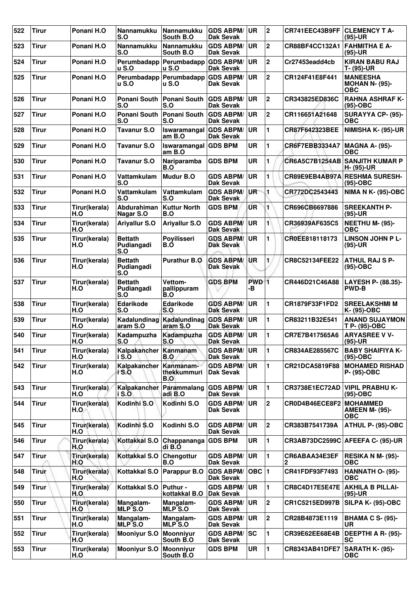| 522 | <b>Tirur</b> | Ponani H.O           | Nannamukku<br>S.O                   | Nannamukku<br>South B.O           | <b>GDS ABPM/</b><br><b>Dak Sevak</b> | UR                     | 2                       | CR741EEC43B9FF        | <b>CLEMENCY T A-</b><br>$(95)-UR$                      |
|-----|--------------|----------------------|-------------------------------------|-----------------------------------|--------------------------------------|------------------------|-------------------------|-----------------------|--------------------------------------------------------|
| 523 | <b>Tirur</b> | Ponani H.O           | <b>Nannamukku</b><br>S.O            | Nannamukku<br>South B.O           | <b>GDS ABPM/</b><br><b>Dak Sevak</b> | UR.                    | $\mathbf 2$             | CR88BF4CC132A1        | <b>FAHMITHA E A-</b><br>$(95)-UR$                      |
| 524 | <b>Tirur</b> | Ponani H.O           | Perumbadapp<br>u S.O                | Perumbadapp<br>u S.O              | <b>GDS ABPM/</b><br><b>Dak Sevak</b> | <b>UR</b>              | $\mathbf{2}$            | Cr27453eadd4cb        | <b>KIRAN BABU RAJ</b><br>T- (95)-UR                    |
| 525 | <b>Tirur</b> | Ponani H.O           | Perumbadapp<br><b>u</b> S.O         | Perumbadapp<br><b>u S.O</b>       | <b>GDS ABPM/</b><br>Dak Sevak        | <b>UR</b>              | $\overline{\mathbf{2}}$ | CR124F41E8F441        | <b>MANEESHA</b><br><b>MOHAN N- (95)-</b><br><b>OBC</b> |
| 526 | <b>Tirur</b> | Ponani H.O           | Ponani South<br>S.O                 | Ponani South<br>S.O               | <b>GDS ABPM/</b><br>Dak Sevak        | <b>UR</b>              | $\mathbf 2$             | <b>CR343825ED836C</b> | <b>RAHNA ASHRAF K-</b><br>$(95)-OBC$                   |
| 527 | <b>Tirur</b> | Ponani H.O           | <b>Ponani South</b><br>S.O          | Ponani South<br>S.O               | <b>GDS ABPM/</b><br><b>Dak Sevak</b> | <b>UR</b>              | $\mathbf 2$             | CR116651A21648        | <b>SURAYYA CP- (95)-</b><br><b>OBC</b>                 |
| 528 | <b>Tirur</b> | Ponani H.O           | <b>Tavanur S.O</b>                  | Iswaramangal<br>amB.0             | <b>GDS ABPM/</b><br><b>Dak Sevak</b> | <b>UR</b>              | 1                       | CR87F642323BEE        | NIMISHA K- (95)-UR                                     |
| 529 | <b>Tirur</b> | Ponani H.O           | <b>Tavanur S.O</b>                  | Iswaramangal<br>am B.O            | <b>GDS BPM</b>                       | <b>UR</b>              | 1                       | CR6F7EBB3334A7        | <b>MAGNA A- (95)-</b><br>ОВС                           |
| 530 | <b>Tirur</b> | Ponani H.O           | <b>Tavanur S.O</b>                  | Nariparamba<br>B.O                | <b>GDS BPM</b>                       | <b>UR</b>              | 1                       |                       | CR6A5C7B1254AB SANJITH KUMAR P<br>H- (95)-UR           |
| 531 | <b>Tirur</b> | Ponani H.O           | Vattamkulam<br>S.O                  | Mudur B.O                         | <b>GDS ABPM/</b><br><b>Dak Sevak</b> | <b>UR</b>              | 1                       | CR89E9EB4AB97A        | <b>RESHMA SURESH-</b><br>$(95)-OBC$                    |
| 532 | <b>Tirur</b> | Ponani H.O           | Vattamkulam<br>S.O                  | Vattamkulam<br>S.O                | <b>GDS ABPM/</b><br>Dak Sevak        | UR <sup>-</sup>        | 1                       | CR772DC2543443        | <b>NIMA N K- (95)-OBC</b>                              |
| 533 | <b>Tirur</b> | Tirur(kerala)<br>H.O | Abdurahiman<br>Nagar S.O            | <b>Kuttur North</b><br><b>B.O</b> | <b>GDS BPM</b>                       | UR.                    | 1                       | CR696CB6697886        | <b>SREEKANTH P-</b><br>$(95)-UR$                       |
| 534 | <b>Tirur</b> | Tirur(kerala)<br>H.O | <b>Ariyallur S.O</b>                | <b>Ariyallur S.O</b>              | <b>GDS ABPM/</b><br><b>Dak Sevak</b> | <b>UR</b>              | 1                       | <b>CR36939AF635C5</b> | <b>NEETHU M- (95)-</b><br><b>OBC</b>                   |
| 535 | Tirur        | Tirur(kerala)<br>H.O | <b>Bettath</b><br>Pudiangadi<br>S.O | Poyilisseri<br>B.O                | <b>GDS ABPM/</b><br><b>Dak Sevak</b> | <b>UR</b>              | 1                       | CR0EE818118173        | <b>LINSON JOHN P L-</b><br>$(95)-UR$                   |
| 536 | <b>Tirur</b> | Tirur(kerala)<br>H.O | <b>Bettath</b><br>Pudiangadi<br>S.O | <b>Purathur B.O</b>               | <b>GDS ABPM/</b><br><b>Dak Sevak</b> | UR                     | 1                       | CR8C52134FEE22        | <b>ATHUL RAJ S P-</b><br>$(95)-OBC$                    |
| 537 | <b>Tirur</b> | Tirur(kerala)<br>H.O | <b>Bettath</b><br>Pudiangadi<br>S.O | Vettom-<br>pallippuram<br>B.O     | <b>GDS BPM</b>                       | PWD <sup>1</sup><br>-в |                         | CR446D21C46A88        | LAYESH P- (88.35)-<br><b>PWD-B</b>                     |
| 538 | <b>Tirur</b> | Tirur(kerala)<br>H.O | Edarikode<br>S.O                    | Edarikode<br>S.O                  | <b>GDS ABPM/</b><br><b>Dak Sevak</b> | <b>UR</b>              | $\blacksquare$          | CR1879F33F1FD2        | <b>SREELAKSHMI M</b><br>K- (95)-OBC                    |
| 539 | <b>Tirur</b> | Tirur(kerala)<br>H.O | Kadalundinag<br>aram S.O            | Kadalundinag<br>aram S.O          | <b>GDS ABPM/</b><br><b>Dak Sevak</b> | <b>UR</b>              | 1                       | CR83211B32E541        | <b>ANAND SUJAYMON</b><br>T P- (95)-OBC                 |
| 540 | <b>Tirur</b> | Tirur(kerala)<br>H.O | Kadampuzha<br>S.O                   | Kadampuzha<br>$SO^{\sim}$         | <b>GDS ABPM/</b><br><b>Dak Sevak</b> | UR                     | 1                       | CR7E7B417565A6        | <b>ARYASREE V V-</b><br>$(95)-UR$                      |
| 541 | Tirur        | Tirur(kerala)<br>H.O | Kalpakancher Kanmanam<br>i S.O      | B.O                               | <b>GDS ABPM/</b><br>Dak Sevak        | <b>UR</b>              | $\blacksquare$          | CR834AE285567C        | <b>BABY SHAIFIYA K-</b><br>$(95)-OBC$                  |
| 542 | <b>Tirur</b> | Tirur(kerala)<br>H.O | Kalpakancher<br>i S.O               | Kanmanam-<br>thekkummuri<br>B.O   | <b>GDS ABPM/</b><br>Dak Sevak        | UR                     | 1                       | CR21DCA5819F88        | <b>MOHAMED RISHAD</b><br>P- (95)-OBC                   |
| 543 | <b>Tirur</b> | Tirur(kerala)<br>H.O | Kalpakancher<br>i S.O               | Parammalang<br>adi B.O            | <b>GDS ABPM/</b><br><b>Dak Sevak</b> | UR                     | $\mathbf{1}$            | CR3738E1EC72AD        | <b>VIPIL PRABHU K-</b><br>$(95)-OBC$                   |
| 544 | <b>Tirur</b> | Tirur(kerala)<br>H.O | Kodinhi S.O                         | Kodinhi S.O                       | <b>GDS ABPM/</b><br>Dak Sevak        | <b>UR</b>              | $\overline{2}$          | CR0D4B46ECE8F2        | <b>MOHAMMED</b><br><b>AMEEN M- (95)-</b><br><b>OBC</b> |
| 545 | <b>Tirur</b> | Tirur(kerala)<br>H.O | Kodinhi S.O                         | Kodinhi S.O                       | <b>GDS ABPM/</b><br>Dak Sevak        | <b>UR</b>              | $\mathbf 2$             | CR383B7541739A        | ATHUL P- (95)-OBC                                      |
| 546 | <b>Tirur</b> | Tirur(kerala)<br>H.O | Kottakkal S.O                       | Chappananga<br>di B.O             | <b>GDS BPM</b>                       | UR                     | 1                       |                       | CR3AB73DC2599C AFEEFA C- (95)-UR                       |
| 547 | <b>Tirur</b> | Tirur(kerala)<br>H.O | Kottakkal S.O                       | Chengottur<br>B.O                 | <b>GDS ABPM/</b><br>Dak Sevak        | <b>UR</b>              | $\blacksquare$          | CR6ABAA34E3EF<br>2    | RESIKA N M- (95)-<br><b>OBC</b>                        |
| 548 | <b>Tirur</b> | Tirur(kerala)<br>H.O | Kottakkal S.O                       | Parappur B.O                      | <b>GDS ABPM/</b><br>Dak Sevak        | OBC $ 1$               |                         | <b>CR41FDF93F7493</b> | HANNATH O- (95)-<br>ОВС                                |
| 549 | <b>Tirur</b> | Tirur(kerala)<br>H.O | Kottakkal S.O                       | Puthur -<br>kottakkal B.O         | <b>GDS ABPM/</b><br><b>Dak Sevak</b> | <b>UR</b>              | 1                       | <b>CR8C4D17E5E47E</b> | <b>AKHILA B PILLAI-</b><br>$(95)-UR$                   |
| 550 | <b>Tirur</b> | Tirur(kerala)<br>H.O | Mangalam-<br>MLP S.O                | Mangalam-<br><b>MLP S.O</b>       | <b>GDS ABPM/</b><br>Dak Sevak        | <b>UR</b>              | $\overline{2}$          | CR1C5215ED997B        | SILPA K- (95)-OBC                                      |
| 551 | <b>Tirur</b> | Tirur(kerala)<br>H.O | Mangalam-<br><b>MLP S.O</b>         | Mangalam-<br><b>MLP S.O</b>       | <b>GDS ABPM/</b><br>Dak Sevak        | <b>UR</b>              | $\mathbf 2$             | CR28B4873E1119        | <b>BHAMA C S- (95)-</b><br>UR.                         |
| 552 | <b>Tirur</b> | Tirur(kerala)<br>H.O | <b>Mooniyur S.O</b>                 | <b>Moonnivur</b><br>South B.O     | <b>GDS ABPM/</b><br>Dak Sevak        | SC                     | 1                       | CR39E62EE68E4B        | <b>DEEPTHI A R- (95)-</b><br><b>SC</b>                 |
| 553 | <b>Tirur</b> | Tirur(kerala)<br>H.O | <b>Mooniyur S.O</b>                 | <b>Moonniyur</b><br>South B.O     | <b>GDS BPM</b>                       | UR                     | $\blacksquare$          | <b>CR8343AB41DFE7</b> | <b>SARATH K- (95)-</b><br><b>OBC</b>                   |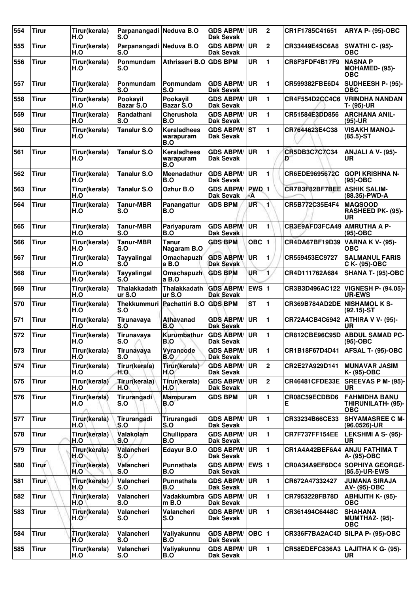| 554 | <b>Tirur</b> | Tirur(kerala)<br>H.O | Parpanangadi Neduva B.O<br>S.O |                                        | <b>GDS ABPM/</b><br>Dak Sevak        | <b>UR</b>          | $\boldsymbol{2}$        | CR1F1785C41651                     | <b>ARYA P- (95)-OBC</b>                                  |
|-----|--------------|----------------------|--------------------------------|----------------------------------------|--------------------------------------|--------------------|-------------------------|------------------------------------|----------------------------------------------------------|
| 555 | <b>Tirur</b> | Tirur(kerala)<br>H.O | Parpanangadi Neduva B.O<br>S.O |                                        | <b>GDS ABPM/</b><br><b>Dak Sevak</b> | <b>UR</b>          | $\overline{\mathbf{2}}$ | CR33449E45C6A8                     | <b>SWATHI C- (95)-</b><br><b>OBC</b>                     |
| 556 | <b>Tirur</b> | Tirur(kerala)<br>H.O | Ponmundam<br>S.O               | Athrisseri B.O                         | <b>GDS BPM</b>                       | <b>UR</b>          | 1                       | CR8F3FDF4B17F9                     | <b>NASNAP</b><br>MOHAMED- (95)-<br><b>OBC</b>            |
| 557 | Tirur        | Tirur(kerala)<br>H.O | <b>Ponmundam</b><br>S.O        | Ponmundam<br>S.O                       | <b>GDS ABPM/</b><br><b>Dak Sevak</b> | <b>UR</b>          | $\blacksquare$          | CR599382FBE6D4                     | SUDHEESH P- (95)-<br><b>OBC</b>                          |
| 558 | <b>Tirur</b> | Tirur(kerala)<br>H.O | Pookayil<br>Bazar S.O          | Pookayil<br>Bazar S.O                  | <b>GDS ABPM/</b><br>Dak Sevak        | <b>UR</b>          | 1                       | CR4F554D2CC4C6                     | <b>VRINDHA NANDAN</b><br>T- (95)-UR                      |
| 559 | <b>Tirur</b> | Tirur(kerala)<br>H.O | Randathani<br>S.O              | Cherushola<br>B.O                      | <b>GDS ABPM/</b><br>Dak Sevak        | <b>UR</b>          | 1                       | CR51584E3DD856                     | <b>ARCHANA ANIL-</b><br>$(95)-UR$                        |
| 560 | <b>Tirur</b> | Tirur(kerala)<br>H.O | <b>Tanalur S.O</b>             | <b>Keraladhees</b><br>warapuram<br>B.O | <b>GDS ABPM/</b><br>Dak Sevak        | <b>ST</b>          | 1                       | CR7644623E4C38                     | <b>VISAKH MANOJ-</b><br>$(85.5)$ -ST                     |
| 561 | <b>Tirur</b> | Tirur(kerala)<br>H.O | <b>Tanalur S.O</b>             | Keraladhees<br>warapuram<br>B.O        | <b>GDS ABPM/</b><br>Dak Sevak        | <b>UR</b>          | 1                       | CR5DB3C7C7C34<br>D                 | <b>ANJALI A V- (95)-</b><br>UR.                          |
| 562 | <b>Tirur</b> | Tirur(kerala)<br>H.O | <b>Tanalur S.O</b>             | Meenadathur<br>B.O                     | <b>GDS ABPM/</b><br><b>Dak Sevak</b> | <b>UR</b>          | 1                       | CR6EDE9695672C                     | <b>GOPI KRISHNA N-</b><br>$(95)-OBC$                     |
| 563 | <b>Tirur</b> | Tirur(kerala)<br>H.O | <b>Tanalur S.O</b>             | Ozhur B.O                              | <b>GDS ABPM/</b><br><b>Dak Sevak</b> | <b>PWD</b> 1<br>٠A |                         | <b>CR7B3F82BF7BEE ASHIK SALIM-</b> | (88.35)-PWD-A                                            |
| 564 | <b>Tirur</b> | Tirur(kerala)<br>H.O | <b>Tanur-MBR</b><br>S.O        | Panangattur<br>B.O                     | <b>GDS BPM</b>                       | UR                 | $\mathbf{1}$            | CR5B772C35E4F4                     | <b>MAQSOOD</b><br>RASHEED PK- (95)-<br><b>UR</b>         |
| 565 | <b>Tirur</b> | Tirur(kerala)<br>H.O | <b>Tanur-MBR</b><br>S.O        | Pariyapuram<br>B.O                     | <b>GDS ABPM/</b><br>Dak Sevak        | UR                 | 1                       | CR3E9AFD3FCA49                     | <b>AMRUTHA A P-</b><br>(95)-OBC                          |
| 566 | <b>Tirur</b> | Tirur(kerala)<br>H.O | <b>Tanur-MBR</b><br>S.O        | Tanur<br>Nagaram B.O                   | <b>GDS BPM</b>                       | $OBC$  1           |                         | CR4DA67BF19D39                     | <b>VARNA K V- (95)-</b><br>OBC                           |
| 567 | <b>Tirur</b> | Tirur(kerala)<br>H.O | Tayyalingal<br>S.Ó             | Omachapuzh<br>a B.O                    | <b>GDS ABPM/</b><br><b>Dak Sevak</b> | UR                 | 1                       | CR559453EC9727                     | <b>SALMANUL FARIS</b><br>C K- (95)-OBC                   |
| 568 | <b>Tirur</b> | Tirur(kerala)<br>H.O | Tayyalingal<br>S.O             | Omachapuzh<br>a B.O                    | <b>GDS BPM</b>                       | <b>UR</b>          | 1.                      | CR4D111762A684                     | <b>SHANA T- (95)-OBC</b>                                 |
| 569 | <b>Tirur</b> | Tirur(kerala)<br>H.O | Thalakkadath<br>ur S.O         | <b>Thalakkadath</b><br>ur S.O          | <b>GDS ABPM/</b><br><b>Dak Sevak</b> | <b>EWS 1</b>       |                         | CR3B3D496AC122                     | <b>VIGNESH P- (94.05)-</b><br><b>UR-EWS</b>              |
| 570 | <b>Tirur</b> | Tirur(kerala)<br>H.O | Thekkummuri  <br>S.O           | Pachattiri B.O                         | <b>GDS BPM</b>                       | <b>ST</b>          | 1                       | CR369B784AD2DE NISHAMOL K S-       | $(92.15)$ -ST                                            |
| 571 | <b>Tirur</b> | Tirur(kerala)<br>H.O | Tirunavaya<br>S.O              | Athavanad<br>B.O                       | <b>GDS ABPM/</b><br><b>Dak Sevak</b> | UR                 | 1                       | CR72A4CB4C6942                     | <b>ATHIRA V V- (95)-</b><br>UR                           |
| 572 | <b>Tirur</b> | Tirur(kerala)<br>H.O | Tirunavaya<br>S.O              | Kurumbathur<br>B.O                     | <b>GDS ABPM/</b><br><b>Dak Sevak</b> | <b>UR</b>          | 1                       |                                    | CR812CBE96C95D ABDUL SAMAD PC-<br>(95)-OBC               |
| 573 | <b>Tirur</b> | Tirur(kerala)<br>H.O | Tirunavaya<br>S.O              | Vyrancode<br>B.O                       | <b>GDS ABPM/</b><br><b>Dak Sevak</b> | <b>UR</b>          | 1                       | CR1B18F67D4D41                     | AFSAL T- (95)-OBC                                        |
| 574 | <b>Tirur</b> | Tirur(kerala)<br>H.O | Tirur(kerala)<br>H.O           | Tirur(kerala)<br>H.O                   | <b>GDS ABPM/</b><br><b>Dak Sevak</b> | <b>UR</b>          | $\overline{2}$          | CR2E27A929D141                     | <b>MUNAVAR JASIM</b><br>K- (95)-OBC                      |
| 575 | <b>Tirur</b> | Tirur(kerala)<br>H.O | Tirur(kerala)<br>H.O           | Tirur(kerala)<br>H.O                   | <b>GDS ABPM/</b><br>Dak Sevak        | <b>UR</b>          | $\overline{2}$          | <b>CR46481CFDE33E</b>              | <b>SREEVAS P M- (95)-</b><br>UR.                         |
| 576 | <b>Tirur</b> | Tirur(kerala)<br>H.O | Tirurangadi<br>S.O             | <b>Mampuram</b><br>B.O                 | <b>GDS BPM</b>                       | <b>UR</b>          | $\mathbf{1}$            | CR08C59ECDBD6<br>Е                 | <b>FAHMIDHA BANU</b><br>THIRUNILATH- (95)-<br><b>OBC</b> |
| 577 | <b>Tirur</b> | Tirur(kerala)<br>H.O | Tirurangadi<br>S.O             | Tirurangadi<br>S.O                     | <b>GDS ABPM/</b><br><b>Dak Sevak</b> | UR                 | 1                       | CR33234B66CE33                     | <b>SHYAMASREE C M-</b><br>$(96.0526)$ -UR                |
| 578 | <b>Tirur</b> | Tirur(kerala)<br>H.O | Valakolam<br>S.O               | Chullippara<br>B.O                     | <b>GDS ABPM/</b><br>Dak Sevak        | <b>UR</b>          | $\mathbf{1}$            | CR7F737FF154EE                     | LEKSHMI A S- (95)-<br>UR                                 |
| 579 | <b>Tirur</b> | Tirur(kerala)<br>H.O | Valancheri<br>S.O              | Edayur B.O                             | <b>GDS ABPM/</b><br>Dak Sevak        | UR                 | 1                       | CR1A4A42BEF6A4                     | ANJU FATHIMA T<br>A- (95)-OBC                            |
| 580 | <b>Tirur</b> | Tirur(kerala)<br>H.O | Valancheri<br>S.O              | Punnathala<br>B.O                      | <b>GDS ABPM/</b><br><b>Dak Sevak</b> | EWS $ 1$           |                         |                                    | CR0A34A9EF6DC4 SOPHIYA GEORGE-<br>(85.5)-UR-EWS          |
| 581 | <b>Tirur</b> | Tirur(kerala)<br>H.O | Valancheri<br>S.O              | Punnathala<br>B.O                      | <b>GDS ABPM/</b><br><b>Dak Sevak</b> | <b>UR</b>          | $\blacksquare$          | CR672A47332427                     | <b>JUMANA SIRAJA</b><br>AV- (95)-OBC                     |
| 582 | <b>Tirur</b> | Tirur(kerala)<br>H.O | Valancheri<br>S.O              | Vadakkumbra<br>$m$ B.O                 | <b>GDS ABPM/</b><br>Dak Sevak        | <b>UR</b>          | 1                       | CR7953228FB78D                     | <b>ABHIJITH K- (95)-</b><br><b>OBC</b>                   |
| 583 | <b>Tirur</b> | Tirur(kerala)<br>H.O | Valancheri<br>S.O              | Valancheri<br>S.O                      | <b>GDS ABPM/</b><br>Dak Sevak        | <b>UR</b>          | 1                       | CR361494C6448C                     | <b>SHAHANA</b><br>MUMTHAZ- (95)-<br><b>OBC</b>           |
| 584 | <b>Tirur</b> | Tirur(kerala)<br>H.O | Valancheri<br>S.O              | Valiyakunnu<br>B.O                     | <b>GDS ABPM/</b><br><b>Dak Sevak</b> | OBC  1             |                         |                                    | CR336F7BA2AC4D SILPA P- (95)-OBC                         |
| 585 | <b>Tirur</b> | Tirur(kerala)<br>H.O | Valancheri<br>S.O              | Valiyakunnu<br>B.O                     | <b>GDS ABPM/</b><br><b>Dak Sevak</b> | <b>UR</b>          | $\mathbf{1}$            |                                    | CR58EDEFC836A3 LAJITHA K G- (95)-<br>UR                  |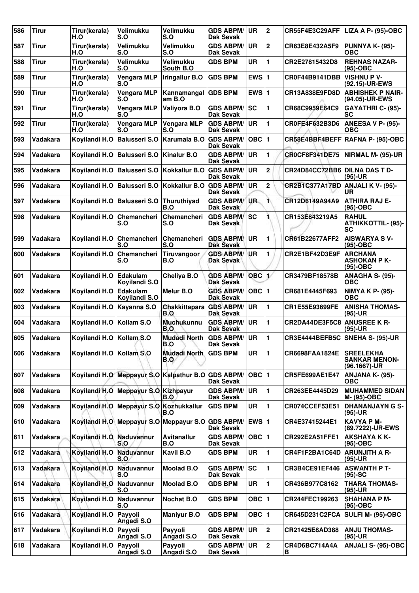| 586 | <b>Tirur</b>    | Tirur(kerala)<br>H.O     | Velimukku<br>S.O                         | <b>Velimukku</b><br>S.O       | <b>GDS ABPM/</b><br>Dak Sevak        | <b>UR</b>     | 2                       | CR55F4E3C29AFF                       | LIZA A P- (95)-OBC                                       |
|-----|-----------------|--------------------------|------------------------------------------|-------------------------------|--------------------------------------|---------------|-------------------------|--------------------------------------|----------------------------------------------------------|
| 587 | <b>Tirur</b>    | Tirur(kerala)<br>H.O     | <b>Velimukku</b><br>S.O                  | Velimukku<br>S.O              | <b>GDS ABPM/</b><br>Dak Sevak        | UR.           | $\overline{2}$          | CR63E8E432A5F9                       | <b>PUNNYA K- (95)-</b><br><b>OBC</b>                     |
| 588 | <b>Tirur</b>    | Tirur(kerala)<br>H.O     | <b>Velimukku</b><br>S.O                  | <b>Velimukku</b><br>South B.O | <b>GDS BPM</b>                       | <b>UR</b>     | 1                       | CR2E27815432D8                       | <b>REHNAS NAZAR-</b><br>(95)-OBC                         |
| 589 | <b>Tirur</b>    | Tirur(kerala)<br>H.O     | Vengara MLP<br>S.O                       | Iringallur B.O                | <b>GDS BPM</b>                       | EWS $ 1$      |                         | CR0F44B9141DBB                       | <b>VISHNU P V-</b><br>(92.15)-UR-EWS                     |
| 590 | <b>Tirur</b>    | Tirur(kerala)<br>H.O     | <b>Vengara MLP</b><br>S.O                | Kannamangal<br>am B.O         | <b>GDS BPM</b>                       | EWS $\vert$ 1 |                         | CR13A838E9FD8D                       | <b>ABHISHEK P NAIR-</b><br>(94.05)-UR-EWS                |
| 591 | Tirur           | Tirur(kerala)<br>H.O     | <b>Vengara MLP</b><br>S.O                | Valiyora B.O                  | <b>GDS ABPM/</b><br>Dak Sevak        | <b>SC</b>     | 1                       | CR68C9959E64C9                       | GAYATHRI C- (95)-<br>SC                                  |
| 592 | <b>Tirur</b>    | Tirur(kerala)<br>H.O     | <b>Vengara MLP</b><br>S.O                | Vengara MLP<br>S.O            | <b>GDS ABPM/</b><br>Dak Sevak        | <b>UR</b>     | 1                       | CR0FE4F632B3D6                       | ANEESA V P- (95)-<br>OBC                                 |
| 593 | Vadakara        | Koyilandi H.O            | <b>Balusseri S.O</b>                     | Karumala B.O                  | <b>GDS ABPM/</b><br>Dak Sevak        | OBC $ 1$      |                         |                                      | CR58E4BBF4BEFF RAFNA P- (95)-OBC                         |
| 594 | <b>Vadakara</b> | Koyilandi H.O            | <b>Balusseri S.O</b>                     | <b>Kinalur B.O</b>            | <b>GDS ABPM/</b><br>Dak Sevak        | <b>UR</b>     | 1                       | <b>CR0CF8F341DE75</b>                | NIRMAL M- (95)-UR                                        |
| 595 | Vadakara        | Koyilandi H.O            | <b>Balusseri S.O</b>                     | Kokkallur B.O                 | <b>GDS ABPM/</b><br>Dak Sevak        | UR            | $\overline{\mathbf{c}}$ | <b>CR24D84CC72BB6 DILNA DAS T D-</b> | $(95)-UR$                                                |
| 596 | Vadakara        | Koyilandi H.O            | <b>Balusseri S.O</b>                     | Kokkallur B.O                 | <b>GDS ABPM/</b><br><b>Dak Sevak</b> | <b>UR</b>     | $\overline{\mathbf{2}}$ | <b>CR2B1C377A17BD</b>                | <b>ANJALI K V- (95)-</b><br><b>UR</b>                    |
| 597 | Vadakara        | Koyilandi H.O            | <b>Balusseri S.O</b>                     | Thuruthiyad<br>B.O            | <b>GDS ABPM/</b><br>Dak Sevak        | UR.           | 1                       | CR12D6149A94A9                       | <b>ATHIRA RAJ E-</b><br>$(95)-OBC$                       |
| 598 | Vadakara        | Koyilandi H.O            | Chemancheri<br>S.O                       | Chemancheri<br>S.O            | <b>GDS ABPM/</b><br>Dak Sevak        | lsc           |                         | CR153E843219A5                       | <b>RAHUL</b><br><b>ATHIKKOTTIL- (95)-</b><br><b>SC</b>   |
| 599 | Vadakara        | Koyilandi H.O            | Chemancheri<br>S.O                       | Chemancheri<br>S.O            | <b>GDS ABPM/</b><br><b>Dak Sevak</b> | <b>UR</b>     | 1                       | CR61B22677AFF2                       | <b>AISWARYA SV-</b><br>$(95)-OBC$                        |
| 600 | Vadakara        | Koyilandi H.O            | Chemancheri<br>S.O                       | Tiruvangoor<br>B.O            | <b>GDS ABPM/</b><br>Dak Sevak        | <b>UR</b>     | 1                       | CR2E1BF42D3E9F                       | <b>ARCHANA</b><br><b>ASHOKAN P K-</b><br>$(95)-OBC$      |
| 601 | <b>Vadakara</b> | Koyilandi H.O            | <b>Edakulam</b><br>Koyilandi S.O         | Cheliya B.O                   | <b>GDS ABPM/</b><br><b>Dak Sevak</b> | OBC           | 1/                      | CR3479BF18578B                       | ANAGHA S- (95)-<br><b>OBC</b>                            |
| 602 | Vadakara        | Koyilandi H.O            | Edakulam<br>Koyilandi S.O                | Melur B.O                     | <b>GDS ABPM/</b><br><b>Dak Sevak</b> | OBC $ 1$      |                         | CR681E4445F693                       | NIMYA K P- (95)-<br><b>OBC</b>                           |
| 603 | Vadakara        | Koyilandi H.O            | Kayanna S.O                              | Chakkittapara<br>B.O          | <b>GDS ABPM/</b><br>Dak Sevak        | <b>UR</b>     | 1                       | CR1E55E93699FE                       | <b>ANISHA THOMAS-</b><br>$(95)-UR$                       |
| 604 | Vadakara        | Koyilandi H.O            | Kollam S.O                               | <b>Muchukunnu</b><br>B.O      | <b>GDS ABPM/</b><br><b>Dak Sevak</b> | UR            | 1                       | CR2DA44DE3F5C8                       | <b>ANUSREE K R-</b><br>$(95)-UR$                         |
| 605 | Vadakara        | Koyilandi H.O Kollam S.O |                                          | Mudadi North<br>B.O           | <b>GDS ABPM/</b><br>Dak Sevak        | <b>UR</b>     | $\blacksquare$          | CR3E4444BEFB5C SNEHA S- (95)-UR      |                                                          |
| 606 | Vadakara        | Koyilandi H.O            | Kollam S.O                               | <b>Mudadi North</b><br>B.O    | <b>GDS BPM</b>                       | UR.           | 1                       | CR6698FAA1824E                       | <b>SREELEKHA</b><br><b>SANKAR MENON-</b><br>(96.1667)-UR |
| 607 | Vadakara        |                          | Koyilandi H.O Meppayur S.O Kalpathur B.O |                               | <b>GDS ABPM/</b><br>Dak Sevak        | $OBC$   1     |                         | CR5FE699AE1E47                       | ANJANA K- (95)-<br>ОВС                                   |
| 608 | Vadakara        | Kovilandi H.O            | Meppayur S.O Kizhpayur                   | B.O                           | <b>GDS ABPM/</b><br>Dak Sevak        | <b>UR</b>     | 1                       | CR263EE4445D29                       | <b>MUHAMMED SIDAN</b><br>M- (95)-OBC                     |
| 609 | Vadakara        |                          | Koyilandi H.O Meppayur S.O Kozhukkallur  | B.O                           | <b>GDS BPM</b>                       | <b>UR</b>     | 1                       | CR074CCEF53E51                       | <b>DHANANJAYN G S-</b><br>$(95)-UR$                      |
| 610 | Vadakara        |                          | Koyilandi H.O Meppayur S.O Meppayur S.O  |                               | <b>GDS ABPM/</b><br><b>Dak Sevak</b> | EWS $ 1$      |                         | CR4E37415244E1                       | <b>KAVYA PM-</b><br>(89.7222)-UR-EWS                     |
| 611 | Vadakara        | Koyilandi H.O            | Naduvannur<br>S.O                        | <b>Avitanallur</b><br>B.O     | <b>GDS ABPM/</b><br>Dak Sevak        | $OBC$  1      |                         | CR292E2A51FFE1                       | <b>AKSHAYA K K-</b><br>$(95)-OBC$                        |
| 612 | Vadakara        | Koyilandi H.O            | Naduvannur<br>S.O                        | Kavil B.O                     | <b>GDS BPM</b>                       | <b>UR</b>     | 1                       | CR4F1F2BA1C64D                       | <b>ARUNJITH A R-</b><br>(95)-UR                          |
| 613 | Vadakara        | Koyilandi H.O            | Naduvannur<br>S.O                        | <b>Moolad B.O</b>             | <b>GDS ABPM/</b><br>Dak Sevak        | lsc           | 1                       | CR3B4CE91EF446                       | <b>ASWANTH P T-</b><br>$(95)-SC$                         |
| 614 | Vadakara        | Koyilandi H.O            | Naduvannur<br>S.O                        | <b>Moolad B.O</b>             | <b>GDS BPM</b>                       | UR            | 1                       | CR436B977C8162                       | <b>THARA THOMAS-</b><br>$(95)-UR$                        |
| 615 | Vadakara        | Koyilandi H.O            | Naduvannur<br>S.O                        | <b>Nochat B.O</b>             | <b>GDS BPM</b>                       | OBC $ 1$      |                         | CR244FEC199263                       | <b>SHAHANA P M-</b><br>$(95)-OBC$                        |
| 616 | Vadakara        | Koyilandi H.O            | Payyoli<br>Angadi S.O                    | <b>Maniyur B.O</b>            | <b>GDS BPM</b>                       | OBC $ 1$      |                         | CR645D231C2FCA                       | <b>SULFI M- (95)-OBC</b>                                 |
| 617 | Vadakara        | Koyilandi H.O            | Payyoli<br>Angadi S.O                    | Payyoli<br>Angadi S.O         | <b>GDS ABPM/</b><br>Dak Sevak        | UR.           | 2                       | CR21425E8AD388                       | <b>ANJU THOMAS-</b><br>$(95)-UR$                         |
| 618 | Vadakara        | Koyilandi H.O            | Payyoli<br>Angadi S.O                    | Payyoli<br>Angadi S.O         | <b>GDS ABPM/</b><br>Dak Sevak        | UR            | 2                       | CR4D6BC714A4A<br>В                   | <b>ANJALI S- (95)-OBC</b>                                |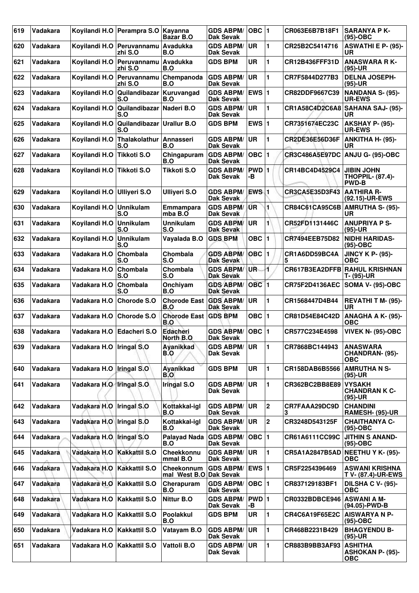| 619 | Vadakara        | Kovilandi H.O              | Perampra S.O                         | Kayanna<br>Bazar B.O                 | <b>GDS ABPM/</b><br>Dak Sevak        | $OBC$  1         |                | CR063E6B7B18F1        | <b>SARANYA P K-</b><br>(95)-OBC                              |
|-----|-----------------|----------------------------|--------------------------------------|--------------------------------------|--------------------------------------|------------------|----------------|-----------------------|--------------------------------------------------------------|
| 620 | Vadakara        |                            | Koyilandi H.O Peruvannamu<br>zhi S.O | Avadukka<br>B.O                      | <b>GDS ABPM/</b><br><b>Dak Sevak</b> | <b>UR</b>        | 1              | CR25B2C5414716        | <b>ASWATHI E P- (95)-</b><br>UR                              |
| 621 | <b>Vadakara</b> | Koyilandi H.O              | Peruvannamu<br>zhi S.O               | <b>Avadukka</b><br>B.O               | <b>GDS BPM</b>                       | <b>UR</b>        | 1              | CR12B436FFF31D        | <b>ANASWARA RK-</b><br>(95)-UR                               |
| 622 | <b>Vadakara</b> | Kovilandi H.O              | Peruvannamu<br>zhi S.O               | Chempanoda<br>B.O                    | <b>GDS ABPM/</b><br><b>Dak Sevak</b> | UR.              | 1              | CR7F5844D277B3        | <b>DELNA JOSEPH-</b><br>(95)-UR                              |
| 623 | Vadakara        | Koyilandi H.O              | Quilandibazar<br>S.O                 | Kuruvangad<br>B.O                    | <b>GDS ABPM/</b><br><b>Dak Sevak</b> | <b>EWS 1</b>     |                | CR82DDF9667C39        | <b>NANDANA S- (95)-</b><br><b>UR-EWS</b>                     |
| 624 | Vadakara        | Koyilandi H.O              | Quilandibazar<br>S.O                 | Naderi B.O                           | <b>GDS ABPM/</b><br><b>Dak Sevak</b> | <b>UR</b>        | 1              | CR1A58C4D2C6A8        | <b>SAHANA SAJ- (95)-</b><br>UR                               |
| 625 | Vadakara        | Kovilandi H.O              | Quilandibazar<br>S.O                 | <b>Urallur B.O</b>                   | <b>GDS BPM</b>                       | EWS $ 1$         |                | CR7351674EC23C        | AKSHAY P- (95)-<br><b>UR-EWS</b>                             |
| 626 | Vadakara        | Koyilandi H.O              | Thalakolathur<br>S.O                 | Annasseri<br>B.O                     | <b>GDS ABPM/</b><br><b>Dak Sevak</b> | <b>UR</b>        | 1              | CR2DE36E56D36F        | <b>ANKITHA H- (95)-</b><br><b>UR</b>                         |
| 627 | Vadakara        | Koyilandi H.O              | <b>Tikkoti S.O</b>                   | Chingapuram<br>B.O                   | <b>GDS ABPM/</b><br><b>Dak Sevak</b> | $OBC$  1         |                | <b>CR3C486A5E97DC</b> | ANJU G- (95)-OBC                                             |
| 628 | Vadakara        | Koyilandi H.O              | <b>Tikkoti S.O</b>                   | <b>Tikkoti S.O</b>                   | <b>GDS ABPM/</b><br>Dak Sevak        | PWD 1<br>-В      |                | CR14BC4D4529C4        | <b>JIBIN JOHN</b><br><b>THOPPIL- (87.4)-</b><br><b>PWD-B</b> |
| 629 | Vadakara        | Kovilandi H.O              | <b>Ulliveri S.O</b>                  | <b>Ulliyeri S.O</b>                  | <b>GDS ABPM/</b><br><b>Dak Sevak</b> | EWS <sub>1</sub> |                | CR3CA5E35D3F43        | <b>AATHIRA R-</b><br>(92.15)-UR-EWS                          |
| 630 | Vadakara        | Koyilandi H.O              | Unnikulam<br>S.O                     | Emmampara<br>mba B.O                 | <b>GDS ABPM/</b><br><b>Dak Sevak</b> | <b>UR</b>        | 1              |                       | CR84C61CA95C6B AMRUTHA S- (95)-<br><b>UR</b>                 |
| 631 | <b>Vadakara</b> | Koyilandi H.O              | Unnikulam<br>S.O                     | <b>Unnikulam</b><br>S.O              | <b>GDS ABPM/</b><br>Dak Sevak        | UR               | 1              | CR52FD1131446C        | <b>ANUPRIYA P S-</b><br>$(95)-UR$                            |
| 632 | Vadakara        | Koyilandi H.O              | <b>Unnikulam</b><br>S.O              | Vayalada B.O                         | <b>GDS BPM</b>                       | <b>OBC</b>       | 1              | CR7494EEB75D82        | <b>NIDHI HARIDAS-</b><br>(95)-OBC                            |
| 633 | <b>Vadakara</b> | Vadakara H.O               | Chombala<br>S.O                      | Chombala<br>S.O                      | <b>GDS ABPM/</b><br>Dak Sevak        | $OBC$ 1          |                | CR1A6DD59BC4A<br>5    | <b>JINCY K P- (95)-</b><br>ОВС                               |
| 634 | <b>Vadakara</b> | Vadakara H.O               | Chombala<br>S.O                      | Chombala<br>S.O                      | <b>GDS ABPM/</b><br><b>Dak Sevak</b> | UR-              | 4              |                       | <b>CR617B3EA2DFFB RAHUL KRISHNAN</b><br>T- (95)-UR           |
| 635 | Vadakara        | Vadakara H.O               | Chombala<br>S.O                      | Onchiyam<br>B.O                      | <b>GDS ABPM/</b><br><b>Dak Sevak</b> | <b>OBC</b> 1     |                | <b>CR75F2D4136AEC</b> | <b>SOMA V- (95)-OBC</b>                                      |
| 636 | Vadakara        | Vadakara H.O               | <b>Chorode S.O</b>                   | <b>Chorode East</b><br>B.O           | <b>GDS ABPM/</b><br><b>Dak Sevak</b> | UR               | 1              | CR1568447D4B44        | REVATHI T M- (95)-<br><b>UR</b>                              |
| 637 | <b>Vadakara</b> | Vadakara H.O               | Chorode S.O                          | <b>Chorode East</b><br>B.O           | <b>GDS BPM</b>                       | OBC $ 1$         |                | CR81D54E84C42D        | ANAGHA A K- (95)-<br><b>OBC</b>                              |
| 638 | Vadakara        | Vadakara H.O               | <b>Edacheri S.O</b>                  | <b>Edacheri</b><br>North B.O         | <b>GDS ABPM/</b><br><b>Dak Sevak</b> | $OBC$  1         |                | CR577C234E4598        | <b>VIVEK N- (95)-OBC</b>                                     |
| 639 | Vadakara        | Vadakara H.O   Iringal S.O |                                      | Ayanikkad<br>B.O                     | <b>GDS ABPM/</b><br>Dak Sevak        | ∣UR              | $\blacksquare$ | CR7868BC144943        | <b>ANASWARA</b><br><b>CHANDRAN- (95)-</b><br><b>OBC</b>      |
| 640 | Vadakara        | Vadakara H.O               | Iringal S.O                          | Ayanikkad<br>B.O                     | <b>GDS BPM</b>                       | <b>UR</b>        | 1              | CR158DAB6B5566        | <b>AMRUTHA N S-</b><br>(95)-UR                               |
| 641 | Vadakara        | Vadakara H.O Tringal S.O   |                                      | Iringal S.O                          | <b>GDS ABPM/</b><br>Dak Sevak        | <b>UR</b>        | 1              | CR362BC2BB8E89        | <b>VYSAKH</b><br><b>CHANDRAN K C-</b><br>(95)-UR             |
| 642 | Vadakara        | Vadakara H.O               | Iringal S.O                          | Kottakkal-igl<br>B.O                 | <b>GDS ABPM/</b><br>Dak Sevak        | <b>UR</b>        | $\mathbf 2$    | CR7FAAA29DC9D<br>3    | <b>CHANDINI</b><br>RAMESH- (95)-UR                           |
| 643 | Vadakara        | Vadakara H.O Iringal S.O   |                                      | Kottakkal-igl<br>B.O                 | <b>GDS ABPM/</b><br>Dak Sevak        | <b>UR</b>        | $\overline{2}$ | CR3248D543125F        | <b>CHAITHANYA C-</b><br>$(95)-OBC$                           |
| 644 | Vadakara        | Vadakara H.O               | Iringal S.O                          | <b>Palayad Nada</b><br>B.O           | <b>GDS ABPM/</b><br>Dak Sevak        | $OBC$  1         |                | CR61A6111CC99C        | <b>JITHIN S ANAND-</b><br>(95)-OBC                           |
| 645 | Vadakara        | Vadakara H.O               | <b>Kakkattil S.O</b>                 | Cheekkonnu<br>mmal B.O               | <b>GDS ABPM/</b><br>Dak Sevak        | UR               | 1              | CR5A1A2847B5AD        | <b>NEETHU Y K- (95)-</b><br><b>OBC</b>                       |
| 646 | Vadakara        | Vadakara H.O               | <b>Kakkattil S.O</b>                 | Cheekonnum<br>mal West B.O Dak Sevak | GDS ABPM/ EWS 1                      |                  |                | CR5F2254396469        | <b>ASWANI KRISHNA</b><br><b>T V- (87.4)-UR-EWS</b>           |
| 647 | Vadakara        | Vadakara H.O               | <b>Kakkattil S.O</b>                 | Cherapuram<br>B.O                    | <b>GDS ABPM/</b><br><b>Dak Sevak</b> | OBC  1           |                | CR837129183BF1        | <b>DILSHA C V- (95)-</b><br><b>OBC</b>                       |
| 648 | Vadakara        | Vadakara H.O               | Kakkattil S.O                        | <b>Nittur B.O</b>                    | <b>GDS ABPM/</b><br>Dak Sevak        | PWD 1<br>-в      |                | CR0332BDBCE946        | <b>ASWANI A M-</b><br>(94.05)-PWD-B                          |
| 649 | Vadakara        | Vadakara H.O               | Kakkattil S.O                        | Poolakkul<br>B.O                     | <b>GDS BPM</b>                       | UR               | 1              | CR4C6A19F65E2C        | <b>AISWARYA N P-</b><br>(95)-OBC                             |
| 650 | Vadakara        | Vadakara H.O               | Kakkattil S.O                        | Vatayam B.O                          | <b>GDS ABPM/</b><br>Dak Sevak        | UR               | 1              | CR468B2231B429        | <b>BHAGYENDU B-</b><br>(95)-UR                               |
| 651 | Vadakara        | Vadakara H.O               | <b>Kakkattil S.O</b>                 | Vattoli B.O                          | <b>GDS ABPM/</b><br>Dak Sevak        | <b>UR</b>        | 1              | CR883B9BB3AF93        | <b>ASHITHA</b><br><b>ASHOKAN P- (95)-</b><br>OBC             |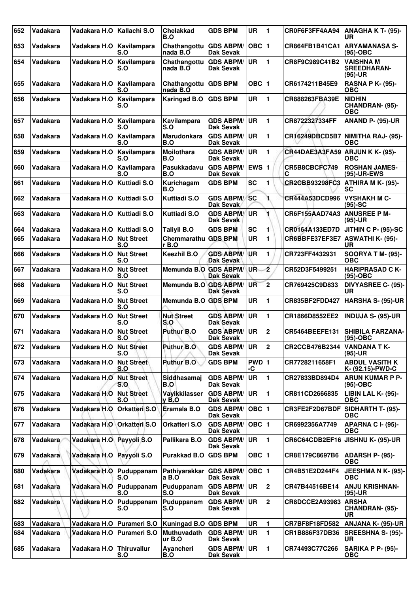| 652 | Vadakara        | Vadakara H.O             | <b>Kallachi S.O</b>       | <b>Chelakkad</b><br>B.O            | <b>GDS BPM</b>                       | <b>UR</b>   | 1                       | CR0F6F3FF4AA94                  | ANAGHA K T- (95)-<br>UR                           |
|-----|-----------------|--------------------------|---------------------------|------------------------------------|--------------------------------------|-------------|-------------------------|---------------------------------|---------------------------------------------------|
| 653 | Vadakara        | Vadakara H.O             | Kavilampara<br>S.O        | Chathangottu GDS ABPM/<br>nada B.O | <b>Dak Sevak</b>                     | OBC $ 1$    |                         | CR864FB1B41CA1                  | ARYAMANASA S-<br>$(95)-OBC$                       |
| 654 | <b>Vadakara</b> | Vadakara H.O             | Kavilampara<br>S.O        | Chathangottu<br>nada B.O           | <b>GDS ABPM/</b><br>Dak Sevak        | <b>UR</b>   | 1                       | CR8F9C989C41B2                  | <b>VAISHNA M</b><br><b>SREEDHARAN-</b><br>(95)-UR |
| 655 | <b>Vadakara</b> | Vadakara H.O             | Kavilampara<br>S.O        | Chathangottu<br>nada B.O           | <b>GDS BPM</b>                       | $OBC$   1   |                         | CR6174211B45E9                  | <b>RASNA P K- (95)-</b><br>ОВС                    |
| 656 | Vadakara        | Vadakara H.O             | Kavilampara<br>S.O        | <b>Karingad B.O</b>                | <b>GDS BPM</b>                       | <b>UR</b>   | 1                       | <b>CR888263FBA39E</b>           | <b>NIDHIN</b><br>CHANDRAN- (95)-<br><b>OBC</b>    |
| 657 | Vadakara        | Vadakara H.O             | Kavilampara<br>S.O        | Kavilampara<br>S.O                 | <b>GDS ABPM/</b><br>Dak Sevak        | <b>UR</b>   | 1                       | CR8722327334FF                  | <b>ANAND P- (95)-UR</b>                           |
| 658 | <b>Vadakara</b> | Vadakara H.O             | Kavilampara<br>S.O        | Marudonkara<br>B.O                 | <b>GDS ABPM/</b><br>Dak Sevak        | UR          | 1                       | CR16249DBCD5B7                  | NIMITHA RAJ- (95)-<br>ОВС                         |
| 659 | Vadakara        | Vadakara H.O             | Kavilampara<br>S.O        | Moilothara<br><b>B.O</b>           | <b>GDS ABPM/</b><br><b>Dak Sevak</b> | UR.         | 1                       | CR44DAE3A3FA59 ARJUN K K- (95)- | ОВС                                               |
| 660 | <b>Vadakara</b> | Vadakara H.O             | Kavilampara<br>S.O        | Pasukkadavu<br>B.O                 | <b>GDS ABPM/</b><br>Dak Sevak        | <b>EWS1</b> |                         | CR5B8CBCFC749<br>C              | <b>ROSHAN JAMES-</b><br>(95)-UR-EWS               |
| 661 | Vadakara        | Vadakara H.O             | Kuttiadi S.O              | Kurichagam<br>B.O                  | <b>GDS BPM</b>                       | <b>SC</b>   | 1                       | CR2CBB93298FC3                  | ATHIRA M K- (95)-<br>SC                           |
| 662 | Vadakara        | Vadakara H.O             | Kuttiadi S.O              | <b>Kuttiadi S.O</b>                | <b>GDS ABPM/</b><br>Dak Sevak        | <b>SC</b>   | 1.                      | CR444A53DCD996                  | <b>VYSHAKH M C-</b><br>$(95)-SC$                  |
| 663 | <b>Vadakara</b> | Vadakara H.O             | Kuttiadi S.O              | <b>Kuttiadi S.O</b>                | <b>GDS ABPM/</b><br>Dak Sevak        | UR          |                         | CR6F155AAD74A3                  | <b>ANUSREE P M-</b><br>$(95)-UR$                  |
| 664 | Vadakara        | Vadakara H.O             | Kuttiadi S.O              | <b>Talivil B.O</b>                 | <b>GDS BPM</b>                       | <b>SC</b>   | 1                       | CR0164A133ED7D                  | <b>JITHIN C P- (95)-SC</b>                        |
| 665 | Vadakara        | Vadakara H.O             | <b>Nut Street</b><br>S.O  | Chemmarathu<br>r B.O               | <b>GDS BPM</b>                       | <b>UR</b>   | 1                       | CR6BBFE37EF3E7                  | <b>ASWATHI K- (95)-</b><br><b>UR</b>              |
| 666 | <b>Vadakara</b> | Vadakara H.O             | <b>Nut Street</b><br>S.O  | Keezhil B.O                        | <b>GDS ABPM/</b><br>Dak Sevak        | UR          | 1                       | CR723FF4432931                  | <b>SOORYA T M- (95)-</b><br><b>OBC</b>            |
| 667 | <b>Vadakara</b> | Vadakara H.O             | <b>Nut Street</b><br>S.O  | Memunda B.O GDS ABPM/              | <b>Dak Sevak</b>                     | <b>UR</b>   | 2                       | CR52D3F5499251                  | <b>HARIPRASAD C K-</b><br>(95)-OBC                |
| 668 | Vadakara        | Vadakara H.O             | <b>Nut Street</b><br>S.O  | Memunda B.O GDS ABPM/              | <b>Dak Sevak</b>                     | UR          | $\overline{\mathbf{2}}$ | CR769425C9D833                  | <b>DIVYASREE C- (95)-</b><br><b>UR</b>            |
| 669 | Vadakara        | Vadakara H.O             | <b>Nut Street</b><br>S.O  | Memunda B.O GDS BPM                |                                      | <b>UR</b>   | 1                       | CR835BF2FDD427                  | <b>HARSHA S- (95)-UR</b>                          |
| 670 | Vadakara        | Vadakara H.O             | <b>Nut Street</b><br>S.O  | <b>Nut Street</b><br>S.O           | <b>GDS ABPM/</b><br><b>Dak Sevak</b> | UR          | 1                       | CR1866D8552EE2                  | <b>INDUJA S- (95)-UR</b>                          |
| 671 | Vadakara        | Vadakara H.O             | <b>Nut Street</b><br>IS.O | Puthur B.O                         | <b>GDS ABPM/</b><br>Dak Sevak        | <b>UR</b>   | $\mathbf 2$             | CR5464BEEFE131                  | <b>SHIBILA FARZANA-</b><br>$(95)-OBC$             |
| 672 | Vadakara        | Vadakara H.O Nut Street  | S.O                       | Puthur B.O                         | <b>GDS ABPM/</b><br>Dak Sevak        | UR          | 2                       | CR2CCB476B2344                  | VANDANA T K-<br>$(95)-UR$                         |
| 673 | Vadakara        | Vadakara H.O             | <b>Nut Street</b><br>S.O  | Puthur B.O                         | <b>GDS BPM</b>                       | PWD 1<br>-C |                         | CR7728211658F1                  | <b>ABDUL VASITH K</b><br>K- (92.15)-PWD-C         |
| 674 | Vadakara        | Vadakara H.O             | <b>Nut Street</b><br> S.O | Siddhasamaj<br>B.O                 | <b>GDS ABPM/</b><br>Dak Sevak        | <b>UR</b>   | 1                       | CR27833BD894D4                  | <b>ARUN KUMAR P P-</b><br>(95)-OBC                |
| 675 | Vadakara        | Vadakara H.O             | <b>Nut Street</b><br>S.O  | Vayikkilasser<br>$y$ B.O           | <b>GDS ABPM/</b><br>Dak Sevak        | <b>UR</b>   | 1                       | CR811CD2666835                  | LIBIN LAL K- (95)-<br><b>OBC</b>                  |
| 676 | Vadakara        | Vadakara H.O             | Orkatteri S.O             | Eramala B.O                        | <b>GDS ABPM/</b><br><b>Dak Sevak</b> | OBC $ 1$    |                         | CR3FE2F2D67BDF                  | <b>SIDHARTH T- (95)-</b><br>ОВС                   |
| 677 | Vadakara        | Vadakara H.O             | <b>Orkatteri S.O</b>      | Orkatteri S.O                      | <b>GDS ABPM/</b><br>Dak Sevak        | $OBC$  1    |                         | CR6992356A7749                  | <b>APARNA C I- (95)-</b><br><b>OBC</b>            |
| 678 | Vadakara        | Vadakara H.O Payyoli S.O |                           | Pallikara B.O                      | <b>GDS ABPM/</b><br><b>Dak Sevak</b> | <b>UR</b>   | 1                       |                                 | CR6C64CDB2EF16 JISHNU K- (95)-UR                  |
| 679 | Vadakara        | Vadakara H.O             | Payyoli S.O               | Purakkad B.O                       | <b>GDS BPM</b>                       | OBC $ 1$    |                         | CR8E179C8697B6                  | ADARSH P- (95)-<br><b>OBC</b>                     |
| 680 | Vadakara        | Vadakara H.O             | Puduppanam<br>S.O         | Pathiyarakkar<br>a B.O             | <b>GDS ABPM/</b><br>Dak Sevak        | OBC $ 1$    |                         | CR4B51E2D244F4                  | JEESHMA N K- (95)-<br><b>OBC</b>                  |
| 681 | Vadakara        | Vadakara H.O             | Puduppanam<br>S.O         | Puduppanam<br>S.O                  | <b>GDS ABPM/</b><br>Dak Sevak        | <b>UR</b>   | 2                       | CR47B44516BE14                  | <b>ANJU KRISHNAN-</b><br>(95)-UR                  |
| 682 | Vadakara        | Vadakara H.O             | Puduppanam<br>S.O         | Puduppanam<br>S.O                  | <b>GDS ABPM/</b><br>Dak Sevak        | UR.         | 2                       | CR8DCCE2A93983                  | <b>ARSHA</b><br>CHANDRAN- (95)-<br>UR.            |
| 683 | Vadakara        | Vadakara H.O             | <b>Purameri S.O</b>       | Kuningad B.O GDS BPM               |                                      | UR          | 1                       | CR7BF8F18FD582                  | <b>ANJANA K- (95)-UR</b>                          |
| 684 | Vadakara        | Vadakara H.O             | Purameri S.O              | Muthuvadath<br>ur B.O              | <b>GDS ABPM/</b><br>Dak Sevak        | <b>UR</b>   | 1                       | CR1B886F37DB36                  | <b>SREESHNA S- (95)-</b><br><b>UR</b>             |
| 685 | Vadakara        | Vadakara H.O             | Thiruvallur<br>S.O        | Ayancheri<br>B.O                   | <b>GDS ABPM/</b><br>Dak Sevak        | UR.         | $\mathbf{1}$            | CR74493C77C266                  | SARIKA P P- (95)-<br><b>OBC</b>                   |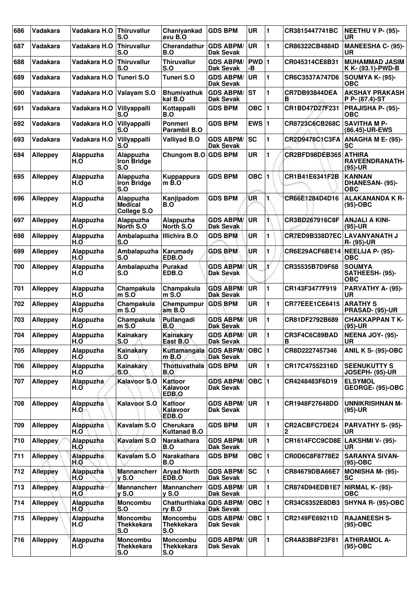| 686 | Vadakara        | Vadakara H.O     | <b>Thiruvallur</b><br>S.O                   | Chaniyankad<br>avu B.O                      | <b>GDS BPM</b>                       | <b>UR</b>   | 1            | CR3815447741BC                  | NEETHU V P- (95)-<br><b>UR</b>                      |
|-----|-----------------|------------------|---------------------------------------------|---------------------------------------------|--------------------------------------|-------------|--------------|---------------------------------|-----------------------------------------------------|
| 687 | Vadakara        | Vadakara H.O     | Thiruvallur<br>S.O                          | Cherandathur<br>B.O                         | <b>GDS ABPM/</b><br>Dak Sevak        | <b>UR</b>   | 1            | CR86322CB4884D                  | <b>MANEESHA C- (95)-</b><br><b>UR</b>               |
| 688 | Vadakara        | Vadakara H.O     | <b>Thiruvallur</b><br>S.O                   | <b>Thiruvallur</b><br>S.O                   | <b>GDS ABPM/</b><br><b>Dak Sevak</b> | PWD 1<br>-В |              | CR045314CE8B31                  | <b>MUHAMMAD JASIM</b><br>K K- (93.1)-PWD-B          |
| 689 | Vadakara        | Vadakara H.O     | Tuneri S.O                                  | Tuneri S.O                                  | <b>GDS ABPM/</b><br><b>Dak Sevak</b> | <b>UR</b>   | 1            | CR6C3537A747D6                  | SOUMYA K- (95)-<br><b>OBC</b>                       |
| 690 | Vadakara        | Vadakara H.O     | Valayam S.O                                 | <b>Bhumivathuk</b><br>kal B.O               | <b>GDS ABPM/</b><br><b>Dak Sevak</b> | <b>ST</b>   | 1            | CR7DB93844DEA<br>в              | <b>AKSHAY PRAKASH</b><br> P P- (87.4)-ST            |
| 691 | Vadakara        | Vadakara H.O     | Villyappalli<br>S.O                         | Kottappalli<br>B.O                          | <b>GDS BPM</b>                       | OBC $ 1$    |              | CR1BD47D27F231                  | <b>PRAJISHA P- (95)-</b><br>OBC                     |
| 692 | Vadakara        | Vadakara H.O     | Villyappalli<br>S.O                         | Ponmeri<br>Parambil B.O                     | <b>GDS BPM</b>                       | EWS $ 1$    |              | CR8723C6CB268C                  | <b>SAVITHA M P-</b><br>(86.45)-UR-EWS               |
| 693 | Vadakara        | Vadakara H.O     | Villyappalli<br>S.O                         | <b>Valliyad B.O</b>                         | <b>GDS ABPM/</b><br><b>Dak Sevak</b> | <b>SC</b>   | 1            | CR2D9478C1C3FA                  | ANAGHA M E- (95)-<br>SC                             |
| 694 | <b>Alleppey</b> | Alappuzha<br>H.O | Alappuzha<br>Iron Bridge<br>S.O             | Chungom B.O                                 | <b>GDS BPM</b>                       | <b>UR</b>   | 1            | CR2BFD98DEB365                  | <b>ATHIRA</b><br><b>RAVEENDRANATH-</b><br>$(95)-UR$ |
| 695 | <b>Alleppey</b> | Alappuzha<br>H.O | Alappuzha<br><b>Iron Bridge</b><br>S.O      | Kuppappura<br>$m$ B.O                       | <b>GDS BPM</b>                       | OBC         | 11           | CR1B41E6341F2B                  | <b>KANNAN</b><br>DHANESAN- (95)-<br><b>OBC</b>      |
| 696 | <b>Alleppey</b> | Alappuzha<br>H.O | Alappuzha<br><b>Medical</b><br>College S.O  | Kanjipadom<br>B.O                           | <b>GDS BPM</b>                       | UR          | 1.           | CR66E1284D4D16                  | <b>ALAKANANDA K R-</b><br>$(95)-OBC$                |
| 697 | <b>Alleppey</b> | Alappuzha<br>H.O | Alappuzha<br>North S.O                      | Alappuzha<br>North S.O                      | <b>GDS ABPM/</b><br><b>Dak Sevak</b> | <b>UR</b>   | 1            | CR3BD267916C8F                  | ANJALI A KINI-<br>$(95)-UR$                         |
| 698 | <b>Alleppey</b> | Alappuzha<br>H.O | Ambalapuzha<br>S.O                          | <b>Illichira B.O</b>                        | <b>GDS BPM</b>                       | <b>UR</b>   | 1            | CR7ED9B338D7EC                  | <b>LAVANYANATH J</b><br>R- (95)-UR                  |
| 699 | <b>Alleppey</b> | Alappuzha<br>H.O | Ambalapuzha<br>S.O                          | Karumady<br>EDB.O                           | <b>GDS BPM</b>                       | UR          | 1            | CR6E29ACF6BE14 NEELIJA P- (95)- | OBC                                                 |
| 700 | <b>Alleppey</b> | Alappuzha<br>H.O | Ambalapuzha<br>S.O                          | <b>Purakad</b><br>EDB.O                     | <b>GDS ABPM/</b><br><b>Dak Sevak</b> | UR.         | Ľ            | CR35535B7D9F68                  | <b>SOUMYA</b><br>SATHEESH- (95)-<br><b>OBC</b>      |
| 701 | <b>Alleppey</b> | Alappuzha<br>H.O | Champakula<br>$m$ S.O                       | Champakula<br>$m$ S.O                       | <b>GDS ABPM/</b><br><b>Dak Sevak</b> | <b>UR</b>   | 1            | CR143F3477F919                  | PARVATHY A- (95)-<br><b>UR</b>                      |
| 702 | <b>Alleppey</b> | Alappuzha<br>H.O | Champakula<br>$m S.$ O                      | Chempumpur<br>am B.O                        | <b>GDS BPM</b>                       | <b>UR</b>   | 1            | CR77EEE1CE6415                  | <b>ARATHY S</b><br><b>PRASAD- (95)-UR</b>           |
| 703 | <b>Alleppey</b> | Alappuzha<br>H.O | Champakula<br>$m$ S.O                       | Pullangadi<br>B.O                           | <b>GDS ABPM/</b><br><b>Dak Sevak</b> | <b>UR</b>   | 1            | CR81DF2792B689                  | <b>CHAKKAPPAN T K-</b><br>$(95)-UR$                 |
| 704 | <b>Alleppey</b> | Alappuzha<br>H.O | Kainakary<br>$S.O \wedge$                   | Kainakary<br>East B.O                       | <b>GDS ABPM/</b><br><b>Dak Sevak</b> | ∣UR         | 1            | CR3F4C6C89BAD<br>B              | <b>NEENA JOY- (95)-</b><br>UR                       |
| 705 | <b>Alleppey</b> | Alappuzha<br>H.O | Kainakary<br>S.O                            | Kuttamangala GDS ABPM/<br>$m$ B.O           | <b>Dak Sevak</b>                     | OBC  1      |              | CR8D2227457346                  | ANIL K S- (95)-OBC                                  |
| 706 | <b>Alleppey</b> | Alappuzha<br>H.O | Kainakary<br>S.O                            | Thottuvathala<br>B.O                        | <b>GDS BPM</b>                       | UR          | 1            | CR17C47552316D                  | <b>SEENUKUTTY S</b><br>JOSEPH- (95)-UR              |
| 707 | <b>Alleppey</b> | Alappuzha<br>H.O | <b>Kalavoor S.O</b>                         | Kattoor<br>Kalavoor<br>EDB.O                | <b>GDS ABPM/</b><br><b>Dak Sevak</b> | $OBC$  1    |              | CR4248483F6D19                  | <b>ELSYMOL</b><br>GEORGE- (95)-OBC                  |
| 708 | <b>Alleppey</b> | Alappuzha<br>H.O | <b>Kalavoor S.O.</b>                        | Kattoor<br>Kalavoor<br>EDB.O                | <b>GDS ABPM/</b><br>Dak Sevak        | <b>UR</b>   | 1            | CR1948F27648DD                  | <b>UNNIKRISHNAN M-</b><br>$(95)-UR$                 |
| 709 | <b>Alleppey</b> | Alappuzha<br>H.O | Kavalam S.O                                 | <b>Cherukara</b><br><b>Kuttanad B.O</b>     | <b>GDS BPM</b>                       | UR          | 1            | CR2ACBFC7DE24<br>2              | PARVATHY S- (95)-<br>UR                             |
| 710 | <b>Alleppey</b> | Alappuzha<br>H.O | Kavalam S.O                                 | Narakathara<br>B.O                          | <b>GDS ABPM/</b><br><b>Dak Sevak</b> | UR          | 1            | CR1614FCC9CD8E LAKSHMI V- (95)- | <b>UR</b>                                           |
| 711 | <b>Alleppey</b> | Alappuzha<br>H.O | Kavalam S.O                                 | Narakathara<br>B.O                          | <b>GDS BPM</b>                       | OBC $ 1$    |              | CR0D6C8F8778E2                  | <b>SARANYA SIVAN-</b><br>$(95)-OBC$                 |
| 712 | <b>Alleppey</b> | Alappuzha<br>H.O | <b>Mannancherr</b><br>y S.O                 | <b>Aryad North</b><br>EDB.O                 | <b>GDS ABPM/</b><br><b>Dak Sevak</b> | lsc         | 1            | CR84679DBA66E7                  | <b>MONISHA M- (95)-</b><br><b>SC</b>                |
| 713 | <b>Alleppey</b> | Alappuzha<br>H.O | <b>Mannancherr</b><br><b>y S.O</b>          | <b>Mannancherr</b><br>y S.O                 | <b>GDS ABPM/</b><br><b>Dak Sevak</b> | <b>UR</b>   | 1            | CR874D94EDB1E7                  | NIRMAL K- (95)-<br><b>OBC</b>                       |
| 714 | <b>Alleppey</b> | Alappuzha<br>H.O | <b>Moncombu</b><br>S.O                      | Chathurthiaka GDS ABPM/<br>ry B.O           | <b>Dak Sevak</b>                     | OBC  1      |              | CR34C6352E8DB3                  | <b>SHYNA R- (95)-OBC</b>                            |
| 715 | <b>Alleppey</b> | Alappuzha<br>H.O | <b>Moncombu</b><br><b>Thekkekara</b><br>S.O | <b>Moncombu</b><br><b>Thekkekara</b><br>S.O | <b>GDS ABPM/</b><br><b>Dak Sevak</b> | OBC  1      |              | CR2149FE69211D                  | <b>RAJANEESH S-</b><br>$(95)-OBC$                   |
| 716 | Alleppey        | Alappuzha<br>H.O | Moncombu<br><b>Thekkekara</b><br>S.O        | Moncombu<br>Thekkekara<br>S.O               | <b>GDS ABPM/</b><br><b>Dak Sevak</b> | ∣UR         | $\mathbf{1}$ | CR4A83B8F23F81                  | <b>ATHIRAMOL A-</b><br>(95)-OBC                     |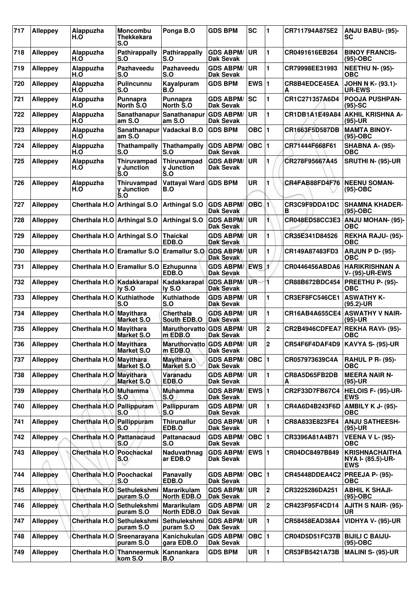| 717 | <b>Alleppey</b> | Alappuzha<br>H.O              | <b>Moncombu</b><br><b>Thekkekara</b><br>S.O                     | Ponga B.O                             | <b>GDS BPM</b>                       | <b>SC</b>        | 1           | CR711794A875E2        | <b>ANJU BABU- (95)-</b><br>SC                            |
|-----|-----------------|-------------------------------|-----------------------------------------------------------------|---------------------------------------|--------------------------------------|------------------|-------------|-----------------------|----------------------------------------------------------|
| 718 | <b>Alleppey</b> | Alappuzha<br>H.O              | Pathirappally<br>S.O                                            | Pathirappally<br>S.O                  | <b>GDS ABPM/</b><br><b>Dak Sevak</b> | <b>UR</b>        | 1           | CR0491616EB264        | <b>BINOY FRANCIS-</b><br>$(95)-OBC$                      |
| 719 | <b>Alleppey</b> | Alappuzha<br>H.O              | Pazhaveedu<br>S.O                                               | Pazhaveedu<br>S.O                     | <b>GDS ABPM/</b><br>Dak Sevak        | <b>UR</b>        | 1           | CR79998EE31993        | <b>NEETHU N- (95)-</b><br>ОВС                            |
| 720 | <b>Alleppey</b> | Alappuzha<br>H.O              | Pulincunnu<br>S.O                                               | Kayalpuram<br>B.O                     | <b>GDS BPM</b>                       | EWS $ 1$         |             | CR8B4EDCE45EA<br>A    | <b>JOHN N K- (93.1)-</b><br><b>UR-EWS</b>                |
| 721 | <b>Alleppey</b> | Alappuzha<br>H.O              | Punnapra<br>North S.O                                           | Punnapra<br>North S.O                 | <b>GDS ABPM/</b><br>Dak Sevak        | lsc              | 1           | CR1C271357A6D4        | <b>POOJA PUSHPAN-</b><br>$(95)-SC$                       |
| 722 | <b>Alleppey</b> | Alappuzha<br>H.O              | Sanathanapur<br>am S.O                                          | Sanathanapur<br>am S.O                | <b>GDS ABPM/</b><br>Dak Sevak        | <b>UR</b>        | 1           | CR1DB1A1E49A84        | AKHIL KRISHNA A-<br>$(95)-UR$                            |
| 723 | <b>Alleppey</b> | Alappuzha<br>$H.\overline{O}$ | Sanathanapur<br>am S.O                                          | Vadackal B.O                          | <b>GDS BPM</b>                       | OBC $ 1$         |             | CR1663F5D587DB        | <b>MAMTA BINOY-</b><br>$(95)-OBC$                        |
| 724 | Alleppey        | Alappuzha<br>H.O              | <b>Thathampally</b><br>S.O                                      | Thathampally<br>S.O                   | <b>GDS ABPM/</b><br><b>Dak Sevak</b> | OBC $ 1$         |             | CR71444F668F61        | <b>SHABNA A- (95)-</b><br><b>OBC</b>                     |
| 725 | <b>Alleppey</b> | Alappuzha<br>H.O              | Thiruvampad<br>y Junction<br>S.O                                | Thiruvampad<br>y Junction<br>S.O      | <b>GDS ABPM/</b><br><b>Dak Sevak</b> | <b>UR</b>        | 1           | CR278F95667A45        | SRUTHI N- (95)-UR                                        |
| 726 | <b>Alleppey</b> | Alappuzha<br>H.O              | Thiruvampad<br>y Junction<br>$\overline{\mathsf{S}}.\mathsf{O}$ | Vattayal Ward GDS BPM<br>B.O          |                                      | <b>UR</b>        | 1           | CR4FAB88FD4F76        | <b>NEENU SOMAN-</b><br>$(95)-OBC$                        |
| 727 | <b>Alleppey</b> | Cherthala H.O                 | Arthingal S.O                                                   | <b>Arthingal S.O</b>                  | <b>GDS ABPM/</b><br><b>Dak Sevak</b> | OBC <sub>1</sub> |             | CR3C9F9DDA1DC<br>в    | <b>SHAMNA KHADER-</b><br>$(95)-OBC$                      |
| 728 | <b>Alleppey</b> | Cherthala H.O   Arthingal S.O |                                                                 | <b>Arthingal S.O</b>                  | <b>GDS ABPM/</b><br>Dak Sevak        | UR               | 1           | CR048ED58CC3E3        | <b>ANJU MOHAN- (95)-</b><br>ОВС                          |
| 729 | <b>Alleppey</b> |                               | Cherthala H.O   Arthingal S.O                                   | <b>Thaickal</b><br>EDB.O              | <b>GDS ABPM/</b><br><b>Dak Sevak</b> | <b>UR</b>        | 1           | CR35E341D84526        | <b>REKHA RAJU- (95)-</b><br><b>OBC</b>                   |
| 730 | <b>Alleppey</b> |                               | Cherthala H.O Eramallur S.O                                     | Eramallur S.O.                        | <b>GDS ABPM/</b><br>Dak Sevak        | <b>UR</b>        | 1           | CR149A87483FD3        | <b>ARJUN P D- (95)-</b><br>OBC                           |
| 731 | <b>Alleppey</b> |                               | Cherthala H.O Eramallur S.O                                     | Ezhupunna<br>EDB.O                    | <b>GDS ABPM/</b><br>Dak Sevak        | $EWS$ 1          |             | CR0446456ABDA6        | HARIKRISHNAN A<br><b>V- (95)-UR-EWS</b>                  |
| 732 | <b>Alleppey</b> |                               | Cherthala H.O   Kadakkarapal<br>ly S.O                          | Kadakkarapal<br>ly S.O                | <b>GDS ABPM/</b><br><b>Dak Sevak</b> | UR-              | n           | CR88B672BDC454        | PREETHU P- (95)-<br><b>OBC</b>                           |
| 733 | Alleppey        | Cherthala H.O Kuthiathode     | S.O                                                             | Kuthiathode<br>S.O                    | <b>GDS ABPM/</b><br><b>Dak Sevak</b> | <b>UR</b>        | 1           | CR3EF8FC546CE1        | <b>ASWATHY K-</b><br>$(95.2)$ -UR                        |
| 734 | <b>Alleppey</b> | Cherthala H.O Mayithara       | <b>Market S.O</b>                                               | Cherthala<br>South EDB.O              | <b>GDS ABPM/</b><br><b>Dak Sevak</b> | <b>UR</b>        | 1           | CR16AB4A655CE4        | <b>ASWATHY V NAIR-</b><br>$(95)-UR$                      |
| 735 | <b>Alleppey</b> | Cherthala H.O Mayithara       | <b>Market S.O</b>                                               | <b>Maruthorvatto</b><br>m EDB.O       | <b>GDS ABPM/</b><br><b>Dak Sevak</b> | <b>UR</b>        | $\mathbf 2$ | CR2B4946CDFEA7        | <b>REKHA RAVI- (95)-</b><br><b>OBC</b>                   |
| 736 | <b>Alleppey</b> | Cherthala H.O Mayithara       | <b>Market S.O</b>                                               | Maruthorvatto GDS ABPM/<br>m EDB.O    | Dak Sevak                            | ∣UR.             | 2           | CR54F6F4DAF4D9        | <b>KAVYA S- (95)-UR</b>                                  |
| 737 | <b>Alleppey</b> | Cherthala H.O Mayithara       | <b>Market S.O.</b>                                              | <b>Mayithara</b><br><b>Market S.O</b> | <b>GDS ABPM/</b><br>Dak Sevak        | OBC $ 1$         |             | CR057973639C4A        | <b>RAHUL P R- (95)-</b><br><b>OBC</b>                    |
| 738 | <b>Alleppey</b> | Cherthala H.O Mayithara       | <b>Market S.O</b>                                               | Varanadu<br>EDB.O                     | <b>GDS ABPM/</b><br>Dak Sevak        | UR               | 1           | CR8A5D65FB2DB<br>А    | <b>MEERA NAIR N-</b><br>$(95)-UR$                        |
| 739 | <b>Alleppey</b> | Cherthala H.O Muhamma         | S.O                                                             | <b>Muhamma</b><br>S.O                 | <b>GDS ABPM/</b><br>Dak Sevak        | <b>EWS 1</b>     |             | CR2F33D7FB67C4        | <b>HELOIS F- (95)-UR-</b><br><b>EWS</b>                  |
| 740 | <b>Alleppey</b> | Cherthala H.O Pallippuram     | S.O                                                             | Pallippuram<br>S.O                    | <b>GDS ABPM/</b><br>Dak Sevak        | UR.              | 1           | CR4A6D4B243F6D        | <b>AMBILY K J- (95)-</b><br><b>OBC</b>                   |
| 741 | <b>Alleppey</b> | Cherthala H.O Pallippuram     | S.O                                                             | <b>Thirunallur</b><br>EDB.O           | <b>GDS ABPM/</b><br>Dak Sevak        | UR               | 1           | CR8A833E823FE4        | <b>ANJU SATHEESH-</b><br>(95)-UR                         |
| 742 | <b>Alleppey</b> | Cherthala H.O Pattanacaud     | S.O                                                             | Pattanacaud<br>S.O                    | <b>GDS ABPM/</b><br>Dak Sevak        | OBC $ 1$         |             | CR3396A81A4B71        | <b>VEENA V L- (95)-</b><br><b>OBC</b>                    |
| 743 | Alleppey        | Cherthala H.O Poochackal      | S.O                                                             | Naduvathnag<br>ar EDB.O               | <b>GDS ABPM/</b><br>Dak Sevak        | <b>EWS 1</b>     |             | CR04DC8497B849        | <b>KRISHNACHAITHA</b><br>NYA I- (85.5)-UR-<br><b>EWS</b> |
| 744 | <b>Alleppey</b> | Cherthala H.O Poochackal      | S.O                                                             | Panavally<br>EDB.O                    | <b>GDS ABPM/</b><br>Dak Sevak        | OBC  1           |             | <b>CR45448DDEA4C2</b> | <b>PREEJA P- (95)-</b><br>ОВС                            |
| 745 | <b>Alleppey</b> | Cherthala H.O                 | Sethulekshmi<br>puram S.O                                       | <b>Mararikulam</b><br>North EDB.O     | <b>GDS ABPM/</b><br>Dak Sevak        | <b>UR</b>        | 2           | CR3225286DA251        | <b>ABHIL K SHAJI-</b><br>$(95)-OBC$                      |
| 746 | <b>Alleppey</b> |                               | Cherthala H.O Sethulekshmi<br>puram S.O                         | Mararikulam<br><b>North EDB.O</b>     | <b>GDS ABPM/</b><br>Dak Sevak        | UR               | 2           | CR423F95F4CD14        | <b>AJITH S NAIR- (95)-</b><br><b>UR</b>                  |
| 747 | Alleppey        |                               | Cherthala H.O Sethulekshmi<br>puram S.O                         | Sethulekshmi<br>puram S.O             | <b>GDS ABPM/</b><br>Dak Sevak        | <b>UR</b>        | 1           | CR58458EAD38A4        | <b>VIDHYA V- (95)-UR</b>                                 |
| 748 | <b>Alleppey</b> |                               | Cherthala H.O Sreenarayana<br>puram S.O                         | Kanichukulan<br>gara EDB.O            | <b>GDS ABPM/</b><br>Dak Sevak        | OBC $\vert$ 1    |             | <b>CR04D5D51FC37B</b> | <b>BIJILI C BAIJU-</b><br>$(95)-OBC$                     |
| 749 | <b>Alleppey</b> |                               | Cherthala H.O Thanneermuk<br>kom S.O                            | Kannankara<br>B.O                     | <b>GDS BPM</b>                       | UR               | 1           | CR53FB5421A73B        | <b>MALINI S- (95)-UR</b>                                 |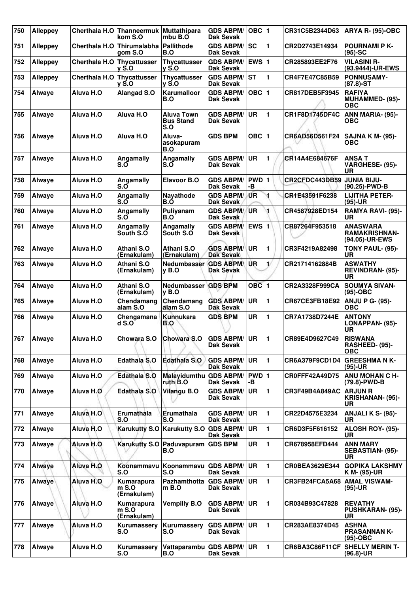| 750 | <b>Alleppey</b> | Cherthala H.O        | Thanneermuk<br>kom S.O                | <b>Muttathipara</b><br>mbu B.O        | <b>GDS ABPM/</b><br><b>Dak Sevak</b> | $OBC$  1    |                | CR31C5B2344D63              | <b>ARYA R- (95)-OBC</b>                                |
|-----|-----------------|----------------------|---------------------------------------|---------------------------------------|--------------------------------------|-------------|----------------|-----------------------------|--------------------------------------------------------|
| 751 | <b>Alleppey</b> | <b>Cherthala H.O</b> | <b>Thirumalabha</b><br>aom S.O        | Pallithode<br>B.O                     | <b>GDS ABPM/</b><br><b>Dak Sevak</b> | <b>SC</b>   | 1              | CR2D2743E14934              | <b>POURNAMI P K-</b><br>$(95)-SC$                      |
| 752 | <b>Alleppey</b> | <b>Cherthala H.O</b> | Thycattusser<br><b>v</b> S.O          | Thycattusser<br>v S.O                 | <b>GDS ABPM/</b><br><b>Dak Sevak</b> | EWS $ 1$    |                | CR285893EE2F76              | <b>VILASINI R-</b><br>(93.9444)-UR-EWS                 |
| 753 | <b>Alleppey</b> | <b>Cherthala H.O</b> | <b>Thycattusser</b><br>$v S.$ O       | <b>Thycattusser</b><br>v S.O          | <b>GDS ABPM/</b><br><b>Dak Sevak</b> | <b>ST</b>   | 1              | CR4F7E47C85B59              | <b>PONNUSAMY-</b><br>$(87.8)$ -ST                      |
| 754 | Alwaye          | Aluva H.O            | <b>Alangad S.O</b>                    | Karumalloor<br>B.O                    | <b>GDS ABPM/</b><br>Dak Sevak        | $OBC$  1    |                | CR817DEB5F3945              | <b>RAFIYA</b><br><b>MUHAMMED- (95)-</b><br><b>OBC</b>  |
| 755 | <b>Alwaye</b>   | Aluva H.O            | Aluva H.O                             | Aluva Town<br><b>Bus Stand</b><br>S.O | <b>GDS ABPM/</b><br><b>Dak Sevak</b> | <b>UR</b>   | 1              | CR1F8D1745DF4C              | ANN MARIA- (95)-<br><b>OBC</b>                         |
| 756 | <b>Alwaye</b>   | Aluva H.O            | Aluva H.O                             | Aluva-<br>asokapuram<br>B.O           | <b>GDS BPM</b>                       | OBC $ 1$    |                | CR6AD56D561F24              | <b>SAJNA K M- (95)-</b><br>ОВС                         |
| 757 | <b>Alwaye</b>   | Aluva H.O            | Angamally<br>S.O                      | Angamally<br>S.O                      | GDS ABPM/<br>Dak Sevak               | <b>UR</b>   | 1              | CR14A4E684676F              | <b>ANSAT</b><br>VARGHESE- (95)-<br><b>UR</b>           |
| 758 | Alwaye          | Aluva H.O            | Angamally<br>S.O                      | <b>Elavoor B.O</b>                    | <b>GDS ABPM/</b><br><b>Dak Sevak</b> | PWD 1<br>-В |                | CR2CFDC443DB59              | <b>JUNIA BIJU-</b><br>(90.25)-PWD-B                    |
| 759 | <b>Alwaye</b>   | Aluva H.O            | Angamally<br>S.O                      | <b>Navathode</b><br>B.Ó               | <b>GDS ABPM/</b><br><b>Dak Sevak</b> | <b>UR</b>   | 1              | CR1E43591F6238              | <b>LIJITHA PETER-</b><br>$(95)-UR$                     |
| 760 | Alwaye          | Aluva H.O            | Angamally<br>S.O                      | Puliyanam<br>B.O                      | <b>GDS ABPM/</b><br><b>Dak Sevak</b> | <b>UR</b>   | 1              | CR4587928ED154              | <b>RAMYA RAVI- (95)-</b><br>UR                         |
| 761 | <b>Alwaye</b>   | Aluva H.O            | Angamally<br>South S.O                | Angamally<br>South S.O                | <b>GDS ABPM/</b><br>Dak Sevak        | EWS 1       |                | CR87264F953518              | <b>ANASWARA</b><br>RAMAKRISHNAN-<br>(94.05)-UR-EWS     |
| 762 | <b>Alwaye</b>   | Aluva H.O            | Athani S.O<br>(Ernakulam)             | Athani S.O<br>(Ernakulam)             | <b>GDS ABPM/</b><br><b>Dak Sevak</b> | <b>UR</b>   | 1              | CR3F4219A82498              | TONY PAUL- (95)-<br><b>UR</b>                          |
| 763 | Alwaye          | Aluva H.O            | Athani S.O<br>(Ernakulam)             | Nedumbasser<br>$v$ B.O                | <b>GDS ABPM/</b><br>Dak Sevak        | <b>UR</b>   | 1/             | CR21714162884B              | <b>ASWATHY</b><br><b>REVINDRAN- (95)-</b><br>UR        |
| 764 | <b>Alwaye</b>   | Aluva H.O            | Athani S.O<br>(Ernakulam)             | <b>Nedumbasser</b><br>$v$ B.O         | <b>GDS BPM</b>                       | $OBC$ 1     |                | CR2A3328F999CA              | <b>SOUMYA SIVAN-</b><br>(95)-OBC                       |
| 765 | Alwaye          | Aluva H.O            | Chendamang<br>alam S.O                | Chendamang<br>alam S.O                | <b>GDS ABPM/</b><br>Dak Sevak        | <b>UR</b>   | 1              | CR67CE3FB18E92              | <b>ANJU P G- (95)-</b><br>ОВС                          |
| 766 | Alwaye          | Aluva H.O            | Chengamana<br>$d$ S.O                 | <b>Kunnukara</b><br>B.O               | <b>GDS BPM</b>                       | <b>UR</b>   | $\blacksquare$ | CR7A1738D7244E              | <b>ANTONY</b><br>LONAPPAN- (95)-<br><b>UR</b>          |
| 767 | <b>Alwaye</b>   | Aluva H.O            | Chowara S.O                           | Chowara S.O                           | <b>GDS ABPM/</b><br><b>Dak Sevak</b> | <b>UR</b>   | $\blacksquare$ | CR89E4D9627C49              | <b>RISWANA</b><br>RASHEED- (95)-<br>ОВС                |
| 768 | Alwaye          | Aluva H.O            | Edathala S.O                          | <b>Edathala S.O</b>                   | <b>GDS ABPM/</b><br>Dak Sevak        | <b>UR</b>   | 1              | CR6A379F9CD1D4              | <b>GREESHMA N K-</b><br>$(95)-UR$                      |
| 769 | Alwaye          | Aluva H.O            | <b>Edathala S.O</b>                   | Malayidumthu<br>ruth B.O              | <b>GDS ABPM/</b><br>Dak Sevak        | PWD 1<br>-В |                | CR0FFF42A49D75              | <b>ANU MOHAN C H-</b><br>(79.8)-PWD-B                  |
| 770 | Alwaye          | Aluva H.O            | Edathala S.O                          | Vilangu B.O                           | <b>GDS ABPM/</b><br>Dak Sevak        | <b>UR</b>   | 1              | CR3F49B4A849AC              | <b>ARJUN R</b><br><b>KRISHANAN- (95)-</b><br><b>UR</b> |
| 771 | Alwaye          | Aluva H.O            | Erumathala<br>S.O                     | Erumathala<br>S.O                     | <b>GDS ABPM/</b><br>Dak Sevak        | <b>UR</b>   | $\mathbf{1}$   | CR22D4575E3234              | ANJALI K S- (95)-<br>UR.                               |
| 772 | Alwaye          | Aluva H.O            | <b>Karukutty S.O</b>                  | <b>Karukutty S.O</b>                  | <b>GDS ABPM/</b><br>Dak Sevak        | <b>UR</b>   | 1              | CR6D3F5F616152              | ALOSH ROY- (95)-<br>UR.                                |
| 773 | Alwaye          | Aluva H.O            | <b>Karukutty S.O</b>                  | Paduvapuram<br>B.O                    | <b>GDS BPM</b>                       | <b>UR</b>   | 1              | CR678958EFD444              | <b>ANN MARY</b><br>SEBASTIAN- (95)-<br>UR              |
| 774 | Alwaye          | Aluva H.O            | Koonammavu<br>S.O                     | Koonammavu<br>S.O                     | <b>GDS ABPM/</b><br>Dak Sevak        | <b>UR</b>   | 1              | CR0BEA3629E344              | <b>GOPIKA LAKSHMY</b><br>K M- (95)-UR                  |
| 775 | Alwaye          | Aluva H.O            | Kumarapura<br>$m$ S.O<br>(Ernakulam)  | <b>Pazhamthotta</b><br>$m$ B.O        | <b>GDS ABPM/</b><br><b>Dak Sevak</b> | <b>UR</b>   | $\mathbf{1}$   | CR3FB24FCA5A68 AMAL VISWAM- | $(95)-UR$                                              |
| 776 | Alwaye          | Aluva H.O            | Kumarapura<br>$m S.$ O<br>(Ernakulam) | <b>Vempilly B.O</b>                   | <b>GDS ABPM/</b><br>Dak Sevak        | <b>UR</b>   | 1              | CR034B93C47828              | <b>REVATHY</b><br><b>PUSHKARAN- (95)-</b><br>UR        |
| 777 | Alwaye          | Aluva H.O            | Kurumassery<br>S.O                    | Kurumassery<br>S.O                    | <b>GDS ABPM/</b><br>Dak Sevak        | <b>UR</b>   | 1              | <b>CR283AE8374D45</b>       | <b>ASHNA</b><br><b>PRASANNAN K-</b><br>$(95)-OBC$      |
| 778 | Alwaye          | Aluva H.O            | Kurumassery<br>S.O                    | Vattaparambu<br>B.O                   | <b>GDS ABPM/</b><br>Dak Sevak        | <b>UR</b>   | 1              | CR6BA3C86F11CF              | <b>SHELLY MERIN T-</b><br>$(96.8)$ -UR                 |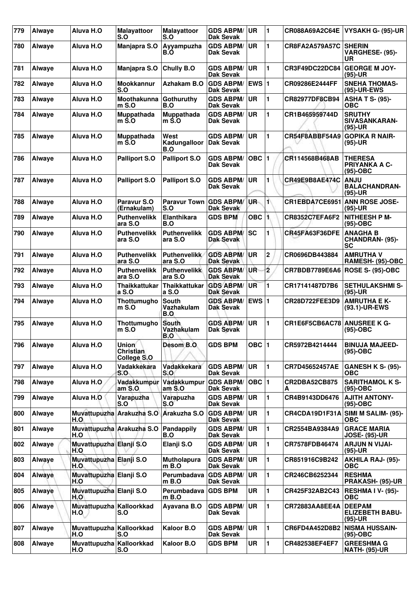| 779 | Alwaye        | Aluva H.O                        | <b>Malayattoor</b><br>S.O                       | <b>Malayattoor</b><br>S.O         | <b>GDS ABPM/</b><br><b>Dak Sevak</b> | <b>UR</b>          | $\blacksquare$ | CR088A69A2C64E        | <b>VYSAKH G- (95)-UR</b>                             |
|-----|---------------|----------------------------------|-------------------------------------------------|-----------------------------------|--------------------------------------|--------------------|----------------|-----------------------|------------------------------------------------------|
| 780 | Alwaye        | Aluva H.O                        | Manjapra S.O                                    | Ayyampuzha<br>B.O                 | <b>GDS ABPM/</b><br><b>Dak Sevak</b> | UR                 | 1              | <b>CR8FA2A579A57C</b> | <b>SHERIN</b><br>VARGHESE- (95)-<br><b>UR</b>        |
| 781 | Alwaye        | Aluva H.O                        | Manjapra S.O                                    | Chully B.O                        | <b>GDS ABPM/</b><br><b>Dak Sevak</b> | <b>UR</b>          | 1              | CR3F49DC22DC84        | <b>GEORGE M JOY-</b><br>$(95)-UR$                    |
| 782 | Alwaye        | Aluva H.O                        | Mookkannur<br>S.O                               | Azhakam B.O                       | <b>GDS ABPM/</b><br><b>Dak Sevak</b> | <b>EWS 1</b>       |                | CR09286E2444FF        | <b>SNEHA THOMAS-</b><br>(95)-UR-EWS                  |
| 783 | Alwaye        | Aluva H.O                        | Moothakunna<br>$m$ S.O                          | Gothuruthy<br>B.O                 | <b>GDS ABPM/</b><br>Dak Sevak        | <b>UR</b>          | 1              | CR82977DF8CB94        | <b>ASHA T S- (95)-</b><br><b>OBC</b>                 |
| 784 | Alwaye        | Aluva H.O                        | Muppathada<br>$m \dot{S}$ .O                    | Muppathada<br>m S.O               | <b>GDS ABPM/</b><br><b>Dak Sevak</b> | <b>UR</b>          | 1              | CR1B465959744D        | <b>SRUTHY</b><br>SIVASANKARAN-<br>$(95)-UR$          |
| 785 | <b>Alwaye</b> | Aluva H.O                        | <b>Muppathada</b><br>$m$ S.O                    | West<br>Kadungalloor<br>B.O       | <b>GDS ABPM/</b><br><b>Dak Sevak</b> | <b>UR</b>          | 1              | CR54F8ABBF54A9        | <b>GOPIKA R NAIR-</b><br>$(95)-UR$                   |
| 786 | Alwaye        | Aluva H.O                        | <b>Palliport S.O</b>                            | <b>Palliport S.O</b>              | <b>GDS ABPM/</b><br>Dak Sevak        | $OBC$  1           |                | CR114568B468AB        | <b>THERESA</b><br><b>PRIYANKA A C-</b><br>$(95)-OBC$ |
| 787 | Alwaye        | Aluva H.O                        | <b>Palliport S.O</b>                            | <b>Palliport S.O</b>              | <b>GDS ABPM/</b><br><b>Dak Sevak</b> | <b>UR</b>          | 1              | CR49E9B8AE474C        | <b>ANJU</b><br><b>BALACHANDRAN-</b><br>(95)-UR       |
| 788 | <b>Alwaye</b> | Aluva H.O                        | Paravur S.O<br>(Ernakulam)                      | <b>Paravur Town</b><br>S.O        | <b>GDS ABPM/</b><br>Dak Sevak        | UR-                | $\blacksquare$ | CR1EBDA7CE6951        | <b>ANN ROSE JOSE-</b><br>$(95)-UR$                   |
| 789 | Alwaye        | Aluva H.O                        | <b>Puthenvelikk</b><br>ara S.O                  | Elanthikara<br>B.O                | <b>GDS BPM</b>                       | $OBC$ <sup>1</sup> |                | <b>CR8352C7EFA6F2</b> | <b>NITHEESH P M-</b><br>(95)-OBC                     |
| 790 | Alwaye        | Aluva H.O                        | <b>Puthenvelikk</b><br>ara S.O                  | <b>Puthenvelikk</b><br>ara S.O    | <b>GDS ABPM/</b><br><b>Dak Sevak</b> | <b>SC</b>          | 1              | CR45FA63F36DFE        | <b>ANAGHA B</b><br>CHANDRAN- (95)-<br><b>SC</b>      |
| 791 | Alwaye        | Aluva H.O                        | <b>Puthenvelikk</b><br>ara S.O                  | <b>Puthenvelikk</b><br>ara S.O    | <b>GDS ABPM/</b><br>Dak Sevak        | UR                 | $\mathbf 2$    | CR0696DB443884        | <b>AMRUTHA V</b><br>RAMESH- (95)-OBC                 |
| 792 | Alwaye        | Aluva H.O                        | <b>Puthenvelikk</b><br>ara S.O                  | <b>Puthenvelikk</b><br>ara S.O    | <b>GDS ABPM/</b><br><b>Dak Sevak</b> | UR                 | $\overline{2}$ | CR7BDB7789E6A6        | <b>ROSE S- (95)-OBC</b>                              |
| 793 | Alwaye        | Aluva H.O                        | <b>Thaikkattukar</b><br>a S.O                   | <b>Thaikkattukar</b><br>a S.O     | <b>GDS ABPM/</b><br><b>Dak Sevak</b> | <b>UR</b>          | 1              | CR17141487D7B6        | <b>SETHULAKSHMI S-</b><br>$(95)-UR$                  |
| 794 | Alwaye        | Aluva H.O                        | Thottumugho<br>$m S.$ O                         | South<br>Vazhakulam<br>B.O        | <b>GDS ABPM/</b><br><b>Dak Sevak</b> | EWS $ 1$           |                | <b>CR28D722FEE3D9</b> | <b>AMRUTHA E K-</b><br>(93.1)-UR-EWS                 |
| 795 | Alwaye        | Aluva H.O                        | Thottumugho<br>$m$ S.O                          | <b>South</b><br>Vazhakulam<br>B.O | <b>GDS ABPM/</b><br><b>Dak Sevak</b> | <b>UR</b>          | 1              | CR1E6F5CB6AC78        | <b>ANUSREE K G-</b><br>(95)-OBC                      |
| 796 | Alwaye        | Aluva H.O                        | <b>Union</b><br><b>Christian</b><br>College S.O | Desom B.O                         | <b>GDS BPM</b>                       | OBC 1              |                | CR5972B4214444        | <b>BINUJA MAJEED-</b><br>$(95)-OBC$                  |
| 797 | Alwaye        | Aluva H.O                        | Vadakkekara<br>S.O                              | Vadakkekara<br>S.O                | <b>GDS ABPM/</b><br>Dak Sevak        | <b>UR</b>          | $\mathbf{1}$   | CR7D45652457AE        | <b>GANESH K S- (95)-</b><br>ОВС                      |
| 798 | Alwaye        | Aluva H.O                        | Vadakkumpur<br>am S.0                           | Vadakkumpur<br>am S.O             | <b>GDS ABPM/</b><br>Dak Sevak        | OBC 1              |                | CR2DBA52CB875<br>А    | <b>SARITHAMOL K S-</b><br>(95)-OBC                   |
| 799 | Alwaye        | Aluva H.O                        | Varapuzha<br>S.O                                | Varapuzha<br>S.O                  | <b>GDS ABPM/</b><br><b>Dak Sevak</b> | <b>UR</b>          | 1              | CR4B9143DD6476        | <b>AJITH ANTONY-</b><br>$(95)-OBC$                   |
| 800 | Alwaye        | H.O                              | Muvattupuzha Arakuzha S.O                       | Arakuzha S.O                      | <b>GDS ABPM/</b><br><b>Dak Sevak</b> | <b>UR</b>          | $\mathbf{1}$   | CR4CDA19D1F31A        | SIMI M SALIM- (95)-<br><b>OBC</b>                    |
| 801 | Alwaye        | Muvattupuzha Arakuzha S.O<br>H.O |                                                 | Pandappily<br>B.O                 | <b>GDS ABPM/</b><br>Dak Sevak        | <b>UR</b>          | 1              | CR2554BA9384A9        | <b>GRACE MARIA</b><br><b>JOSE- (95)-UR</b>           |
| 802 | Alwaye        | Muvattupuzha Elanji S.O<br>H.O   |                                                 | Elanji S.O                        | <b>GDS ABPM/</b><br>Dak Sevak        | <b>UR</b>          | 1              | CR7578FDB46474        | <b>ARJUN N VIJAI-</b><br>(95)-UR                     |
| 803 | Alwaye        | Muvattupuzha Elanji S.O<br>H.O   |                                                 | <b>Mutholapura</b><br>m B.O       | <b>GDS ABPM/</b><br>Dak Sevak        | <b>UR</b>          | 1              | CR851916C9B242        | <b>AKHILA RAJ- (95)-</b><br><b>OBC</b>               |
| 804 | Alwaye        | Muvattupuzha Elanji S.O<br>H.O   |                                                 | Perumbadava<br>m B.O              | <b>GDS ABPM/</b><br>Dak Sevak        | <b>UR</b>          | 1              | CR246CB6252344        | <b>RESHMA</b><br><b>PRAKASH- (95)-UR</b>             |
| 805 | Alwaye        | Muvattupuzha Elanji S.O<br>H.O   |                                                 | Perumbadava GDS BPM<br>m B.O      |                                      | <b>UR</b>          | 1              | CR425F32AB2C43        | RESHMA I V- (95)-<br><b>OBC</b>                      |
| 806 | Alwaye        | Muvattupuzha Kalloorkkad<br>H.O  | S.O                                             | Ayavana B.O                       | <b>GDS ABPM/</b><br><b>Dak Sevak</b> | <b>UR</b>          | 1              | CR72883AA8EE4A        | <b>DEEPAM</b><br><b>ELIZEBETH BABU-</b><br>$(95)-UR$ |
| 807 | Alwaye        | Muvattupuzha Kalloorkkad<br>H.O  | S.O                                             | Kaloor B.O                        | <b>GDS ABPM/</b><br>Dak Sevak        | <b>UR</b>          | 1              | CR6FD4A452D8B2        | <b>NISMA HUSSAIN-</b><br>$(95)-OBC$                  |
| 808 | Alwaye        | Muvattupuzha Kalloorkkad<br>H.O  | S.O                                             | Kaloor B.O                        | <b>GDS BPM</b>                       | <b>UR</b>          | 1              | <b>CR482538EF4EF7</b> | <b>GREESHMA G</b><br><b>NATH- (95)-UR</b>            |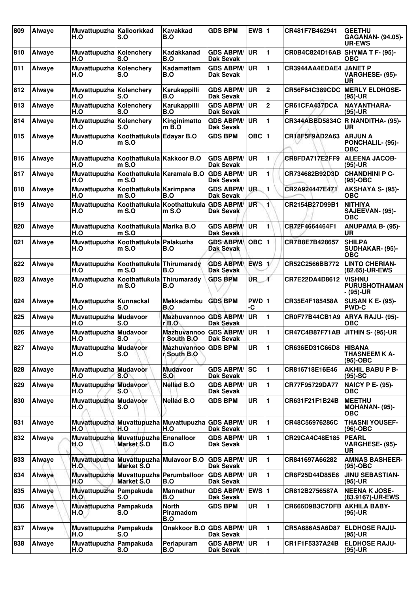| 809 | Alwaye | Muvattupuzha Kalloorkkad<br>H.O | S.O                                                  | <b>Kavakkad</b><br>B.O                  | <b>GDS BPM</b>                       | EWS $ 1$    |                | CR481F7B462941              | <b>GEETHU</b><br><b>GAGANAN- (94.05)-</b><br><b>UR-EWS</b> |
|-----|--------|---------------------------------|------------------------------------------------------|-----------------------------------------|--------------------------------------|-------------|----------------|-----------------------------|------------------------------------------------------------|
| 810 | Alwaye | Muvattupuzha Kolenchery<br>H.O  | S.O                                                  | Kadakkanad<br>B.O                       | <b>GDS ABPM/</b><br><b>Dak Sevak</b> | <b>UR</b>   | 1              | CR0B4C824D16AB              | SHYMA T F- (95)-<br>ОВС                                    |
| 811 | Alwaye | Muvattupuzha Kolenchery<br>H.O  | S.O                                                  | Kadamattam<br>B.O                       | <b>GDS ABPM/</b><br><b>Dak Sevak</b> | <b>UR</b>   | 1              | CR3944AA4EDAE4 JANET P      | VARGHESE- (95)-<br>UR                                      |
| 812 | Alwaye | Muvattupuzha Kolenchery<br>H.O  | S.O                                                  | Karukappilli<br>B.O                     | <b>GDS ABPM/</b><br>Dak Sevak        | UR          | $\mathbf 2$    | <b>CR56F64C389CDC</b>       | <b>MERLY ELDHOSE-</b><br>(95)-UR                           |
| 813 | Alwaye | Muvattupuzha Kolenchery<br>H.O  | S.O                                                  | Karukappilli<br>B.O                     | <b>GDS ABPM/</b><br><b>Dak Sevak</b> | <b>UR</b>   | $\mathbf{2}$   | CR61CFA437DCA<br>F          | NAYANTHARA-<br>$(95)-UR$                                   |
| 814 | Alwaye | Muvattupuzha Kolenchery<br>H.O  | S.O                                                  | Kinginimatto<br>$m\overline{B}$ .O      | <b>GDS ABPM/</b><br><b>Dak Sevak</b> | <b>UR</b>   | 1              | <b>CR344ABBD5834C</b>       | <b>R NANDITHA- (95)-</b><br>UR                             |
| 815 | Alwaye | H.O                             | Muvattupuzha Koothattukula Edayar B.O<br>$m$ S.O     |                                         | <b>GDS BPM</b>                       | $OBC$  1    |                | CR18F5F9AD2A63              | <b>ARJUN A</b><br>PONCHALIL- (95)-<br><b>OBC</b>           |
| 816 | Alwaye | H.O                             | Muvattupuzha Koothattukula Kakkoor B.O<br>$m S.$ O   |                                         | <b>GDS ABPM/</b><br><b>Dak Sevak</b> | <b>UR</b>   | 1              | CR8FDA717E2FF9              | <b>ALEENA JACOB-</b><br>$(95)-UR$                          |
| 817 | Alwaye | H.O                             | Muvattupuzha Koothattukula Karamala B.O<br>$mS.$ O   |                                         | <b>GDS ABPM/</b><br><b>Dak Sevak</b> | <b>UR</b>   | 1              | CR734682B92D3D              | <b>CHANDHINI P C-</b><br>$(95)-OBC$                        |
| 818 | Alwaye | H.O                             | Muvattupuzha Koothattukula Karimpana<br>$m$ S.O      | B.O                                     | <b>GDS ABPM/</b><br><b>Dak Sevak</b> | <b>UR</b>   | 1              | CR2A924447E471              | AKSHAYA S- (95)-<br><b>OBC</b>                             |
| 819 | Alwaye | H.O                             | Muvattupuzha Koothattukula Koothattukula<br>$m$ S.O  | $m S.$ O                                | <b>GDS ABPM/</b><br><b>Dak Sevak</b> | UR          | $\blacksquare$ | CR2154B27D99B1              | <b>NITHIYA</b><br>SAJEEVAN- (95)-<br><b>OBC</b>            |
| 820 | Alwaye | H.O                             | Muvattupuzha Koothattukula Marika B.O<br>$m S.$ O    |                                         | <b>GDS ABPM/</b><br><b>Dak Sevak</b> | <b>UR</b>   | 1              | CR72F4664464F1              | <b>ANUPAMA B- (95)-</b><br>UR                              |
| 821 | Alwaye | H.O                             | Muvattupuzha Koothattukula Palakuzha<br>$m S.$ O     | B.O                                     | <b>GDS ABPM/</b><br><b>Dak Sevak</b> | $OBC$  1    |                | CR7B8E7B428657              | <b>SHILPA</b><br>SUDHAKAR- (95)-<br><b>OBC</b>             |
| 822 | Alwaye | H.O                             | Muvattupuzha Koothattukula Thirumarady<br>$m$ S.O    | B.O                                     | <b>GDS ABPM/</b><br><b>Dak Sevak</b> | EWS 1       |                | CR52C2566BB772              | <b>LINTO CHERIAN-</b><br>(82.65)-UR-EWS                    |
| 823 | Alwaye | H.O                             | Muvattupuzha Koothattukula<br>$m$ S.O                | Thirumarady<br>B.O                      | <b>GDS BPM</b>                       | ŨR.         | ď              | CR7E22DA4D8612              | <b>VISHNU</b><br><b>PURUSHOTHAMAN</b><br>- (95)-UR         |
| 824 | Alwaye | Muvattupuzha Kunnackal<br>H.O   | S.O                                                  | <b>Mekkadambu</b><br>B.O                | <b>GDS BPM</b>                       | PWD 1<br>-C |                | CR35E4F185458A              | <b>SUSAN K E- (95)-</b><br><b>PWD-C</b>                    |
| 825 | Alwaye | Muvattupuzha Mudavoor<br>H.O    | <b>S.O</b>                                           | <b>Mazhuvannoo</b><br>$r$ B.O           | <b>GDS ABPM/</b><br><b>Dak Sevak</b> | UR          | 1              | CR0F77B44CB1A9              | <b>ARYA RAJU- (95)-</b><br><b>OBC</b>                      |
| 826 | Alwaye | Muvattupuzha Mudavoor<br>H.O    | IS.O                                                 | <b>Mazhuvannoo</b><br>r South B.O       | <b>GDS ABPM/</b><br><b>Dak Sevak</b> | <b>UR</b>   | 1              | <b>CR47C4B87F71AB</b>       | JITHIN S- (95)-UR                                          |
| 827 | Alwaye | Muvattupuzha Mudavoor<br>H.O    | S.O                                                  | <b>Mazhuvannoo</b><br>r South B.O       | <b>GDS BPM</b>                       | <b>UR</b>   | 1              | CR636ED31C66D8              | <b>HISANA</b><br><b>THASNEEM K A-</b><br>$(95)-OBC$        |
| 828 | Alwaye | Muvattupuzha Mudavoor<br>H.O    | S.O                                                  | <b>Mudavoor</b><br>S.O                  | <b>GDS ABPM/</b><br><b>Dak Sevak</b> | SC          | 1              | CR816718E16E46              | <b>AKHIL BABU P B-</b><br>$(95)-SC$                        |
| 829 | Alwaye | Muvattupuzha Mudavoor<br>H.O    | S.O                                                  | <b>Nellad B.O</b>                       | <b>GDS ABPM/</b><br><b>Dak Sevak</b> | <b>UR</b>   | 1              | CR77F95729DA77              | <b>NAICY P E- (95)-</b><br><b>OBC</b>                      |
| 830 | Alwaye | Muvattupuzha Mudavoor<br>H.O    | S.O                                                  | <b>Nellad B.O</b>                       | <b>GDS BPM</b>                       | <b>UR</b>   | $\mathbf{1}$   | CR631F21F1B24B              | <b>MEETHU</b><br><b>MOHANAN- (95)-</b><br><b>OBC</b>       |
| 831 | Alwaye | H.O                             | Muvattupuzha Muvattupuzha Muvattupuzha<br>H.O        | H.O                                     | <b>GDS ABPM/</b><br><b>Dak Sevak</b> | <b>UR</b>   | 1              | CR48C56976286C              | <b>THASNI YOUSEF-</b><br>(96)-OBC                          |
| 832 | Alwaye | H.O                             | Muvattupuzha Muvattupuzha<br><b>Market S.O</b>       | Enanalloor<br>B.O                       | <b>GDS ABPM/</b><br><b>Dak Sevak</b> | <b>UR</b>   | 1              | CR29CA4C48E185              | <b>PEARL</b><br>VARGHESE- (95)-<br><b>UR</b>               |
| 833 | Alwaye | H.O                             | Muvattupuzha Muvattupuzha Mulavoor B.O<br>Market S.O |                                         | <b>GDS ABPM/</b><br><b>Dak Sevak</b> | <b>UR</b>   | $\blacksquare$ | CR841697A66282              | <b>AMNAS BASHEER-</b><br>$(95)-OBC$                        |
| 834 | Alwaye | H.O                             | Muvattupuzha Muvattupuzha<br><b>Market S.O</b>       | Perumballoor<br>B.O                     | <b>GDS ABPM/</b><br>Dak Sevak        | <b>UR</b>   | 1              | CR8F25D44D85E6              | <b>JINU SEBASTIAN-</b><br>$(95)-UR$                        |
| 835 | Alwaye | Muvattupuzha Pampakuda<br>H.O   | S.O                                                  | <b>Mannathur</b><br>B.O                 | <b>GDS ABPM/</b><br>Dak Sevak        | $EWS$ 1     |                | CR812B2756587A              | <b>NEENA K JOSE-</b><br>(83.9167)-UR-EWS                   |
| 836 | Alwaye | Muvattupuzha Pampakuda<br>H.O   | S.O                                                  | <b>North</b><br><b>Piramadom</b><br>B.O | <b>GDS BPM</b>                       | <b>UR</b>   | 1              | CR666D9B3C7DFB AKHILA BABY- | $(95)-UR$                                                  |
| 837 | Alwaye | Muvattupuzha Pampakuda<br>H.O   | S.O                                                  | Onakkoor B.O GDS ABPM/                  | Dak Sevak                            | UR          | 1              | CR5A686A5A6D87              | <b>ELDHOSE RAJU-</b><br>$(95)-UR$                          |
| 838 | Alwaye | Muvattupuzha Pampakuda<br>H.O   | S.O                                                  | Periapuram<br>B.O                       | <b>GDS ABPM/</b><br><b>Dak Sevak</b> | <b>UR</b>   | 1              | CR1F1F5337A24B              | <b>ELDHOSE RAJU-</b><br>(95)-UR                            |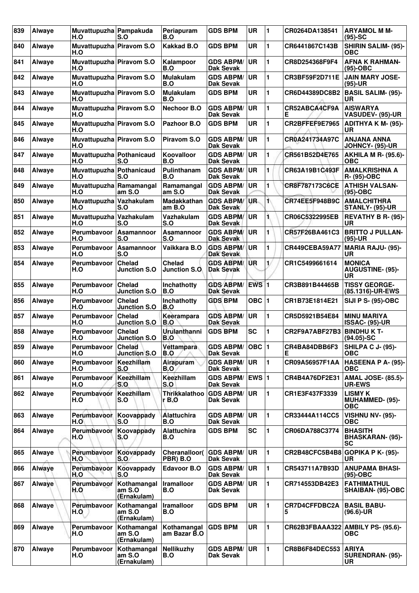| 839 | Alwaye | Muvattupuzha Pampakuda<br>H.O   | S.O                                  | Periapuram<br>B.O           | <b>GDS BPM</b>                       | <b>UR</b>          | $\blacksquare$ | CR0264DA138541                   | <b>ARYAMOL M M-</b><br>$(95)-SC$                |
|-----|--------|---------------------------------|--------------------------------------|-----------------------------|--------------------------------------|--------------------|----------------|----------------------------------|-------------------------------------------------|
| 840 | Alwaye | Muvattupuzha Piravom S.O<br>H.O |                                      | <b>Kakkad B.O</b>           | <b>GDS BPM</b>                       | <b>UR</b>          | 1              | CR6441867C143B                   | <b>SHIRIN SALIM- (95)-</b><br>ОВС               |
| 841 | Alwave | Muvattupuzha Piravom S.O<br>H.O |                                      | Kalampoor<br>B.O            | <b>GDS ABPM/</b><br>Dak Sevak        | <b>UR</b>          | 1              | CR8D254368F9F4                   | <b>AFNA K RAHMAN-</b><br>$(95)-OBC$             |
| 842 | Alwaye | Muvattupuzha Piravom S.O<br>H.O |                                      | <b>Mulakulam</b><br>B.O     | <b>GDS ABPM/</b><br>Dak Sevak        | <b>UR</b>          | 1              | CR3BF59F2D711E                   | <b>JAIN MARY JOSE-</b><br>$(95)-UR$             |
| 843 | Alwaye | Muvattupuzha Piravom S.O<br>H.O |                                      | <b>Mulakulam</b><br>B.O     | <b>GDS BPM</b>                       | <b>UR</b>          | 1              | CR6D44389DC8B2                   | <b>BASIL SALIM- (95)-</b><br>UR                 |
| 844 | Alwaye | Muvattupuzha Piravom S.O<br>H.O |                                      | <b>Nechoor B.O</b>          | <b>GDS ABPM/</b><br><b>Dak Sevak</b> | UR                 | 1              | CR52ABCA4CF9A<br>Е               | <b>AISWARYA</b><br><b>VASUDEV- (95)-UR</b>      |
| 845 | Alwaye | Muvattupuzha Piravom S.O<br>H.O |                                      | Pazhoor B.O                 | <b>GDS BPM</b>                       | UR                 | 1              | CR2BFFEF9E7965                   | <b>ADITHYA K M- (95)-</b><br><b>UR</b>          |
| 846 | Alwaye | Muvattupuzha Piravom S.O<br>H.O |                                      | <b>Piravom S.O</b>          | <b>GDS ABPM/</b><br><b>Dak Sevak</b> | <b>UR</b>          | 1              | CR0A241734A97C                   | <b>ANJANA ANNA</b><br><b>JOHNCY- (95)-UR</b>    |
| 847 | Alwaye | Muvattupuzha Pothanicaud<br>H.O | S.O                                  | Koovalloor<br>B.O           | <b>GDS ABPM/</b><br>Dak Sevak        | <b>UR</b>          | 1              | CR561B52D4E765                   | <b>AKHILA M R- (95.6)-</b><br>ОВС               |
| 848 | Alwaye | Muvattupuzha Pothanicaud<br>H.O | S.O                                  | Pulinthanam<br>B.O          | <b>GDS ABPM/</b><br><b>Dak Sevak</b> | <b>UR</b>          | 1              | CR63A19B1C493F                   | <b>AMALKRISHNA A</b><br>R- (95)-OBC             |
| 849 | Alwaye | Muvattupuzha Ramamangal<br>H.O  | am S.O                               | Ramamangal<br>am S.O        | <b>GDS ABPM/</b><br>Dak Sevak        | <b>UR</b>          | 1              | CR8F787173C6CE                   | <b>ATHISH VALSAN-</b><br>$(95)-OBC$             |
| 850 | Alwaye | Muvattupuzha Vazhakulam<br>H.O  | S.O                                  | Madakkathan<br>am B.O       | <b>GDS ABPM/</b><br>Dak Sevak        | UR.                | 1              | CR74EE5F948B9C                   | <b>AMALCHITHRA</b><br><b>STANLY- (95)-UR</b>    |
| 851 | Alwaye | Muvattupuzha Vazhakulam<br>H.O  | S.O                                  | Vazhakulam<br>S.O           | <b>GDS ABPM/</b><br>Dak Sevak        | <b>UR</b>          | 1.             | CR06C5322995EB                   | <b>REVATHY B R- (95)-</b><br>UR                 |
| 852 | Alwaye | Perumbavoor<br>H.O              | <b>Asamannoor</b><br>S.O             | Asamannoor<br>S.O           | <b>GDS ABPM/</b><br><b>Dak Sevak</b> | <b>UR</b>          | 1              | CR57F26BA461C3                   | <b>BRITTO J PULLAN-</b><br>$(95)-UR$            |
| 853 | Alwaye | Perumbavoor<br>H.O              | Asamannoor<br>S.O                    | Vaikkara B.O                | <b>GDS ABPM/</b><br><b>Dak Sevak</b> | <b>UR</b>          | 1              | CR449CEBA59A77                   | <b>MARIA RAJU- (95)-</b><br>UR                  |
| 854 | Alwaye | Perumbavoor<br>H.O              | <b>Chelad</b><br><b>Junction S.O</b> | Chelad<br>Junction S.O.     | <b>GDS ABPM/</b><br><b>Dak Sevak</b> | <b>UR</b>          | 1/             | CR1C5499661614                   | <b>MONICA</b><br><b>AUGUSTINE- (95)-</b><br>UR  |
| 855 | Alwaye | Perumbayoor<br>H.O              | <b>Chelad</b><br><b>Junction S.O</b> | Inchathotty<br>B.O          | <b>GDS ABPM/</b><br><b>Dak Sevak</b> | $EWS$ <sub>1</sub> |                | CR3B891B44465B                   | <b>TISSY GEORGE-</b><br>(85.1316)-UR-EWS        |
| 856 | Alwaye | Perumbavoor<br>H.O              | <b>Chelad</b><br><b>Junction S.O</b> | Inchathotty<br>B.O          | <b>GDS BPM</b>                       | OBC $ 1$           |                | CR1B73E1814E21                   | <b>SIJI P S- (95)-OBC</b>                       |
| 857 | Alwaye | Perumbavoor<br>H.O              | <b>Chelad</b><br><b>Junction S.O</b> | Keerampara<br>B.O           | <b>GDS ABPM/</b><br><b>Dak Sevak</b> | <b>UR</b>          | 1              | CR5D5921B54E84                   | <b>MINU MARIYA</b><br><b>ISSAC- (95)-UR</b>     |
| 858 | Alwaye | Perumbayoor<br>H.O              | Chelad<br>Junction S.O               | Urulanthanni<br>B.O         | <b>GDS BPM</b>                       | <b>SC</b>          | 1              | CR2F9A7ABF27B3                   | <b>BINDHU K T-</b><br>$(94.05)$ -SC             |
| 859 | Alwaye | Perumbavoor<br>H.O              | <b>Chelad</b><br><b>Junction S.O</b> | Vettampara<br>B.O           | <b>GDS ABPM/</b><br><b>Dak Sevak</b> | OBC  1             |                | CR4BA84DBB6F3<br>Е               | SHILPA C J- (95)-<br><b>OBC</b>                 |
| 860 | Alwaye | Perumbavoor<br>H.O              | Keezhillam<br>S.O                    | Airapuram<br>B.O            | <b>GDS ABPM/</b><br>Dak Sevak        | UR                 | $\blacksquare$ | CR09A56957F1AA                   | HASEENA P A- (95)-<br><b>OBC</b>                |
| 861 | Alwaye | Perumbayoor<br>H.O              | Keezhillam<br>S.O                    | Keezhillam<br>S.O           | <b>GDS ABPM/</b><br>Dak Sevak        | EWS $ 1$           |                | CR4B4A76DF2E31                   | <b>AMAL JOSE- (85.5)-</b><br><b>UR-EWS</b>      |
| 862 | Alwaye | Perumbavoor<br>H.O              | Keezhillam<br>S.O                    | Thrikkalathoo<br>r B.O      | <b>GDS ABPM/</b><br>Dak Sevak        | <b>UR</b>          | 1              | CR1E3F437F3339                   | <b>LISMY K</b><br>MUHAMMED- (95)-<br><b>OBC</b> |
| 863 | Alwaye | Perumbavoor<br>H.O              | Koovappady<br>S.O                    | Alattuchira<br>B.O          | <b>GDS ABPM/</b><br>Dak Sevak        | <b>UR</b>          | $\blacksquare$ | CR33444A114CC5                   | <b>VISHNU NV- (95)-</b><br><b>OBC</b>           |
| 864 | Alwaye | Perumbavoor<br>H.O              | Koovappady<br>S.O                    | Alattuchira<br>B.O          | <b>GDS BPM</b>                       | <b>SC</b>          | $\mathbf{1}$   | CR06DA788C3774                   | <b>BHASITH</b><br><b>BHASKARAN- (95)-</b><br>SC |
| 865 | Alwaye | Perumbavoor<br>H.O              | Koovappady<br>S.O                    | Cheranalloor(<br>PBR) B.O   | <b>GDS ABPM/</b><br>Dak Sevak        | <b>UR</b>          | 1              | CR2B48CFC5B4B8 GOPIKA P K- (95)- | UR                                              |
| 866 | Alwaye | Perumbavoor<br>H.O              | Koovappady<br>S.O                    | <b>Edavoor B.O</b>          | <b>GDS ABPM/</b><br>Dak Sevak        | <b>UR</b>          | 1              | CR543711A7B93D                   | <b>ANUPAMA BHASI-</b><br>(95)-OBC               |
| 867 | Alwaye | Perumbavoor<br>H.O              | Kothamangal<br>am S.O<br>(Ernakulam) | <b>Iramalloor</b><br>B.O    | <b>GDS ABPM/</b><br>Dak Sevak        | <b>UR</b>          | 1              | CR714553DB42E3                   | <b>FATHIMATHUL</b><br>SHAIBAN- (95)-OBC         |
| 868 | Alwaye | Perumbavoor<br>H.O              | Kothamangal<br>am S.O<br>(Ernakulam) | <b>Iramalloor</b><br>B.O    | <b>GDS BPM</b>                       | UR                 | 1              | <b>CR7D4CFFDBC2A</b><br>5        | <b>BASIL BABU-</b><br>$(96.6)$ -UR              |
| 869 | Alwaye | Perumbavoor<br>H.O              | Kothamangal<br>am S.O<br>(Ernakulam) | Kothamangal<br>am Bazar B.O | <b>GDS BPM</b>                       | <b>UR</b>          | 1              | CR62B3FBAAA322                   | AMBILY PS- (95.6)-<br>ОВС                       |
| 870 | Alwaye | Perumbavoor<br>H.O              | Kothamangal<br>am S.O<br>(Ernakulam) | <b>Nellikuzhy</b><br>B.O    | <b>GDS ABPM/</b><br>Dak Sevak        | <b>UR</b>          | 11.            | CR8B6F84DEC553                   | <b>ARIYA</b><br><b>SURENDRAN- (95)-</b><br>UR   |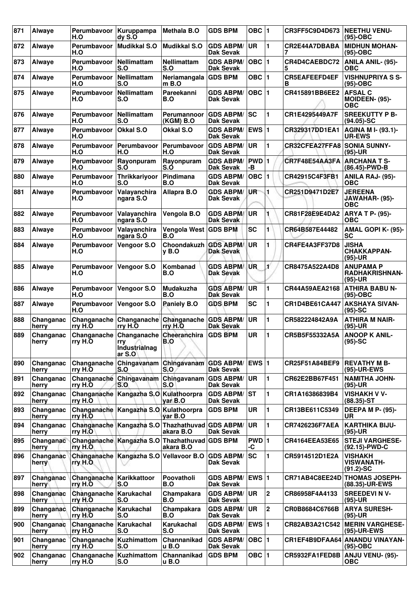| 871 | <b>Alwaye</b>      | Perumbayoor<br>H.O                   | Kuruppampa<br>dyS.O                                                                    | <b>Methala B.O</b>          | <b>GDS BPM</b>                       | OBC ∣1          |                | CR3FF5C9D4D673            | <b>NEETHU VENU-</b><br>$(95)-OBC$                     |
|-----|--------------------|--------------------------------------|----------------------------------------------------------------------------------------|-----------------------------|--------------------------------------|-----------------|----------------|---------------------------|-------------------------------------------------------|
| 872 | Alwaye             | Perumbayoor<br>H.O                   | Mudikkal S.O                                                                           | <b>Mudikkal S.O</b>         | <b>GDS ABPM/</b><br><b>Dak Sevak</b> | <b>UR</b>       | 1              | CR2E44A7DBABA             | <b>MIDHUN MOHAN-</b><br>$(95)-OBC$                    |
| 873 | Alwaye             | Perumbavoor<br>H.O                   | Nellimattam<br>S.O                                                                     | <b>Nellimattam</b><br>S.O   | <b>GDS ABPM/</b><br><b>Dak Sevak</b> | $OBC$  1        |                | CR4D4CAEBDC72<br>5        | <b>ANILA ANIL- (95)-</b><br>ОВС                       |
| 874 | Alwaye             | Perumbavoor<br>H.O                   | Nellimattam<br>S.O                                                                     | Neriamangala<br>m B.O       | <b>GDS BPM</b>                       | OBC ∣1          |                | <b>CR5EAFEEFD4EF</b><br>в | <b>VISHNUPRIYA S S-</b><br>(95)-OBC                   |
| 875 | Alwaye             | Perumbavoor<br>H.O                   | Nellimattam<br>S.O                                                                     | Pareekanni<br>B.O           | <b>GDS ABPM/</b><br><b>Dak Sevak</b> | OBC  1          |                | CR415891BB6EE2            | <b>AFSAL C</b><br><b>MOIDEEN- (95)-</b><br><b>OBC</b> |
| 876 | Alwaye             | Perumbayoor<br>H.O                   | Nellimattam<br>S.O                                                                     | Perumannoor<br>(KGM) B.O    | <b>GDS ABPM/</b><br><b>Dak Sevak</b> | <b>SC</b>       | 1              | CR1E4295449A7F            | <b>SREEKUTTY P B-</b><br>$(94.05)$ -SC                |
| 877 | Alwaye             | Perumbavoor<br>H.O                   | <b>Okkal S.O</b>                                                                       | Okkal S.O                   | <b>GDS ABPM/</b><br><b>Dak Sevak</b> | EWS 1           |                | CR329317DD1EA1            | <b>AGINA MI- (93.1)-</b><br><b>UR-EWS</b>             |
| 878 | Alwaye             | Perumbayoor<br>H.O                   | Perumbavoor<br>H.O                                                                     | Perumbavoor<br>H.O          | <b>GDS ABPM/</b><br><b>Dak Sevak</b> | <b>UR</b>       | 1              | CR32CFEA27FFA8            | <b>SONIA SUNNY-</b><br>(95)-UR                        |
| 879 | Alwaye             | Perumbayoor<br>H.O                   | Rayonpuram<br>S.O                                                                      | Rayonpuram<br>S.O           | <b>GDS ABPM/</b><br><b>Dak Sevak</b> | PWD 1<br>-В     |                | CR7F48E54AA3FA            | <b>ARCHANA T S-</b><br>(86.45)-PWD-B                  |
| 880 | Alwaye             | Perumbavoor<br>H.O                   | Thrikkariyoor<br>S.O                                                                   | Pindimana<br>B.O            | <b>GDS ABPM/</b><br><b>Dak Sevak</b> | OBC  1          |                | CR42915C4F3FB1            | ANILA RAJ- (95)-<br>ОВС                               |
| 881 | Alwaye             | Perumbavoor<br>H.O                   | Valayanchira<br>ngara S.O                                                              | Allapra B.O                 | <b>GDS ABPM/</b><br><b>Dak Sevak</b> | UR <sup>-</sup> | 1              | CR251D9471D2E7            | <b>JEREENA</b><br>JAWAHAR- (95)-<br><b>OBC</b>        |
| 882 | Alwaye             | Perumbavoor<br>H.O                   | Valayanchira<br>ngara S.O                                                              | Vengola B.O                 | <b>GDS ABPM/</b><br>Dak Sevak        | <b>UR</b>       |                | CR81F28E9E4DA2            | <b>ARYA T P- (95)-</b><br><b>OBC</b>                  |
| 883 | Alwaye             | Perumbayoor<br>H.O                   | Valayanchira<br>ngara S.O                                                              | <b>Vengola West</b><br>B.O  | <b>GDS BPM</b>                       | <b>SC</b>       | 1              | CR64B587E44482            | AMAL GOPI K- (95)-<br><b>SC</b>                       |
| 884 | Alwaye             | Perumbavoor<br>H.O                   | Vengoor S.O                                                                            | Choondakuzh<br>$v$ B.O      | <b>GDS ABPM/</b><br><b>Dak Sevak</b> | <b>UR</b>       | 1              | CR4FE4A3FF37D8            | <b>JISHA</b><br><b>CHAKKAPPAN-</b><br>(95)-UR         |
| 885 | Alwaye             | Perumbavoor<br>H.O                   | Vengoor S.O                                                                            | Kombanad<br>B.O             | <b>GDS ABPM</b><br><b>Dak Sevak</b>  | UR              | ¥              | CR8475A522A4D8            | <b>ANUPAMA P</b><br><b>RADHAKRISHNAN-</b><br>(95)-UR  |
| 886 | Alwaye             | Perumbayoor<br>H.O                   | Vengoor S.O                                                                            | <b>Mudakuzha</b><br>B.O     | <b>GDS ABPM/</b><br><b>Dak Sevak</b> | UR              | 1              | CR44A59AEA2168            | <b>ATHIRA BABU N-</b><br>(95)-OBC                     |
| 887 | Alwaye             | Perumbavoor<br>H.O                   | Vengoor S.O                                                                            | Paniely B.O                 | <b>GDS BPM</b>                       | <b>SC</b>       | 1              | CR1D4BE61CA447            | <b>AKSHAYA SIVAN-</b><br>$(95)$ -SC                   |
| 888 | Changanac<br>herry | Changanache<br>rry H.O               | Changanache<br>rry H.O                                                                 | Changanache<br>rry H.O      | <b>GDS ABPM/</b><br><b>Dak Sevak</b> | <b>UR</b>       | 1              | CR582224842A9A            | <b>ATHIRA M NAIR-</b><br>(95)-UR                      |
| 889 | Changanac<br>herry | rry H.O                              | Changanache Changanache Cheeranchira<br>rry<br>Industrialnag<br>$\vert$ ar S.O $\vert$ | B.O                         | <b>GDS BPM</b>                       | <b>UR</b>       | 1              | CR5B5F55332A5A            | <b>ANOOP K ANIL-</b><br>(95)-SC                       |
| 890 | Changanac<br>herry | Changanache<br>rry H.O               | Chingavanam Chingavanam<br>S.O                                                         | S.O                         | <b>GDS ABPM/</b><br><b>Dak Sevak</b> | <b>EWS 1</b>    |                | CR25F51A84BEF9            | <b>REVATHY M B-</b><br>(95)-UR-EWS                    |
| 891 | Changanac<br>herry | rry H.O                              | Changanache Chingavanam<br>S.O                                                         | Chingavanam<br>S.O          | <b>GDS ABPM/</b><br><b>Dak Sevak</b> | UR              | 1              | CR62E2BB67F451            | <b>NAMITHA JOHN-</b><br>(95)-UR                       |
| 892 | Changanac<br>herry | rry H.O                              | Changanache   Kangazha S.O   Kulathoorpra                                              | var B.O                     | <b>GDS ABPM/</b><br>Dak Sevak        | <b>ST</b>       | 1              | CR1A16386839B4            | <b>VISHAKH V V-</b><br>$(88.35)$ -ST                  |
| 893 | Changanac<br>herry | rry H.O.                             | Changanache Kangazha S.O Kulathoorpra                                                  | yar B.O                     | <b>GDS BPM</b>                       | <b>UR</b>       | 1              | CR13BE611C5349            | <b>DEEPA M P- (95)-</b><br><b>UR</b>                  |
| 894 | Changanac<br>herry | rry H.O                              | Changanache Kangazha S.O Thazhathuvad GDS ABPM/                                        | akara B.O                   | <b>Dak Sevak</b>                     | <b>UR</b>       | 1              | <b>CR7426236F7AEA</b>     | <b>KARTHIKA BIJU-</b><br>(95)-UR                      |
| 895 | Changanac<br>herry | rry H.O.                             | Changanache Kangazha S.O Thazhathuvad                                                  | akara B.O                   | <b>GDS BPM</b>                       | PWD 1<br>-C     |                | CR4164EEA53E65            | <b>STEJI VARGHESE-</b><br>(92.15)-PWD-C               |
| 896 | Changanac<br>herry | rry H.O.                             | Changanache   Kangazha S.O   Vellavoor B.O                                             |                             | <b>GDS ABPM/</b><br><b>Dak Sevak</b> | <b>SC</b>       | 1              | CR5914512D1E2A            | <b>VISHAKH</b><br><b>VISWANATH-</b><br>$(91.2) - SC$  |
| 897 | Changanac<br>herry | Changanache Karikkattoor<br>rry H.O  | S.O                                                                                    | Poovatholi<br>B.O           | <b>GDS ABPM/</b><br><b>Dak Sevak</b> | <b>EWS 1</b>    |                |                           | CR71AB4C8EE24D THOMAS JOSEPH-<br>(88.35)-UR-EWS       |
| 898 | Changanac<br>herry | Changanache   Karukachal<br>rry H.O  | S.O                                                                                    | Champakara<br>B.O           | <b>GDS ABPM/</b><br>Dak Sevak        | ∣UR.            | $\overline{2}$ | CR86958F4A4133            | <b>SREEDEVI N V-</b><br>$(95)-UR$                     |
| 899 | Changanac<br>herry | Changanache   Karukachal<br>rry H.O  | S.O                                                                                    | Champakara<br>B.O           | <b>GDS ABPM/</b><br>Dak Sevak        | ∣UR.            | $\overline{2}$ | CR0B8684C6766B            | <b>ARYA SURESH-</b><br>(95)-UR                        |
| 900 | Changanac<br>herry | Changanache   Karukachal<br>rry H.O  | S.O                                                                                    | Karukachal<br>S.O           | <b>GDS ABPM/</b><br><b>Dak Sevak</b> | $EWS$ 1         |                | CR82AB3A21C542            | <b>MERIN VARGHESE-</b><br>(95)-UR-EWS                 |
| 901 | Changanac<br>herry | Changanache   Kuzhimattom<br>rry H.O | S.O                                                                                    | Channanikad<br>u B.O        | <b>GDS ABPM/</b><br>Dak Sevak        | $OBC$   1       |                |                           | CR1EF4B9DFAA64 ANANDU VINAYAN-<br>(95)-OBC            |
| 902 | Changanac<br>herry | Changanache   Kuzhimattom<br>rry H.O | S.O                                                                                    | Channanikad<br><b>u</b> B.O | <b>GDS BPM</b>                       | OBC $ 1$        |                | CR5932FA1FED8B            | <b>ANJU VENU- (95)-</b><br><b>OBC</b>                 |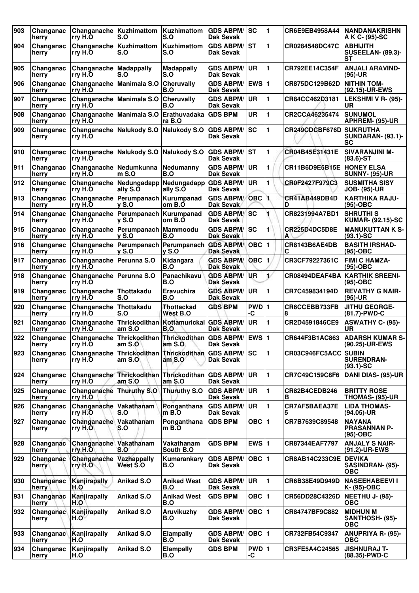| 903 | Changanac<br>herry | Changanache<br>rry H.O              | Kuzhimattom<br>S.O                                                | <b>Kuzhimattom</b><br>S.O         | <b>GDS ABPM/</b><br>Dak Sevak        | SC               | 1                     | CR6E9EB4958A44          | <b>NANDANAKRISHN</b><br>A K C- (95)-SC                   |
|-----|--------------------|-------------------------------------|-------------------------------------------------------------------|-----------------------------------|--------------------------------------|------------------|-----------------------|-------------------------|----------------------------------------------------------|
| 904 | Changanac<br>herry | Changanache<br>rry H.O              | Kuzhimattom<br>S.O                                                | Kuzhimattom<br>S.O                | <b>GDS ABPM/</b><br>Dak Sevak        | <b>ST</b>        | 1                     | CR0284548DC47C          | <b>ABHIJITH</b><br><b>SUSEELAN- (89.3)-</b><br><b>ST</b> |
| 905 | Changanac<br>herry | Changanache<br>rry H.O              | <b>Madappally</b><br>S.O                                          | <b>Madappally</b><br>S.O          | <b>GDS ABPM/</b><br>Dak Sevak        | <b>UR</b>        | 1                     | CR792EE14C354F          | <b>ANJALI ARAVIND-</b><br>(95)-UR                        |
| 906 | Changanac<br>herry | rry H.O                             | Changanache Manimala S.O                                          | Cheruvally<br>B.O                 | <b>GDS ABPM/</b><br><b>Dak Sevak</b> | <b>EWS 1</b>     |                       | CR875DC129B62D          | <b>NITHIN TOM-</b><br>(92.15)-UR-EWS                     |
| 907 | Changanac<br>herry | Changanache<br>rry H.O              | Manimala S.O                                                      | Cheruvally<br>B.O                 | <b>GDS ABPM/</b><br>Dak Sevak        | <b>UR</b>        | 1                     | CR84CC462D3181          | LEKSHMI V R- (95)-<br>UR                                 |
| 908 | Changanac<br>herry | Changanache<br>rry H.O              | Manimala S.O                                                      | Erathuvadaka<br>ra B.O            | <b>GDS BPM</b>                       | UR               | 1                     | CR2CCA46235474          | <b>SUNUMOL</b><br>APHREM- (95)-UR                        |
| 909 | Changanac<br>herry | rry H.O                             | Changanache Nalukody S.O                                          | Nalukody S.O                      | <b>GDS ABPM/</b><br><b>Dak Sevak</b> | <b>SC</b>        | 1                     | CR249CDCBF676D SUKRUTHA | <b>SUNDARAN- (93.1)-</b><br><b>SC</b>                    |
| 910 | Changanac<br>herry | rry H.O                             | Changanache Nalukody S.O                                          | Nalukody S.O                      | <b>GDS ABPM/</b><br>Dak Sevak        | <b>ST</b>        | 1                     | CR04B45E31431E          | <b>SIVARANJINI M-</b><br>$(83.6)$ -ST                    |
| 911 | Changanac<br>herry | Changanache<br>rry H.O              | Nedumkunna<br>m S.O                                               | Nedumanny<br>B.O                  | <b>GDS ABPM/</b><br><b>Dak Sevak</b> | <b>UR</b>        | 1                     | CR11B6D9E5B15E          | <b>HONEY ELSA</b><br><b>SUNNY- (95)-UR</b>               |
| 912 | Changanac<br>herry | Changanache<br>rry H.O              | Nedungadapp<br>ally S.O                                           | Nedungadapp<br>ally S.O           | <b>GDS ABPM/</b><br>Dak Sevak        | <b>UR</b>        | 1                     | CR0F2427F979C3          | <b>SUSMITHA SISY</b><br><b>JOB- (95)-UR</b>              |
| 913 | Changanac<br>herry | Changanache<br>rry H.O              | Perumpanach   Kurumpanad<br>$V$ S.O                               | om B.O                            | <b>GDS ABPM/</b><br>Dak Sevak        | OBC <sub>1</sub> |                       | CR41AB449DB4D<br>D      | <b>KARTHIKA RAJU-</b><br>$(95)-OBC$                      |
| 914 | Changanac<br>herry | Changanache<br>rry H.O              | Perumpanach<br><b>v</b> S.O                                       | Kurumpanad<br>om B.O              | <b>GDS ABPM/</b><br>Dak Sevak        | SC               |                       | CR8231994A7BD1          | <b>SHRUTHIS</b><br><b>KUMAR- (92.15)-SC</b>              |
| 915 | Changanac<br>herry | Changanache<br>rry H.O              | Perumpanach<br><b>v</b> S.O                                       | <b>Mammoodu</b><br>B.O            | <b>GDS ABPM/</b><br>Dak Sevak        | SC               | 1                     | CR225D4DC5D8E<br>A      | <b>MANUKUTTAN K S-</b><br>$(93.1)$ -SC                   |
| 916 | Changanac<br>herry | rry H.O                             | Changanache Perumpanach<br>$V$ S.O                                | Perumpanach GDS ABPM/<br>$V$ S.O  | <b>Dak Sevak</b>                     | OBC  1           |                       | CR8143B6AE4DB<br>С      | <b>BASITH IRSHAD-</b><br>$(95)-OBC$                      |
| 917 | Changanac<br>herry | Changanache<br>rry H.O              | Perunna S.O                                                       | Kidangara<br>B.O                  | <b>GDS ABPM/</b><br><b>Dak Sevak</b> | OBC 1            |                       | CR3CF79227361C          | <b>FIMI C HAMZA-</b><br>(95)-OBC                         |
| 918 | Changanac<br>herry | Changanache Perunna S.O<br>rry H.O  |                                                                   | Panachikavu<br>B.O                | <b>GDS ABPM/</b><br><b>Dak Sevak</b> | UR               | $\mathbf{1}^{\prime}$ | CR08494DEAF4BA          | KARTHIK SREENI-<br>$(95)-OBC$                            |
| 919 | Changanac<br>herry | Changanache Thottakadu<br>rry H.O   | S.O                                                               | Eravuchira<br>B.O                 | <b>GDS ABPM/</b><br><b>Dak Sevak</b> | <b>UR</b>        | 1                     | CR7C459834194D          | <b>REVATHY G NAIR-</b><br>$(95)-UR$                      |
| 920 | Changanac<br>herry | Changanache<br>rry H.O              | Thottakadu<br>S.O                                                 | Thottackad<br>West B.O            | <b>GDS BPM</b>                       | PWD 1<br>-C      |                       | CR6CCEBB733FB<br>8      | <b>JITHU GEORGE-</b><br>(81.7)-PWD-C                     |
| 921 | Changanac<br>herry | Changanache<br>rry H.O              | Thrickodithan<br>am S.O                                           | Kottamurickal<br>B.O              | <b>GDS ABPM/</b><br><b>Dak Sevak</b> | <b>UR</b>        | 1                     | CR2D4591846CE9          | ASWATHY C- (95)-<br>UR                                   |
| 922 | Changanac<br>herry | rry H.O                             | Changanache Thrickodithan Thrickodithan GDS ABPM/ EWS 1<br>am S.O | am S.                             | <b>Dak Sevak</b>                     |                  |                       | CR644F3B1AC863          | <b>ADARSH KUMAR S-</b><br>(90.25)-UR-EWS                 |
| 923 | Changanac<br>herry | Changanache<br>rry H.O              | Thrickodithan<br>am $S.O$                                         | <b>Thrickodithan</b><br>am S.O    | <b>GDS ABPM/</b><br>Dak Sevak        | lsc              | 1                     | CR03C946FC5ACC SUBIN    | <b>SURENDRAN-</b><br>$(93.1)$ -SC                        |
| 924 | Changanac<br>herry | rry H.O                             | Changanache Thrickodithan<br>am S.O                               | Thrickodithan GDS ABPM/<br>aṁ S.O | Dak Sevak                            | <b>UR</b>        | 1                     | CR7C49C159C8F6          | DANI DIAS- (95)-UR                                       |
| 925 | Changanac<br>herry | Changanache Thuruthy S.O<br>rry H.O |                                                                   | <b>Thuruthy S.O</b>               | <b>GDS ABPM/</b><br>Dak Sevak        | UR               | 1                     | CR82B4CEDB246<br>В      | <b>BRITTY ROSE</b><br>THOMAS- (95)-UR                    |
| 926 | Changanac<br>herry | Changanache<br>rry H.O              | Vakathanam<br>S.O                                                 | Ponganthana<br>$m$ B.O            | <b>GDS ABPM/</b><br>Dak Sevak        | <b>UR</b>        | 1                     | CR7AF5BAEA37E<br>5      | <b>LIDA THOMAS-</b><br>$(94.05)$ -UR                     |
| 927 | Changanac<br>herry | Changanache Vakathanam<br>rry $H.O$ | S.O                                                               | Ponganthana<br>m B.O              | <b>GDS BPM</b>                       | OBC 1            |                       | CR7B7639C89548          | <b>NAYANA</b><br><b>PRASANNAN P-</b><br>(95)-OBC         |
| 928 | Changanac<br>herry | Changanache<br>rry H.O              | Vakathanam<br>S.O                                                 | Vakathanam<br>South B.O           | <b>GDS BPM</b>                       | EWS $ 1$         |                       | CR87344EAF7797          | <b>ANJALY S NAIR-</b><br>(91.2)-UR-EWS                   |
| 929 | Changanac<br>herry | Changanache<br>rry H.O              | Vazhappally<br>West S.O                                           | Kumarankary<br>B.O                | <b>GDS ABPM/</b><br>Dak Sevak        | OBC $ 1$         |                       | CR8AB14C233C9E          | <b>DEVIKA</b><br>SASINDRAN- (95)-<br><b>OBC</b>          |
| 930 | Changanac<br>herry | Kanjirapally<br>H.O                 | Anikad S.O                                                        | <b>Anikad West</b><br>B.O         | <b>GDS ABPM/</b><br>Dak Sevak        | UR               | $\blacksquare$        | CR6B38E49D949D          | <b>NASEEHABEEVII</b><br>K- (95)-OBC                      |
| 931 | Changanac<br>herry | Kanjirapally<br>H.O                 | Anikad S.O                                                        | <b>Anikad West</b><br>B.O         | <b>GDS BPM</b>                       | OBC 1            |                       | CR56DD28C4326D          | <b>NEETHU J- (95)-</b><br><b>OBC</b>                     |
| 932 | Changanac<br>herry | Kanjirapally<br>H.O                 | Anikad S.O                                                        | Aruvikuzhy<br>B.O                 | <b>GDS ABPM/</b><br>Dak Sevak        | OBC $ 1$         |                       | CR84747BF9C882          | <b>MIDHUN M</b><br>SANTHOSH- (95)-<br><b>OBC</b>         |
| 933 | Changanac<br>herry | Kanjirapally<br>H.O                 | Anikad S.O                                                        | <b>Elampally</b><br>B.O           | <b>GDS ABPM/</b><br>Dak Sevak        | $OBC$  1         |                       | CR732FB54C9347          | <b>ANUPRIYA R- (95)-</b><br><b>OBC</b>                   |
| 934 | Changanac<br>herry | Kanjirapally<br>H.O                 | Anikad S.O                                                        | <b>Elampally</b><br>B.O           | <b>GDS BPM</b>                       | PWD 1<br>-C      |                       | CR3FE5A4C24565          | <b>JISHNURAJ T-</b><br>(88.35)-PWD-C                     |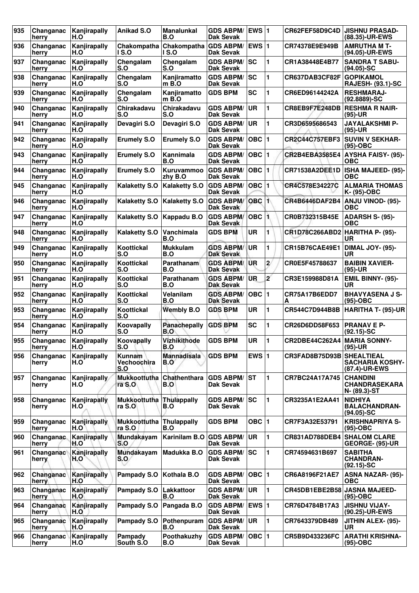| 935 | Changanac<br>herry | Kanjirapally<br>H.O | <b>Anikad S.O</b>                   | Manalunkal<br>B.O                    | <b>GDS ABPM/</b><br>Dak Sevak        | <b>EWS 1</b> |                       | CR62FEF58D9C4D                  | <b>JISHNU PRASAD-</b><br>(88.35)-UR-EWS                      |
|-----|--------------------|---------------------|-------------------------------------|--------------------------------------|--------------------------------------|--------------|-----------------------|---------------------------------|--------------------------------------------------------------|
| 936 | Changanac<br>herry | Kanjirapally<br>H.O | Chakompatha<br><b>IS.O</b>          | Chakompatha GDS ABPM/<br><b>IS.O</b> | <b>Dak Sevak</b>                     | EWS 1        |                       | CR74378E9E949B                  | <b>AMRUTHA M T-</b><br>(94.05)-UR-EWS                        |
| 937 | Changanac<br>herry | Kanjirapally<br>H.O | Chengalam<br>S.O                    | Chengalam<br>S.O                     | <b>GDS ABPM/</b><br><b>Dak Sevak</b> | <b>SC</b>    | 1                     | CR1A38448E4B77                  | <b>SANDRA T SABU-</b><br>$(94.05)$ -SC                       |
| 938 | Changanac<br>herry | Kanjirapally<br>H.O | Chengalam<br>S.O                    | Kanjiramatto<br>m B.O                | <b>GDS ABPM/</b><br>Dak Sevak        | lsc          | 1                     | CR637DAB3CF82F                  | <b>GOPIKAMOL</b><br><b>RAJESH- (93.1)-SC</b>                 |
| 939 | Changanac<br>herry | Kanjirapally<br>H.O | Chengalam<br>S.O                    | Kanjiramatto<br>$m$ B.O              | <b>GDS BPM</b>                       | <b>SC</b>    | 1                     | CR6ED96144242A                  | <b>RESHMARAJ-</b><br>$(92.8889) - SC$                        |
| 940 | Changanac<br>herry | Kanjirapally<br>H.O | Chirakadavu<br>S.O                  | Chirakadavu<br>S.O                   | <b>GDS ABPM/</b><br><b>Dak Sevak</b> | UR           | 1                     | CR8EB9F7E248DB                  | <b>RESHMA R NAIR-</b><br>$(95)-UR$                           |
| 941 | Changanac<br>herry | Kanjirapally<br>H.O | Devagiri S.O                        | Devagiri S.O                         | <b>GDS ABPM/</b><br>Dak Sevak        | <b>UR</b>    | 1                     | CR3D6595686543                  | <b>JAYALAKSHMI P-</b><br>$(95)-UR$                           |
| 942 | Changanac<br>herry | Kanjirapally<br>H.O | <b>Erumely S.O</b>                  | <b>Erumely S.O</b>                   | <b>GDS ABPM/</b><br><b>Dak Sevak</b> | $OBC$  1     |                       | CR2C44C757EBF3                  | <b>SUVIN V SEKHAR-</b><br>$(95)-OBC$                         |
| 943 | Changanac<br>herry | Kanjirapally<br>H.O | <b>Erumely S.O</b>                  | Kannimala<br>B.O                     | <b>GDS ABPM/</b><br><b>Dak Sevak</b> | $OBC$  1     |                       | CR2B4EBA3585E4                  | <b>AYSHA FAISY- (95)-</b><br>OBC                             |
| 944 | Changanac<br>herry | Kanjirapally<br>H.O | <b>Erumely S.O</b>                  | Kuruvammoo<br>zhy B.O                | <b>GDS ABPM/</b><br>Dak Sevak        | <b>OBC</b>   |                       | <b>CR71538A2DEE1D</b>           | <b>ISHA MAJEED- (95)-</b><br><b>OBC</b>                      |
| 945 | Changanac<br>herry | Kanjirapally<br>H.O | <b>Kalaketty S.O</b>                | <b>Kalaketty S.O</b>                 | <b>GDS ABPM/</b><br>Dak Sevak        | <b>OBC</b>   | $\blacksquare$        | CR4C578E34227C                  | <b>ALMARIA THOMAS</b><br>K- (95)-OBC                         |
| 946 | Changanac<br>herry | Kanjirapally<br>H.O | <b>Kalaketty S.O</b>                | <b>Kalaketty S.O</b>                 | <b>GDS ABPM/</b><br>Dak Sevak        | <b>OBC</b>   | $\blacksquare$        | CR4B6446DAF2B4                  | <b>ANJU VINOD- (95)-</b><br><b>OBC</b>                       |
| 947 | Changanac<br>herry | Kanjirapally<br>H.O | <b>Kalaketty S.O</b>                | Kappadu B.O                          | <b>GDS ABPM/</b><br>Dak Sevak        | <b>OBC</b>   |                       | CR0B732315B45E                  | ADARSH S- (95)-<br>OBC                                       |
| 948 | Changanac<br>herry | Kanjirapally<br>H.O | <b>Kalaketty S.O</b>                | Vanchimala<br>B.O                    | <b>GDS BPM</b>                       | <b>UR</b>    | 1                     | CR1D78C266ABD2 HARITHA P- (95)- | UR                                                           |
| 949 | Changanac<br>herry | Kanjirapally<br>H.O | Koottickal<br>S.O                   | <b>Mukkulam</b><br><b>B.O</b>        | <b>GDS ABPM/</b><br><b>Dak Sevak</b> | UR           | 1                     | <b>CR15B76CAE49E1</b>           | <b>DIMAL JOY- (95)-</b><br>UR                                |
| 950 | Changanac<br>herry | Kanjirapally<br>H.O | Koottickal<br>S.O                   | Parathanam<br>B.O                    | <b>GDS ABPM/</b><br><b>Dak Sevak</b> | UR           | $\mathbf{2}^{\prime}$ | CR0E5F45788637                  | <b>BAIBIN XAVIER-</b><br>$(95)-UR$                           |
| 951 | Changanac<br>herry | Kanjirapally<br>H.O | Koottickal<br>S.O                   | Parathanam<br>B.O                    | <b>GDS ABPM/</b><br><b>Dak Sevak</b> | UR           | $\mathbf{z}$          | CR3E159988D81A                  | <b>EMIL BINNY- (95)-</b><br>UR                               |
| 952 | Changanac<br>herry | Kanjirapally<br>H.O | Koottickal<br>S.O                   | Velanilam<br>B.O                     | <b>GDS ABPM/</b><br><b>Dak Sevak</b> | $OBC$ 1      |                       | CR75A17B6EDD7<br>A              | <b>BHAVYASENA J S-</b><br>$(95)-OBC$                         |
| 953 | Changanac<br>herry | Kanjirapally<br>H.O | Koottickal<br>S.O                   | <b>Wembly B.O</b>                    | <b>GDS BPM</b>                       | UR           | 1                     | CR544C7D944B8B                  | <b>HARITHA T- (95)-UR</b>                                    |
| 954 | Changanac<br>herry | Kanjirapally<br>H.O | Koovapally<br>S.O                   | Panachepally<br>B.O                  | <b>GDS BPM</b>                       | <b>SC</b>    | 1                     | CR26D6DD58F653                  | <b>PRANAVEP-</b><br>$(92.15)$ -SC                            |
| 955 | Changanac<br>herry | Kanjirapally<br>H.O | Koovapally<br>S.O                   | Vizhikithode<br>B.O                  | <b>GDS BPM</b>                       | UR           |                       | CR2DBE44C262A4                  | <b>MARIA SONNY-</b><br>$(95)-UR$                             |
| 956 | Changanac<br>herry | Kanjirapally<br>H.O | <b>Kunnam</b><br>Vechoochira<br>S.O | <b>Mannadisala</b><br>B.O            | <b>GDS BPM</b>                       | EWS $ 1$     |                       | CR3FAD8B75D93B                  | <b>SHEALTIEAL</b><br><b>SACHARIA KOSHY-</b><br>(87.4)-UR-EWS |
| 957 | Changanac<br>herry | Kanjirapally<br>H.O | <b>Mukkoottutha</b><br>ra S.O       | Chathenthara<br>B.O                  | <b>GDS ABPM/</b><br>Dak Sevak        | <b>ST</b>    | 1                     | CR7BC24A17A745                  | <b>CHANDINI</b><br><b>CHANDRASEKARA</b><br>N- (89.3)-ST      |
| 958 | Changanac<br>herry | Kanjirapally<br>H.O | <b>Mukkoottutha</b><br>ra S.O       | <b>Thulappally</b><br>B.O            | <b>GDS ABPM/</b><br>Dak Sevak        | lsc:         | 1                     | CR3235A1E2AA41                  | <b>NIDHIYA</b><br><b>BALACHANDRAN-</b><br>$(94.05)$ -SC      |
| 959 | Changanac<br>herry | Kanjirapally<br>H.O | Mukkoottutha<br>ra S.O              | <b>Thulappally</b><br>B.O            | <b>GDS BPM</b>                       | OBC ∣1       |                       | CR7F3A32E53791                  | <b>KRISHNAPRIYA S-</b><br>$(95)-OBC$                         |
| 960 | Changanac<br>herry | Kanjirapally<br>H.O | Mundakayam<br>S.O                   | Karinilam B.O                        | <b>GDS ABPM/</b><br>Dak Sevak        | <b>UR</b>    | 1                     | CR831AD788DEB4 SHALOM CLARE     | GEORGE- (95)-UR                                              |
| 961 | Changanac<br>herry | Kanjirapally<br>H.O | Mundakayam<br>S.O                   | Madukka B.O                          | <b>GDS ABPM/</b><br><b>Dak Sevak</b> | lsc          | 1                     | CR74594631B697                  | <b>SABITHA</b><br><b>CHANDRAN-</b><br>$(92.15)$ -SC          |
| 962 | Changanac<br>herry | Kanjirapally<br>H.O | Pampady S.O                         | Kothala B.O                          | <b>GDS ABPM/</b><br><b>Dak Sevak</b> | OBC  1       |                       | CR6A8196F21AE7                  | <b>ASNA NAZAR- (95)-</b><br>ОВС                              |
| 963 | Changanac<br>herry | Kanjirapally<br>H.O | Pampady S.O                         | Lakkattoor<br>B.O                    | <b>GDS ABPM/</b><br><b>Dak Sevak</b> | UR           | 1                     | CR45DB1EBE2B58 JASNA MAJEED-    | $(95)-OBC$                                                   |
| 964 | Changanac<br>herry | Kanjirapally<br>H.O | Pampady S.O                         | Pangada B.O                          | <b>GDS ABPM/</b><br><b>Dak Sevak</b> | <b>EWS 1</b> |                       | CR76D4784B17A3                  | <b>JISHNU VIJAY-</b><br>(90.25)-UR-EWS                       |
| 965 | Changanac<br>herry | Kanjirapally<br>H.O | Pampady S.O                         | Pothenpuram<br>B.O                   | <b>GDS ABPM/</b><br>Dak Sevak        | <b>UR</b>    | 1                     | CR7643379DB489                  | JITHIN ALEX- (95)-<br>UR.                                    |
| 966 | Changanac<br>herry | Kanjirapally<br>H.O | Pampady<br>South S.O                | Poothakuzhy<br>B.O                   | <b>GDS ABPM/</b><br>Dak Sevak        | OBC  1       |                       | CR5B9D433236FC                  | <b>ARATHI KRISHNA-</b><br>$(95)-OBC$                         |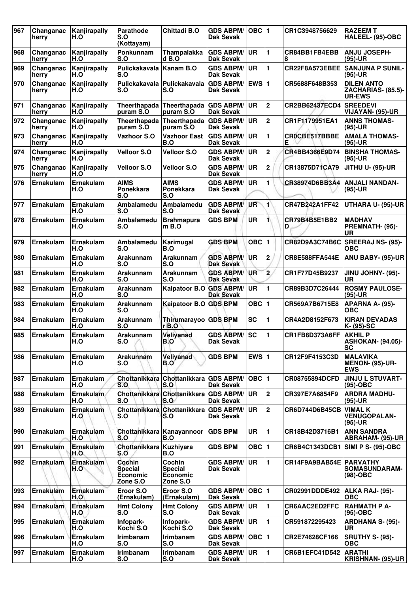| 967 | Changanac<br>herry | Kanjirapally<br>H.O     | Parathode<br>S.O<br>(Kottayam)                   | <b>Chittadi B.O</b>                              | <b>GDS ABPM/</b><br>Dak Sevak        | $OBC$  1     |                | CR1C3948756629          | <b>RAZEEM T</b><br>HALEEL- (95)-OBC                      |
|-----|--------------------|-------------------------|--------------------------------------------------|--------------------------------------------------|--------------------------------------|--------------|----------------|-------------------------|----------------------------------------------------------|
| 968 | Changanac<br>herry | Kanjirapally<br>H.O     | Ponkunnam<br>S.O                                 | Thampalakka<br>$d$ B.O                           | <b>GDS ABPM/</b><br><b>Dak Sevak</b> | <b>UR</b>    | 1              | CR84BB1FB4EBB<br>8      | <b>ANJU JOSEPH-</b><br>(95)-UR                           |
| 969 | Changanac<br>herry | Kanjirapally<br>H.O     | Pulickakavala<br>S.O                             | Kanam B.O                                        | <b>GDS ABPM/</b><br><b>Dak Sevak</b> | <b>UR</b>    | 1              | CR22F8A573EBEE          | <b>SANJUNA P SUNIL-</b><br>(95)-UR                       |
| 970 | Changanac<br>herry | Kanjirapally<br>H.O     | S.O                                              | Pulickakavala   Pulickakavala<br>S.O             | <b>GDS ABPM/</b><br><b>Dak Sevak</b> | <b>EWS 1</b> |                | CR5688F648B353          | <b>DILEN ANTO</b><br>ZACHARIAS- (85.5)-<br><b>UR-EWS</b> |
| 971 | Changanac<br>herry | Kanjirapally<br>H.O     | puram S.O                                        | Theerthapada Theerthapada<br>puram S.O           | <b>GDS ABPM/</b><br><b>Dak Sevak</b> | <b>UR</b>    | $\mathbf 2$    | CR2BB62437ECD4          | <b>SREEDEVI</b><br>VIJAYAN- (95)-UR                      |
| 972 | Changanac<br>herry | Kanjirapally<br>H.O     | Theerthapada<br>puram S.O                        | Theerthapada<br>puram S.O                        | <b>GDS ABPM/</b><br><b>Dak Sevak</b> | <b>UR</b>    | $\mathbf 2$    | CR1F1179951EA1          | <b>ANNS THOMAS-</b><br>$(95)-UR$                         |
| 973 | Changanac<br>herry | Kanjirapally<br>H.O     | <b>Vazhoor S.O</b>                               | <b>Vazhoor East</b><br>B.O                       | <b>GDS ABPM/</b><br><b>Dak Sevak</b> | <b>UR</b>    | 1              | CROCBE517BBBE<br>Е      | <b>AMALA THOMAS-</b><br>(95)-UR                          |
| 974 | Changanac<br>herry | Kanjirapally<br>H.O     | <b>Velloor S.O</b>                               | <b>Velloor S.O</b>                               | <b>GDS ABPM/</b><br><b>Dak Sevak</b> | <b>UR</b>    | 2              | CR4BB4366E9D74          | <b>BINSHA THOMAS-</b><br>(95)-UR                         |
| 975 | Changanac<br>herry | Kanjirapally<br>H.O     | <b>Velloor S.O</b>                               | <b>Velloor S.O</b>                               | <b>GDS ABPM/</b><br><b>Dak Sevak</b> | UR           | $\mathbf 2$    | CR13875D71CA79          | JITHU U- (95)-UR                                         |
| 976 | <b>Ernakulam</b>   | <b>Ernakulam</b><br>H.O | <b>AIMS</b><br>Ponekkara<br>S.O                  | <b>AIMS</b><br>Ponekkara<br>S.O                  | <b>GDS ABPM/</b><br><b>Dak Sevak</b> | UR           | 1              | CR38974D6BB3A4          | <b>ANJALI NANDAN-</b><br>(95)-UR                         |
| 977 | Ernakulam          | <b>Ernakulam</b><br>H.O | Ambalamedu<br>S.O                                | Ambalamedu<br>S.O                                | <b>GDS ABPM/</b><br><b>Dak Sevak</b> | UR           | $\blacksquare$ | CR47B242A1FF42          | UTHARA U- (95)-UR                                        |
| 978 | <b>Ernakulam</b>   | <b>Ernakulam</b><br>H.O | Ambalamedu<br>S.O                                | <b>Brahmapura</b><br>m B.O                       | <b>GDS BPM</b>                       | <b>UR</b>    | 1              | CR79B4B5E1BB2<br>D      | <b>MADHAV</b><br>PREMNATH- (95)-<br>UR                   |
| 979 | <b>Ernakulam</b>   | <b>Ernakulam</b><br>H.O | Ambalamedu<br>S.O                                | Karimugal<br>B.O                                 | <b>GDS BPM</b>                       | $OBC$  1     |                | CR82D9A3C74B6C          | <b>SREERAJ NS- (95)-</b><br>ОВС                          |
| 980 | Ernakulam          | Ernakulam<br>H.O        | Arakunnam<br>S.O                                 | Arakunnam<br>S.O                                 | <b>GDS ABPM/</b><br><b>Dak Sevak</b> | <b>UR</b>    | 2              | <b>CR8E588FFA544E</b>   | ANU BABY- (95)-UR                                        |
| 981 | <b>Ernakulam</b>   | Ernakulam<br>H.O        | Arakunnam<br>S.O                                 | Arakunnam<br>S.O                                 | <b>GDS ABPM/</b><br><b>Dak Sevak</b> | UR           | $\overline{2}$ | CR1F77D45B9237          | JINU JOHNY- (95)-<br>UR                                  |
| 982 | <b>Ernakulam</b>   | Ernakulam<br>H.O        | Arakunnam<br>S.O                                 | Kaipatoor B.O GDS ABPM/                          | <b>Dak Sevak</b>                     | UR           | 1              | CR89B3D7C26444          | <b>ROSMY PAULOSE-</b><br>(95)-UR                         |
| 983 | Ernakulam          | Ernakulam<br>H.O        | Arakunnam<br>S.O                                 | Kaipatoor B.O GDS BPM                            |                                      | $OBC$  1     |                | CR569A7B6715E8          | <b>APARNA A- (95)-</b><br><b>OBC</b>                     |
| 984 | Ernakulam          | Ernakulam<br>H.O        | Arakunnam<br>S.O                                 | Thirumarayoo GDS BPM<br>r B.O                    |                                      | <b>SC</b>    | 1              | CR4A2D8152F673          | <b>KIRAN DEVADAS</b><br>K- (95)-SC                       |
| 985 | <b>Ernakulam</b>   | Ernakulam<br>H.O        | Arakunnam<br>S.O                                 | Veliyanad<br>B.U                                 | <b>GDS ABPM/</b><br><b>Dak Sevak</b> | <b>SC</b>    | 1              | CR1FB8D373A6FF          | <b>AKHIL P</b><br><b>ASHOKAN- (94.05)-</b><br><b>SC</b>  |
| 986 | Ernakulam          | Ernakulam<br>H.O        | Arakunnam<br>S.O                                 | Veliyanad<br>B.O                                 | <b>GDS BPM</b>                       | EWS $ 1$     |                | CR12F9F4153C3D          | <b>MALAVIKA</b><br><b>MENON- (95)-UR-</b><br><b>EWS</b>  |
| 987 | <b>Ernakulam</b>   | Ernakulam<br>H.O        | S.O                                              | Chottanikkara Chottanikkara<br>S.O               | <b>GDS ABPM/</b><br><b>Dak Sevak</b> | OBC  1       |                | <b>CR08755894DCFD</b>   | <b>JINJU L STUVART-</b><br>(95)-OBC                      |
| 988 | <b>Ernakulam</b>   | <b>Ernakulam</b><br>H.O | S.O                                              | Chottanikkara Chottanikkara<br>S.O               | <b>GDS ABPM/</b><br>Dak Sevak        | UR.          | $\overline{2}$ | CR397E7A6854F9          | <b>ARDRA MADHU-</b><br>(95)-UR                           |
| 989 | Ernakulam          | Ernakulam<br>H.O        | S.O                                              | Chottanikkara Chottanikkara GDS ABPM/<br>S.O     | <b>Dak Sevak</b>                     | <b>UR</b>    | $\mathbf 2$    | CR6D744D6B45CB          | <b>VIMAL K</b><br><b>VENUGOPALAN-</b><br>(95)-UR         |
| 990 | Ernakulam          | Ernakulam<br>H.O        | Chottanikkara<br>S.O                             | Kanayannoor<br>B.O                               | <b>GDS BPM</b>                       | <b>UR</b>    | 1              | CR18B42D3716B1          | <b>ANN SANDRA</b><br>ABRAHAM- (95)-UR                    |
| 991 | Ernakulam          | <b>Ernakulam</b><br>H.O | Chottanikkara Kuzhiyara<br>S.O                   | B.O                                              | <b>GDS BPM</b>                       | $OBC$  1     |                | CR6B4C1343DCB1          | <b>SIMI P S- (95)-OBC</b>                                |
| 992 | <b>Ernakulam</b>   | Ernakulam<br>H.O        | Cochin<br><b>Special</b><br>Economic<br>Zone S.O | Cochin<br><b>Special</b><br>Economic<br>Zone S.O | <b>GDS ABPM/</b><br><b>Dak Sevak</b> | UR           | 1              | CR14F9A9BAB54E PARVATHY | SOMASUNDARAM-<br>(98)-OBC                                |
| 993 | Ernakulam          | Ernakulam<br>H.O        | Eroor S.O<br>(Ernakulam)                         | Eroor S.O<br>(Ernakulam)                         | <b>GDS ABPM/</b><br><b>Dak Sevak</b> | OBC  1       |                | CR02991DDDE492          | ALKA RAJ- (95)-<br>ОВС                                   |
| 994 | Ernakulam          | Ernakulam<br>H.O        | <b>Hmt Colony</b><br>S.O                         | <b>Hmt Colony</b><br>S.O                         | <b>GDS ABPM/</b><br><b>Dak Sevak</b> | <b>UR</b>    | 1              | CR6AAC2ED2FFC<br>D      | <b>RAHMATH P A-</b><br>$(95)-OBC$                        |
| 995 | Ernakulam          | Ernakulam<br>H.O        | Infopark-<br>Kochi S.O                           | Infopark-<br>Kochi S.O                           | <b>GDS ABPM/</b><br><b>Dak Sevak</b> | UR           | 1              | CR591872295423          | <b>ARDHANA S- (95)-</b><br>UR                            |
| 996 | <b>Ernakulam</b>   | Ernakulam<br>H.O        | Irimbanam<br>S.O                                 | <b>Irimbanam</b><br>S.O                          | <b>GDS ABPM/</b><br>Dak Sevak        | OBC  1       |                | CR2E74628CF166          | <b>SRUTHY S- (95)-</b><br><b>OBC</b>                     |
| 997 | Ernakulam          | Ernakulam<br>H.O        | Irimbanam<br>S.O                                 | <b>Irimbanam</b><br>S.O                          | <b>GDS ABPM/</b><br>Dak Sevak        | UR.          | 1              | CR6B1EFC41D542          | <b>ARATHI</b><br>KRISHNAN- (95)-UR                       |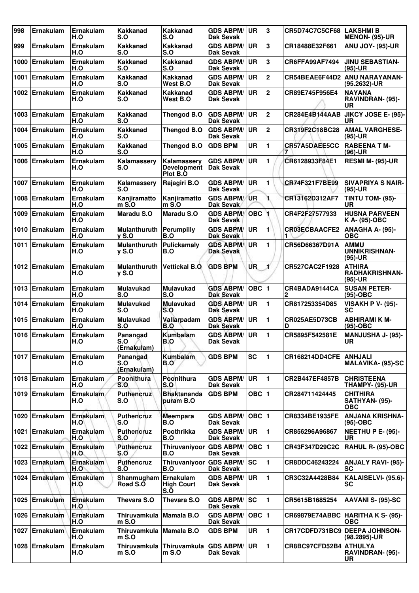| 998  | <b>Ernakulam</b> | Ernakulam<br>H.O        | <b>Kakkanad</b><br>S.O              | Kakkanad<br>S.O                               | <b>GDS ABPM/</b><br>Dak Sevak        | <b>UR</b>  | 3              | <b>CR5D74C7C5CF68</b>  | ∣LAKSHMI B<br><b>MENON- (95)-UR</b>                 |
|------|------------------|-------------------------|-------------------------------------|-----------------------------------------------|--------------------------------------|------------|----------------|------------------------|-----------------------------------------------------|
| 999  | Ernakulam        | Ernakulam<br>H.O        | <b>Kakkanad</b><br>S.O              | <b>Kakkanad</b><br>S.O                        | <b>GDS ABPM/</b><br>Dak Sevak        | <b>UR</b>  | 3              | CR18488E32F661         | <b>ANU JOY- (95)-UR</b>                             |
| 1000 | Ernakulam        | <b>Ernakulam</b><br>H.O | <b>Kakkanad</b><br>S.O              | <b>Kakkanad</b><br>S.O                        | <b>GDS ABPM/</b><br><b>Dak Sevak</b> | <b>UR</b>  | 3              | CR6FFA99AF7494         | <b>JINU SEBASTIAN-</b><br>$(95)-UR$                 |
| 1001 | <b>Ernakulam</b> | <b>Ernakulam</b><br>H.O | <b>Kakkanad</b><br>S.O              | <b>Kakkanad</b><br>West B.O                   | <b>GDS ABPM/</b><br>Dak Sevak        | <b>UR</b>  | $\mathbf 2$    | CR54BEAE6F44D2         | <b>ANU NARAYANAN-</b><br>(95.2632)-UR               |
|      | 1002 Ernakulam   | Ernakulam<br>H.O        | <b>Kakkanad</b><br>S.O              | <b>Kakkanad</b><br>West B.O                   | <b>GDS ABPM/</b><br>Dak Sevak        | <b>UR</b>  | $\overline{2}$ | CR89E745F956E4         | <b>NAYANA</b><br><b>RAVINDRAN- (95)-</b><br>UR      |
| 1003 | Ernakulam        | Ernakulam<br>H.O        | <b>Kakkanad</b><br>S.O              | Thengod B.O                                   | <b>GDS ABPM/</b><br><b>Dak Sevak</b> | UR         | $\overline{2}$ | CR284E4B144AAB         | JIKCY JOSE E- (95)-<br>UR                           |
| 1004 | Ernakulam        | Ernakulam<br>H.O        | <b>Kakkanad</b><br>S.O              | Thengod B.O                                   | <b>GDS ABPM/</b><br>Dak Sevak        | <b>UR</b>  | $\mathbf 2$    | CR319F2C18BC28         | <b>AMAL VARGHESE-</b><br>$(95)-UR$                  |
| 1005 | Ernakulam        | Ernakulam<br>H.O        | <b>Kakkanad</b><br>S.O              | Thengod B.O                                   | <b>GDS BPM</b>                       | <b>UR</b>  | 1              | CR57A5DAEE5CC          | <b>RABEENA T M-</b><br>$(96)-UR$                    |
| 1006 | Ernakulam        | Ernakulam<br>H.O        | Kalamassery<br>S.O                  | Kalamassery<br><b>Development</b><br>Plot B.O | <b>GDS ABPM/</b><br><b>Dak Sevak</b> | UR         | 1              | CR6128933F84E1         | <b>RESMI M- (95)-UR</b>                             |
| 1007 | Ernakulam        | Ernakulam<br>H.O        | Kalamassery<br>S.O                  | Rajagiri B.O                                  | <b>GDS ABPM/</b><br><b>Dak Sevak</b> | <b>UR</b>  | 1              | CR74F321F7BE99         | <b>SIVAPRIYA S NAIR-</b><br>$(95)-UR$               |
| 1008 | Ernakulam        | Ernakulam<br>H.O        | Kanjiramatto<br>$m$ S.O             | Kanjiramatto<br>$m$ S.O                       | <b>GDS ABPM/</b><br><b>Dak Sevak</b> | UR         | 1.             | CR13162D312AF7         | TINTU TOM- (95)-<br>UR                              |
| 1009 | Ernakulam        | Ernakulam<br>H.O        | <b>Maradu S.O</b>                   | Maradu S.O                                    | <b>GDS ABPM/</b><br><b>Dak Sevak</b> | <b>OBC</b> | 1              | CR4F2F27577933         | <b>HUSNA PARVEEN</b><br>K A- (95)-OBC               |
| 1010 | Ernakulam        | <b>Ernakulam</b><br>H.O | Mulanthuruth<br><b>v</b> S.O        | <b>Perumpilly</b><br>B.O                      | <b>GDS ABPM/</b><br>Dak Sevak        | <b>UR</b>  | 1.             | <b>CR03ECBAACFE2</b>   | ANAGHA A- (95)-<br><b>OBC</b>                       |
| 1011 | Ernakulam        | Ernakulam<br>H.O        | <b>Mulanthuruth</b><br><b>y S.O</b> | Pulickamaly<br>B.O                            | <b>GDS ABPM/</b><br><b>Dak Sevak</b> | UR         | 1              | CR56D66367D91A         | <b>AMMU</b><br>UNNIKRISHNAN-<br>$(95)-UR$           |
|      | 1012 Ernakulam   | Ernakulam<br>H.O        | <b>Mulanthuruth</b><br>$y S.$ O     | <b>Vettickal B.O.</b>                         | <b>GDS BPM</b>                       | <b>UR</b>  | Ľ              | CR527CAC2F1928         | <b>ATHIRA</b><br><b>RADHAKRISHNAN-</b><br>$(95)-UR$ |
| 1013 | Ernakulam        | Ernakulam<br>H.O        | <b>Mulavukad</b><br>S.O             | <b>Mulavukad</b><br>S.O                       | <b>GDS ABPM/</b><br><b>Dak Sevak</b> | $OBC$ 1    |                | CR4BADA9144CA<br>2     | <b>SUSAN PETER-</b><br>$(95)-OBC$                   |
| 1014 | Ernakulam        | Ernakulam<br>H.O        | <b>Mulavukad</b><br>S.O             | <b>Mulavukad</b><br>S.O                       | <b>GDS ABPM/</b><br><b>Dak Sevak</b> | <b>UR</b>  | 1              | CR817253354D85         | <b>VISAKH P V- (95)-</b><br><b>SC</b>               |
| 1015 | Ernakulam        | Ernakulam<br>H.O        | <b>Mulavukad</b><br>S.O             | Vallarpadam<br>B.O                            | <b>GDS ABPM/</b><br><b>Dak Sevak</b> | <b>UR</b>  | 1              | CR025AE5D73CB<br>D     | <b>ABHIRAMI K M-</b><br>$(95)-OBC$                  |
|      | 1016 Ernakulam   | Ernakulam<br>H.O        | Panangad<br>S.O<br>(Ernakulam)      | Kumbalam<br>B.O                               | <b>GDS ABPM/</b><br><b>Dak Sevak</b> | UR         | 1              | CR5895F542581E         | <b>MANJUSHA J- (95)-</b><br>UR                      |
|      | 1017 Ernakulam   | Ernakulam<br>H.O        | Panangad<br>S.O<br>(Ernakulam)      | <b>Kumbalam</b><br>B.O                        | <b>GDS BPM</b>                       | <b>SC</b>  | 1              | <b>CR168214DD4CFE</b>  | <b>ANHJALI</b><br><b>MALAVIKA- (95)-SC</b>          |
|      | 1018 Ernakulam   | Ernakulam<br>H.O        | Poonithura<br>S.O                   | Poonithura<br>S.O                             | <b>GDS ABPM/</b><br>Dak Sevak        | UR.        | $\mathbf{1}$   | CR2B447EF4857B         | <b>CHRISTEENA</b><br>THAMPY- (95)-UR                |
| 1019 | Ernakulam        | Ernakulam.<br>H.O       | <b>Puthencruz</b><br>S.O            | <b>Bhaktananda</b><br>puram B.O               | <b>GDS BPM</b>                       | OBC 1      |                | CR284711424445         | <b>CHITHIRA</b><br>SATHYAN- (95)-<br>ОВС            |
|      | 1020 Ernakulam   | <b>Ernakulam</b><br>H.O | <b>Puthencruz</b><br>S.O            | <b>Meempara</b><br>B.O                        | <b>GDS ABPM/</b><br><b>Dak Sevak</b> | OBC  1     |                | CR8334BE1935FE         | <b>ANJANA KRISHNA-</b><br>(95)-OBC                  |
| 1021 | Ernakulam        | Ernakulam<br>H.O        | <b>Puthencruz</b><br>S.O            | Poothrikka<br>B.O                             | <b>GDS ABPM/</b><br><b>Dak Sevak</b> | <b>UR</b>  | $\mathbf{1}$   | CR856296A96867         | <b>NEETHU P E- (95)-</b><br><b>UR</b>               |
| 1022 | Ernakulam        | Ernakulam<br>H.O        | <b>Puthencruz</b><br>S.O            | Thiruvaniyoor GDS ABPM/<br>B.O                | Dak Sevak                            | OBC $ 1$   |                | CR43F347D29C2C         | <b>RAHUL R- (95)-OBC</b>                            |
| 1023 | <b>Ernakulam</b> | Ernakulam<br>H.O        | Puthencruz<br>S.O                   | Thiruvaniyoor<br>B.O                          | <b>GDS ABPM/</b><br>Dak Sevak        | lsc        | 1              | CR8DDC46243224         | <b>ANJALY RAVI- (95)-</b><br><b>SC</b>              |
| 1024 | <b>Ernakulam</b> | <b>Ernakulam</b><br>H.O | Shanmugham<br>Road S.O              | Ernakulam<br><b>High Court</b><br>S.Õ         | <b>GDS ABPM/</b><br>Dak Sevak        | <b>UR</b>  | 1              | CR3C32A4428B84         | KALAISELVI- (95.6)-<br><b>SC</b>                    |
| 1025 | Ernakulam        | Ernakulam<br>H.O        | Thevara S.O                         | Thevara S.O                                   | <b>GDS ABPM/</b><br>Dak Sevak        | sc         | 1.             | CR5615B1685254         | AAVANI S- (95)-SC                                   |
|      | 1026 Ernakulam   | Ernakulam<br>H.O        | Thiruvamkula<br>$m$ S.O             | <b>Mamala B.O</b>                             | <b>GDS ABPM/</b><br><b>Dak Sevak</b> | OBC $ 1$   |                |                        | CR69879E74ABBC   HARITHA K S- (95)-<br><b>OBC</b>   |
| 1027 | Ernakulam        | Ernakulam<br>H.O        | Thiruvamkula<br>$m$ S.O             | <b>Mamala B.O</b>                             | <b>GDS BPM</b>                       | UR         | 1              | CR17CDFD731BC9         | <b>DEEPA JOHNSON-</b><br>(98.2895)-UR               |
| 1028 | Ernakulam        | Ernakulam<br>H.O        | Thiruvamkula<br>$m$ S.O             | Thiruvamkula<br>$m S.$ O                      | <b>GDS ABPM/</b><br>Dak Sevak        | <b>UR</b>  | $\mathbf{1}$   | CR8BC97CFD52B4 ATHULYA | RAVINDRAN- (95)-<br>UR                              |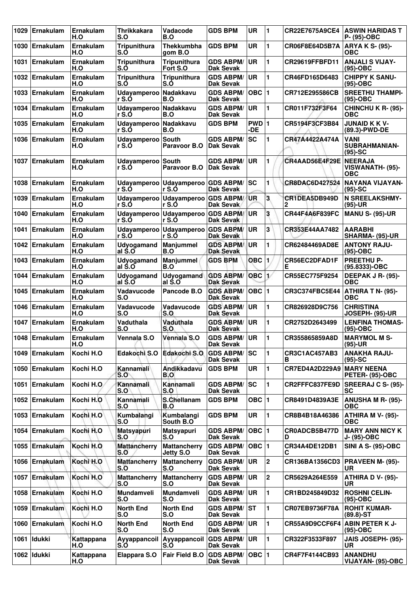| 1029 | <b>Ernakulam</b> | <b>Ernakulam</b><br>H.O | <b>Thrikkakara</b><br>S.O      | Vadacode<br>B.O                      | <b>GDS BPM</b>                          | <b>UR</b>    | 1                     | CR22E7675A9CE4        | <b>ASWIN HARIDAS T</b><br>P- (95)-OBC            |
|------|------------------|-------------------------|--------------------------------|--------------------------------------|-----------------------------------------|--------------|-----------------------|-----------------------|--------------------------------------------------|
| 1030 | Ernakulam        | Ernakulam<br>H.O        | <b>Tripunithura</b><br>S.Ò     | <b>Thekkumbha</b><br>gom B.O         | <b>GDS BPM</b>                          | <b>UR</b>    | 1                     | CR06F8E64D5B7A        | ARYA K S- (95)-<br><b>OBC</b>                    |
| 1031 | <b>Ernakulam</b> | <b>Ernakulam</b><br>H.O | <b>Tripunithura</b><br>S.Ó     | <b>Tripunithura</b><br>Fort S.O      | <b>GDS ABPM/</b><br><b>Dak Sevak</b>    | <b>UR</b>    | 1                     | CR29619FFBFD11        | <b>ANJALI S VIJAY-</b><br>(95)-OBC               |
| 1032 | Ernakulam        | Ernakulam<br>H.O        | <b>Tripunithura</b><br>S.O     | <b>Tripunithura</b><br>S.Ó           | <b>GDS ABPM/</b><br><b>Dak Sevak</b>    | UR           | 1                     | CR46FD165D6483        | <b>CHIPPY K SANU-</b><br>$(95)-OBC$              |
| 1033 | Ernakulam        | Ernakulam<br>H.O        | Udayamperoo Nadakkavu<br>r S.Ó | B.O                                  | <b>GDS ABPM/</b><br><b>Dak Sevak</b>    | OBC  1       |                       | CR712E295586CB        | <b>SREETHU THAMPI-</b><br>$(95)-OBC$             |
| 1034 | Ernakulam        | Ernakulam<br>H.O        | Udayamperoo<br>r S.Ó           | Nadakkavu<br>B.O                     | <b>GDS ABPM/</b><br><b>Dak Sevak</b>    | <b>UR</b>    | 1                     | CR011F732F3F64        | CHINCHU K R- (95)-<br>ОВС                        |
| 1035 | Ernakulam        | Ernakulam<br>H.O        | <b>Udayamperoo</b><br>r S.Ó    | Nadakkavu<br>B.O                     | <b>GDS BPM</b>                          | PWD 1<br>-DE |                       | CR5194F3CF3B84        | <b>JUNAID K K V-</b><br>(89.3)-PWD-DE            |
| 1036 | Ernakulam        | Ernakulam<br>H.O        | Udayamperoo South<br>r S.Ó     | Paravoor B.O                         | <b>GDS ABPM/</b><br><b>Dak Sevak</b>    | <b>SC</b>    | 1                     | CR47A4422A474A        | <b>VANI</b><br><b>SUBRAHMANIAN-</b><br>$(95)-SC$ |
| 1037 | Ernakulam        | <b>Ernakulam</b><br>H.O | Udayamperoo South<br>r S.Ó     | Paravoor B.O                         | <b>GDS ABPM/</b><br><b>Dak Sevak</b>    | <b>UR</b>    | 1                     | CR4AAD56E4F29E        | <b>NEERAJA</b><br>VISWANATH- (95)-<br><b>OBC</b> |
| 1038 | Ernakulam        | Ernakulam<br>H.O        | r S.Ó                          | Udayamperoo   Udayamperoo  <br>r S.O | <b>GDS ABPM/</b><br>Dak Sevak           | <b>SC</b>    | 1                     | CR8DAC6D427524        | NAYANA VIJAYAN-<br>$(95)-SC$                     |
| 1039 | Ernakulam        | Ernakulam<br>H.O        | r S.Ó                          | Udayamperoo   Udayamperoo  <br>r S.Ó | <b>GDS ABPM/</b><br><b>Dak Sevak</b>    | UR           | 3                     | CR1DEA5DB949D<br>2    | <b>N SREELAKSHMY-</b><br>$(95)-UR$               |
| 1040 | Ernakulam        | Ernakulam<br>H.O        | r S.Ó                          | Udayamperoo Udayamperoo<br>r S.Ó     | <b>GDS ABPM/</b><br><b>Dak Sevak</b>    | <b>UR</b>    | 3                     | <b>CR44F4A6F839FC</b> | <b>MANU S- (95)-UR</b>                           |
| 1041 | <b>Ernakulam</b> | Ernakulam<br>H.O        | Udayamperoo<br>r S.O           | <b>Udavamperoo</b><br>r S.O          | <b>GDS ABPM/</b><br><b>Dak Sevak</b>    | <b>UR</b>    | 3                     | CR353E44AA7482        | <b>AARABHI</b><br>SHARMA- (95)-UR                |
| 1042 | Ernakulam        | Ernakulam<br>H.O        | Udyogamand<br>al S.O           | <b>Manjummel</b><br>B.O              | <b>GDS ABPM/</b><br><b>Dak Sevak</b>    | <b>UR</b>    | 1                     | CR62484469AD8E        | <b>ANTONY RAJU-</b><br>$(95)-OBC$                |
| 1043 | <b>Ernakulam</b> | Ernakulam<br>H.O        | Udyogamand<br>al S.O           | <b>Manjummel</b><br>B.O              | <b>GDS BPM</b>                          | OBC          | 1                     | CR56EC2DFAD1F<br>Е    | <b>PREETHU P-</b><br>(95.8333)-OBC               |
| 1044 | Ernakulam        | Ernakulam<br>H.O        | Udyogamand<br>al S.O           | Udyogamand<br>al S.O                 | <b>GDS ABPM/</b><br><b>Dak Sevak</b>    | <b>OBC</b>   | $\mathbf{1}^{\prime}$ | CR55EC775F9254        | DEEPAK J R- (95)-<br>OBC                         |
| 1045 | Ernakulam        | Ernakulam<br>H.O        | Vadavucode<br>S.O              | Pancode B.O                          | <b>GDS ABPM/</b><br><b>Dak Sevak</b>    | OBC  1       |                       | CR3C374FBC5E44        | <b>ATHIRA T N- (95)-</b><br><b>OBC</b>           |
| 1046 | Ernakulam        | Ernakulam<br>H.O        | Vadavucode<br>S.O              | Vadavucode<br>S.O                    | <b>GDS ABPM/</b><br><b>Dak Sevak</b>    | UR           | 1                     | CR826928D9C756        | <b>CHRISTINA</b><br>JOSEPH- (95)-UR              |
| 1047 | <b>Ernakulam</b> | Ernakulam<br>H.O        | Vaduthala<br>S.O               | Vaduthala<br>S.O                     | <b>GDS ABPM/</b><br><b>Dak Sevak</b>    | <b>UR</b>    | 1                     | CR2752D2643499        | <b>LENFINA THOMAS-</b><br>(95)-OBC               |
|      | 1048 Ernakulam   | Ernakulam<br>H.O        | Vennala S.O                    | Vennala S.O                          | <b>GDS ABPM/ UR</b><br><b>Dak Sevak</b> |              | 1                     | CR355865859A8D        | <b>IMARYMOL M S-</b><br>(95)-UR                  |
|      | 1049 Ernakulam   | Kochi H.O               | Edakochi S.O                   | Edakochi S.O                         | <b>GDS ABPM/</b><br><b>Dak Sevak</b>    | lsc          | 1                     | CR3C1AC457AB3<br>в    | <b>ANAKHA RAJU-</b><br>$(95)-SC$                 |
| 1050 | Ernakulam        | Kochi H.O               | Kannamali<br>S.O               | Andikkadavu<br>B.O                   | <b>GDS BPM</b>                          | <b>UR</b>    | 1                     | CR7ED4A2D229A9        | <b>MARY NEENA</b><br><b>PETER- (95)-OBC</b>      |
| 1051 | Ernakulam        | Kochi H.O               | Kannamali<br>S.O               | Kannamali<br>S.O                     | <b>GDS ABPM/</b><br><b>Dak Sevak</b>    | <b>SC</b>    | 1                     | CR2FFFC837FE9D        | <b>SREERAJ C S- (95)-</b><br>SC                  |
|      | 1052 Ernakulam   | Kochi H.O               | Kannamali<br>S.O               | S.Chellanam<br>B.O                   | <b>GDS BPM</b>                          | OBC ∣1       |                       | CR8491D4839A3E        | <b>ANUSHA M R- (95)-</b><br>ОВС                  |
| 1053 | Ernakulam        | Kochi H.O               | Kumbalangi<br>S.O              | Kumbalangi<br>South B.O.             | <b>GDS BPM</b>                          | <b>UR</b>    | 1                     | CR8B4B18A46386        | <b>ATHIRA M V- (95)-</b><br>ОВС                  |
| 1054 | Ernakulam        | Kochi H.O               | <b>Matsyapuri</b><br>S.O       | <b>Matsyapuri</b><br>S.O             | <b>GDS ABPM/</b><br><b>Dak Sevak</b>    | $OBC$  1     |                       | CR0ADCB5B477D<br>D    | <b>MARY ANN NICY K</b><br>J- (95)-OBC            |
|      | 1055 Ernakulam   | Kochi H.O               | <b>Mattancherry</b><br>S.O     | <b>Mattancherry</b><br>Jetty S.O     | <b>GDS ABPM/</b><br><b>Dak Sevak</b>    | $OBC$  1     |                       | CR34A4DE12DB1<br>С    | <b>SINI A S- (95)-OBC</b>                        |
| 1056 | Ernakulam        | Kochi H.O               | <b>Mattancherry</b><br>S.O     | <b>Mattancherry</b><br>S.O           | <b>GDS ABPM/</b><br>Dak Sevak           | <b>UR</b>    | $\mathbf 2$           | CR136BA1356CD3        | <b>PRAVEEN M- (95)-</b><br>UR.                   |
| 1057 | <b>Ernakulam</b> | Kochi H.O               | <b>Mattancherry</b><br>S.O     | <b>Mattancherry</b><br>S.O           | <b>GDS ABPM/</b><br>Dak Sevak           | <b>UR</b>    | $\mathbf 2$           | CR5629A264E559        | <b>ATHIRA D V- (95)-</b><br>UR                   |
| 1058 | Ernakulam        | Kochi H.O               | Mundamveli<br>S.O              | Mundamveli<br>S.O                    | <b>GDS ABPM/</b><br><b>Dak Sevak</b>    | <b>UR</b>    | 1                     | CR1BD245849D32        | <b>ROSHNI CELIN-</b><br>(95)-OBC                 |
| 1059 | <b>Ernakulam</b> | Kochi H.O               | <b>North End</b><br>S.O        | <b>North End</b><br>S.O              | <b>GDS ABPM/ ST</b><br>Dak Sevak        |              | 1                     | CR07EB9736F78A        | <b>ROHIT KUMAR-</b><br>$(89.8) - ST$             |
| 1060 | <b>Ernakulam</b> | Kochi H.O               | <b>North End</b><br>S.O        | <b>North End</b><br>S.O              | <b>GDS ABPM/</b><br><b>Dak Sevak</b>    | <b>UR</b>    | 1                     | CR55A9D9CCF6F4        | <b>ABIN PETER K J-</b><br>(95)-OBC               |
| 1061 | Idukki           | Kattappana<br>H.O       | Ayyappancoil<br>S.O            | Ayyappancoil<br>S.O                  | <b>GDS ABPM/</b><br><b>Dak Sevak</b>    | UR           | 1                     | CR322F3533F897        | JAIS JOSEPH- (95)-<br>UR                         |
|      | 1062 Idukki      | Kattappana<br>H.O       | <b>Elappara S.O</b>            | Fair Field B.O                       | <b>GDS ABPM/</b><br><b>Dak Sevak</b>    | OBC  1       |                       | CR4F7F4144CB93        | <b>ANANDHU</b><br>VIJAYAN- (95)-OBC              |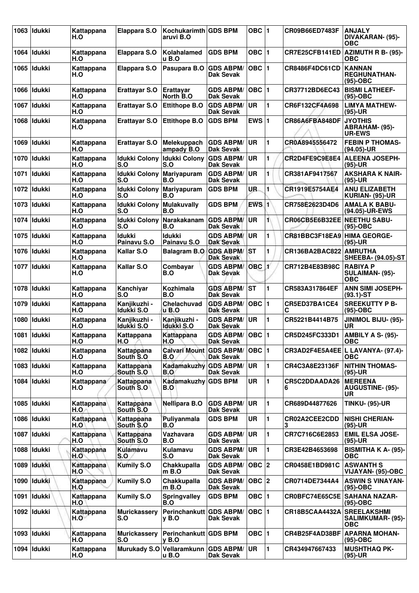| 1063 | <b>Idukki</b> | Kattappana<br>H.O   | Elappara S.O                            | Kochukarimth GDS BPM<br>aruvi B.O            |                                      | OBC $ 1$           |    | CR09B66ED7483F              | <b>ANJALY</b><br>DIVAKARAN- (95)-<br><b>OBC</b>        |
|------|---------------|---------------------|-----------------------------------------|----------------------------------------------|--------------------------------------|--------------------|----|-----------------------------|--------------------------------------------------------|
| 1064 | Idukki        | Kattappana<br>H.O   | Elappara S.O                            | Kolahalamed<br>u B.O                         | <b>GDS BPM</b>                       | OBC $ 1$           |    | CR7E25CFB141ED              | AZIMUTH R B- (95)-<br>ОВС                              |
| 1065 | <b>Idukki</b> | Kattappana<br>H.O   | <b>Elappara S.O</b>                     | Pasupara B.O                                 | <b>GDS ABPM/</b><br>Dak Sevak        | $OBC$  1           |    | CR8486F4DC61CD              | <b>KANNAN</b><br><b>REGHUNATHAN-</b><br>$(95)-OBC$     |
|      | 1066 Ildukki  | Kattappana<br>H.O   | <b>Erattayar S.O</b>                    | <b>Erattavar</b><br>North B.O                | <b>GDS ABPM/</b><br>Dak Sevak        | OBC $\vert$ 1      |    | CR37712BD6EC43              | <b>BISMI LATHEEF-</b><br>$(95)-OBC$                    |
|      | 1067 Ildukki  | Kattappana<br>H.O   | <b>Erattayar S.O</b>                    | <b>Ettithope B.O</b>                         | <b>GDS ABPM/</b><br><b>Dak Sevak</b> | <b>UR</b>          | 1  | CR6F132CF4A698              | <b>LIMYA MATHEW-</b><br>$(95)-UR$                      |
| 1068 | <b>Idukki</b> | Kattappana<br>H.O   | <b>Erattayar S.O</b>                    | <b>Ettithope B.O</b>                         | <b>GDS BPM</b>                       | EWS $ 1$           |    | CR86A6FBA848DF              | <b>JYOTHIS</b><br>ABRAHAM- (95)-<br><b>UR-EWS</b>      |
| 1069 | Idukki        | Kattappana<br>H.O   | <b>Erattayar S.O</b>                    | Melekuppach<br>ampady B.O                    | <b>GDS ABPM/</b><br><b>Dak Sevak</b> | <b>UR</b>          | 1  | CR0A8945556472              | <b>FEBIN P THOMAS-</b><br>$(94.05)$ -UR                |
|      | 1070   Idukki | Kattappana<br>H.O   | <b>Idukki Colony</b><br>S.O             | <b>Idukki Colony</b><br>S.O                  | <b>GDS ABPM/</b><br>Dak Sevak        | <b>UR</b>          | 1  | CR2D4FE9C9E8E4              | <b>ALEENA JOSEPH-</b><br>(95)-UR                       |
| 1071 | Idukki        | Kattappana<br>H.O   | <b>Idukki Colony</b><br>S.O             | <b>Mariyapuram</b><br>B.O                    | <b>GDS ABPM/</b><br>Dak Sevak        | UR                 | 1  | CR381AF9417567              | <b>AKSHARA K NAIR-</b><br>$(95)-UR$                    |
|      | 1072 Ildukki  | Kattappana<br>H.O   | Idukki Colony Mariyapuram<br><b>S.O</b> | B.O                                          | <b>GDS BPM</b>                       | UR.                | 1  | CR1919E5754AE4              | <b>ANU ELIZABETH</b><br>KURIAN- (95)-UR                |
| 1073 | l Idukki      | Kattappana<br>H.O   | <b>Idukki Colony</b><br>S.O             | <b>Mulakuvally</b><br>B.O                    | <b>GDS BPM</b>                       | $EWS$ <sub>1</sub> |    | CR758E2623D4D6              | <b>AMALA K BABU-</b><br>(94.05)-UR-EWS                 |
|      | 1074   Idukki | Kattappana<br>H.O   | <b>Idukki Colony</b><br>S.O             | Narakakanam<br>B.O                           | <b>GDS ABPM/</b><br>Dak Sevak        | UR.                | 1  | CR06CB5E6B32EE              | <b>NEETHU SABU-</b><br>(95)-OBC                        |
| 1075 | ldukki        | Kattappana<br>H.O   | Idukki<br>Painavu S.O                   | Idukki<br>Painavu S.O                        | <b>GDS ABPM/</b><br><b>Dak Sevak</b> | <b>UR</b>          | 1. | CR81BBC3F18EA9 HIMA GEORGE- | $(95)-UR$                                              |
|      | 1076   Idukki | Kattappana<br>H.O   | Kallar S.O                              | <b>Balagram B.O.</b>                         | <b>GDS ABPM/</b><br><b>Dak Sevak</b> | ST                 | 1  | CR136BA2BAC822              | <b>AMRUTHA</b><br>SHEEBA- (94.05)-ST                   |
|      | 1077   Idukki | Kattappana<br>H.O   | Kallar S.O                              | Combayar<br>B.O                              | <b>GDS ABPM/</b><br><b>Dak Sevak</b> | OBC <sub>1</sub>   |    | CR712B4E83B98C              | <b>RABIYA P</b><br>SULAIMAN- (95)-<br><b>OBC</b>       |
| 1078 | <b>Idukki</b> | Kattappana<br>H.O   | Kanchiyar<br>S.O                        | Kozhimala<br>B.O                             | <b>GDS ABPM/</b><br><b>Dak Sevak</b> | <b>ST</b>          | 1  | CR583A317864EF              | <b>ANN SIMI JOSEPH-</b><br>$(93.1)$ -ST                |
| 1079 | Idukki        | Kattappana<br>H.O   | Kanjikuzhi -<br>Idukki S.O              | Chelachuvad<br>u B.O                         | <b>GDS ABPM/</b><br>Dak Sevak        | $OBC$  1           |    | CR5ED37BA1CE4<br>С          | <b>SREEKUTTY P B-</b><br>$(95)-OBC$                    |
| 1080 | <b>Idukki</b> | Kattappana<br>H.O   | Kanjikuzhi -<br>Idukki S.O              | Kanjikuzhi -<br>Idukki S.O                   | <b>GDS ABPM/</b><br><b>Dak Sevak</b> | <b>UR</b>          | 1  | CR5221B4414B75              | JINIMOL BIJU- (95)-<br>UR                              |
|      | 1081   Idukki | Kattappana<br>H.O   | Kattappana<br>H.O                       | Kattappana<br>H.O                            | <b>GDS ABPM/</b><br>Dak Sevak        | OBC  1             |    | CR5D245FC333D1              | AMBILY A S- (95)-<br>ОВС                               |
|      | 1082 Idukki   | Kattappana<br>H.O   | Kattappana<br>South S.O.                | <b>Calvari Mount GDS ABPM/</b><br>B.O        | <b>Dak Sevak</b>                     | OBC $\vert$ 1      |    |                             | CR3AD2F4E5A4EE L LAVANYA- (97.4)-<br><b>OBC</b>        |
|      | 1083 Idukki   | Kattappana<br>H.O   | Kattappana<br>South S.O                 | Kadamakuzhy GDS ABPM/<br>B.O                 | Dak Sevak                            | <b>UR</b>          | 1. | CR4C3A8E23136F              | <b>NITHIN THOMAS-</b><br>$(95)-UR$                     |
|      | 1084 Idukki   | Kattappana<br>H.O   | Kattappana<br>South S.O                 | Kadamakuzhy GDS BPM<br>B.O                   |                                      | UR                 | 1  | CR5C2DDAADA26<br>6          | <b>MEREENA</b><br><b>AUGUSTINE- (95)-</b><br><b>UR</b> |
|      | 1085   Idukki | Kattappana<br>H.O.A | Kattappana<br>South S.O                 | <b>Nellipara B.O</b>                         | <b>GDS ABPM/</b><br>Dak Sevak        | <b>UR</b>          | 1  | CR689D44877626              | <b>TINKU- (95)-UR</b>                                  |
|      | 1086 Idukki   | Kattappana<br>H.O   | Kattappana<br>South S.O                 | Puliyanmala<br>B.O                           | <b>GDS BPM</b>                       | UR                 | 1  | CR02A2CEE2CDD<br>3          | <b>NISHI CHERIAN-</b><br>$(95)-UR$                     |
|      | 1087   Idukki | Kattappana<br>H.O   | Kattappana<br>South S.O.                | Vazhavara<br>B.O                             | <b>GDS ABPM/</b><br>Dak Sevak        | <b>UR</b>          | 1  | CR7C716C6E2853              | <b>EMIL ELSA JOSE-</b><br>$(95)-UR$                    |
|      | 1088 Idukki   | Kattappana<br>H.O   | Kulamavu<br>S.O                         | Kulamavu<br>S.O                              | <b>GDS ABPM/</b><br>Dak Sevak        | UR.                | 1  | CR3E42B4653698              | <b>BISMITHA K A- (95)-</b><br><b>OBC</b>               |
|      | 1089 Idukki   | Kattappana<br>H.O   | <b>Kumily S.O</b>                       | Chakkupalla<br>$m$ B.O                       | <b>GDS ABPM/</b><br>Dak Sevak        | OBC 2              |    | CR0458E1BD981C              | <b>ASWANTH S</b><br>VIJAYAN- (95)-OBC                  |
|      | 1090   Idukki | Kattappana<br>H.O   | <b>Kumily S.O</b>                       | Chakkupalla<br>$m$ B.O                       | <b>GDS ABPM/</b><br><b>Dak Sevak</b> | OBC $ 2 $          |    | CR0714DE7344A4              | <b>ASWIN S VINAYAN-</b><br>$(95)-OBC$                  |
| 1091 | <b>Idukki</b> | Kattappana<br>H.O   | <b>Kumily S.O</b>                       | <b>Springvalley</b><br>B.O                   | <b>GDS BPM</b>                       | OBC $ 1$           |    | CR0BFC74E65C5E              | <b>SAHANA NAZAR-</b><br>(95)-OBC                       |
|      | 1092   Idukki | Kattappana<br>H.O   | <b>Murickassery</b><br>S.O              | Perinchankutt GDS ABPM/<br>y B.O             | Dak Sevak                            | OBC $ 1$           |    | <b>CR18B5CAA4432A</b>       | <b>SREELAKSHMI</b><br>SALIMKUMAR- (95)-<br><b>OBC</b>  |
| 1093 | ldukki        | Kattappana<br>H.O   | <b>Murickassery</b><br>S.O              | Perinchankutt GDS BPM<br>$v$ B.O             |                                      | OBC $ 1$           |    | CR4B25F4AD38BF              | <b>APARNA MOHAN-</b><br>(95)-OBC                       |
|      | 1094   Idukki | Kattappana<br>H.O   |                                         | Murukady S.O Vellaramkunn GDS ABPM/<br>u B.O | <b>Dak Sevak</b>                     | <b>UR</b>          | 1  | CR434947667433              | <b>MUSHTHAQ PK-</b><br>$(95)-UR$                       |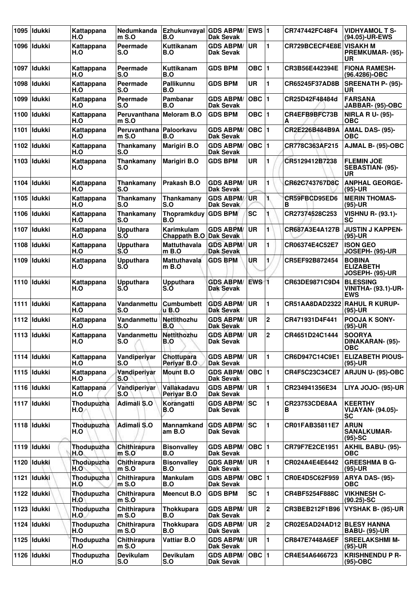|      | 1095   Idukki | Kattappana<br>H.O        | Nedumkanda<br>mS.0                   | Ezhukunvayal GDS ABPM/<br>B.O        | Dak Sevak                            | <b>EWS 1</b>       |                | CR747442FC48F4                 | <b>VIDHYAMOL T S-</b><br>(94.05)-UR-EWS                     |
|------|---------------|--------------------------|--------------------------------------|--------------------------------------|--------------------------------------|--------------------|----------------|--------------------------------|-------------------------------------------------------------|
|      | 1096   Idukki | Kattappana<br>H.O        | Peermade<br>S.O                      | Kuttikanam<br>B.O                    | <b>GDS ABPM/</b><br><b>Dak Sevak</b> | <b>UR</b>          | 1              | <b>CR729BCECF4E8E VISAKH M</b> | <b>PREMKUMAR- (95)-</b><br>UR                               |
|      | 1097 Ildukki  | Kattappana<br>H.O        | <b>Peermade</b><br>S.O               | Kuttikanam<br>B.O                    | <b>GDS BPM</b>                       | OBC $ 1$           |                | CR3B56E442394E                 | <b>FIONA RAMESH-</b><br>(96.4286)-OBC                       |
|      | 1098   Idukki | Kattappana<br>H.O        | Peermade<br>S.O                      | Pallikunnu<br>B.O                    | <b>GDS BPM</b>                       | <b>UR</b>          | 1              | CR65245F37AD8B                 | <b>SREENATH P- (95)-</b><br>UR                              |
| 1099 | ldukki        | Kattappana<br>H.O        | Peermade<br>S.O                      | Pambanar<br>B.O                      | <b>GDS ABPM/</b><br>Dak Sevak        | OBC  1             |                | CR25D42F48484d                 | <b>FARSANA</b><br>JABBAR- (95)-OBC                          |
|      | 1100   Idukki | Kattappana<br>H.O        | Peruvanthana<br>$m$ S.O              | Meloram B.O                          | <b>GDS BPM</b>                       | $OBC$  1           |                | CR4EFB9BFC73B<br>А             | <b>NIRLA R U- (95)-</b><br><b>OBC</b>                       |
|      | 1101 Ildukki  | Kattappana<br>H.O        | Peruvanthana   Paloorkavu<br>$mS.$ O | B.O                                  | <b>GDS ABPM/</b><br>Dak Sevak        | OBC  1             |                | CR2E226B484B9A                 | AMAL DAS- (95)-<br><b>OBC</b>                               |
|      | 1102   Idukki | Kattappana<br>H.O        | Thankamany<br>S.O                    | <b>Marigiri B.O</b>                  | <b>GDS ABPM/</b><br>Dak Sevak        | OBC  1             |                | CR778C363AF215                 | AJMAL B- (95)-OBC                                           |
|      | 1103   Idukki | Kattappana<br>H.O        | Thankamany<br>S.O                    | <b>Marigiri B.O</b>                  | <b>GDS BPM</b>                       | <b>UR</b>          | 1              | CR5129412B7238                 | <b>FLEMIN JOE</b><br>SEBASTIAN- (95)-<br>UR                 |
|      | 1104 Ildukki  | Kattappana<br>H.O        | Thankamany<br>S.O                    | Prakash B.O                          | <b>GDS ABPM/</b><br>Dak Sevak        | <b>UR</b>          | 1              | CR62C743767D8C                 | <b>ANPHAL GEORGE-</b><br>$(95)-UR$                          |
|      | 1105   Idukki | Kattappana<br>H.O        | Thankamany<br>S.O                    | Thankamany<br>S.O                    | <b>GDS ABPM/</b><br>Dak Sevak        | <b>UR</b>          | 1.             | CR59FBCD95ED6<br>в             | <b>MERIN THOMAS-</b><br>(95)-UR                             |
| 1106 | <b>Idukki</b> | Kattappana<br>H.O        | Thankamany<br>S.O                    | Thopramkduy GDS BPM<br>B.O           |                                      | <b>SC</b>          |                | CR27374528C253                 | <b>VISHNU R- (93.1)-</b><br><b>SC</b>                       |
|      | 1107   Idukki | Kattappana<br>H.O        | <b>Upputhara</b><br>S.O              | Karimkulam<br>Chappath B.O Dak Sevak | <b>GDS ABPM/</b>                     | <b>UR</b>          | 1              | CR687A3E4A127B                 | <b>JUSTIN J KAPPEN-</b><br>$(95)-UR$                        |
| 1108 | Idukki        | Kattappana<br>H.O        | <b>Upputhara</b><br>S.O              | <b>Mattuthavala</b><br>$m$ B.O       | <b>GDS ABPM/</b><br><b>Dak Sevak</b> | <b>UR</b>          | 1              | CR06374E4C52E7                 | <b>ISON GEO</b><br>JOSEPH- (95)-UR                          |
| 1109 | <b>Idukki</b> | Kattappana<br>H.O        | <b>Upputhara</b><br>S.O              | <b>Mattuthavala</b><br>$m$ B.O       | <b>GDS BPM</b>                       | UR.                | 1              | CR5EF92B872454                 | <b>BOBINA</b><br><b>ELIZABETH</b><br>JOSEPH- (95)-UR        |
|      | 1110 Ildukki  | Kattappana<br>H.O        | <b>Upputhara</b><br>S.O              | <b>Upputhara</b><br>S.O              | <b>GDS ABPM/</b><br><b>Dak Sevak</b> | $EWS$ <sub>1</sub> |                | CR63DE9871C9D4                 | <b>BLESSING</b><br><b>VINITHA- (93.1)-UR-</b><br><b>EWS</b> |
|      | 1111 Idukki   | Kattappana<br>H.O        | Vandanmettu<br>S.O                   | <b>Cumbumbett</b><br><b>u</b> B.O    | <b>GDS ABPM/</b><br>Dak Sevak        | <b>UR</b>          | 1              | CR51AA8DAD2322 RAHUL R KURUP-  | $(95)-UR$                                                   |
|      | 1112   Idukki | Kattappana<br>H.O        | Vandanmettu<br>S.O                   | Nettithozhu<br>B.O                   | <b>GDS ABPM/</b><br><b>Dak Sevak</b> | <b>UR</b>          | $\mathbf{2}$   | CR471931D4F441                 | <b>POOJA K SONY-</b><br>$(95)-UR$                           |
|      | 1113 Idukki   | Kattappana<br>H.O        | Vandanmettu<br>S.O                   | Nettithozhu<br>B.O                   | <b>GDS ABPM/</b><br>Dak Sevak        | <b>UR</b>          | $\mathbf 2$    | CR4651D24C1444                 | <b>SOORYA</b><br>DINAKARAN- (95)-<br><b>OBC</b>             |
|      | 1114 Idukki   | Kattappana<br>H.O        | Vandiperiyar<br>S.O                  | Chottupara<br>Periyar B.O            | <b>GDS ABPM/</b><br>Dak Sevak        | UR.                | 1              | CR6D947C14C9E1                 | <b>ELIZABETH PIOUS-</b><br>$(95)-UR$                        |
|      | 1115 Idukki   | Kattappana<br>H.O        | Vandiperiyar<br>S.O                  | Mount B.O                            | <b>GDS ABPM/</b><br><b>Dak Sevak</b> | $OBC$  1           |                | CR4F5C23C34CE7                 | ARJUN U- (95)-OBC                                           |
|      | 1116 Idukki   | Kattappana<br>H.O        | Vandiperiyar<br>S.O                  | Vallakadavu<br>Perivar B.O           | <b>GDS ABPM/</b><br>Dak Sevak        | <b>UR</b>          | 1.             | CR234941356E34                 | LIYA JOJO- (95)-UR                                          |
|      | 1117   Idukki | <b>Thodupuzha</b><br>H.O | Adimali S.O                          | Korangatti<br>B.O                    | <b>GDS ABPM/</b><br>Dak Sevak        | lsc                | 1              | CR23753CDE8AA<br>В             | <b>KEERTHY</b><br><b>VIJAYAN- (94.05)-</b><br><b>SC</b>     |
|      | 1118 Idukki   | <b>Thodupuzha</b><br>H.O | Adimali S.O                          | Mannamkand<br>am B.O                 | <b>GDS ABPM/</b><br>Dak Sevak        | <b>SC</b>          | 1              | CR01FAB35811E7                 | <b>ARUN</b><br><b>SANALKUMAR-</b><br>$(95)-SC$              |
|      | 1119 Idukki   | Thodupuzha<br>H.O.       | Chithirapura<br>$m$ S.O              | <b>Bisonvalley</b><br>B.O            | <b>GDS ABPM/</b><br>Dak Sevak        | OBC  1             |                | CR79F7E2CE1951                 | <b>AKHIL BABU- (95)-</b><br><b>OBC</b>                      |
|      | 1120   Idukki | Thodupuzha<br>H.O        | Chithirapura<br>$m$ S.O              | <b>Bisonvalley</b><br>B.O            | <b>GDS ABPM/</b><br>Dak Sevak        | <b>UR</b>          | 1              | CR024A4E4E6442                 | <b>GREESHMA B G-</b><br>(95)-UR                             |
| 1121 | <b>Idukki</b> | Thodupuzha<br>H.O        | Chithirapura<br>$m$ S.O              | <b>Mankulam</b><br>B.O               | <b>GDS ABPM/</b><br><b>Dak Sevak</b> | OBC  1             |                | CR0E4D5C62F959                 | ARYA DAS- (95)-<br><b>OBC</b>                               |
|      | 1122   Idukki | Thodupuzha<br>H.O        | Chithirapura<br>$m$ S.O              | <b>Meencut B.O</b>                   | <b>GDS BPM</b>                       | <b>SC</b>          | 1              | CR4BF5254F888C                 | <b>VIKHNESH C-</b><br>$(90.25)$ -SC                         |
|      | 1123 Idukki   | Thodupuzha<br>H.O        | Chithirapura<br>$m$ S.O              | <b>Thokkupara</b><br>B.O             | <b>GDS ABPM/</b><br>Dak Sevak        | <b>UR</b>          | $\overline{2}$ | CR3BEB212F1B96                 | VYSHAK B- (95)-UR                                           |
|      | 1124   Idukki | Thodupuzha<br>H.O        | Chithirapura<br>$m$ S.O              | <b>Thokkupara</b><br>B.O             | <b>GDS ABPM/</b><br>Dak Sevak        | UR                 | $\mathbf 2$    | CR02E5AD24AD12 BLESY HANNA     | <b>BABU- (95)-UR</b>                                        |
|      | 1125   Idukki | Thodupuzha<br>H.O        | Chithirapura<br>$m$ S.O              | <b>Vattiar B.O</b>                   | <b>GDS ABPM/</b><br>Dak Sevak        | <b>UR</b>          | 1.             | CR847E7448A6EF                 | <b>SREELAKSHMI M-</b><br>$(95)-UR$                          |
|      | 1126 Idukki   | Thodupuzha<br>H.O        | <b>Devikulam</b><br>S.O              | <b>Devikulam</b><br>S.O              | <b>GDS ABPM/</b><br>Dak Sevak        | OBC  1             |                | CR4E54A6466723                 | <b>KRISHNENDU P R-</b><br>(95)-OBC                          |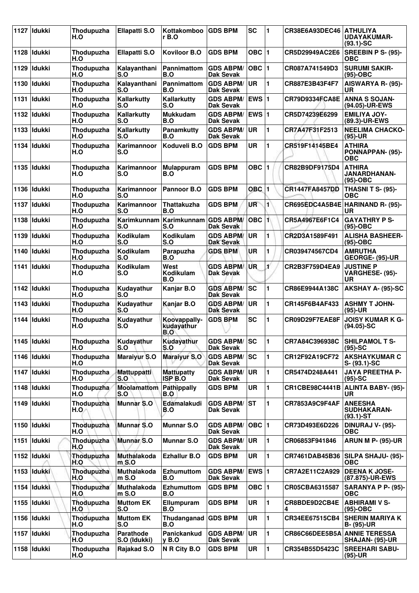|      | 1127 Idukki   | Thodupuzha<br>H.O          | <b>Ellapatti S.O</b>      | Kottakomboo<br>r B.O                    | <b>GDS BPM</b>                         | <b>SC</b>    | 1              | CR38E6A93DEC46        | <b>ATHULIYA</b><br><b>UDAYAKUMAR-</b><br>$(93.1)$ -SC |
|------|---------------|----------------------------|---------------------------|-----------------------------------------|----------------------------------------|--------------|----------------|-----------------------|-------------------------------------------------------|
| 1128 | Idukki        | Thodupuzha<br>H.O          | <b>Ellapatti S.O</b>      | <b>Koviloor B.O</b>                     | <b>GDS BPM</b>                         | OBC $ 1$     |                | CR5D29949AC2E6        | SREEBIN P S- (95)-<br>OBC                             |
| 1129 | <b>Idukki</b> | Thodupuzha<br>H.O          | Kalavanthani<br>S.O       | Pannimattom<br>B.O                      | <b>GDS ABPM/</b><br>Dak Sevak          | $OBC$  1     |                | CR087A741549D3        | <b>SURUMI SAKIR-</b><br>$(95)-OBC$                    |
| 1130 | <b>Idukki</b> | Thodupuzha<br>H.O          | Kalayanthani<br>S.O       | <b>Pannimattom</b><br>B.O               | <b>GDS ABPM/</b><br>Dak Sevak          | <b>UR</b>    | 1              | CR887E3B43F4F7        | AISWARYA R- (95)-<br>UR                               |
| 1131 | Idukki        | Thodupuzha<br>H.O          | Kallarkutty<br>S.O        | Kallarkutty<br>S.O                      | <b>GDS ABPM/</b><br>Dak Sevak          | <b>EWS 1</b> |                | CR79D9334FCA8E        | <b>ANNA S SOJAN-</b><br>(94.05)-UR-EWS                |
|      | 1132   Idukki | Thodupuzha<br>H.O          | Kallarkutty<br>S.O        | <b>Mukkudam</b><br>B.O                  | <b>GDS ABPM/</b><br><b>Dak Sevak</b>   | EWS $ 1$     |                | CR5D74239E6299        | <b>EMILIYA JOY-</b><br>(89.3)-UR-EWS                  |
| 1133 | Idukki        | Thodupuzha<br>H.O          | Kallarkutty<br>S.O        | Panamkutty<br>B.O                       | <b>GDS ABPM/</b><br><b>Dak Sevak</b>   | <b>UR</b>    | 1              | CR7A47F31F2513        | <b>NEELIMA CHACKO-</b><br>$(95)-UR$                   |
| 1134 | ldukki        | Thodupuzha<br>H.O          | Karimannoor<br>S.O        | Koduveli B.O                            | <b>GDS BPM</b>                         | <b>UR</b>    | 1              | CR519F14145BE4        | <b>ATHIRA</b><br>PONNAPPAN- (95)-<br><b>OBC</b>       |
| 1135 | <b>Idukki</b> | Thodupuzha<br>H.O          | Karimannoor<br>S.O        | <b>Mulappuram</b><br>B.O                | <b>GDS BPM</b>                         | OBC $ 1$     |                | CR82B9DF9175D4        | <b>ATHIRA</b><br>JANARDHANAN-<br>$(95)-OBC$           |
| 1136 | <b>Idukki</b> | Thodupuzha<br>H.O          | Karimannoor<br><b>S.O</b> | Pannoor B.O                             | <b>GDS BPM</b>                         | $OBC$   1    |                | <b>CR1447FA8457DD</b> | <b>THASNI T S- (95)-</b><br><b>OBC</b>                |
| 1137 | <b>Idukki</b> | Thodupuzha<br>H.O          | Karimannoor<br>S.O        | <b>Thattakuzha</b><br>B.O               | <b>GDS BPM</b>                         | UR           | $\mathbf{1}$   | CR695EDC4A5B4E        | HARINAND R- (95)-<br><b>UR</b>                        |
| 1138 | <b>Idukki</b> | Thodupuzha<br>H.O          | Karimkunnam<br>S.O        | Karimkunnam<br>S.O                      | <b>GDS ABPM/</b><br>Dak Sevak          | OBC 1        |                | CR5A4967E6F1C4        | <b>GAYATHRY P S-</b><br>$(95)-OBC$                    |
| 1139 | <b>Idukki</b> | Thodupuzha<br>H.O          | Kodikulam<br><b>S.O</b>   | Kodikulam<br>S.O                        | <b>GDS ABPM/</b><br><b>Dak Sevak</b>   | <b>UR</b>    | 1              | CR2D3A1589F491        | <b>ALISHA BASHEER-</b><br>$(95)-OBC$                  |
| 1140 | ldukki        | Thodupuzha<br>H.O          | Kodikulam<br>S.O          | Parapuzha<br>B.O                        | <b>GDS BPM</b>                         | UR           | 1              | CR039474567CD4        | <b>AMRUTHA</b><br>GEORGE- (95)-UR                     |
|      | 1141   Idukki | Thodupuzha<br>H.O          | Kodikulam<br>S.O          | West<br>Kodikulam<br>B.O                | <b>GDS ABPM</b><br><b>Dak Sevak</b>    | UR           | 1              | CR2B3F759D4EA9        | <b>JUSTINE P</b><br>VARGHESE- (95)-<br>UR             |
| 1142 | <b>Idukki</b> | Thodupuzha<br>H.O          | Kudayathur<br>S.O         | Kanjar B.O                              | <b>GDS ABPM/</b><br><b>Dak Sevak</b>   | SC           | 1              | CR86E9944A138C        | AKSHAY A- (95)-SC                                     |
| 1143 | <b>Idukki</b> | Thodupuzha<br>H.O          | Kudayathur<br>S.O         | Kanjar B.O                              | <b>GDS ABPM/</b><br><b>Dak Sevak</b>   | <b>UR</b>    | $\blacksquare$ | CR145F6B4AF433        | <b>ASHMY T JOHN-</b><br>$(95)-UR$                     |
| 1144 | <b>Idukki</b> | Thodupuzha<br>H.O          | Kudayathur<br>S.O         | Koovappally-<br>kudayathur<br>B.O       | <b>GDS BPM</b>                         | <b>SC</b>    | 1              | CR09D29F7EAE8F        | <b>JOISY KUMAR K G-</b><br>$(94.05)$ -SC              |
|      | 1145 Idukki   | Thodupuzha<br>H.O          | Kudayathur<br>S.O         | Kudayathur<br>S.O                       | <b>GDS ABPM/SC</b><br><b>Dak Sevak</b> |              | 1              | CR7A84C396938C        | SHILPAMOL T S-<br>$(95)-SC$                           |
|      | 1146 Idukki   | Thodupuzha<br>H.O          | <b>Maraiyur S.O</b>       | <b>Maraiyur S.O</b>                     | <b>GDS ABPM/ SC</b><br>Dak Sevak       |              | 1              | CR12F92A19CF72        | <b>AKSHAYKUMAR C</b><br>S- (93.1)-SC                  |
|      | 1147 Idukki   | Thodupuzha<br>H.O          | Mattuppatti<br>S.O        | <b>Mattupatty</b><br>ISP <sub>B.O</sub> | <b>GDS ABPM/</b><br>Dak Sevak          | UR           | 1              | CR5474D248A441        | <b>JAYA PREETHA P-</b><br>$(95)-SC$                   |
|      | 1148   Idukki | Thodupuzha<br>H.O          | <b>Moolamattom</b><br>S.O | <b>Pathippally</b><br>B.O               | <b>GDS BPM</b>                         | UR           | 1              | <b>CR1CBE98C4441B</b> | ALINTA BABY- (95)-<br>UR.                             |
|      | 1149   Idukki | <b>Thodupuzha</b><br>H.O.⁄ | <b>Munnar S.O</b>         | Edamalakudi<br>B.O                      | <b>GDS ABPM/</b><br>Dak Sevak          | <b>ST</b>    | 1              | CR7853A9C9F4AF        | <b>ANEESHA</b><br>SUDHAKARAN-<br>$(93.1)$ -ST         |
|      | 1150 Idukki   | Thodupuzha<br>H.O          | <b>Munnar S.O</b>         | <b>Munnar S.O</b>                       | <b>GDS ABPM/</b><br><b>Dak Sevak</b>   | OBC  1       |                | CR73D493E6D226        | DINURAJ V- (95)-<br><b>OBC</b>                        |
| 1151 | Idukki        | Thodupuzha<br>H.O          | <b>Munnar S.O</b>         | <b>Munnar S.O</b>                       | <b>GDS ABPM/</b><br>Dak Sevak          | UR.          | 1              | CR06853F941846        | <b>ARUN M P- (95)-UR</b>                              |
|      | 1152 Idukki   | Thodupuzha<br>H.O          | Muthalakoda<br>$m$ S.O    | <b>Ezhallur B.O</b>                     | <b>GDS BPM</b>                         | UR           | 1              | <b>CR7461DAB45B36</b> | SILPA SHAJU- (95)-<br><b>OBC</b>                      |
|      | 1153 Idukki   | Thodupuzha<br>H.O          | Muthalakoda<br>m S.O      | <b>Ezhumuttom</b><br>B.O                | <b>GDS ABPM/</b><br>Dak Sevak          | EWS $ 1$     |                | CR7A2E11C2A929        | <b>DEENA K JOSE-</b><br>(87.875)-UR-EWS               |
|      | 1154   Idukki | Thodupuzha<br>H.O          | Muthalakoda<br>$m$ S.O    | <b>Ezhumuttom</b><br>B.O                | <b>GDS BPM</b>                         | OBC $ 1$     |                | CR05CBA6315587        | SARANYA P P- (95)-<br><b>OBC</b>                      |
|      | 1155 Idukki   | Thodupuzha<br>H.O          | <b>Muttom EK</b><br>S.O   | Ellumpuram<br>B.O                       | <b>GDS BPM</b>                         | <b>UR</b>    | 1              | CR8BDE9D2CB4E<br>4    | <b>ABHIRAMI V S-</b><br>$(95)-OBC$                    |
|      | 1156 Idukki   | Thodupuzha<br>H.O          | <b>Muttom EK</b><br>S.O   | <b>Thudanganad</b><br>B.O               | <b>GDS BPM</b>                         | UR           | 1              | CR34EE67515CB4        | <b>SHERIN MARIYA K</b><br><b>B- (95)-UR</b>           |
|      | 1157 Idukki   | Thodupuzha<br>H.O          | Parathode<br>S.O (Idukki) | Panickankud<br><b>v</b> B.O             | <b>GDS ABPM/</b><br>Dak Sevak          | <b>UR</b>    | 1              | CR86C66DEE5B5A        | <b>ANNIE TERESSA</b><br><b>SHAJAN- (95)-UR</b>        |
|      | 1158 Idukki   | Thodupuzha<br>H.O          | Rajakad S.O               | N R City B.O                            | <b>GDS BPM</b>                         | UR           | 1              | CR354B55D5423C        | <b>SREEHARI SABU-</b><br>$(95)-UR$                    |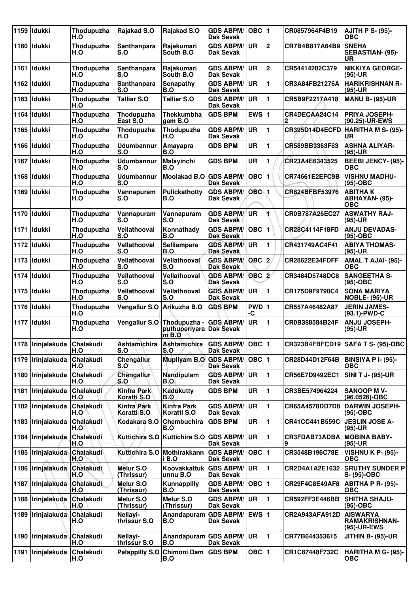| 1159 | <b>Idukki</b>       | Thodupuzha<br>H.O | Rajakad S.O                       | Rajakad S.O                              | <b>GDS ABPM/</b><br><b>Dak Sevak</b> | OBC  1           |             | CR0857964F4B19     | <b>AJITH P S- (95)-</b><br>ОВС                         |
|------|---------------------|-------------------|-----------------------------------|------------------------------------------|--------------------------------------|------------------|-------------|--------------------|--------------------------------------------------------|
| 1160 | <b>Idukki</b>       | Thodupuzha<br>H.O | Santhanpara<br>S.O                | Rajakumari<br>South B.O.                 | <b>GDS ABPM/</b><br><b>Dak Sevak</b> | UR               | $\mathbf 2$ | CR7B4B817A64B9     | <b>SNEHA</b><br>SEBASTIAN- (95)-<br><b>UR</b>          |
| 1161 | <b>ldukki</b>       | Thodupuzha<br>H.O | Santhanpara<br>S.O                | Rajakumari<br>South B.O.                 | <b>GDS ABPM/</b><br><b>Dak Sevak</b> | <b>UR</b>        | $\mathbf 2$ | CR54414282C379     | <b>NIKKIYA GEORGE-</b><br>(95)-UR                      |
|      | 1162 Idukki         | Thodupuzha<br>H.O | Santhanpara<br>S.O                | Senapathy<br>B.O                         | <b>GDS ABPM/</b><br><b>Dak Sevak</b> | ∣UR              | 1           | CR3A84FB21276A     | <b>HARIKRISHNAN R-</b><br>(95)-UR                      |
|      | 1163 Idukki         | Thodupuzha<br>H.O | <b>Talliar S.O</b>                | <b>Talliar S.O</b>                       | <b>GDS ABPM/</b><br><b>Dak Sevak</b> | <b>UR</b>        | 1           | CR5B9F2217A418     | <b>MANU B- (95)-UR</b>                                 |
| 1164 | ldukki              | Thodupuzha<br>H.O | Thodupuzha<br>East S.O            | <b>Thekkumbha</b><br>aam B.O             | <b>GDS BPM</b>                       | EWS $ 1$         |             | CR4DECAA24C14<br>2 | <b>PRIYA JOSEPH-</b><br>(90.25)-UR-EWS                 |
| 1165 | <b>l</b> ldukki     | Thodupuzha<br>H.O | Thodupuzha<br>H.O                 | Thodupuzha<br>H.O                        | <b>GDS ABPM/</b><br><b>Dak Sevak</b> | <b>UR</b>        | 1           | CR395D14D4ECFD     | HARITHA M S- (95)-<br>UR                               |
| 1166 | l Idukki            | Thodupuzha<br>H.O | <b>Udumbannur</b><br>S.O          | Amayapra<br>B.O                          | <b>GDS BPM</b>                       | <b>UR</b>        | 1           | CR589BB3363F83     | <b>ASHNA ALIYAR-</b><br>(95)-UR                        |
| 1167 | Idukki              | Thodupuzha<br>H.O | <b>Udumbannur</b><br>S.O          | Malayinchi<br>B.O                        | <b>GDS BPM</b>                       | <b>UR</b>        | 1           | CR23A4E6343525     | <b>BEEBI JENCY- (95)-</b><br><b>OBC</b>                |
| 1168 | <b>Idukki</b>       | Thodupuzha<br>H.O | Udumbannur<br>S.O                 | <b>Moolakad B.O</b>                      | <b>GDS ABPM/</b><br><b>Dak Sevak</b> | $OBC$  1         |             | CR74661E2EFC9B     | <b>VISHNU MADHU-</b><br>(95)-OBC                       |
| 1169 | ldukki              | Thodupuzha<br>H.O | Vannapuram<br>S.O                 | Pulickathotty<br>B.O                     | <b>GDS ABPM/</b><br><b>Dak Sevak</b> | OBC <sub>1</sub> |             | CR824BFBF53976     | <b>ABITHAK</b><br>ABHAYAN- (95)-<br><b>OBC</b>         |
| 1170 | Idukki              | Thodupuzha<br>H.O | Vannapuram<br>S.O                 | Vannapuram<br>S.O                        | <b>GDS ABPM/</b><br><b>Dak Sevak</b> | UR               |             | CR0B787A26EC27     | <b>ASWATHY RAJ-</b><br>(95)-UR                         |
| 1171 | Idukki              | Thodupuzha<br>H.O | Vellathooval<br>S.O               | Konnathady<br>B.O                        | <b>GDS ABPM/</b><br><b>Dak Sevak</b> | <b>OBC</b>       | 1           | CR28C4114F18FD     | <b>ANJU DEVADAS-</b><br>(95)-OBC                       |
| 1172 | <b>Idukki</b>       | Thodupuzha<br>H.O | Vellathooval<br>S.O               | Selliampara<br>B.O                       | <b>GDS ABPM/</b><br><b>Dak Sevak</b> | <b>UR</b>        | 1           | CR431749AC4F41     | <b>ABIYA THOMAS-</b><br>(95)-UR                        |
| 1173 | Idukki              | Thodupuzha<br>H.O | Vellathooval<br>S.O               | Vellathooval<br>S.O                      | <b>GDS ABPM/</b><br><b>Dak Sevak</b> | OBC 2            |             | CR28622E34FDFF     | AMAL T AJAI- (95)-<br><b>OBC</b>                       |
| 1174 | <b>l</b> ldukki     | Thodupuzha<br>H.O | Vellathooval<br>S.O               | Vellathooval<br>S.O                      | <b>GDS ABPM/</b><br><b>Dak Sevak</b> | $OBC$ 2          |             | CR3484D5748DC8     | <b>SANGEETHA S-</b><br>(95)-OBC                        |
| 1175 | Idukki              | Thodupuzha<br>H.O | Vellathooval<br>S.O               | Vellathooval<br>S.O                      | <b>GDS ABPM/</b><br><b>Dak Sevak</b> | <b>UR</b>        | 1           | CR175D9F9798C4     | <b>SONA MARIYA</b><br><b>NOBLE- (95)-UR</b>            |
|      | 1176 Idukki         | Thodupuzha<br>H.O | Vengallur S.O                     | Arikuzha B.O                             | <b>GDS BPM</b>                       | PWD 1<br>-C      |             | CR557A46482A87     | <b>JERIN JAMES-</b><br>(93.1)-PWD-C                    |
| 1177 | Idukki              | Thodupuzha<br>H.O | Vengallur S.O                     | Thodupuzha -<br>puthuperiyara<br>$m$ B.O | <b>GDS ABPM/</b><br><b>Dak Sevak</b> | UR               | 1           | CR0B388584B24F     | <b>ANJU JOSEPH-</b><br>(95)-UR                         |
|      | 1178   Irinjalakuda | Chalakudi<br>H.O  | Ashtamichira<br>S.O               | <b>Ashtamichira</b><br>S.O               | <b>GDS ABPM/</b><br>Dak Sevak        | OBC  1           |             |                    | CR323B4FBFCD19 SAFA T S- (95)-OBC                      |
|      | 1179   Irinjalakuda | Chalakudi<br>H.O  | Chengallur<br>S.O                 | <b>Mupliyam B.O</b>                      | <b>GDS ABPM/</b><br>Dak Sevak        | $OBC$  1         |             | CR28D44D12F64B     | <b>BINSIYA P I- (95)-</b><br><b>OBC</b>                |
|      | 1180   Irinjalakuda | Chalakudi<br>H.O  | Chengallur<br>S.O                 | Nandipulam<br>B.O                        | <b>GDS ABPM/</b><br><b>Dak Sevak</b> | ∣UR.             | 1           | CR56E7D9492EC1     | <b>SINI T J- (95)-UR</b>                               |
| 1181 | Irinjalakuda        | Chalakudi<br>H.O  | <b>Kinfra Park</b><br>Koratti S.O | <b>Kadukutty</b><br>B.O                  | <b>GDS BPM</b>                       | UR               | 1           | CR3BE574964224     | <b>SANOOP MV-</b><br>(96.0526)-OBC                     |
|      | 1182 Irinjalakuda   | Chalakudi<br>H.O  | <b>Kinfra Park</b><br>Koratti S.O | <b>Kinfra Park</b><br>Koratti S.O        | <b>GDS ABPM/</b><br><b>Dak Sevak</b> | UR               | 1           | CR65A4578DD7D8     | <b>DARWIN JOSEPH-</b><br>(95)-OBC                      |
|      | 1183   Irinjalakuda | Chalakudi<br>H.O  | Kodakara S.O                      | Chembuchira<br>B.O                       | <b>GDS BPM</b>                       | UR               | 1           | CR41CC441B559C     | <b>JESLIN JOSE A-</b><br>(95)-UR                       |
| 1184 | Irinjalakuda        | Chalakudi<br>H.O  | Kuttichira S.O                    | Kuttichira S.O                           | <b>GDS ABPM/</b><br>Dak Sevak        | UR               | 1           | CR3FDAB73ADBA<br>9 | <b>MOBINA BABY-</b><br>(95)-UR                         |
|      | 1185 Irinjalakuda   | Chalakudi<br>H.O  | <b>Kuttichira S.O</b>             | Mothirakkann<br>i B.O                    | <b>GDS ABPM/</b><br>Dak Sevak        | $OBC$  1         |             | CR3548B196C78E     | <b>VISHNU K P- (95)-</b><br><b>OBC</b>                 |
|      | 1186 Irinjalakuda   | Chalakudi<br>H.O  | Melur S.O<br>(Thrissur)           | Koovakkattuk<br>unnu B.O                 | <b>GDS ABPM/</b><br><b>Dak Sevak</b> | ∣UR.             | 1           | CR2D4A1A2E1632     | <b>SRUTHY SUNDER P</b><br>S- (95)-OBC                  |
| 1187 | Irinjalakuda        | Chalakudi<br>H.O  | Melur S.O<br>(Thrissur)           | <b>Kunnappilly</b><br>B.O                | <b>GDS ABPM/</b><br><b>Dak Sevak</b> | OBC  1           |             | CR29F4C8E49AF8     | <b>ABITHA P R- (95)-</b><br>ОВС                        |
| 1188 | Irinjalakuda        | Chalakudi<br>H.O  | Melur S.O<br>(Thrissur)           | Melur S.O<br>(Thrissur)                  | <b>GDS ABPM/</b><br><b>Dak Sevak</b> | UR.              | 1           | CR592FF3E446BB     | <b>SHITHA SHAJU-</b><br>(95)-OBC                       |
|      | 1189 Irinjalakuda   | Chalakudi<br>H.O  | Nellayi-<br>thrissur S.O          | Anandapuram<br>B.O                       | <b>GDS ABPM/</b><br>Dak Sevak        | <b>EWS 1</b>     |             | CR2A943AFA912D     | <b>AISWARYA</b><br><b>RAMAKRISHNAN-</b><br>(95)-UR-EWS |
|      | 1190   Irinjalakuda | Chalakudi<br>H.O  | Nellayi-<br>thrissur S.O          | Anandapuram GDS ABPM/<br>B.O             | Dak Sevak                            | UR               | 1           | CR77B644353615     | JITHIN B- (95)-UR                                      |
| 1191 | <b>Irinjalakuda</b> | Chalakudi<br>H.O  | <b>Palappilly S.O</b>             | Chimoni Dam<br>B.O                       | <b>GDS BPM</b>                       | OBC  1           |             | CR1C87448F732C     | <b>HARITHA M G- (95)-</b><br><b>OBC</b>                |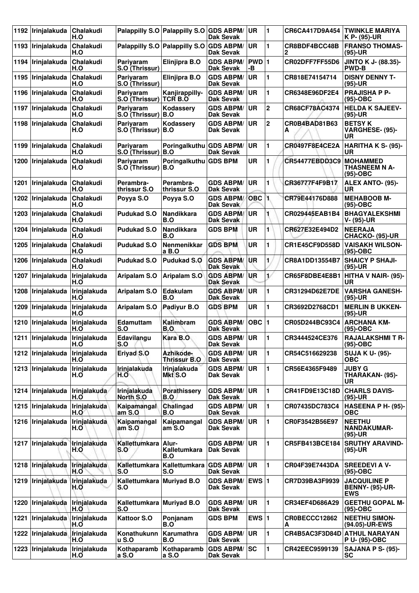| 1192 | Irinjalakuda                       | <b>Chalakudi</b><br>H.O |                                  | Palappilly S.O Palappilly S.O    | <b>GDS ABPM/</b><br>Dak Sevak        | <b>UR</b>    | 1            | CR6CA417D9A454        | <b>TWINKLE MARIYA</b><br>K P- (95)-UR                       |
|------|------------------------------------|-------------------------|----------------------------------|----------------------------------|--------------------------------------|--------------|--------------|-----------------------|-------------------------------------------------------------|
| 1193 | Irinjalakuda                       | Chalakudi<br>H.O        |                                  | Palappilly S.O Palappilly S.O    | <b>GDS ABPM/</b><br><b>Dak Sevak</b> | <b>UR</b>    | 1            | CR8BDF4BCC48B<br>2    | <b>FRANSO THOMAS-</b><br>(95)-UR                            |
| 1194 | Irinjalakuda                       | Chalakudi<br>H.O        | Pariyaram<br>S.O (Thrissur)      | Elinjipra B.O                    | <b>GDS ABPM/</b><br><b>Dak Sevak</b> | PWD 1<br>-В  |              | CR02DFF7FF55D6        | <b>JINTO K J- (88.35)-</b><br><b>PWD-B</b>                  |
| 1195 | Irinjalakuda                       | <b>Chalakudi</b><br>H.O | Pariyaram<br>S.O (Thrissur)      | <b>Elinjipra B.O</b>             | <b>GDS ABPM/</b><br><b>Dak Sevak</b> | <b>UR</b>    | 1            | CR818E74154714        | <b>DISNY DENNY T-</b><br>(95)-UR                            |
| 1196 | Irinjalakuda                       | Chalakudi<br>H.O        | Pariyaram<br>S.O (Thrissur)      | Kanjirappilly-<br><b>TCR B.O</b> | <b>GDS ABPM/</b><br><b>Dak Sevak</b> | <b>UR</b>    | 1            | CR6348E96DF2E4        | <b>PRAJISHA P P-</b><br>(95)-OBC                            |
| 1197 | Irinjalakuda                       | Chalakudi<br>H.O        | Pariyaram<br>S.O (Thrissur)      | Kodassery<br>B.O                 | <b>GDS ABPM/</b><br><b>Dak Sevak</b> | UR           | $\mathbf{2}$ | CR68CF78AC4374        | <b>HELDA K SAJEEV-</b><br>(95)-UR                           |
| 1198 | Irinjalakuda                       | Chalakudi<br>H.O        | Pariyaram<br>S.O (Thrissur)      | Kodasserv<br>B.O                 | <b>GDS ABPM/</b><br>Dak Sevak        | <b>UR</b>    | $\mathbf 2$  | CR0B4BAD81B63<br>А    | <b>BETSY K</b><br>VARGHESE- (95)-<br><b>UR</b>              |
| 1199 | Irinjalakuda                       | <b>Chalakudi</b><br>H.O | Pariyaram<br>S.O (Thrissur)      | Poringalkuthu GDS ABPM/<br>B.O   | <b>Dak Sevak</b>                     | <b>UR</b>    | 1            | CR0497F8E4CE2A        | HARITHA K S- (95)-<br>UR                                    |
| 1200 | Irinjalakuda                       | Chalakudi<br>H.O        | Pariyaram<br>S.O (Thrissur)      | Poringalkuthu<br>B.O             | <b>GDS BPM</b>                       | <b>UR</b>    | 1            | CR54477EBDD3C9        | <b>MOHAMMED</b><br><b>THASNEEM N A-</b><br>(95)-OBC         |
| 1201 | Irinjalakuda                       | Chalakudi<br>H.O        | Perambra-<br>thrissur S.O        | Perambra-<br>thrissur S.O        | <b>GDS ABPM/</b><br><b>Dak Sevak</b> | <b>UR</b>    | 1            | CR36777F4F9B17        | ALEX ANTO- (95)-<br>UR                                      |
| 1202 | ∣Irinjalakuda                      | Chalakudi<br>H.O        | Poyya S.O                        | Poyya S.O                        | <b>GDS ABPM/</b><br><b>Dak Sevak</b> | <b>OBC</b>   | 1            | CR79E44176D888        | <b>MEHABOOB M-</b><br>$(95)-OBC$                            |
| 1203 | Irinjalakuda                       | Chalakudi<br>H.O        | <b>Pudukad S.O</b>               | Nandikkara<br>B.O                | <b>GDS ABPM/</b><br><b>Dak Sevak</b> | UR           |              | CR029445EAB1B4        | <b>BHAGYALEKSHMI</b><br>V- (95)-UR                          |
| 1204 | Irinjalakuda                       | Chalakudi<br>H.O        | <b>Pudukad S.O</b>               | <b>Nandikkara</b><br>B.O         | <b>GDS BPM</b>                       | <b>UR</b>    | 1            | CR627E32E494D2        | <b>NEERAJA</b><br>CHACKO- (95)-UR                           |
| 1205 | Irinjalakuda                       | Chalakudi<br>H.O        | <b>Pudukad S.O</b>               | Nenmenikkar<br>a B.O             | <b>GDS BPM</b>                       | UR           | 1            | <b>CR1E45CF9D558D</b> | <b>VAISAKH WILSON-</b><br>(95)-OBC                          |
| 1206 | Irinjalakuda                       | Chalakudi<br>H.O        | <b>Pudukad S.O</b>               | <b>Pudukad S.O</b>               | <b>GDS ABPM/</b><br><b>Dak Sevak</b> | UR           | 1            | CR8A1DD13554B7        | <b>SHAICY P SHAJI-</b><br>(95)-UR                           |
| 1207 | Irinjalakuda                       | Irinjalakuda<br>H.O     | <b>Aripalam S.O</b>              | Aripalam S.O                     | <b>GDS ABPM/</b><br><b>Dak Sevak</b> | <b>UR</b>    | 1/           | CR65F8DBE4E8B1        | HITHA V NAIR- (95)-<br>UR                                   |
| 1208 | ∣Irinjalakuda                      | Irinjalakuda<br>H.O     | Aripalam S.O                     | Edakulam<br>B.O                  | <b>GDS ABPM/</b><br><b>Dak Sevak</b> | <b>UR</b>    | 1            | CR31294D62E7DE        | <b>VARSHA GANESH-</b><br>(95)-UR                            |
| 1209 | Irinjalakuda                       | Irinjalakuda<br>H.O     | <b>Aripalam S.O</b>              | Padiyur B.O                      | <b>GDS BPM</b>                       | UR           | 1            | CR3692D2768CD1        | <b>MERLIN B UKKEN-</b><br>(95)-UR                           |
| 1210 | Irinjalakuda                       | Irinjalakuda<br>H.O     | Edamuttam<br>S.O                 | Kalimbram<br>B.O                 | <b>GDS ABPM/</b><br><b>Dak Sevak</b> | $OBC$  1     |              | CR05D244BC93C4        | <b>ARCHANA KM-</b><br>(95)-OBC                              |
|      | 1211   Irinjalakuda   Irinjalakuda | H.O                     | Edavilangu<br>S.O                | Kara B.O                         | <b>GDS ABPM/</b><br><b>Dak Sevak</b> | ∣UR          | 1            | CR3444524CE376        | <b>RAJALAKSHMIT R-</b><br>(95)-OBC                          |
|      | 1212   Irinjalakuda                | Irinjalakuda<br>H.O     | Eriyad S.O                       | Azhikode-<br>Thrissur B.O        | <b>GDS ABPM/</b><br><b>Dak Sevak</b> | UR.          | 1            | CR54C516629238        | <b>SUJA K U- (95)-</b><br><b>OBC</b>                        |
|      | 1213 Irinjalakuda                  | Irinjalakuda<br>H.O     | Irinjalakuda<br>H.O              | <b>Irinjalakuda</b><br>Mkt S.O   | <b>GDS ABPM/</b><br>Dak Sevak        | ∣UR          | 1            | CR56E4365F9489        | <b>JUBY G</b><br>THARAKAN- (95)-<br>UR                      |
|      | 1214   Irinjalakuda                | Irinjalakuda<br>H.O     | Irinjalakuda<br>North S.O        | <b>Porathissery</b><br>B.O       | <b>GDS ABPM/</b><br><b>Dak Sevak</b> | <b>UR</b>    | 1            | CR41FD9E13C18D        | <b>CHARLS DAVIS-</b><br>(95)-UR                             |
|      | 1215 Irinjalakuda                  | Irinjalakuda<br>H.O     | Kaipamangal<br>amS.O             | Chalingad<br>B.O                 | <b>GDS ABPM/</b><br><b>Dak Sevak</b> | <b>UR</b>    | 1            | CR07435DC783C4        | HASEENA P H- (95)-<br><b>OBC</b>                            |
|      | 1216   Irinjalakuda                | Irinjalakuda<br>H.O     | Kaipamangal<br>am S.O            | Kaipamangal<br>amS.O             | <b>GDS ABPM/</b><br><b>Dak Sevak</b> | <b>UR</b>    | 1            | CR0F3542B56E97        | <b>NEETHU</b><br><b>NANDAKUMAR-</b><br>$(95)-UR$            |
|      | 1217 Irinjalakuda                  | Irinjalakuda<br>H.O     | Kallettumkara<br>S.O             | Alur-<br>Kalletumkara<br>B.O     | <b>GDS ABPM/</b><br><b>Dak Sevak</b> | <b>UR</b>    | 1            | <b>CR5FB413BCE184</b> | <b>SRUTHY ARAVIND-</b><br>$(95)-UR$                         |
|      | 1218 Irinjalakuda                  | Irinjalakuda<br>H.O     | Kallettumkara<br>S.O             | Kallettumkara<br>S.O             | <b>GDS ABPM/</b><br><b>Dak Sevak</b> | UR           | 1            | CR04F39E7443DA        | <b>SREEDEVI A V-</b><br>(95)-OBC                            |
|      | 1219   Irinjalakuda                | Irinjalakuda<br>H.O     | Kallettumkara Muriyad B.O<br>S.O |                                  | <b>GDS ABPM/</b><br><b>Dak Sevak</b> | <b>EWS 1</b> |              | CR7D39BA3F9939        | <b>JACQUILINE P</b><br><b>BENNY- (95)-UR-</b><br><b>EWS</b> |
| 1220 | Irinjalakuda                       | Irinjalakuda<br>H.O     | Kallettumkara<br>S.O             | <b>Muriyad B.O</b>               | <b>GDS ABPM/</b><br>Dak Sevak        | <b>UR</b>    | 1            | CR34EF4D686A29        | <b>GEETHU GOPAL M-</b><br>$(95)-OBC$                        |
| 1221 | Irinjalakuda                       | Irinjalakuda<br>H.O     | <b>Kattoor S.O</b>               | Ponjanam<br>B.O                  | <b>GDS BPM</b>                       | EWS $ 1$     |              | CR0BECCC12862<br>А    | <b>NEETHU SIMON-</b><br>(94.05)-UR-EWS                      |
| 1222 | Irinjalakuda                       | Irinjalakuda<br>H.O     | Konathukunn<br><b>u S.O</b>      | Karumathra<br>B.O                | <b>GDS ABPM/</b><br><b>Dak Sevak</b> | <b>UR</b>    | 1            | CR4B5AC3F3D84D        | <b>ATHUL NARAYAN</b><br>P U- (95)-OBC                       |
|      | 1223 Irinjalakuda                  | Irinjalakuda<br>H.O     | Kothaparamb<br>a S.O             | Kothaparamb<br>a S.O             | <b>GDS ABPM/</b><br><b>Dak Sevak</b> | <b>ISC</b>   | 1            | CR42EEC9599139        | SAJANA P S- (95)-<br><b>SC</b>                              |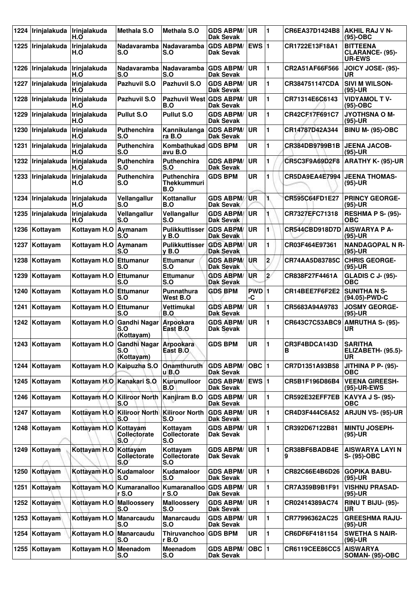| 1224 | Irinjalakuda  | Irinjalakuda<br>H.O       | <b>Methala S.O</b>                                       | <b>Methala S.O</b>                              | <b>GDS ABPM/</b><br><b>Dak Sevak</b> | ∣UR          | 1              | CR6EA37D1424B8     | AKHIL RAJ V N-<br>(95)-OBC                          |
|------|---------------|---------------------------|----------------------------------------------------------|-------------------------------------------------|--------------------------------------|--------------|----------------|--------------------|-----------------------------------------------------|
| 1225 | Irinjalakuda  | Irinjalakuda<br>H.O       | Nadavaramba<br>S.O                                       | <b>Nadavaramba</b><br>S.O                       | <b>GDS ABPM/</b><br><b>Dak Sevak</b> | <b>EWS 1</b> |                | CR1722E13F18A1     | <b>BITTEENA</b><br>CLARANCE- (95)-<br><b>UR-EWS</b> |
| 1226 | Irinjalakuda  | Irinjalakuda<br>H.O       | <b>Nadavaramba</b><br>S.O                                | Nadavaramba<br>S.O                              | <b>GDS ABPM/</b><br><b>Dak Sevak</b> | UR           | 1              | CR2A51AF66F566     | <b>JOICY JOSE- (95)-</b><br>UR                      |
| 1227 | ∣Irinjalakuda | Irinjalakuda<br>H.O       | Pazhuvil S.O                                             | Pazhuvil S.O                                    | <b>GDS ABPM/</b><br><b>Dak Sevak</b> | <b>UR</b>    | 1              | CR384751147CDA     | <b>SIVI M WILSON-</b><br>(95)-UR                    |
| 1228 | Irinjalakuda  | Irinjalakuda<br>H.O       | Pazhuvil S.O                                             | Pazhuvil West GDS ABPM/<br>B.O                  | <b>Dak Sevak</b>                     | <b>UR</b>    | 1              | CR71314E6C6143     | <b>VIDYAMOL TV-</b><br>(95)-OBC                     |
| 1229 | Irinjalakuda  | Irinjalakuda<br>H.O       | <b>Pullut S.O</b>                                        | <b>Pullut S.O</b>                               | <b>GDS ABPM/</b><br><b>Dak Sevak</b> | <b>UR</b>    | 1              | CR42CF17F691C7     | <b>JYOTHSNA O M-</b><br>(95)-UR                     |
| 1230 | Irinjalakuda  | Irinjalakuda<br>H.O       | <b>Puthenchira</b><br>S.O                                | Kannikulanga<br>ra B.O                          | <b>GDS ABPM/</b><br><b>Dak Sevak</b> | <b>UR</b>    | 1              | CR14787D42A344     | <b>BINU M- (95)-OBC</b>                             |
| 1231 | Irinjalakuda  | Irinjalakuda<br>H.O       | <b>Puthenchira</b><br>S.O                                | Kombathukad<br>avu B.O                          | <b>GDS BPM</b>                       | <b>UR</b>    | 1              | CR384DB9799B1B     | <b>JEENA JACOB-</b><br>(95)-UR                      |
| 1232 | Irinjalakuda  | Irinjalakuda<br>H.O       | Puthenchira<br>S.O                                       | Puthenchira<br>S.O                              | <b>GDS ABPM/</b><br><b>Dak Sevak</b> | UR           | 1              | CR5C3F9A69D2F8     | <b>ARATHY K- (95)-UR</b>                            |
| 1233 | Irinjalakuda  | Irinjalakuda<br>H.O       | Puthenchira<br>S.O                                       | <b>Puthenchira</b><br><b>Thekkummuri</b><br>B.O | <b>GDS BPM</b>                       | <b>UR</b>    | 1              | CR5DA9EA4E7994     | <b>JEENA THOMAS-</b><br>(95)-UR                     |
| 1234 | Irinjalakuda  | Irinjalakuda<br>H.O       | Vellangallur<br>S.O                                      | Kottanallur<br>B.O                              | <b>GDS ABPM/</b><br><b>Dak Sevak</b> | UR           | 1.             | CR595C64FD1E27     | <b>PRINCY GEORGE-</b><br>$(95)-UR$                  |
| 1235 | Irinjalakuda  | Irinjalakuda<br>H.O       | Vellangallur<br>S.O                                      | Vellangallur<br>S.O                             | <b>GDS ABPM/</b><br><b>Dak Sevak</b> | UR           |                | CR7327EFC71318     | <b>RESHMA P S- (95)-</b><br><b>OBC</b>              |
| 1236 | Kottayam      | Kottayam H.O              | Aymanam<br>S.O                                           | <b>Pulikkuttisser</b><br>$v$ B.O                | <b>GDS ABPM/</b><br><b>Dak Sevak</b> | <b>UR</b>    | 1              | CR544CBD918D7D     | <b>AISWARYA P A-</b><br>(95)-UR                     |
| 1237 | Kottayam      | Kottayam H.O Aymanam      | S.O                                                      | <b>Pulikkuttisser</b><br>$v$ B.O                | <b>GDS ABPM/</b><br><b>Dak Sevak</b> | <b>UR</b>    | 1              | CR03F464E97361     | <b>NANDAGOPAL N R-</b><br>(95)-UR                   |
| 1238 | Kottayam      | Kottayam H.O              | Ettumanur<br>S.O                                         | <b>Ettumanur</b><br>S.O                         | <b>GDS ABPM/</b><br><b>Dak Sevak</b> | <b>UR</b>    | $\overline{2}$ | CR74AA5D83785C     | <b>CHRIS GEORGE-</b><br>(95)-UR                     |
| 1239 | Kottayam      | Kottayam H.O              | Ettumanur<br>S.O                                         | <b>Ettumanur</b><br>S.O                         | <b>GDS ABPM/</b><br><b>Dak Sevak</b> | <b>UR</b>    | $\mathbf{z}$   | CR838F27F4461A     | <b>GLADIS C J- (95)-</b><br>ОВС                     |
| 1240 | Kottayam      | Kottayam H.O              | Ettumanur<br>S.O                                         | Punnathura<br>West B.O                          | <b>GDS BPM</b>                       | PWD 1<br>-C  |                | CR14BEE7F6F2E2     | <b>SUNITHA N S-</b><br>(94.05)-PWD-C                |
| 1241 | Kottayam      | Kottayam H.O              | Ettumanur<br>S.O                                         | Vettimukal<br>B.O                               | <b>GDS ABPM/</b><br><b>Dak Sevak</b> | UR           | 1              | CR5683A94A9783     | <b>JOSMY GEORGE-</b><br>(95)-UR                     |
| 1242 | Kottayam      | Kottayam H.O              | <b>Gandhi Nagar</b><br>S.O<br>(Kottayam)                 | Arpookara<br>East B.O                           | <b>GDS ABPM/</b><br>Dak Sevak        | <b>UR</b>    | 1              | CR643C7C53ABC9     | <b>AMRUTHA S- (95)-</b><br>UR                       |
|      | 1243 Kottayam |                           | Kottayam H.O Gandhi Nagar Arpookara<br>S.O<br>(Kottayam) | East B.O.                                       | <b>GDS BPM</b>                       | UR.          | 11             | CR3F4BDCA143D<br>в | <b>SARITHA</b><br>ELIZABETH- (95.5)-<br>UR          |
|      | 1244 Kottayam | Kottayam H.O              | Kaipuzha S.O                                             | Onamthuruth<br>u B.O                            | <b>GDS ABPM/</b><br><b>Dak Sevak</b> | OBC  1       |                | CR7D1351A93B58     | <b>JITHINA P P- (95)-</b><br><b>OBC</b>             |
| 1245 | Kottayam      | Kottayam H.O Kanakari S.O |                                                          | Kurumulloor<br>B.O                              | GDS ABPM/ EWS 1<br>Dak Sevak         |              |                | CR5B1F196D86B4     | <b>VEENA GIREESH-</b><br>(95)-UR-EWS                |
| 1246 | Kottayam      |                           | Kottayam H.O Kiliroor North Kanjiram B.O<br>S.O          |                                                 | <b>GDS ABPM/</b><br><b>Dak Sevak</b> | <b>UR</b>    | 1              | CR592E32EFF7EB     | <b>KAVYA J S- (95)-</b><br><b>OBC</b>               |
|      | 1247 Kottayam | Kottayam H.O              | <b>Kiliroor North</b><br>S.O                             | Kiliroor North<br>S.O                           | <b>GDS ABPM/</b><br><b>Dak Sevak</b> | <b>UR</b>    | 1              | CR4D3F444C6A52     | <b>ARJUN VS- (95)-UR</b>                            |
| 1248 | Kottayam      | Kottayam H.O              | Kottayam<br><b>Collectorate</b><br>S.O                   | Kottayam<br>Collectorate<br>S.O                 | <b>GDS ABPM/</b><br>Dak Sevak        | ∣UR          | 1              | CR392D67122B81     | <b>MINTU JOSEPH-</b><br>$(95)-UR$                   |
| 1249 | Kottayam      | Kottayam H.O              | Kottayam<br>Collectorate<br>S.O                          | Kottayam<br>Collectorate<br>S.O                 | <b>GDS ABPM/</b><br>Dak Sevak        | <b>UR</b>    | 1              | CR38BF6BADB4E<br>9 | <b>AISWARYA LAYI N</b><br>S- (95)-OBC               |
| 1250 | Kottayam      | Kottayam H.O              | Kudamaloor<br>S.O                                        | Kudamaloor<br>S.O                               | <b>GDS ABPM/</b><br><b>Dak Sevak</b> | UR.          | 1              | CR82C66E4B6D26     | <b>GOPIKA BABU-</b><br>(95)-UR                      |
| 1251 | Kottayam      | Kottayam H.O              | Kumaranalloo<br><b>r</b> S.O                             | Kumaranalloo<br>r S.O                           | <b>GDS ABPM/</b><br>Dak Sevak        | ∣UR          | 1              | CR7A359B9B1F91     | <b>VISHNU PRASAD-</b><br>(95)-UR                    |
| 1252 | Kottayam      | Kottayam H.O              | Malloossery<br>S.O                                       | <b>Malloossery</b><br>S.O                       | <b>GDS ABPM/</b><br>Dak Sevak        | <b>UR</b>    | 1              | CR02414389AC74     | RINU T BIJU- (95)-<br>UR                            |
| 1253 | Kottayam      | Kottayam H.O              | Manarcaudu<br>S.O                                        | <b>Manarcaudu</b><br>S.O                        | <b>GDS ABPM/</b><br><b>Dak Sevak</b> | UR.          | 1              | CR77996362AC25     | <b>GREESHMA RAJU-</b><br>(95)-UR                    |
| 1254 | Kottayam      | Kottayam H.O              | Manarcaudu<br>S.O                                        | Thiruvanchoo<br>r B.O                           | <b>GDS BPM</b>                       | UR           | 1              | CR6DF6F4181154     | <b>SWETHA S NAIR-</b><br>(96)-UR                    |
| 1255 | Kottayam      | Kottayam H.O              | Meenadom<br>S.O                                          | Meenadom<br>S.O                                 | <b>GDS ABPM/</b><br><b>Dak Sevak</b> | <b>OBC</b> 1 |                | CR6119CEE86CC5     | <b>AISWARYA</b><br><b>SOMAN- (95)-OBC</b>           |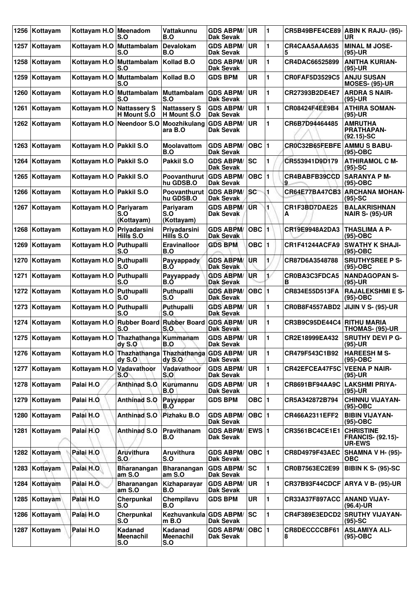| 1256 | Kottayam        | Kottayam H.O Meenadom     | S.O                                         | Vattakunnu<br>B.O                  | <b>GDS ABPM/</b><br><b>Dak Sevak</b> | UR        | 11 |                             | CR5B49BFE4CE89 ABIN K RAJU- (95)-<br><b>UR</b>                |
|------|-----------------|---------------------------|---------------------------------------------|------------------------------------|--------------------------------------|-----------|----|-----------------------------|---------------------------------------------------------------|
| 1257 | Kottayam        | Kottayam H.O              | Muttambalam<br>S.O                          | Devalokam<br>B.O                   | <b>GDS ABPM/</b><br>Dak Sevak        | UR.       | 1  | CR4CAA5AAA635<br>5          | <b>MINAL M JOSE-</b><br>$(95)-UR$                             |
| 1258 | Kottayam        | Kottayam H.O              | Muttambalam<br>S.O                          | Kollad B.O                         | <b>GDS ABPM/</b><br>Dak Sevak        | <b>UR</b> | 1  | CR4DAC66525899              | <b>ANITHA KURIAN-</b><br>$(95)-UR$                            |
| 1259 | Kottayam        | Kottayam H.O              | Muttambalam<br>S.O                          | Kollad B.O                         | <b>GDS BPM</b>                       | <b>UR</b> | 1  | <b>CR0FAF5D3529C5</b>       | <b>ANJU SUSAN</b><br><b>MOSES- (95)-UR</b>                    |
| 1260 | Kottayam        | Kottayam H.O              | Muttambalam<br>S.O                          | Muttambalam<br>S.O                 | <b>GDS ABPM/</b><br>Dak Sevak        | <b>UR</b> | 1  | CR27393B2DE4E7              | <b>ARDRA S NAIR-</b><br>$(95)-UR$                             |
| 1261 | Kottayam        | Kottayam H.O              | <b>Nattassery S</b><br>H Mount S.O          | <b>Nattassery S</b><br>H Mount S.O | <b>GDS ABPM/</b><br>Dak Sevak        | <b>UR</b> | 1  | CR08424F4EE9B4              | <b>ATHIRA SOMAN-</b><br>$(95)-UR$                             |
| 1262 | Kottayam        | Kottavam H.O              | Neendoor S.O                                | Moozhikulang<br>ara B.O            | <b>GDS ABPM/</b><br>Dak Sevak        | <b>UR</b> | 1  | CR6B7D94464485              | <b>AMRUTHA</b><br><b>PRATHAPAN-</b><br>$(92.15)$ -SC          |
| 1263 | Kottayam        | Kottayam H.O              | <b>Pakkil S.O</b>                           | <b>Moolavattom</b><br>B.O          | <b>GDS ABPM/</b><br>Dak Sevak        | OBC $ 1$  |    | CR0C32B65FEBFE              | <b>AMMUS BABU-</b><br>(95)-OBC                                |
| 1264 | Kottayam        | Kottayam H.O Pakkil S.O   |                                             | Pakkil S.O                         | <b>GDS ABPM/</b><br>Dak Sevak        | <b>SC</b> | 1  | CR553941D9D179              | <b>ATHIRAMOL C M-</b><br>$(95)-SC$                            |
| 1265 | Kottayam        | Kottayam H.O Pakkil S.O   |                                             | Poovanthurut<br>hu GDSB.O          | <b>GDS ABPM/</b><br>Dak Sevak        | $OBC$  1  |    | CR4BABFB39CCD<br>9          | <b>SARANYA P M-</b><br>$(95)-OBC$                             |
| 1266 | Kottayam        | Kottayam H.O   Pakkil S.O |                                             | Poovanthurut<br>hu GDSB.O          | <b>GDS ABPM/</b><br><b>Dak Sevak</b> | sc        | 1  | CR64E77BA47CB3              | <b>ARCHANA MOHAN-</b><br>$(95)-SC$                            |
| 1267 | Kottayam        | Kottayam H.O   Pariyaram  | S.O<br>(Kottayam)                           | Pariyaram<br>S.O<br>(Kottayam)     | <b>GDS ABPM/</b><br><b>Dak Sevak</b> | <b>UR</b> | 1  | CR1F3BD7DAE25<br>А          | <b>BALAKRISHNAN</b><br><b>NAIR S- (95)-UR</b>                 |
| 1268 | Kottayam        | Kottayam H.O              | Priyadarsini<br>Hills S.O                   | Priyadarsini<br>Hills S.O          | <b>GDS ABPM/</b><br>Dak Sevak        | OBC  1    |    | CR19E9948A2DA3              | <b>THASLIMA A P-</b><br>$(95)-OBC$                            |
| 1269 | Kottayam        | Kottayam H.O   Puthupalli | S.O                                         | Eravinalloor<br>B.O                | <b>GDS BPM</b>                       | OBC $ 1$  |    | <b>CR1F41244ACFA9</b>       | <b>SWATHY K SHAJI-</b><br>$(95)-OBC$                          |
| 1270 | Kottayam        | Kottayam H.O              | Puthupalli<br>S.O                           | Payyappady<br>B.O                  | <b>GDS ABPM/</b><br>Dak Sevak        | <b>UR</b> | 1  | CR87D6A3548788              | <b>SRUTHYSREE P S-</b><br>$(95)-OBC$                          |
| 1271 | Kottayam        | Kottayam H.O              | Puthupalli<br>S.O                           | Payyappady<br>B.O                  | <b>GDS ABPM/</b><br><b>Dak Sevak</b> | <b>UR</b> | 1/ | CR0BA3C3FDCA5<br>в          | <b>NANDAGOPAN S-</b><br>$(95)-UR$                             |
| 1272 | Kottayam        | Kottayam H.O Puthupalli   | S.O                                         | Puthupalli<br>S.O                  | <b>GDS ABPM/</b><br>Dak Sevak        | OBC $ 1$  |    | CR834E55D513FA              | <b>RAJALEKSHMI E S-</b><br>$(95)-OBC$                         |
| 1273 | Kottayam        | Kottayam H.O              | Puthupalli<br>S.O                           | Puthupalli<br>S.O                  | <b>GDS ABPM/</b><br>Dak Sevak        | <b>UR</b> | 1  | CR0B8F4557ABD2              | <b>JIJIN V S- (95)-UR</b>                                     |
| 1274 | Kottayam        | Kottayam H.O              | <b>Rubber Board</b><br>S.O                  | <b>Rubber Board</b><br>S.O         | <b>GDS ABPM/</b><br>Dak Sevak        | UR        | 1  | CR3B9C95DE44C4              | <b>RITHU MARIA</b><br><b>THOMAS- (95)-UR</b>                  |
|      | 1275   Kottayam |                           | Kottayam H.O Thazhathanga Kummanam<br>dyS.0 | B.O                                | <b>GDS ABPM/</b><br>Dak Sevak        | <b>UR</b> | 1  | CR2E18999EA432              | <b>SRUTHY DEVI P G-</b><br>$(95)-UR$                          |
|      | 1276 Kottayam   | Kottayam H.O              | Thazhathanga<br>$dy$ S.O                    | <b>Thazhathanga</b><br>dy S.O      | <b>GDS ABPM/</b><br>Dak Sevak        | <b>UR</b> | 1  | CR479F543C1B92              | <b>HAREESH M S-</b><br>(95)-OBC                               |
| 1277 | Kottayam        | Kottayam H.O              | Vadavathoor<br>S.O                          | Vadavathoor<br>S.O                 | <b>GDS ABPM/</b><br>Dak Sevak        | UR        | 1  | CR42EFCEA47F5C              | <b>VEENA P NAIR-</b><br>$(95)-UR$                             |
| 1278 | Kottayam        | Palai H.O                 | <b>Anthinad S.O</b>                         | Kurumannu<br>B.O                   | <b>GDS ABPM/</b><br>Dak Sevak        | <b>UR</b> | 1  | CR8691BF94AA9C              | <b>LAKSHMI PRIYA-</b><br>$(95)-UR$                            |
| 1279 | Kottayam        | Palai H.O                 | <b>Anthinad S.O</b>                         | Payyappar<br>B.O                   | <b>GDS BPM</b>                       | OBC $ 1$  |    | CR5A342872B794              | <b>CHINNU VIJAYAN-</b><br>(95)-OBC                            |
| 1280 | Kottayam        | Palai H.O                 | Anthinad S.O                                | Pizhaku B.O                        | <b>GDS ABPM/</b><br>Dak Sevak        | $OBC$ 1   |    | CR466A2311EFF2              | <b>BIBIN VIJAYAN-</b><br>$(95)-OBC$                           |
| 1281 | Kottayam        | Palai H.O                 | <b>Anthinad S.O</b>                         | Pravithanam<br>B.O                 | <b>GDS ABPM/</b><br>Dak Sevak        | EWS $ 1$  |    | CR3561BC4CE1E1              | <b>CHRISTINE</b><br><b>FRANCIS- (92.15)-</b><br><b>UR-EWS</b> |
| 1282 | Kottayam        | Palai H.O                 | <b>Aruvithura</b><br>S.O                    | Aruvithura<br>S.O                  | <b>GDS ABPM/</b><br>Dak Sevak        | $OBC$  1  |    | <b>CR8D4979F43AEC</b>       | <b>SHAMNA V H- (95)-</b><br><b>OBC</b>                        |
| 1283 | Kottayam        | Palai H.O.                | <b>Bharanangan</b><br>am S.O                | <b>Bharanangan</b><br>am S.O       | <b>GDS ABPM/</b><br>Dak Sevak        | <b>SC</b> | 1  | CR0B7563EC2E99              | BIBIN K S- (95)-SC                                            |
| 1284 | Kottayam        | Palai H.O                 | <b>Bharanangan</b><br>am S.O                | Kizhaparayar<br>B.O                | <b>GDS ABPM/</b><br>Dak Sevak        | <b>UR</b> | 1  |                             | CR37B93F44CDCF ARYA V B- (95)-UR                              |
| 1285 | Kottayam        | Palai H.O                 | Cherpunkal<br>S.O                           | Chempilavu<br>B.O                  | <b>GDS BPM</b>                       | <b>UR</b> | 1  | CR33A37F897ACC ANAND VIJAY- | $(96.4)$ -UR                                                  |
| 1286 | Kottayam        | Palai H.O                 | Cherpunkal<br>S.O                           | Kezhuvankula GDS ABPM/<br>$m$ B.O  | Dak Sevak                            | lsc       | 1  |                             | CR4F389E3EDCD2 SRUTHY VIJAYAN-<br>$(95)$ -SC                  |
| 1287 | Kottayam        | Palai H.O                 | Kadanad<br><b>Meenachil</b><br>S.O          | <b>Kadanad</b><br>Meenachil<br>S.O | <b>GDS ABPM/</b><br>Dak Sevak        | $OBC$  1  |    | CR8DECCCCBF61<br>8          | <b>ASLAMIYA ALI-</b><br>(95)-OBC                              |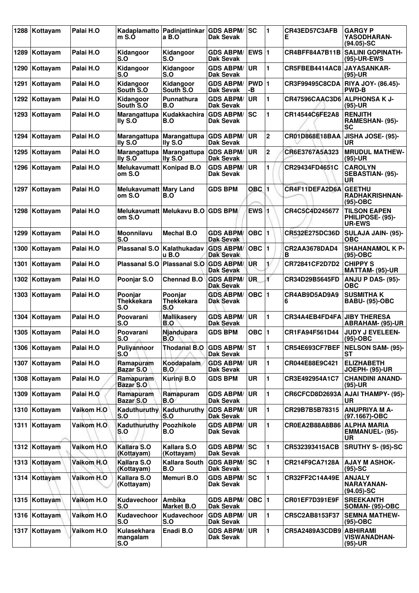| 1288 | Kottayam      | Palai H.O  | Kadaplamatto<br>m S.                              | Padinjattinkar<br>a B.O      | <b>GDS ABPM/</b><br>Dak Sevak        | SC                 | 1              | CR43ED57C3AFB<br>Е                 | <b>GARGY P</b><br>YASODHARAN-<br>$(94.05)$ -SC           |
|------|---------------|------------|---------------------------------------------------|------------------------------|--------------------------------------|--------------------|----------------|------------------------------------|----------------------------------------------------------|
| 1289 | Kottayam      | Palai H.O  | Kidangoor<br>S.O                                  | Kidangoor<br>S.O             | <b>GDS ABPM/</b><br>Dak Sevak        | EWS $ 1$           |                | CR4BFF84A7B11B                     | <b>SALINI GOPINATH-</b><br>(95)-UR-EWS                   |
| 1290 | Kottayam      | Palai H.O  | Kidangoor<br>S.O                                  | Kidangoor<br>S.O             | <b>GDS ABPM/</b><br><b>Dak Sevak</b> | <b>UR</b>          | 1              | CR5FBEB4414AC8                     | <b>JAYASANKAR-</b><br>$(95)-UR$                          |
| 1291 | Kottayam      | Palai H.O  | Kidangoor<br>South S.O                            | Kidangoor<br>South S.O       | <b>GDS ABPM/</b><br><b>Dak Sevak</b> | PWD 1<br>-В        |                | CR3F99495C8CDA                     | <b>RIYA JOY- (86.45)-</b><br><b>PWD-B</b>                |
| 1292 | Kottayam      | Palai H.O  | Kidangoor<br>South S.O                            | Punnathura<br>B.O            | <b>GDS ABPM/</b><br><b>Dak Sevak</b> | <b>UR</b>          | 1              | <b>CR47596CAAC3D6</b>              | ALPHONSA K J-<br>$(95)-UR$                               |
| 1293 | Kottayam      | Palai H.O  | Marangattupa<br>I <sub>IV</sub> S. O <sub>I</sub> | Kudakkachira<br>B.O          | <b>GDS ABPM/</b><br><b>Dak Sevak</b> | <b>SC</b>          | 1              | CR14544C6FE2A8                     | <b>RENJITH</b><br>RAMESHAN- (95)-<br><b>SC</b>           |
| 1294 | Kottayam      | Palai H.O  | Marangattupa<br><b>Ily S.O</b>                    | Marangattupa<br>lly S.O      | <b>GDS ABPM/</b><br>Dak Sevak        | <b>UR</b>          | $\mathbf 2$    | CR01D868E18BAA                     | JISHA JOSE- (95)-<br>UR                                  |
| 1295 | Kottayam      | Palai H.O  | Marangattupa<br>lly S.O                           | Marangattupa<br>lly S.O      | <b>GDS ABPM/</b><br>Dak Sevak        | <b>UR</b>          | $\mathbf{2}$   | CR6E3767A5A323                     | <b>MRUDUL MATHEW-</b><br>$(95)-UR$                       |
| 1296 | Kottayam      | Palai H.O  | Melukavumatt Konipad B.O<br>om S.O                |                              | <b>GDS ABPM/</b><br>Dak Sevak        | <b>UR</b>          | 1              | CR29434FD4651C                     | <b>CAROLYN</b><br>SEBASTIAN- (95)-<br><b>UR</b>          |
| 1297 | Kottayam      | Palai H.O  | Melukavumatt Mary Land<br>om S.O                  | B.O                          | <b>GDS BPM</b>                       | OBC 1              |                | CR4F11DEFA2D6A                     | <b>GEETHU</b><br><b>RADHAKRISHNAN-</b><br>$(95)-OBC$     |
| 1298 | Kottayam      | Palai H.O  | om S.O                                            | Melukavumatt Melukavu B.O    | <b>GDS BPM</b>                       | EWS 1              |                | CR4C5C4D245677                     | <b>TILSON EAPEN</b><br>PHILIPOSE- (95)-<br><b>UR-EWS</b> |
| 1299 | Kottayam      | Palai H.O  | Moonnilavu<br>S.O                                 | <b>Mechal B.O</b>            | <b>GDS ABPM/</b><br><b>Dak Sevak</b> | $OBC$ <sup>1</sup> |                | CR532E275DC36D                     | SULAJA JAIN- (95)-<br><b>OBC</b>                         |
| 1300 | Kottayam      | Palai H.O  | <b>Plassanal S.O</b>                              | Kalathukadav<br>u B.O        | <b>GDS ABPM/</b><br><b>Dak Sevak</b> | OBC $ 1$           |                | CR2AA3678DAD4<br>В                 | <b>SHAHANAMOL K P-</b><br>$(95)-OBC$                     |
| 1301 | Kottayam      | Palai H.O  | <b>Plassanal S.O</b>                              | <b>Plassanal S.O</b>         | <b>GDS ABPM/</b><br><b>Dak Sevak</b> | UR                 | $\mathbf{1}$   | CR72841CF2D7D2                     | <b>CHIPPY S</b><br>MATTAM- (95)-UR                       |
| 1302 | Kottayam      | Palai H.O  | Poonjar S.O                                       | <b>Chennad B.O</b>           | <b>GDS ABPM/</b><br><b>Dak Sevak</b> | ŨR.                | s,             | CR34D29B5645FD                     | <b>ANJU P DAS- (95)-</b><br><b>OBC</b>                   |
| 1303 | Kottayam      | Palai H.O  | Poonjar<br><b>Thekkekara</b><br>S.O               | Poonjar<br>Thekkekara<br>S.O | <b>GDS ABPM/</b><br><b>Dak Sevak</b> | OBC $ 1$           |                | CR4AB9D5AD9A9<br>6                 | <b>SUSMITHAK</b><br><b>BABU- (95)-OBC</b>                |
| 1304 | Kottayam      | Palai H.O  | Poovarani<br>S.O                                  | <b>Mallikasery</b><br>B.O    | <b>GDS ABPM/</b><br><b>Dak Sevak</b> | <b>UR</b>          | 1              | <b>CR34A4EB4FD4FA JIBY THERESA</b> | ABRAHAM- (95)-UR                                         |
|      | 1305 Kottayam | Palai H.O  | Poovarani<br>S.O                                  | Njandupara<br>B.O            | <b>GDS BPM</b>                       | OBC  1             |                | CR1FA94F561D44                     | JUDY J EVELEEN-<br>$(95)-OBC$                            |
|      | 1306 Kottayam | Palai H.O  | Puliyannoor<br>S.O                                | <b>Thodanal B.O</b>          | <b>GDS ABPM/</b><br>Dak Sevak        | lst                | $\blacksquare$ |                                    | CR54E693CF7BEF   NELSON SAM- (95)-<br>ST                 |
| 1307 | Kottayam      | Palai H.O  | Ramapuram<br>Bazar S.O                            | Koodapalam<br>B.O            | <b>GDS ABPM/</b><br><b>Dak Sevak</b> | <b>UR</b>          | 1              | CR044E88E9C421                     | <b>ELIZHABETH</b><br><b>JOEPH- (95)-UR</b>               |
| 1308 | Kottayam      | Palai H.O  | Ramapuram<br><b>Bazar S.O</b>                     | Kurinji B.O                  | <b>GDS BPM</b>                       | UR                 | 1              | CR3E492954A1C7                     | <b>CHANDINI ANAND-</b><br>$(95)-UR$                      |
| 1309 | Kottayam      | Palai H.O  | Ramapuram<br>Bazar S.O                            | Ramapuram<br><b>B.O</b>      | <b>GDS ABPM/</b><br><b>Dak Sevak</b> | <b>UR</b>          | 1              | CR6CFCD8D2693A                     | <b>AJAI THAMPY- (95)-</b><br>UR                          |
| 1310 | Kottayam      | Vaikom H.O | Kaduthuruthy<br>S.O                               | Kaduthuruthy<br>S.O          | <b>GDS ABPM/</b><br><b>Dak Sevak</b> | <b>UR</b>          | 1              | CR29B7B5B78315                     | <b>ANUPRIYA M A-</b><br>(97.1667)-OBC                    |
|      | 1311 Kottayam | Vaikom H.O | Kaduthuruthy<br>S.O                               | Poozhikole<br>B.O            | <b>GDS ABPM/</b><br>Dak Sevak        | <b>UR</b>          | 1              | CR0EA2B88A8B86                     | <b>ALPHA MARIA</b><br><b>EMMANUEL- (95)-</b><br>UR       |
|      | 1312 Kottayam | Vaikom H.O | Kallara S.O<br>(Kottayam)                         | Kallara S.O<br>(Kottayam)    | <b>GDS ABPM/</b><br>Dak Sevak        | lsc                | 1              | CR532393415ACB                     | <b>SRUTHY S- (95)-SC</b>                                 |
|      | 1313 Kottayam | Vaikom H.O | Kallara S.O<br>(Kottayam)                         | <b>Kallara South</b><br>B.O  | <b>GDS ABPM/</b><br>Dak Sevak        | lsc                | 1              | CR214F9CA7128A                     | <b>AJAY M ASHOK-</b><br>$(95)-SC$                        |
|      | 1314 Kottayam | Vaikom H.O | Kallara S.O<br>(Kottayam)                         | Memuri B.O                   | <b>GDS ABPM/</b><br>Dak Sevak        | lsc                | 1              | CR32FF2C14A49E                     | <b>ANJALY</b><br><b>NARAYANAN-</b><br>$(94.05)$ -SC      |
|      | 1315 Kottayam | Vaikom H.O | Kudavechoor<br>S.O                                | Ambika<br><b>Market B.O</b>  | <b>GDS ABPM/</b><br>Dak Sevak        | $OBC$  1           |                | CR01EF7D391E9F                     | <b>SREEKANTH</b><br>SOMAN- (95)-OBC                      |
|      | 1316 Kottayam | Vaikom H.O | Kudavechoor<br>S.O                                | Kudavechoor<br>S.O           | <b>GDS ABPM/</b><br><b>Dak Sevak</b> | UR                 | 1              | CR5C2AB8153F37                     | <b>SEMNA MATHEW-</b><br>$(95)-OBC$                       |
|      | 1317 Kottayam | Vaikom H.O | Kulasekhara<br>mangalam<br>S.O                    | Enadi B.O                    | <b>GDS ABPM/</b><br><b>Dak Sevak</b> | <b>UR</b>          | 1              | CR5A2489A3CDB9                     | <b>ABHIRAMI</b><br><b>VISWANADHAN-</b><br>(95)-UR        |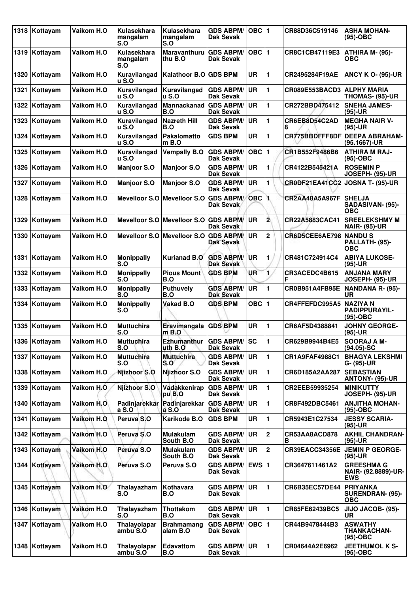| 1318 | Kottayam      | Vaikom H.O  | Kulasekhara<br>mangalam<br>S.O      | Kulasekhara<br>mangalam<br>S.O        | <b>GDS ABPM/</b><br>Dak Sevak        | $OBC$  1        |                | CR88D36C519146                | <b>ASHA MOHAN-</b><br>$(95)-OBC$                         |
|------|---------------|-------------|-------------------------------------|---------------------------------------|--------------------------------------|-----------------|----------------|-------------------------------|----------------------------------------------------------|
|      | 1319 Kottayam | Vaikom H.O  | Kulasekhara<br>mangalam<br>S.O      | <b>Maravanthuru</b><br>thu B.O        | <b>GDS ABPM/</b><br>Dak Sevak        | $OBC$  1        |                | CR8C1CB47119E3                | ATHIRA M- (95)-<br>ОВС                                   |
| 1320 | Kottayam      | Vaikom H.O  | Kuravilangad<br>u S.O               | Kalathoor B.O GDS BPM                 |                                      | <b>UR</b>       | 1              | CR2495284F19AE                | <b>ANCY K O- (95)-UR</b>                                 |
| 1321 | Kottayam      | Vaikom H.O  | Kuravilangad<br><b>u</b> S.O        | Kuravilangad<br>u S.O                 | <b>GDS ABPM/</b><br>Dak Sevak        | <b>UR</b>       | 1              | CR089E553BACD3 ALPHY MARIA    | THOMAS- (95)-UR                                          |
| 1322 | Kottayam      | Vaikom H.O  | Kuravilangad<br><b>u S.O</b>        | Mannackanad<br>B.O                    | <b>GDS ABPM/</b><br>Dak Sevak        | <b>UR</b>       | 1              | CR272BBD475412                | <b>SNEHA JAMES-</b><br>$(95)-UR$                         |
| 1323 | Kottayam      | Vaikom H.O  | Kuravilangad<br><b>u S.O</b>        | <b>Nazreth Hill</b><br>B.O            | <b>GDS ABPM/</b><br>Dak Sevak        | <b>UR</b>       | 1              | CR6EB8D54C2AD<br>8            | <b>MEGHA NAIR V-</b><br>$(95)-UR$                        |
| 1324 | Kottayam      | Vaikom H.O  | Kuravilangad<br>u S.O               | <b>Pakalomatto</b><br>m B.O           | <b>GDS BPM</b>                       | <b>UR</b>       | 1              | CR775BBDFFF8DF                | <b>DEEPA ABRAHAM-</b><br>(95.1667)-UR                    |
| 1325 | Kottayam      | Vaikom H.O  | Kuravilangad<br><b>u</b> S.O        | <b>Vempally B.O</b>                   | <b>GDS ABPM/</b><br>Dak Sevak        | OBC  1          |                | CR1B552F9486B6                | <b>ATHIRA M RAJ-</b><br>$(95)-OBC$                       |
| 1326 | Kottayam      | Vaikom H.O  | <b>Manjoor S.O</b>                  | <b>Manjoor S.O</b>                    | <b>GDS ABPM/</b><br><b>Dak Sevak</b> | UR              | 1              | CR4122B545421A                | <b>ROSEMIN P</b><br>JOSEPH- (95)-UR                      |
| 1327 | Kottayam      | Vaikom H.O  | <b>Manjoor S.O</b>                  | <b>Manjoor S.O</b>                    | <b>GDS ABPM/</b><br>Dak Sevak        | <b>UR</b>       | 1              | CR0DF21EA41CC2                | JOSNA T- (95)-UR                                         |
| 1328 | Kottayam      | Vaikom H.O  |                                     | Mevelloor S.O Mevelloor S.O           | <b>GDS ABPM/</b><br>Dak Sevak        | OBC             | 1.             | <b>CR2AA48A5A967F</b>         | <b>SHELJA</b><br>SADASIVAN- (95)-<br>ОВС                 |
| 1329 | Kottayam      | Vaikom H.O  |                                     | Mevelloor S.O Mevelloor S.O GDS ABPM/ | Dak Sevak                            | <b>UR</b>       | $\overline{2}$ | CR22A5883CAC41                | <b>SREELEKSHMY M</b><br><b>NAIR- (95)-UR</b>             |
| 1330 | Kottayam      | Vaikom H.O  |                                     | Mevelloor S.O Mevelloor S.O GDS ABPM/ | Dak Sevak                            | UR.             | $\overline{2}$ | <b>CR6D5CEE6AE798 NANDU S</b> | PALLATH- (95)-<br><b>OBC</b>                             |
| 1331 | Kottayam      | Vaikom H.O  | <b>Monippally</b><br>S.O            | <b>Kurianad B.O</b>                   | <b>GDS ABPM/</b><br><b>Dak Sevak</b> | UR              | 1              | CR481C724914C4                | <b>ABIYA LUKOSE-</b><br>$(95)-UR$                        |
|      | 1332 Kottayam | Vaikom H.O  | <b>Monippally</b><br>S.O            | <b>Pious Mount</b><br>B.O             | <b>GDS BPM</b>                       | UR <sup>1</sup> | 1.             | CR3ACEDC4B615<br>F            | <b>ANJANA MARY</b><br>JOSEPH- (95)-UR                    |
| 1333 | Kottayam      | Vaikom H.O  | <b>Monippally</b><br>S.O            | <b>Puthuvely</b><br>B.O               | <b>GDS ABPM/</b><br>Dak Sevak        | UR              | 1              | <b>CR0B951A4FB95E</b>         | NANDANA R- (95)-<br>UR                                   |
| 1334 | Kottayam      | Vaikom H.O  | <b>Monippally</b><br>S.O            | Vakad B.O                             | <b>GDS BPM</b>                       | OBC $ 1$        |                | CR4FFEFDC995A5                | <b>NAZIYA N</b><br>PADIPPURAYIL-<br>$(95)-OBC$           |
|      | 1335 Kottayam | Vaikom H.O  | <b>Muttuchira</b><br>S.O            | Eravimangala GDS BPM<br>$m$ B.O       |                                      | <b>UR</b>       | 1              | CR6AF5D4388841                | <b>JOHNY GEORGE-</b><br>$(95)-UR$                        |
|      | 1336 Kottayam | Vaikom H.O  | <b>Muttuchira</b><br>S.O            | Ezhumanthur GDS ABPM/ SC<br>uth B.O   | Dak Sevak                            |                 | 1              | CR629B9944B4E5                | <b>SOORAJ A M-</b><br>$(94.05)$ -SC                      |
|      | 1337 Kottayam | Vaikom H.O  | <b>Muttuchira</b><br>S.O            | <b>Muttuchira</b><br>S.O              | <b>GDS ABPM/</b><br>Dak Sevak        | <b>UR</b>       | 1              | CR1A9FAF4988C1                | <b>BHAGYA LEKSHMI</b><br>G- (95)-UR                      |
|      | 1338 Kottayam | Vaikom H.O. | <b>Njizhoor S.O</b>                 | Nizhoor S.O                           | <b>GDS ABPM/</b><br><b>Dak Sevak</b> | <b>UR</b>       | 1              | CR6D185A2AA287                | <b>SEBASTIAN</b><br><b>ANTONY- (95)-UR</b>               |
| 1339 | Kottayam      | Vaikom H.O  | <b>Njizhoor S.O</b>                 | Vadakkenirap<br>pu B.O                | <b>GDS ABPM/</b><br><b>Dak Sevak</b> | <b>UR</b>       | 1              | CR2EEB59935254                | <b>MINIKUTTY</b><br>JOSEPH- (95)-UR                      |
|      | 1340 Kottayam | Vaikom H.O. | Padinjarekkar<br>a S.O              | Padinjarekkar<br>a S.O                | <b>GDS ABPM/</b><br>Dak Sevak        | <b>UR</b>       | 1              | CR8F492DBC5461                | <b>ANJITHA MOHAN-</b><br>$(95)-OBC$                      |
|      | 1341 Kottayam | Vaikom H.O  | Peruva S.O                          | Karikode B.O                          | <b>GDS BPM</b>                       | <b>UR</b>       | 1              | CR5943E1C27534                | <b>JESSY SCARIA-</b><br>(95)-UR                          |
|      | 1342 Kottayam | Vaikom H.O  | Peruva S.O                          | <b>Mulakulam</b><br>South B.O         | <b>GDS ABPM/</b><br>Dak Sevak        | <b>UR</b>       | 2              | CR53AA8ACD878<br>в            | <b>AKHIL CHANDRAN-</b><br>$(95)-UR$                      |
|      | 1343 Kottayam | Vaikom H.O  | Peruva S.O                          | <b>Mulakulam</b><br>South B.O         | <b>GDS ABPM/</b><br>Dak Sevak        | UR.             | 2              | CR39EACC34356E                | <b>JEMIN P GEORGE-</b><br>$(95)-UR$                      |
|      | 1344 Kottayam | Vaikom H.O  | Peruva S.O                          | Peruva S.O                            | <b>GDS ABPM/</b><br>Dak Sevak        | EWS $ 1$        |                | CR3647611461A2                | <b>GREESHMA G</b><br>NAIR- (92.8889)-UR-<br><b>EWS</b>   |
|      | 1345 Kottayam | Vaikom H.O  | Thalayazham<br>S.O                  | Kothavara<br>B.O                      | <b>GDS ABPM/</b><br>Dak Sevak        | ∣UR.            | $\mathbf 1$    | CR6B35EC57DE44                | <b>PRIYANKA</b><br><b>SURENDRAN- (95)-</b><br><b>OBC</b> |
|      | 1346 Kottayam | Vaikom H.O  | Thalayazham<br>S.O                  | Thottakom<br>B.O                      | <b>GDS ABPM/</b><br><b>Dak Sevak</b> | <b>UR</b>       | 1              | CR85FE62439BC5                | JIJO JACOB- (95)-<br>UR                                  |
|      | 1347 Kottayam | Vaikom H.O  | Thalayolapar<br>ambu <sup>S.O</sup> | <b>Brahmamang</b><br>alam B.O         | <b>GDS ABPM/</b><br>Dak Sevak        | OBC $ 1$        |                | CR44B9478444B3                | <b>ASWATHY</b><br><b>THANKACHAN-</b><br>$(95)-OBC$       |
| 1348 | Kottayam      | Vaikom H.O  | <b>Thalayolapar</b><br>ambu S.O     | Edavattom<br>B.O                      | <b>GDS ABPM/</b><br>Dak Sevak        | UR.             | $\blacksquare$ | CR04644A2E6962                | <b>JEETHUMOL K S-</b><br>(95)-OBC                        |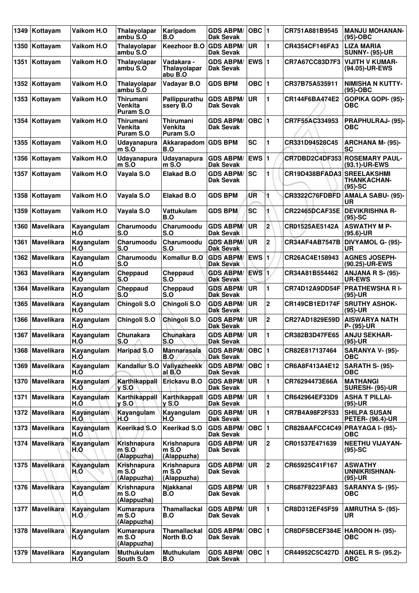| 1349 | Kottayam          | Vaikom H.O        | <b>Thalayolapar</b><br>ambu S.O                 | Karipadom<br>B.O                       | <b>GDS ABPM/</b><br>Dak Sevak        | OBC $ 1$      |                | CR751A881B9545                   | <b>MANJU MOHANAN-</b><br>$(95)-OBC$            |
|------|-------------------|-------------------|-------------------------------------------------|----------------------------------------|--------------------------------------|---------------|----------------|----------------------------------|------------------------------------------------|
| 1350 | Kottayam          | Vaikom H.O        | Thalayolapar<br>ambu S.O                        | <b>Keezhoor B.O</b>                    | <b>GDS ABPM/</b><br><b>Dak Sevak</b> | <b>UR</b>     | 1              | CR4354CF146FA3                   | <b>LIZA MARIA</b><br><b>SUNNY- (95)-UR</b>     |
| 1351 | Kottayam          | Vaikom H.O        | Thalayolapar<br>ambu S.O                        | Vadakara -<br>Thalayolapar<br>abu B.O  | <b>GDS ABPM/</b><br>Dak Sevak        | EWS $ 1$      |                | CR7A67CC83D7F3                   | <b>VIJITH V KUMAR-</b><br>(94.05)-UR-EWS       |
| 1352 | Kottayam          | Vaikom H.O        | <b>Thalayolapar</b><br>ambu S.O                 | Vadayar B.O                            | <b>GDS BPM</b>                       | $OBC$   1     |                | CR37B75A535911                   | <b>NIMISHA N KUTTY-</b><br>$(95)-OBC$          |
|      | 1353 Kottayam     | Vaikom H.O        | <b>Thirumani</b><br>Venkita<br>Puram S.O        | Pallippurathu<br>ssery B.O             | <b>GDS ABPM/</b><br>Dak Sevak        | <b>UR</b>     | 1              | CR144F6BA474E2                   | GOPIKA GOPI- (95)-<br>ОВС                      |
| 1354 | Kottayam          | Vaikom H.O        | <b>Thirumani</b><br><b>Venkita</b><br>Puram S.O | Thirumani<br>Venkita<br>Puram S.O      | <b>GDS ABPM/</b><br><b>Dak Sevak</b> | $OBC$  1      |                | CR7F55AC334953                   | PRAPHULRAJ- (95)-<br>ОВС                       |
| 1355 | Kottayam          | Vaikom H.O        | Udayanapura<br>$m$ S.O                          | Akkarapadom GDS BPM<br>B.O             |                                      | <b>SC</b>     | 1              | CR331D94528C45                   | <b>ARCHANA M- (95)-</b><br>SC                  |
| 1356 | Kottayam          | Vaikom H.O        | <b>Udayanapura</b><br>$m$ S.O                   | Udayanapura<br>m S.O                   | <b>GDS ABPM/</b><br>Dak Sevak        | <b>EWS1</b>   |                |                                  | CR7DBD2C4DF353 ROSEMARY PAUL-<br>(93.1)-UR-EWS |
| 1357 | Kottayam          | Vaikom H.O        | Vayala S.O                                      | <b>Elakad B.O</b>                      | <b>GDS ABPM/</b><br>Dak Sevak        | <b>SC</b>     | 1              | CR19D438BFADA3 SREELAKSHMI       | <b>THANKACHAN-</b><br>$(95)-SC$                |
| 1358 | Kottayam          | Vaikom H.O        | Vayala S.O                                      | <b>Elakad B.O</b>                      | <b>GDS BPM</b>                       | ŰR            | 1              | CR3322C76FDBFD                   | <b>AMALA SABU- (95)-</b><br><b>UR</b>          |
| 1359 | Kottayam          | Vaikom H.O        | Vayala S.O                                      | Vattukulam<br>B.O                      | <b>GDS BPM</b>                       | <b>SC</b>     | 1              | <b>CR22465DCAF35E</b>            | <b>DEVIKRISHNA R-</b><br>$(95)-SC$             |
| 1360 | <b>Mavelikara</b> | Kayangulam<br>H.O | Charumoodu<br>S.O                               | Charumoodu<br>S.O                      | <b>GDS ABPM/</b><br><b>Dak Sevak</b> | UR.           | $\overline{2}$ | CR01525AE5142A                   | <b>ASWATHY M P-</b><br>$(95.6)$ -UR            |
| 1361 | <b>Mavelikara</b> | Kayangulam<br>H.O | Charumoodu<br>S.O                               | Charumoodu<br>S.O                      | <b>GDS ABPM/</b><br>Dak Sevak        | <b>UR</b>     | $\mathbf 2$    | CR34AF4AB7547B                   | DIVYAMOL G- (95)-<br>UR                        |
| 1362 | Mavelikara        | Kayangulam<br>H.Ó | Charumoodu<br>S.O                               | Komallur B.O                           | <b>GDS ABPM/</b><br><b>Dak Sevak</b> | EWS 1         |                | CR26AC4E158943                   | <b>AGNES JOSEPH-</b><br>(90.25)-UR-EWS         |
| 1363 | <b>Mavelikara</b> | Kayangulam<br>H.O | Cheppaud<br>S.O                                 | Cheppaud<br>S.O                        | <b>GDS ABPM/</b><br><b>Dak Sevak</b> | <b>EWS 1</b>  |                | CR34A81B554462                   | <b>ANJANA R S- (95)-</b><br><b>UR-EWS</b>      |
| 1364 | Mavelikara        | Kayangulam<br>H.O | Cheppaud<br>S.O                                 | Cheppaud<br>S.O                        | <b>GDS ABPM/</b><br><b>Dak Sevak</b> | UR            | 1              | CR74D12A9DD54F                   | <b>PRATHEWSHA R I-</b><br>$(95)-UR$            |
| 1365 | <b>Mavelikara</b> | Kayangulam<br>H.O | Chingoli S.O                                    | Chingoli S.O                           | <b>GDS ABPM/</b><br>Dak Sevak        | <b>UR</b>     | $\overline{2}$ | CR149CB1ED174F                   | <b>SRUTHY ASHOK-</b><br>$(95)-UR$              |
| 1366 | <b>Mavelikara</b> | Kayangulam<br>H.O | Chingoli S.O                                    | <b>Chingoli S.O</b>                    | <b>GDS ABPM/</b><br><b>Dak Sevak</b> | <b>UR</b>     | 2              | CR27AD1829E59D                   | <b>AISWARYA NATH</b><br>P- (95)-UR             |
|      | 1367 Mavelikara   | Kayangulam<br>H.O | Chunakara<br>S.O                                | Chunakara<br>S.O                       | <b>GDS ABPM/</b><br><b>Dak Sevak</b> | <b>UR</b>     | 1              | CR382B3D47FE65                   | <b>ANJU SEKHAR-</b><br>$(95)-UR$               |
|      | 1368 Mavelikara   | Kayangulam<br>H.Ó | <b>Haripad S.O</b>                              | <b>Mannarasala</b><br>B.O              | <b>GDS ABPM/</b><br><b>Dak Sevak</b> | OBC $\vert$ 1 |                | CR82E817137464                   | SARANYA V- (95)-<br><b>OBC</b>                 |
|      | 1369 Mavelikara   | Kayangulam<br>H.O | Kandallur S.O                                   | Valiyazheekk<br>al B.O                 | <b>GDS ABPM/</b><br>Dak Sevak        | OBC  1        |                | CR6A8F413A4E12                   | SARATH S- (95)-<br>ОВС                         |
| 1370 | Mavelikara        | Kayangulam<br>H.O | Karthikappall<br><b>y S.O</b>                   | Erickavu B.O                           | <b>GDS ABPM/</b><br>Dak Sevak        | <b>UR</b>     | 1              | CR76294473E66A                   | <b>MATHANGI</b><br>SURESH- (95)-UR             |
| 1371 | Mavelikara        | Kayangulam<br>H.Ó | Karthikappall<br><b>y S.O</b>                   | Karthikappall<br>$v S.$ O              | <b>GDS ABPM/</b><br>Dak Sevak        | <b>UR</b>     | 1              | CR642964EF33D9                   | <b>ASHA T PILLAI-</b><br>$(95)-UR$             |
|      | 1372 Mavelikara   | Kayangulam<br>H.O | Kayangulam<br>H.O                               | Kayangulam<br>H.O                      | <b>GDS ABPM/</b><br>Dak Sevak        | UR.           | 1              | CR7B4A98F2F533                   | <b>SHILPA SUSAN</b><br><b>PETER- (96.4)-UR</b> |
| 1373 | <b>Mavelikara</b> | Kayangulam<br>H.O | Keerikad S.O                                    | <b>Keerikad S.O</b>                    | <b>GDS ABPM/</b><br>Dak Sevak        | $OBC$  1      |                | CR828AAFCC4C49 PRAYAGA I- (95)-  | <b>OBC</b>                                     |
| 1374 | Mavelikara        | Kayangulam<br>H.O | Krishnapura<br>m S. Q<br>(Alappuzha)            | Krishnapura<br>$m S.$ O<br>(Alappuzha) | <b>GDS ABPM/</b><br>Dak Sevak        | <b>UR</b>     | $\overline{2}$ | CR01537E471639                   | <b>NEETHU VIJAYAN-</b><br>$(95)$ -SC           |
|      | 1375 Mayelikara   | Kayangulam<br>H.O | <b>Krishnapura</b><br>$m$ S.O<br>(Alappuzha)    | Krishnapura<br>$m$ S.O<br>(Alappuzha)  | <b>GDS ABPM/</b><br>Dak Sevak        | <b>UR</b>     | $\overline{2}$ | CR65925C41F167                   | <b>ASWATHY</b><br>UNNIKRISHNAN-<br>(95)-UR     |
| 1376 | Mavelikara        | Kayangulam<br>H.O | Krishnapura<br>$m$ S.O<br>(Alappuzha)           | Njakkanal<br>B.O                       | <b>GDS ABPM/</b><br>Dak Sevak        | <b>UR</b>     | 1              | CR687F8223FA83                   | SARANYA S- (95)-<br><b>OBC</b>                 |
| 1377 | Mavelikara        | Kayangulam<br>H.O | Kumarapura<br>m S.O<br>(Alappuzha)              | <b>Thamallackal</b><br>B.O             | <b>GDS ABPM/</b><br>Dak Sevak        | <b>UR</b>     | 1              | CR8D312EF45F59                   | <b>AMRUTHA S- (95)-</b><br>UR                  |
|      | 1378 Mavelikara   | Kayangulam<br>H.O | Kumarapura<br>$m$ S.O<br>(Alappuzha)            | Thamallackal<br>North B.O              | <b>GDS ABPM/</b><br>Dak Sevak        | OBC $ 1$      |                | CR8DF5BCEF384E   HAROON H- (95)- | ОВС                                            |
| 1379 | Mavelikara        | Kayangulam<br>H.O | <b>Muthukulam</b><br>South S.O                  | <b>Muthukulam</b><br>B.O               | <b>GDS ABPM/</b><br><b>Dak Sevak</b> | OBC $ 1$      |                | CR44952C5C427D                   | <b>ANGEL R S- (95.2)-</b><br><b>OBC</b>        |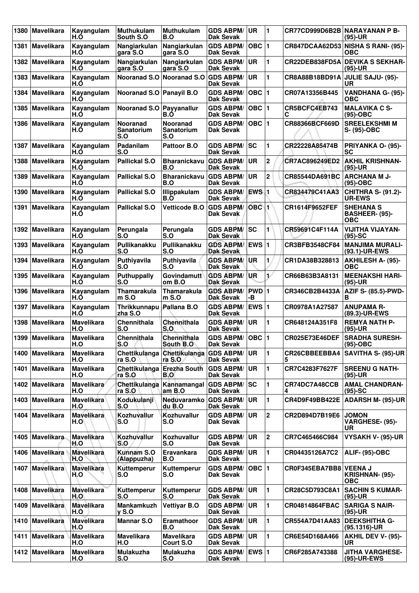| 1380 | <b>Mavelikara</b> | Kayangulam<br>H.O        | <b>Muthukulam</b><br>South S.O              | <b>Muthukulam</b><br>B.O                    | <b>GDS ABPM/</b><br>Dak Sevak        | UR                      | $\blacksquare$ | <b>CR77CD999D6B2B NARAYANAN P B-</b> | $(95)-UR$                                        |
|------|-------------------|--------------------------|---------------------------------------------|---------------------------------------------|--------------------------------------|-------------------------|----------------|--------------------------------------|--------------------------------------------------|
| 1381 | <b>Mavelikara</b> | Kayangulam<br>H.Ó        | Nangiarkulan<br>gara S.O                    | Nangiarkulan<br>gara S.O                    | <b>GDS ABPM/</b><br>Dak Sevak        | OBC $ 1$                |                |                                      | CR847DCAA62D53 NISHA S RANI- (95)-<br><b>OBC</b> |
| 1382 | Mavelikara        | Kayangulam<br>H.O        | Nangiarkulan<br>gara S.O                    | Nangiarkulan<br>gara S.O                    | <b>GDS ABPM/</b><br>Dak Sevak        | UR                      | 1              | CR22DEB838FD5A                       | <b>DEVIKA S SEKHAR-</b><br>$(95)-UR$             |
| 1383 | <b>Mavelikara</b> | Kayangulam<br>H.O        | <b>Nooranad S.O</b>                         | Nooranad S.O                                | <b>GDS ABPM/</b><br>Dak Sevak        | <b>UR</b>               | 1              | CR8A88B18BD91A                       | JULIE SAJU- (95)-<br>UR                          |
| 1384 | <b>Mavelikara</b> | Kayangulam<br>H.Ó        | Nooranad S.O   Panayil B.O                  |                                             | <b>GDS ABPM/</b><br>Dak Sevak        | OBC $ 1$                |                | CR07A13356B445                       | VANDHANA G- (95)-<br>ОВС                         |
| 1385 | <b>Mavelikara</b> | Kayangulam<br>H.O        | Nooranad S.O                                | Payyanallur<br>B.O                          | <b>GDS ABPM/</b><br><b>Dak Sevak</b> | OBC  1                  |                | CR5BCFC4EB743<br>С                   | <b>MALAVIKA C S-</b><br>$(95)-OBC$               |
| 1386 | <b>Mavelikara</b> | Kayangulam<br>H.O        | <b>Nooranad</b><br><b>Sanatorium</b><br>S.O | <b>Nooranad</b><br><b>Sanatorium</b><br>S.O | <b>GDS ABPM/</b><br>Dak Sevak        | OBC $ 1$                |                | CR88366BCF669D                       | <b>SREELEKSHMI M</b><br>S- (95)-OBC              |
| 1387 | <b>Mavelikara</b> | Kayangulam<br>H.O        | Padanilam<br>S.O                            | Pattoor B.O                                 | <b>GDS ABPM/</b><br>Dak Sevak        | SC                      | 1              | CR22228A85474B                       | PRIYANKA O- (95)-<br>SC                          |
| 1388 | <b>Mavelikara</b> | Kayangulam<br>H.O        | Pallickal S.O                               | <b>Bharanickavu</b><br>B.O                  | <b>GDS ABPM/</b><br>Dak Sevak        | UR                      | $\mathbf 2$    | CR7AC896249ED2                       | <b>AKHIL KRISHNAN-</b><br>$(95)-UR$              |
| 1389 | <b>Mavelikara</b> | Kayangulam<br>H.O        | <b>Pallickal S.O</b>                        | <b>Bharanickavu</b><br>B.O                  | <b>GDS ABPM/</b><br>Dak Sevak        | UR                      | $\overline{2}$ | CR85544DA691BC                       | <b>ARCHANA M J-</b><br>$(95)-OBC$                |
| 1390 | <b>Mavelikara</b> | Kayangulam<br>H.O        | <b>Pallickal S.O</b>                        | Illippakulam<br>B.O                         | <b>GDS ABPM/</b><br>Dak Sevak        | EWS 1                   |                | CR834479C41AA3                       | <b>CHITHRA S- (91.2)-</b><br><b>UR-EWS</b>       |
| 1391 | <b>Mavelikara</b> | Kayangulam<br>H.O        | Pallickal S.O                               | <b>Vetticode B.O</b>                        | <b>GDS ABPM/</b><br>Dak Sevak        | OBC <sub>1</sub>        |                | CR1614F9652FEF                       | <b>SHEHANA S</b><br>BASHEER- (95)-<br><b>OBC</b> |
| 1392 | <b>Mavelikara</b> | Kayangulam<br>H.O        | Perungala<br>S.O                            | Perungala<br>S.O                            | <b>GDS ABPM/</b><br>Dak Sevak        | <b>SC</b>               | 1              | CR59691C4F114A                       | <b>VIJITHA VIJAYAN-</b><br>$(95)-SC$             |
| 1393 | <b>Mavelikara</b> | Kayangulam<br>H.Ó        | Pullikanakku<br>S.O                         | Pullikanakku<br>S.O                         | <b>GDS ABPM/</b><br><b>Dak Sevak</b> | <b>EWS 1</b>            |                | CR3BFB3548CF84                       | <b>MANJIMA MURALI-</b><br>(93.1)-UR-EWS          |
| 1394 | Mavelikara        | Kayangulam<br>H.O        | Puthiyavila<br>S.O                          | Puthiyavila<br>S.O                          | <b>GDS ABPM/</b><br><b>Dak Sevak</b> | <b>UR</b>               | 1              | CR1DA38B328813                       | <b>AKHILESH A- (95)-</b><br>ОВС                  |
| 1395 | <b>Mavelikara</b> | Kayangulam<br>H.O        | Puthuppally<br>S.O                          | <b>Govindamutt</b><br>om B.O                | <b>GDS ABPM/</b><br><b>Dak Sevak</b> | UR                      | v              | CR66B63B3A8131                       | <b>MEENAKSHI HARI-</b><br>$(95)-UR$              |
| 1396 | <b>Mavelikara</b> | Kayangulam<br>H.Ó        | <b>Thamarakula</b><br>mS.0                  | Thamarakula<br>$m S.$ O                     | <b>GDS ABPM/</b><br><b>Dak Sevak</b> | PWD 1<br>-В             |                | CR346CB2B4433A                       | <b>AZIF S- (85.5)-PWD-</b><br>в                  |
| 1397 | Mavelikara        | Kayangulam<br>H.O        | Thrikkunnapu<br>zha S.O                     | Pallana B.O                                 | <b>GDS ABPM/</b><br><b>Dak Sevak</b> | EWS $ 1$                |                | CR0978A1A27587                       | <b>ANUPAMA R-</b><br>(89.3)-UR-EWS               |
| 1398 | <b>Mavelikara</b> | <b>Mavelikara</b><br>H.O | <b>Chennithala</b><br>S.O                   | Chennithala<br>S.O                          | <b>GDS ABPM/</b><br>Dak Sevak        | UR                      | 1              | CR648124A351F8                       | <b>REMYA NATH P-</b><br>$(95)-UR$                |
|      | 1399 Mavelikara   | <b>Mavelikara</b><br>H.O | Chennithala<br>S.O                          | Chennithala<br>South B.O                    | <b>GDS ABPM/</b><br><b>Dak Sevak</b> | OBC  1                  |                | <b>CR025E73E46DEF</b>                | <b>SRADHA SURESH-</b><br>(95)-OBC                |
|      | 1400 Mavelikara   | <b>Mavelikara</b><br>H.O | Chettikulanga<br>ra S.O                     | Chettikulanga<br>ra S.O                     | <b>GDS ABPM/</b><br><b>Dak Sevak</b> | UR.                     | 1              | CR26CBBEEBBA4<br>5                   | <b>SAVITHA S- (95)-UR</b>                        |
| 1401 | <b>Mavelikara</b> | <b>Mavelikara</b><br>H.O | Chettikulanga<br>ra S.O                     | <b>Erezha South</b><br>B.O                  | <b>GDS ABPM/</b><br>Dak Sevak        | <b>UR</b>               | 1              | CR7C4283F7627F                       | <b>SREENU G NATH-</b><br>$(95)-UR$               |
| 1402 | Mavelikara        | <b>Mavelikara</b><br>H.O | Chettikulanga<br>ra S.O                     | Kannamangal<br>am B.O                       | <b>GDS ABPM/</b><br>Dak Sevak        | lsc                     | 1              | CR74DC7A48CCB<br>4                   | <b>AMAL CHANDRAN-</b><br>$(95)-SC$               |
| 1403 | Mavelikara        | <b>Mavelikara</b><br>H.O | Kodukulanji<br>S.O                          | Neduvaramko<br>du B.O                       | <b>GDS ABPM/</b><br>Dak Sevak        | <b>UR</b>               | 1              | CR4D9F49BB422E                       | <b>ADARSH M- (95)-UR</b>                         |
| 1404 | Mavelikara        | <b>Mavelikara</b><br>H.O | Kozhuvallur<br>S.O                          | Kozhuvallur<br>S.O                          | <b>GDS ABPM/</b><br>Dak Sevak        | UR                      | $\mathbf 2$    | CR2D894D7B19E6                       | <b>JOMON</b><br>VARGHESE- (95)-<br>UR            |
| 1405 | Mavelikara        | <b>Mavelikara</b><br>H.O | <b>Kozhuvallur</b><br>S.O                   | <b>Kozhuvallur</b><br>S.O                   | <b>GDS ABPM/</b><br>Dak Sevak        | <b>UR</b>               | 2              | CR7C465466C984                       | VYSAKH V- (95)-UR                                |
| 1406 | Mavelikara        | <b>Mavelikara</b><br>H.O | Kunnam S.O<br>(Alappuzha)                   | Eravankara<br>B.O                           | <b>GDS ABPM/</b><br><b>Dak Sevak</b> | UR                      | 1              | CR04435126A7C2                       | <b>ALIF- (95)-OBC</b>                            |
|      | 1407 Mavelikara   | <b>Mavelikara</b><br>H.O | Kuttemperur<br>S.O                          | Kuttemperur<br>S.O                          | <b>GDS ABPM/</b><br>Dak Sevak        | $OBC$  1                |                | CR0F345EBA7BB8 VEENA J               | KRISHNAN- (95)-<br><b>OBC</b>                    |
| 1408 | Mavelikara        | <b>Mavelikara</b><br>H.O | Kuttemperur<br>S.O                          | Kuttemperur<br>S.O                          | <b>GDS ABPM/</b><br><b>Dak Sevak</b> | UR                      | 1              | CR28C5D793C8A1                       | <b>SACHIN S KUMAR-</b><br>(95)-UR                |
| 1409 | Mavelikara        | <b>Mavelikara</b><br>H.O | Mankamkuzh<br>$y S.$ O                      | <b>Vettiyar B.O</b>                         | <b>GDS ABPM/</b><br><b>Dak Sevak</b> | UR                      | 1              | CR04814864FBAC                       | <b>SARIGA S NAIR-</b><br>$(95)-UR$               |
| 1410 | Mavelikara        | <b>Mavelikara</b><br>H.O | <b>Mannar S.O</b>                           | Eramathoor<br>B.O                           | <b>GDS ABPM/</b><br>Dak Sevak        | UR                      | 1              | CR554A7D41AA83                       | <b>DEEKSHITHA G-</b><br>$(95.1316)$ -UR          |
| 1411 | <b>Mavelikara</b> | Mavelikara<br>H.O        | <b>Mavelikara</b><br>H.O                    | <b>Mavelikara</b><br>Court S.O              | <b>GDS ABPM/</b><br>Dak Sevak        | UR                      | 1              | CR6E54D168A466                       | <b>AKHIL DEV V- (95)-</b><br>UR                  |
|      | 1412 Mavelikara   | <b>Mavelikara</b><br>H.O | <b>Mulakuzha</b><br>S.O                     | <b>Mulakuzha</b><br>S.O                     | <b>GDS ABPM/</b><br><b>Dak Sevak</b> | <b>EWS</b> <sub>1</sub> |                | CR6F285A743388                       | <b>JITHA VARGHESE-</b><br>(95)-UR-EWS            |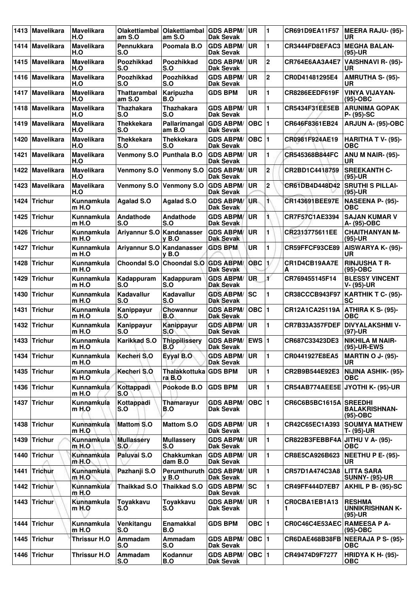| 1413   | Mavelikara        | Mavelikara<br>H.O            | Olakettiambal<br>am S.O       | Olakettiambal<br>am S.O         | <b>GDS ABPM/</b><br>Dak Sevak        | <b>UR</b>     | 1                       | <b>CR691D9EA11F57</b>           | <b>MEERA RAJU- (95)-</b><br>UR                       |
|--------|-------------------|------------------------------|-------------------------------|---------------------------------|--------------------------------------|---------------|-------------------------|---------------------------------|------------------------------------------------------|
| ا 1414 | Mavelikara        | <b>Mavelikara</b><br>H.O     | Pennukkara<br>S.O             | Poomala B.O                     | <b>GDS ABPM/</b><br><b>Dak Sevak</b> | UR            | 1                       | CR3444FD8EFAC3                  | <b>MEGHA BALAN-</b><br>$(95)-UR$                     |
|        | 1415 Mavelikara   | <b>Mavelikara</b><br>H.O     | Poozhikkad<br>S.O             | <b>Poozhikkad</b><br>S.O        | <b>GDS ABPM/</b><br><b>Dak Sevak</b> | <b>UR</b>     | $\mathbf{2}$            | CR764E6AA3A4E7                  | <b>VAISHNAVI R- (95)-</b><br>UR                      |
|        | 1416   Mavelikara | <b>Mavelikara</b><br>H.O     | Poozhikkad<br>S.O             | <b>Poozhikkad</b><br>S.O        | <b>GDS ABPM/</b><br>Dak Sevak        | <b>UR</b>     | $\boldsymbol{2}$        | CR0D41481295E4                  | <b>AMRUTHA S- (95)-</b><br><b>UR</b>                 |
|        | 1417 Mavelikara   | <b>Mavelikara</b><br>H.O     | <b>Thattarambal</b><br>am S.O | Karipuzha<br>B.O                | <b>GDS BPM</b>                       | <b>UR</b>     | 1                       | CR8286EEDF619F                  | <b>VINYA VIJAYAN-</b><br>$(95)-OBC$                  |
|        | 1418   Mavelikara | <b>Mavelikara</b><br>H.O     | <b>Thazhakara</b><br>S.O      | <b>Thazhakara</b><br>S.O        | <b>GDS ABPM/</b><br><b>Dak Sevak</b> | <b>UR</b>     | 1                       | <b>CR5434F31EE5EB</b>           | <b>ARUNIMA GOPAK</b><br>P- (95)-SC                   |
| 1419   | <b>Mavelikara</b> | <b>Mavelikara</b><br>H.O     | <b>Thekkekara</b><br>S.O      | Pallarimangal<br>am B.O         | <b>GDS ABPM/</b><br>Dak Sevak        | OBC $\vert$ 1 |                         | CR646F8361EB24                  | ARJUN A- (95)-OBC                                    |
| 1420   | <b>Mavelikara</b> | <b>Mavelikara</b><br>H.O     | <b>Thekkekara</b><br>S.O      | Thekkekara<br>S.O               | <b>GDS ABPM/</b><br><b>Dak Sevak</b> | $OBC$  1      |                         | CR0981F924AE19                  | HARITHA T V- (95)-<br><b>OBC</b>                     |
| 1421   | <b>Mavelikara</b> | <b>Mavelikara</b><br>H.O     | <b>Venmony S.O</b>            | Punthala B.O                    | <b>GDS ABPM/</b><br><b>Dak Sevak</b> | <b>UR</b>     | 1                       | <b>CR545368B844FC</b>           | <b>ANU M NAIR- (95)-</b><br>UR                       |
| 1422   | Mavelikara        | <b>Mavelikara</b><br>H.O     | <b>Venmony S.O</b>            | <b>Venmony S.O</b>              | <b>GDS ABPM/</b><br>Dak Sevak        | <b>UR</b>     | $\mathbf 2$             | CR2BD1C4418759                  | <b>SREEKANTH C-</b><br>$(95)-UR$                     |
| 1423   | <b>Mavelikara</b> | <b>Mavelikara</b><br>H.O     | <b>Venmony S.O</b>            | <b>Venmony S.O</b>              | <b>GDS ABPM/</b><br>Dak Sevak        | <b>UR</b>     | $\overline{\mathbf{2}}$ | CR61DB4D448D42                  | <b>SRUTHI S PILLAI-</b><br>$(95)-UR$                 |
| 1424   | <b>Trichur</b>    | Kunnamkula<br>$m$ H.O        | <b>Agalad S.O</b>             | <b>Agalad S.O</b>               | <b>GDS ABPM/</b><br>Dak Sevak        | UR.           | 1\                      | CR143691BEE97E                  | NASEENA P- (95)-<br>ОВС                              |
| 1425   | <b>Trichur</b>    | Kunnamkula<br>$m$ H.O        | Andathode<br>S.O              | Andathode<br>S.O                | <b>GDS ABPM/</b><br>Dak Sevak        | <b>UR</b>     | ٦                       | CR7F57C1AE3394                  | <b>SAJAN KUMAR V</b><br>A- (95)-OBC                  |
| 1426   | <b>Trichur</b>    | Kunnamkula<br>$m$ H.O        | Ariyannur S.O Kandanasser     | v B.O                           | <b>GDS ABPM/</b><br><b>Dak Sevak</b> | <b>UR</b>     | 1                       | CR2313775611EE                  | <b>CHAITHANYAN M-</b><br>$(95)-UR$                   |
| 1427   | <b>Trichur</b>    | Kunnamkula<br>$m$ H.O        | Ariyannur S.O Kandanasser     | v B.O                           | <b>GDS BPM</b>                       | <b>UR</b>     | 1                       | CR59FFCF93CE89                  | <b>AISWARYA K- (95)-</b><br>UR                       |
| 1428   | <b>Trichur</b>    | Kunnamkula<br>$m$ H.O        | Choondal S.O                  | <b>Choondal S.O</b>             | <b>GDS ABPM/</b><br>Dak Sevak        | <b>OBC</b>    | $\mathbf{1}$            | CR1D4CB19AA7E<br>А              | <b>RINJUSHA T R-</b><br>$(95)-OBC$                   |
| 1429   | <b>Trichur</b>    | Kunnamkula<br>$m$ H.O        | Kadappuram<br>S.O             | Kadappuram<br>S.O               | <b>GDS ABPM/</b><br><b>Dak Sevak</b> | <b>UR</b>     | ť                       | CR769455145F14                  | <b>BLESSY VINCENT</b><br>V- (95)-UR                  |
| 1430   | <b>Trichur</b>    | Kunnamkula<br>$m$ H.O        | <b>Kadavallur</b><br>S.O      | <b>Kadavallur</b><br>S.O        | <b>GDS ABPM/</b><br><b>Dak Sevak</b> | sc            | 1                       | CR38CCCB943F97                  | KARTHIK T C- (95)-<br>SC                             |
| 1431   | <b>Trichur</b>    | Kunnamkula<br>m H.O          | Kanippayur<br>S.O             | Chowannur<br>B.O                | <b>GDS ABPM/</b><br><b>Dak Sevak</b> | $OBC$  1      |                         | CR12A1CA25119A                  | ATHIRA K S- (95)-<br>OBC                             |
| 1432   | Trichur           | Kunnamkula<br>m H.O          | Kanippayur<br>S.O             | Kanippayur<br>S.O               | <b>GDS ABPM/</b><br><b>Dak Sevak</b> | <b>UR</b>     | 1                       | CR7B33A357FDEF                  | <b>DIVYALAKSHMI V-</b><br>(97)-UR                    |
|        | 1433 Trichur      | Kunnamkula<br>$m$ H.O        | <b>Karikkad S.O</b>           | <b>Thippilissery</b><br>B.O     | GDS ABPM/ EWS 1<br><b>Dak Sevak</b>  |               |                         | CR687C33423DE3                  | <b>NIKHILA M NAIR-</b><br>(95)-UR-EWS                |
|        | 1434 Trichur      | Kunnamkula<br>m H.O          | Kecheri S.O                   | Eyyal B.O                       | <b>GDS ABPM/</b><br>Dak Sevak        | <b>UR</b>     | 1                       | CR0441927E8EA5                  | <b>MARTIN O J- (95)-</b><br>UR.                      |
|        | 1435 Trichur      | Kunnamkula<br>m H.O          | Kecheri S.O                   | Thalakkottuka GDS BPM<br>ra B.O |                                      | <b>UR</b>     | $\blacksquare$          | CR2B9B544E92E3                  | NIJINA ASHIK- (95)-<br><b>OBC</b>                    |
| 1436   | <b>Trichur</b>    | Kunnamkula<br>$m$ H.O        | Kottappadi<br>S.O             | Pookode B.O                     | <b>GDS BPM</b>                       | UR            | $\mathbf{1}$            |                                 | CR54AB774AEE5E JYOTHI K- (95)-UR                     |
|        | 1437 Trichur      | Kunnamkula<br>$m$ H.O        | Kottappadi<br>S.O             | Thamarayur<br>B.O               | <b>GDS ABPM/</b><br>Dak Sevak        | OBC  1        |                         | CR6C6B5BC1615A SREEDHI          | <b>BALAKRISHNAN-</b><br>$(95)-OBC$                   |
|        | 1438 Trichur      | Kunnamkula<br>m H.O          | <b>Mattom S.O</b>             | <b>Mattom S.O</b>               | GDS ABPM/<br>Dak Sevak               | <b>UR</b>     | $\mathbf{1}$            | CR42C65EC1A393                  | <b>SOUMYA MATHEW</b><br>T- (95)-UR                   |
| 1439   | <b>Trichur</b>    | Kunnamkula<br>$m$ H.O        | <b>Mullassery</b><br>S.O      | <b>Mullassery</b><br>S.O        | <b>GDS ABPM/</b><br><b>Dak Sevak</b> | UR            | 1                       | CR822B3FEBBF4A JITHU V A- (95)- | <b>OBC</b>                                           |
| 1440   | <b>Trichur</b>    | Kunnamkula<br>$m H.$ O       | Paluvai S.O                   | Chakkumkan<br>dam B.O           | <b>GDS ABPM/</b><br>Dak Sevak        | <b>UR</b>     | $\mathbf{1}$            | CR8E5CA926B623                  | NEETHU P E- (95)-<br><b>UR</b>                       |
| 1441   | <b>Trichur</b>    | Kunnamkula<br>$m$ H.O        | Pazhanji S.O                  | Perumthuruth<br>$y$ B.O         | <b>GDS ABPM/</b><br>Dak Sevak        | <b>UR</b>     | 1                       | CR57D1A474C3A8                  | <b>LITTA SARA</b><br><b>SUNNY- (95)-UR</b>           |
| 1442   | <b>Trichur</b>    | <b>Kunnamkula</b><br>$m$ H.O | Thaikkad S.O                  | <b>Thaikkad S.O</b>             | <b>GDS ABPM/</b><br><b>Dak Sevak</b> | SC            | 1                       | CR49FF444D7EB7                  | AKHIL P B- (95)-SC                                   |
| 1443   | <b>Trichur</b>    | Kunnamkula<br>$m$ H.O        | Toyakkavu<br>S.O              | Toyakkavu<br>S.O                | <b>GDS ABPM/</b><br><b>Dak Sevak</b> | <b>UR</b>     | $\blacksquare$          | CROCBA1EB1A13                   | <b>RESHMA</b><br><b>UNNIKRISHNAN K-</b><br>$(95)-UR$ |
| 1444   | <b>Trichur</b>    | Kunnamkula<br>m H.O          | Venkitangu<br>S.O             | Enamakkal<br>B.O                | <b>GDS BPM</b>                       | OBC $ 1$      |                         | CR0C46C4E53AEC RAMEESA P A-     | $(95)-OBC$                                           |
| 1445   | <b>Trichur</b>    | Thrissur H.O                 | Ammadam<br>S.O                | Ammadam<br>S.O                  | <b>GDS ABPM/</b><br>Dak Sevak        | OBC  1        |                         |                                 | CR6DAE468B38FB NEERAJA P S- (95)-<br><b>OBC</b>      |
|        | 1446 Trichur      | Thrissur H.O                 | Ammadam<br>S.O                | Kodannur<br>B.O                 | <b>GDS ABPM/</b><br><b>Dak Sevak</b> | OBC  1        |                         | CR49474D9F7277                  | <b>HRIDYA K H- (95)-</b><br><b>OBC</b>               |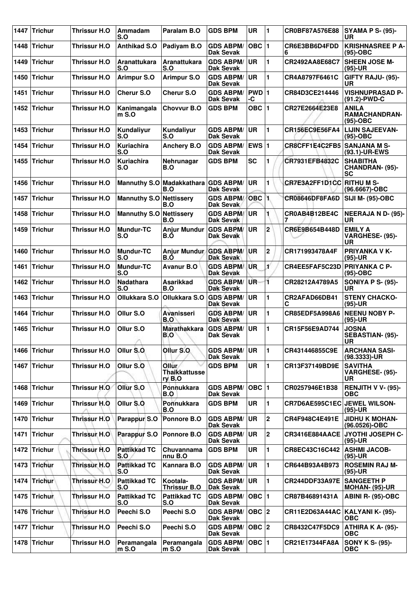| 1447 | Trichur        | Thrissur H.O        | Ammadam<br>S.O             | Paralam B.O                                | <b>GDS BPM</b>                       | <b>UR</b>        | 11             | CR0BF87A576E88                    | <b>SYAMA P S- (95)-</b><br><b>UR</b>               |
|------|----------------|---------------------|----------------------------|--------------------------------------------|--------------------------------------|------------------|----------------|-----------------------------------|----------------------------------------------------|
| 1448 | <b>Trichur</b> | Thrissur H.O        | <b>Anthikad S.O</b>        | Padiyam B.O                                | <b>GDS ABPM/</b><br><b>Dak Sevak</b> | $OBC$  1         |                | CR6E3BB6D4FDD<br>6                | <b>KRISHNASREE P A-</b><br>$(95)-OBC$              |
| 1449 | <b>Trichur</b> | Thrissur H.O        | <b>Aranattukara</b><br>S.O | Aranattukara<br>S.O                        | <b>GDS ABPM/</b><br>Dak Sevak        | <b>UR</b>        | 1              | CR2492AA8E68C7                    | <b>SHEEN JOSE M-</b><br>$(95)-UR$                  |
| 1450 | <b>Trichur</b> | Thrissur H.O        | <b>Arimpur S.O</b>         | <b>Arimpur S.O</b>                         | <b>GDS ABPM/</b><br><b>Dak Sevak</b> | <b>UR</b>        | 1              | CR4A8797F6461C                    | GIFTY RAJU- (95)-<br>UR                            |
| 1451 | <b>Trichur</b> | Thrissur H.O        | <b>Cherur S.O</b>          | <b>Cherur S.O</b>                          | <b>GDS ABPM/</b><br><b>Dak Sevak</b> | PWD 1<br>-C      |                | CR84D3CE214446                    | <b>VISHNUPRASAD P-</b><br>(91.2)-PWD-C             |
| 1452 | Trichur        | Thrissur H.O        | Kanimangala<br>$m S.$ O    | Chovvur B.O                                | <b>GDS BPM</b>                       | OBC $ 1$         |                | CR27E2664E23E8                    | <b>ANILA</b><br><b>RAMACHANDRAN-</b><br>$(95)-OBC$ |
| 1453 | <b>Trichur</b> | Thrissur H.O        | Kundaliyur<br>S.O          | Kundaliyur<br>S.O                          | <b>GDS ABPM/</b><br>Dak Sevak        | UR               | 1              | CR156EC9E56FA4                    | <b>LIJIN SAJEEVAN-</b><br>(95)-OBC                 |
| 1454 | <b>Trichur</b> | Thrissur H.O        | <b>Kuriachira</b><br>S.O   | <b>Anchery B.O</b>                         | <b>GDS ABPM/</b><br>Dak Sevak        | EWS $ 1$         |                | CR8CFF1E4C2FB5                    | <b>SANJANA M S-</b><br>(93.1)-UR-EWS               |
| 1455 | <b>Trichur</b> | Thrissur H.O        | Kuriachira<br>S.O          | Nehrunagar<br>B.O                          | <b>GDS BPM</b>                       | <b>SC</b>        | 1              | CR7931EFB4832C                    | <b>SHABITHA</b><br>CHANDRAN- (95)-<br><b>SC</b>    |
| 1456 | <b>Trichur</b> | Thrissur H.O        |                            | Mannuthy S.O Madakkathara GDS ABPM/<br>B.O | <b>Dak Sevak</b>                     | <b>UR</b>        | 1              | CR7E3A2FF1D1CC RITHU M S-         | (96.6667)-OBC                                      |
| 1457 | <b>Trichur</b> | Thrissur H.O        | Mannuthy S.O Nettissery    | B.O                                        | <b>GDS ABPM/</b><br><b>Dak Sevak</b> | OBC <sub>1</sub> |                | CR08646DF8FA6D                    | SIJI M- (95)-OBC                                   |
| 1458 | <b>Trichur</b> | Thrissur H.O        | <b>Mannuthy S.O</b>        | <b>Nettissery</b><br>B.O                   | <b>GDS ABPM/</b><br>Dak Sevak        | <b>UR</b>        |                | CR0AB4B12BE4C                     | <b>NEERAJA N D- (95)-</b><br>UR                    |
| 1459 | <b>Trichur</b> | Thrissur H.O        | <b>Mundur-TC</b><br>S.O    | <b>Anjur Mundur</b><br>B.Ó                 | <b>GDS ABPM/</b><br>Dak Sevak        | UR               | $\mathbf 2$    | CR6E9B654B448D                    | <b>EMILY A</b><br>VARGHESE- (95)-<br>UR            |
| 1460 | <b>Trichur</b> | Thrissur H.O        | <b>Mundur-TC</b><br>S.O    | Anjur Mundur<br>B.O                        | <b>GDS ABPM/</b><br><b>Dak Sevak</b> | <b>UR</b>        | $\mathbf 2$    | CR171993478A4F                    | <b>PRIYANKA V K-</b><br>$(95)-UR$                  |
| 1461 | <b>Trichur</b> | Thrissur H.O        | <b>Mundur-TC</b><br>S.O    | <b>Avanur B.O</b>                          | <b>GDS ABPM/</b><br><b>Dak Sevak</b> | <b>UR</b>        | Ľ              | CR4EE5FAF5C23D PRIYANKA C P-      | $(95)-OBC$                                         |
| 1462 | <b>Trichur</b> | Thrissur H.O        | <b>Nadathara</b><br>S.O    | <b>Asarikkad</b><br>B.O                    | <b>GDS ABPM/</b><br><b>Dak Sevak</b> | UR.              | 1              | CR28212A4789A5                    | <b>SONIYA P S- (95)-</b><br><b>UR</b>              |
| 1463 | <b>Trichur</b> | <b>Thrissur H.O</b> | Ollukkara S.O              | Ollukkara S.O                              | <b>GDS ABPM/</b><br><b>Dak Sevak</b> | <b>UR</b>        | 1              | CR2AFAD66DB41<br>С                | <b>STENY CHACKO-</b><br>$(95)-UR$                  |
| 1464 | <b>Trichur</b> | <b>Thrissur H.O</b> | Ollur S.O                  | <b>Avanisseri</b><br>B.O                   | <b>GDS ABPM/</b><br><b>Dak Sevak</b> | <b>UR</b>        | 1              | CR85EDF5A998A6                    | <b>NEENU NOBY P-</b><br>$(95)-UR$                  |
| 1465 | <b>Trichur</b> | Thrissur H.O        | Ollur S.O<br>n             | <b>Marathakkara</b><br>B.O                 | <b>GDS ABPM/</b><br><b>Dak Sevak</b> | <b>UR</b>        | 1              | CR15F56E9AD744                    | <b>JOSNA</b><br>SEBASTIAN- (95)-<br>UR             |
|      | 1466 Trichur   | Thrissur H.O        | Ollur S.O.                 | Ollur S.O                                  | <b>GDS ABPM/</b><br><b>Dak Sevak</b> | <b>UR</b>        | $\blacksquare$ | CR431446855C9E                    | <b>ARCHANA SASI-</b><br>$(98.3333)$ -UR            |
|      | 1467 Trichur   | Thrissur H.O        | Ollur S.O                  | Ollur<br><b>Thaikkattusse</b><br>ry B.O    | <b>GDS BPM</b>                       | UR               | 1              | CR13F37149BD9E                    | <b>SAVITHA</b><br>VARGHESE- (95)-<br>UR            |
| 1468 | <b>Trichur</b> | Thrissur H.O        | Ollur S.O                  | Ponnukkara<br>B.O                          | <b>GDS ABPM/</b><br><b>Dak Sevak</b> | OBC  1           |                | CR0257946E1B38                    | <b>RENJITH V V- (95)-</b><br><b>OBC</b>            |
| 1469 | <b>Trichur</b> | Thrissur H.O        | Ollur S.O.                 | Ponnukkara<br>B.O                          | <b>GDS BPM</b>                       | <b>UR</b>        | 1              | CR7D6AE595C1EC                    | <b>JEWEL WILSON-</b><br>$(95)-UR$                  |
| 1470 | Trichur        | Thrissur H.O        | Parappur S.O               | Ponnore B.O                                | <b>GDS ABPM/</b><br><b>Dak Sevak</b> | UR               | $\overline{2}$ | CR4F948C4E491E                    | <b>JIDHU K MOHAN-</b><br>(96.0526)-OBC             |
| 1471 | <b>Trichur</b> | <b>Thrissur H.O</b> | Parappur S.O               | Ponnore B.O                                | <b>GDS ABPM/</b><br><b>Dak Sevak</b> | UR               | $\mathbf 2$    | CR3416E884AACE                    | JYOTHI JOSEPH C-<br>$(95)-UR$                      |
|      | 1472 Trichur   | Thrissur H.O        | <b>Pattikkad TC</b><br>S.O | Chuvannama<br>nnu B.O                      | <b>GDS BPM</b>                       | UR               | 1              | CR8EC43C16C442                    | <b>ASHMI JACOB-</b><br>$(95)-UR$                   |
| 1473 | <b>Trichur</b> | Thrissur H.O        | <b>Pattikkad TC</b><br>S.O | Kannara B.O                                | <b>GDS ABPM/</b><br><b>Dak Sevak</b> | UR               | 1              | CR644B93A4B973                    | <b>ROSEMIN RAJ M-</b><br>$(95)-UR$                 |
| 1474 | Trichur        | Thrissur H.O        | <b>Pattikkad TC</b><br>S.O | Kootala-<br>Thrissur B.O                   | <b>GDS ABPM/</b><br><b>Dak Sevak</b> | UR               | 1              | <b>CR244DDF33A97E</b>             | <b>SANGEETH P</b><br><b>MOHAN- (95)-UR</b>         |
| 1475 | Trichun        | Thrissur H.O        | <b>Pattikkad TC</b><br>S.O | <b>Pattikkad TC</b><br>S.O                 | <b>GDS ABPM/</b><br>Dak Sevak        | OBC $ 1$         |                | CR87B46891431A                    | ABINI R- (95)-OBC                                  |
| 1476 | Trichur        | Thrissur H.O        | Peechi S.O                 | Peechi S.O                                 | <b>GDS ABPM/</b><br>Dak Sevak        | $OBC$ 2          |                | CR11E2D63A44AC   KALYANI K- (95)- | <b>OBC</b>                                         |
| 1477 | <b>Trichur</b> | Thrissur H.O        | Peechi S.O                 | Peechi S.O                                 | <b>GDS ABPM/</b><br><b>Dak Sevak</b> | OBC 2            |                | CR8432C47F5DC9                    | ATHIRA K A- (95)-<br><b>OBC</b>                    |
| 1478 | Trichur        | Thrissur H.O        | Peramangala<br>$m$ S.O     | Peramangala<br>$m$ S.O                     | <b>GDS ABPM/</b><br>Dak Sevak        | OBC $ 1$         |                | CR21E17344FA8A                    | <b>SONY K S- (95)-</b><br><b>OBC</b>               |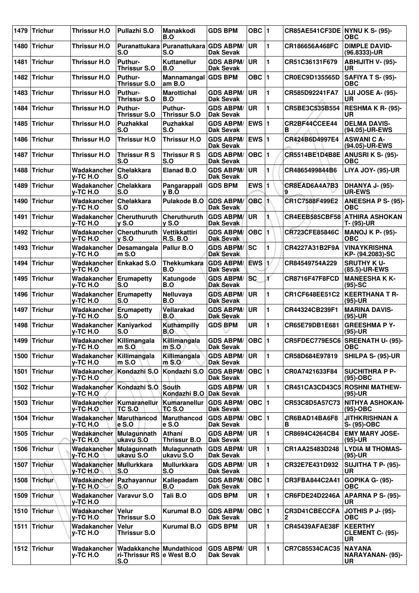| 1479 | <b>Trichur</b> | <b>Thrissur H.O</b>                         | Pullazhi S.O                                                | Manakkodi<br>B.O                             | <b>GDS BPM</b>                       | OBC $ 1$      |                | CR85AE541CF3DE NYNU K S- (95)-       | ОВС                                             |
|------|----------------|---------------------------------------------|-------------------------------------------------------------|----------------------------------------------|--------------------------------------|---------------|----------------|--------------------------------------|-------------------------------------------------|
| 1480 | <b>Trichur</b> | Thrissur H.O                                | S.O                                                         | Puranattukara Puranattukara GDS ABPM/<br>S.O | <b>Dak Sevak</b>                     | <b>UR</b>     | 1              | CR186656A468FC                       | <b>DIMPLE DAVID-</b><br>$(96.8333)$ -UR         |
| 1481 | <b>Trichur</b> | <b>Thrissur H.O</b>                         | Puthur-<br><b>Thrissur S.O</b>                              | Kuttanellur<br>B.O                           | <b>GDS ABPM/</b><br><b>Dak Sevak</b> | UR            | 1              | CR51C36131F679                       | <b>ABHIJITH V- (95)-</b><br>UR                  |
| 1482 | <b>Trichur</b> | <b>Thrissur H.O</b>                         | Puthur-<br>Thrissur S.O                                     | Mannamangal GDS BPM<br>am B.O                |                                      | <b>OBC</b>    | $\vert$ 1      | CR0EC9D135565D                       | SAFIYA T S- (95)-<br>ОВС                        |
| 1483 | <b>Trichur</b> | <b>Thrissur H.O</b>                         | Puthur-<br>Thrissur S.O                                     | <b>Marottichal</b><br>B.O                    | <b>GDS ABPM/</b><br>Dak Sevak        | <b>UR</b>     | 1              | CR585D92241FA7                       | LIJI JOSE A- (95)-<br><b>UR</b>                 |
| 1484 | <b>Trichur</b> | <b>Thrissur H.O</b>                         | Puthur-<br><b>Thrissur S.O</b>                              | Puthur-<br><b>Thrissur S.O</b>               | <b>GDS ABPM/</b><br><b>Dak Sevak</b> | <b>UR</b>     | 1              | CR5BE3C535B554                       | <b>RESHMA K R- (95)-</b><br>UR                  |
| 1485 | <b>Trichur</b> | Thrissur H.O                                | Puzhakkal<br>S.O                                            | <b>Puzhakkal</b><br>S.O                      | <b>GDS ABPM/</b><br>Dak Sevak        | <b>EWS 1</b>  |                | CR2BF44CCEE44<br>в                   | <b>DELMA DAVIS-</b><br>(94.05)-UR-EWS           |
| 1486 | <b>Trichur</b> | <b>Thrissur H.O</b>                         | <b>Thrissur H.O</b>                                         | <b>Thrissur H.O</b>                          | <b>GDS ABPM/</b><br><b>Dak Sevak</b> | EWS $ 1$      |                | CR424B6D4997E4                       | <b>ASWANICA-</b><br>(94.05)-UR-EWS              |
| 1487 | <b>Trichur</b> | <b>Thrissur H.O</b>                         | <b>Thrissur R S</b><br>S.O                                  | Thrissur R S<br>S.O                          | <b>GDS ABPM/</b><br>Dak Sevak        | OBC $\vert$ 1 |                | CR5514BE1D4B8E                       | <b>ANUSRI K S- (95)-</b><br><b>OBC</b>          |
| 1488 | <b>Trichur</b> | Wadakancher<br>v-TC H.O                     | Chelakkara<br>S.O                                           | <b>Elanad B.O</b>                            | <b>GDS ABPM/</b><br>Dak Sevak        | UR.           | 1              | CR4865499844B6                       | <b>LIYA JOY- (95)-UR</b>                        |
| 1489 | <b>Trichur</b> | Wadakancher<br>v-TC H.O                     | Chelakkara<br>S.O                                           | Pangarappall<br>v B.O                        | <b>GDS BPM</b>                       | EWS 1         |                | CR8EAD6A4A7B3<br>9                   | <b>DHANYA J- (95)-</b><br><b>UR-EWS</b>         |
| 1490 | <b>Trichur</b> | Wadakancher<br>v-TC H.O                     | Chelakkara<br>S.O                                           | Pulakode B.O                                 | <b>GDS ABPM/</b><br>Dak Sevak        | $OBC$ 1       |                | CR1C7588F499E2                       | ANEESHA P S- (95)-<br>OBC                       |
| 1491 | <b>Trichur</b> | Wadakancher<br>v-TC H.O                     | <b>Cheruthuruth</b><br>$\mathsf{v}$ S.O                     | Cheruthuruth<br><b>v</b> S.O                 | <b>GDS ABPM/</b><br>Dak Sevak        | <b>UR</b>     | 1.             | <b>CR4EEB585CBF58</b>                | <b>ATHIRA ASHOKAN</b><br>T- (95)-UR             |
| 1492 | <b>Trichur</b> | Wadakancher<br>y-TC H.O                     | Cheruthuruth<br>$\mathsf{v}$ S.O                            | <b>Vettikkattiri</b><br><b>R.S. B.O.</b>     | <b>GDS ABPM/</b><br><b>Dak Sevak</b> | $OBC$  1      |                | CR723CFE85846C                       | <b>MANOJ K P- (95)-</b><br><b>OBC</b>           |
| 1493 | <b>Trichur</b> | Wadakancher<br>y-TC H.O                     | Desamangala<br>$mS.$ O                                      | Pallur B.O                                   | <b>GDS ABPM/</b><br><b>Dak Sevak</b> | SC            | 1              | CR4227A31B2F9A                       | <b>VINAYKRISHNA</b><br>KP- (94.2083)-SC         |
| 1494 | <b>Trichur</b> | Wadakancher<br>v-TC H.O                     | <b>Enkakad S.O</b>                                          | <b>Thekkumkara</b><br>B.O                    | <b>GDS ABPM/</b><br>Dak Sevak        | <b>EWS</b>    | 1/             | CR84549754A229                       | <b>SRUTHY KU-</b><br>(85.5)-UR-EWS              |
| 1495 | <b>Trichur</b> | <b>Wadakancher Erumapetty</b><br>v-TC H.O   | S.O                                                         | Katungode<br>B.O                             | <b>GDS ABPM/</b><br>Dak Sevak        | <b>SC</b>     | ¥              | <b>CR8716F47F8FCD</b>                | <b>MANEESHAKK-</b><br>$(95)-SC$                 |
| 1496 | <b>Trichur</b> | Wadakancher<br>v-TC H.O                     | Erumapetty<br>S.O                                           | Nelluvaya<br>B.O                             | <b>GDS ABPM/</b><br><b>Dak Sevak</b> | <b>UR</b>     | 1              | CR1CF648EE51C2                       | <b>KEERTHANA T R-</b><br>$(95)-UR$              |
| 1497 | <b>Trichur</b> | Wadakancher<br>v-TC H.O                     | <b>Erumapetty</b><br>S.O                                    | Vellarakad<br>B.O                            | <b>GDS ABPM/</b><br><b>Dak Sevak</b> | <b>UR</b>     | 1              | CR44324CB239F1                       | <b>MARINA DAVIS-</b><br>$(95)-UR$               |
| 1498 | <b>Trichur</b> | Wadakancher<br>v-TC H.O                     | Kaniyarkod<br>S.O                                           | Kuthampilly<br>B.O                           | <b>GDS BPM</b>                       | UR            | 1              | CR65E79DB1E681                       | <b>GREESHMA P Y-</b><br>$(95)-UR$               |
|      | 1499 Trichur   | Wadakancher Killimangala<br>y-TC H.O        | $m$ S.O                                                     | Killimangala<br>$m$ S.O                      | GDS ABPM/ OBC 1<br><b>Dak Sevak</b>  |               |                |                                      | CR5FDEC779E5C6 SREENATH U- (95)-<br><b>OBC</b>  |
|      | 1500 Trichur   | Wadakancher<br>y-TC H.O                     | Killimangala<br>$m$ S.O                                     | Killimangala<br>$m$ S.O                      | <b>GDS ABPM/</b><br><b>Dak Sevak</b> | <b>UR</b>     | 1              | CR58D684E97819                       | SHILPA S- (95)-UR                               |
| 1501 | Trichur        | Wadakancher<br>y-TC H.O                     | Kondazhi S.O                                                | Kondazhi S.O                                 | <b>GDS ABPM/</b><br>Dak Sevak        | OBC $ 1$      |                | CR0A7421633F84                       | <b>SUCHITHRA P P-</b><br>$(95)-OBC$             |
|      | 1502 Trichur   | y-TC H.O                                    | Wadakancher Kondazhi S.O                                    | South<br>Kondazhi B.O   Dak Sevak            | <b>GDS ABPM/</b>                     | ∣UR.          | $\blacksquare$ |                                      | CR451CA3CD43C5 ROSHNI MATHEW-<br>$(95)-UR$      |
|      | 1503 Trichur   | Wadakancher   Kumaranellur<br>y-TC-H.O      | TC S.O                                                      | Kumaranellur<br>TC S.O                       | <b>GDS ABPM/</b><br>Dak Sevak        | $OBC$  1      |                | CR53C8D5A57C73                       | <b>NITHYA ASHOKAN-</b><br>$(95)$ -OBC           |
| 1504 | <b>Trichur</b> | Wadakancher<br>y-TC H.O                     | <b>Maruthancod</b><br>$e$ S.O                               | <b>Maruthancod</b><br>e S.O                  | <b>GDS ABPM/</b><br><b>Dak Sevak</b> | $OBC$  1      |                | CR6BAD14BA6F8<br>в                   | <b>JITHKRISHNAN A</b><br>S- (95)-OBC            |
|      | 1505 Trichur   | Wadakancher Mulagunnath<br><b>y-TC H.O.</b> | ukavu S.O                                                   | Athani<br>Thrissur B.O                       | <b>GDS ABPM/</b><br>Dak Sevak        | ∣UR.          | 1              | CR8694C4264CB4                       | <b>EMY MARY JOSE-</b><br>$(95)-UR$              |
|      | 1506 Trichur   | Wadakancher<br>$y$ -TC H.O                  | Mulagunnath<br>lukavu S.O                                   | Mulagunnath<br>ukavu S.O                     | <b>GDS ABPM/</b><br>Dak Sevak        | <b>UR</b>     | 1              | CR1AA25483D248                       | <b>LYDIA M THOMAS-</b><br>$(95)-UR$             |
|      | 1507 Trichur   | Wadakancher<br>$V-TCH.O$                    | Mullurkkara<br>S.O                                          | <b>Mullurkkara</b><br>S.O                    | <b>GDS ABPM/</b><br>Dak Sevak        | <b>UR</b>     | 1              | CR32E7E431D932                       | <b>SUJITHA T P- (95)-</b><br><b>UR</b>          |
|      | 1508 Trichur   | Wadakancher<br><b>y-TC H.O</b>              | Pazhayannur<br>S.O                                          | Kallepadam<br>B.O                            | <b>GDS ABPM/</b><br>Dak Sevak        | OBC  1        |                | CR3FBA844C2A41                       | GOPIKA G- (95)-<br><b>OBC</b>                   |
| 1509 | <b>Trichur</b> | Wadakancher<br>y-TC H.O                     | <b>Varavur S.O</b>                                          | Tali B.O                                     | <b>GDS BPM</b>                       | UR            | 1              | CR6FDE24D2246A                       | <b>APARNA P S- (95)-</b><br>UR.                 |
|      | 1510 Trichur   | Wadakancher<br>y-TC H.O                     | Velur<br><b>Thrissur S.O</b>                                | <b>Kurumal B.O</b>                           | <b>GDS ABPM/</b><br>Dak Sevak        | OBC  1        |                | <b>CR3D41CBECCFA</b><br>$\mathbf{2}$ | <b>JOTHIS P J- (95)-</b><br><b>OBC</b>          |
|      | 1511 Trichur   | Wadakancher<br>y-TC H.O                     | <b>Velur</b><br><b>Thrissur S.O</b>                         | <b>Kurumal B.O</b>                           | <b>GDS BPM</b>                       | UR            | 11             | <b>CR45439AFAE38F</b>                | <b>KEERTHY</b><br><b>CLEMENT C- (95)-</b><br>UR |
|      | 1512 Trichur   | Wadakancher<br>y-TC H.O                     | Wadakkanche Mundathicod<br>ri-Thrissur RS e West B.O<br>S.O |                                              | <b>GDS ABPM/</b><br>Dak Sevak        | <b>UR</b>     | 11             | CR7C85534CAC35                       | <b>NAYANA</b><br>NARAYANAN- (95)-<br>UR         |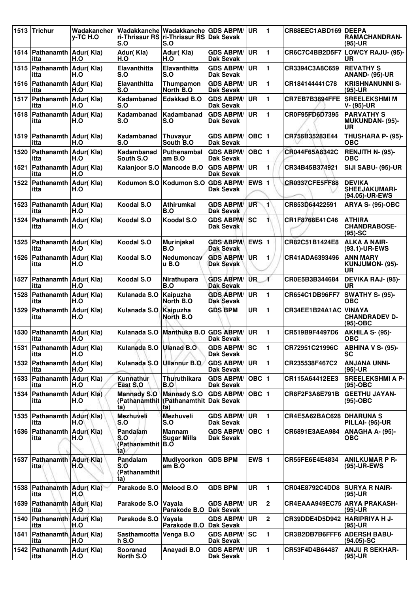| 1513 | <b>Trichur</b>                    | Wadakancher<br>v-TC H.O | Wadakkanche<br>S.O                                      | Wadakkanche<br>ri-Thrissur RS ri-Thrissur RS Dak Sevak<br>S.O      | <b>GDS ABPM/</b>                     | <b>UR</b>    | 1              | CR88EEC1ABD169 DEEPA            | <b>RAMACHANDRAN-</b><br>$(95)-UR$                        |
|------|-----------------------------------|-------------------------|---------------------------------------------------------|--------------------------------------------------------------------|--------------------------------------|--------------|----------------|---------------------------------|----------------------------------------------------------|
| 1514 | Pathanamth<br>itta                | Adur(Kla)<br>H.O        | Adur(Kla)<br>H.O                                        | Adur(Kla)<br>H.O                                                   | <b>GDS ABPM/</b><br>Dak Sevak        | <b>UR</b>    | 1              | CR6C7C4BB2D5F7                  | LOWCY RAJU- (95)-<br><b>UR</b>                           |
| 1515 | Pathanamth<br>itta                | Adur(Kla)<br>H.O        | Elavanthitta<br>S.O                                     | Elavanthitta<br>S.O                                                | <b>GDS ABPM/</b><br>Dak Sevak        | UR           | 1              | CR3394C3A8C659                  | <b>REVATHY S</b><br><b>ANAND- (95)-UR</b>                |
| 1516 | Pathanamth Adur(Kla)<br>itta      | H.O                     | Elavanthitta<br>S.O                                     | Thumpamon<br>North B.O                                             | <b>GDS ABPM/</b><br>Dak Sevak        | <b>UR</b>    | 1              | CR184144441C78                  | <b>KRISHNANUNNI S-</b><br>$(95)-UR$                      |
| 1517 | Pathanamth<br>itta                | Adur(Kla)<br>H.O        | Kadambanad<br>S.O                                       | <b>Edakkad B.O</b>                                                 | <b>GDS ABPM/</b><br>Dak Sevak        | <b>UR</b>    | 1              | CR7EB7B3894FFE                  | <b>SREELEKSHMI M</b><br>V- (95)-UR                       |
| 1518 | Pathanamth<br>itta                | Adur(Kla)<br>H.O        | Kadambanad<br>S.O                                       | Kadambanad<br>S.O                                                  | <b>GDS ABPM/</b><br><b>Dak Sevak</b> | <b>UR</b>    | 1              | CR0F95FD6D7395                  | <b>PARVATHY S</b><br><b>MUKUNDAN- (95)-</b><br><b>UR</b> |
| 1519 | <b>Pathanamth</b><br>itta         | Adur(Kla)<br>H.O        | Kadambanad<br>S.O                                       | Thuvavur<br>South B.O                                              | <b>GDS ABPM/</b><br>Dak Sevak        | $OBC$ 1      |                | CR756B35283E44                  | THUSHARA P- (95)-<br>OBC                                 |
| 1520 | Pathanamth<br>itta                | Adur(Kla)<br>H.O        | Kadambanad<br>South S.O                                 | <b>Puthenambal</b><br>am B.O                                       | <b>GDS ABPM/</b><br>Dak Sevak        | $OBC$  1     |                | CR044F65A8342C                  | RENJITH N- (95)-<br><b>OBC</b>                           |
| 1521 | Pathanamth Adur(Kla)<br>itta      | H.O                     | Kalanjoor S.O                                           | <b>Mancode B.O</b>                                                 | <b>GDS ABPM/</b><br><b>Dak Sevak</b> | UR           | 1              | CR34B45B374921                  | SIJI SABU- (95)-UR                                       |
| 1522 | Pathanamth<br>itta                | Adur(Kla)<br>H.O        | Kodumon S.O Kodumon S.O                                 |                                                                    | <b>GDS ABPM/</b><br>Dak Sevak        | <b>EWS</b>   | 1              | CR0337CFE5FF88                  | <b>DEVIKA</b><br><b>SHEEJAKUMARI-</b><br>(94.05)-UR-EWS  |
| 1523 | Pathanamth<br>itta                | Adur(Kla)<br>H.O        | Koodal S.O                                              | <b>Athirumkal</b><br>B.O                                           | <b>GDS ABPM/</b><br>Dak Sevak        | UR           | $\blacksquare$ | CR853D64422591                  | <b>ARYA S- (95)-OBC</b>                                  |
| 1524 | Pathanamth<br>itta                | Adur(Kla)<br>H.O        | Koodal S.O                                              | Koodal S.O                                                         | <b>GDS ABPM/</b><br><b>Dak Sevak</b> | <b>SC</b>    | 1              | CR1F8768E41C46                  | <b>ATHIRA</b><br><b>CHANDRABOSE-</b><br>$(95)-SC$        |
| 1525 | Pathanamth<br>itta                | Adur(Kla)<br>H.O        | Koodal S.O                                              | <b>Murinjakal</b><br>B.O                                           | <b>GDS ABPM</b><br><b>Dak Sevak</b>  | <b>EWS 1</b> |                | CR82C51B1424E8                  | <b>ALKA A NAIR-</b><br>(93.1)-UR-EWS                     |
| 1526 | Pathanamth<br>itta                | Adur(Kla)<br>H.O        | Koodal S.O                                              | <b>Nedumoncav</b><br>u B.O                                         | <b>GDS ABPM/</b><br><b>Dak Sevak</b> | <b>UR</b>    | 1              | CR41ADA6393496                  | <b>ANN MARY</b><br>KUNJUMON- (95)-<br><b>UR</b>          |
| 1527 | Pathanamth<br>itta                | Adur(Kla)<br>H.O        | Koodal S.O                                              | Nirathupara<br>B.O                                                 | <b>GDS ABPM/</b><br><b>Dak Sevak</b> | UR.          | ť              | CR0E5B3B344684                  | <b>DEVIKA RAJ- (95)-</b><br><b>UR</b>                    |
| 1528 | Pathanamth Adur(Kla)<br>itta      | H.O                     | Kulanada S.O                                            | Kaipuzha<br>North B.O.                                             | <b>GDS ABPM/</b><br><b>Dak Sevak</b> | <b>UR</b>    | 1              | CR654C1DB96FF7                  | SWATHY S- (95)-<br><b>OBC</b>                            |
| 1529 | Pathanamth<br>itta                | Adur(Kla)<br>H.O        | Kulanada S.O                                            | <b>Kaipuzha</b><br>North B.O                                       | <b>GDS BPM</b>                       | <b>UR</b>    | 1              | CR34EE1B24A1AC                  | <b>VINAYA</b><br><b>CHANDRADEV D-</b><br>$(95)-OBC$      |
| 1530 | Pathanamth   Adur(Kla)<br>itta    | H.O                     | Kulanada S.O<br>×.                                      | Manthuka B.O                                                       | <b>GDS ABPM/</b><br><b>Dak Sevak</b> | <b>UR</b>    | 1              | CR519B9F4497D6                  | AKHILA S- (95)-<br><b>OBC</b>                            |
| 1531 | Pathanamth Adur(Kla)<br>itta      | H.O                     | Kulanada S.O                                            | <b>Ulanad B.O</b>                                                  | <b>GDS ABPM/ SC</b><br>Dak Sevak     |              | 1              | CR72951C21996C                  | <b>ABHINA V S- (95)-</b><br>SC                           |
|      | 1532 Pathanamth Adur(Kla)<br>itta | H.O                     | Kulanada S.O                                            | <b>Ullannur B.O.</b>                                               | <b>GDS ABPM/</b><br><b>Dak Sevak</b> | UR           | 1              | CR235538F467C2                  | <b>ANJANA UNNI-</b><br>$(95)-UR$                         |
| 1533 | Pathanamth Adur(Kla)<br>itta      | H.O                     | Kunnathur<br>East S.O                                   | Thuruthikara<br>B.O                                                | <b>GDS ABPM/</b><br><b>Dak Sevak</b> | $OBC$   1    |                | CR115A64412EE3                  | <b>SREELEKSHMI A P-</b><br>$(95)-OBC$                    |
| 1534 | Pathanamth<br>itta                | Adur(Kla)<br>H.O        | <b>Mannady S.O</b><br>ta)                               | <b>Mannady S.O</b><br>(Pathanamthit (Pathanamthit Dak Sevak<br>(a) | <b>GDS ABPM/</b>                     | $OBC$  1     |                | CR8F2F3A8E791B                  | <b>GEETHU JAYAN-</b><br>(95)-OBC                         |
| 1535 | Pathanamth<br>itta                | Adur(Kla)<br>H.O'       | Mezhuveli<br>S.O                                        | Mezhuveli<br>S.O                                                   | <b>GDS ABPM/</b><br>Dak Sevak        | <b>UR</b>    | 1              | <b>CR4E5A62BAC628 DHARUNA S</b> | <b>PILLAI- (95)-UR</b>                                   |
| 1536 | Pathanamth<br>itta                | Adur(Kla)<br>H.O        | Pandalam<br>S.O<br>(Pathanamthit $ B.\tilde{O} $<br>ta) | <b>Mannam</b><br><b>Sugar Mills</b>                                | <b>GDS ABPM/</b><br>Dak Sevak        | $OBC$  1     |                | CR6891E3AEA984                  | ANAGHA A- (95)-<br><b>OBC</b>                            |
|      | 1537 Pathanamth Adur(Kla)<br>itta | H.O                     | Pandalam<br>S.O<br>(Pathanamthit<br>ta)                 | Mudiyoorkon<br>$amB.$ O                                            | <b>GDS BPM</b>                       | EWS $ 1$     |                | CR55FE6E4E4834                  | <b>ANILKUMAR P R-</b><br>(95)-UR-EWS                     |
| 1538 | <b>Pathanamth</b><br>itta         | Adur(Kla)<br>H.O        | Parakode S.O                                            | <b>Melood B.O</b>                                                  | <b>GDS BPM</b>                       | <b>UR</b>    | 1              | CR04E8792C4DD8                  | <b>SURYA R NAIR-</b><br>$(95)-UR$                        |
| 1539 | Pathanamth<br>itta                | Adur(Kla)<br>H.O        | Parakode S.O                                            | Vayala<br>Parakode B.O                                             | <b>GDS ABPM/</b><br><b>Dak Sevak</b> | UR           | 2              | CR4EAAA949EC75 ARYA PRAKASH-    | (95)-UR                                                  |
| 1540 | Pathanamth Adur(Kla)<br>itta      | H.O                     | Parakode S.O                                            | Vayala<br>Parakode B.O Dak Sevak                                   | <b>GDS ABPM/</b>                     | <b>UR</b>    | $\mathbf 2$    | CR39DDE4D5D942 HARIPRIYA H J-   | $(95)-UR$                                                |
| 1541 | Pathanamth Adur(Kla)<br>itta      | H.O                     | Sasthamcotta<br><b>h S.O</b>                            | Venga B.O                                                          | <b>GDS ABPM/</b><br><b>Dak Sevak</b> | <b>ISC</b>   | 1              | CR3B2DB7B6FFF6                  | <b>ADERSH BABU-</b><br>$(94.05)$ -SC                     |
| 1542 | Pathanamth<br>itta                | Adur(Kla)<br>H.O        | Sooranad<br>North S.O                                   | Anayadi B.O                                                        | <b>GDS ABPM/</b><br><b>Dak Sevak</b> | <b>UR</b>    | 1              | CR53F4D4B64487                  | <b>ANJU R SEKHAR-</b><br>(95)-UR                         |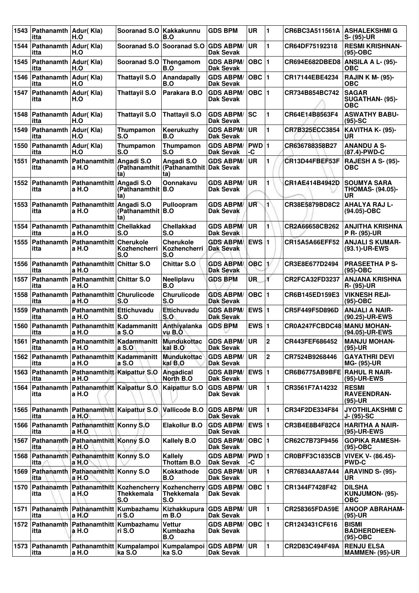| 1543 | Pathanamth Adur(Kla)<br>itta   | H.O                                                  | Sooranad S.O   Kakkakunnu                                                    | B.O                                            | <b>GDS BPM</b>                       | <b>UR</b>     | 1                       | CR6BC3A511561A                   | <b>ASHALEKSHMI G</b><br>S- (95)-UR                  |
|------|--------------------------------|------------------------------------------------------|------------------------------------------------------------------------------|------------------------------------------------|--------------------------------------|---------------|-------------------------|----------------------------------|-----------------------------------------------------|
| 1544 | Pathanamth Adur(Kla)<br>itta   | H.O                                                  | Sooranad S.O                                                                 | Sooranad S.O GDS ABPM/                         | <b>Dak Sevak</b>                     | <b>UR</b>     | $\blacksquare$          | CR64DF75192318                   | <b>RESMI KRISHNAN-</b><br>$(95)-OBC$                |
| 1545 | Pathanamth Adur(Kla)<br>itta   | H.O                                                  | Sooranad S.O                                                                 | Thengamom<br>B.O                               | <b>GDS ABPM/</b><br>Dak Sevak        | OBC $ 1$      |                         | CR694E682DBED8                   | ANSILA A L- (95)-<br><b>OBC</b>                     |
| 1546 | Pathanamth Adur(Kla)<br>itta   | H.O                                                  | <b>Thattayil S.O</b>                                                         | Anandapally<br>B.O                             | <b>GDS ABPM/</b><br>Dak Sevak        | $OBC$  1      |                         | CR17144EBE4234                   | <b>RAJIN K M- (95)-</b><br><b>OBC</b>               |
| 1547 | Pathanamth   Adur(Kla)<br>itta | H.O                                                  | <b>Thattayil S.O</b>                                                         | Parakara B.O                                   | <b>GDS ABPM/</b><br>Dak Sevak        | $OBC$  1      |                         | CR734B854BC742                   | <b>SAGAR</b><br>SUGATHAN- (95)-<br><b>OBC</b>       |
| 1548 | Pathanamth Adur(Kla)<br>itta   | H.O                                                  | <b>Thattayil S.O</b>                                                         | <b>Thattayil S.O</b>                           | <b>GDS ABPM/</b><br><b>Dak Sevak</b> | lsc           | $\blacksquare$          | CR64E14B8563F4                   | <b>ASWATHY BABU-</b><br>$(95)-SC$                   |
| 1549 | Pathanamth Adur(Kla)<br>itta   | H.O                                                  | Thumpamon<br>S.O                                                             | Keerukuzhy<br>B.O                              | <b>GDS ABPM/</b><br><b>Dak Sevak</b> | <b>UR</b>     | $\blacksquare$          | CR7B325ECC3854                   | <b>KAVITHA K- (95)-</b><br>UR                       |
| 1550 | Pathanamth Adur(Kla)<br>itta   | H.O                                                  | Thumpamon<br>S.O                                                             | Thumpamon<br>S.O                               | <b>GDS ABPM/</b><br>Dak Sevak        | $PWD$ 1<br>-C |                         | CR636788358B27                   | <b>ANANDU A S-</b><br>(87.4)-PWD-C                  |
| 1551 | itta                           | Pathanamth   Pathanamthitt<br>a H.O                  | Angadi S.O<br>(Pathanamthit)<br>ta)                                          | Angadi S.O<br>∣(Pathanamthit ∣Dak Sevak<br>ta) | <b>GDS ABPM/</b>                     | <b>UR</b>     | 1                       | CR13D44FBEF53F                   | <b>RAJESH A S- (95)-</b><br>ОВС                     |
| 1552 | Pathanamth<br>itta             | Pathanamthitt<br>a H.O                               | Angadi S.O<br>(Pathanamthit   B.O<br>ta)                                     | Oonnakavu                                      | <b>GDS ABPM/</b><br>Dak Sevak        | <b>UR</b>     | 1                       | CR1AE414B4942D                   | <b>SOUMYA SARA</b><br><b>THOMAS- (94.05)-</b><br>UR |
| 1553 | Pathanamth<br>itta             | Pathanamthitt<br>a H.O                               | Angadi S.O<br>(Pathanamthit   B.O<br>ta)                                     | Pulloopram                                     | <b>GDS ABPM/</b><br>Dak Sevak        | UR            | $\blacksquare$          | CR38E5879BD8C2                   | <b>AHALYA RAJ L-</b><br>(94.05)-OBC                 |
| 1554 | itta                           | Pathanamth   Pathanamthitt<br>a H.O                  | <b>Chellakkad</b><br>S.O                                                     | <b>Chellakkad</b><br>S.O                       | <b>GDS ABPM/</b><br>Dak Sevak        | UR            | $\blacksquare$          | CR2A66658CB262                   | <b>ANJITHA KRISHNA</b><br>P R- (95)-UR              |
| 1555 | Pathanamth<br>itta             | Pathanamthitt<br>a H.O                               | <b>Cherukole</b><br>Kozhencherri<br>S.O                                      | <b>Cherukole</b><br>Kozhencherri<br>S.O        | <b>GDS ABPM/</b><br>Dak Sevak        | EWS $ 1$      |                         | CR15A5A66EFF52                   | <b>ANJALI S KUMAR-</b><br>(93.1)-UR-EWS             |
| 1556 | itta                           | Pathanamth   Pathanamthitt   Chittar S.O<br>a H.O    |                                                                              | <b>Chittar S.O</b>                             | <b>GDS ABPM/</b><br><b>Dak Sevak</b> | <b>OBC</b>    | 13                      | CR3E8E677D2494                   | <b>PRASEETHA P S-</b><br>$(95)-OBC$                 |
| 1557 | itta                           | Pathanamth   Pathanamthitt   Chittar S.O<br>a H.O    |                                                                              | Neeliplavu<br>B.O                              | <b>GDS BPM</b>                       | ŨR.           | ď                       | CR2FCA32FD3237                   | <b>ANJANA KRISHNA</b><br>R- (95)-UR                 |
| 1558 | itta                           | Pathanamth   Pathanamthitt   Churulicode<br>a H.O    | S.O                                                                          | Churulicode<br>S.O                             | <b>GDS ABPM/</b><br><b>Dak Sevak</b> | $OBC$  1      |                         | CR6B145ED159E3                   | <b>VIKNESH REJI-</b><br>$(95)-OBC$                  |
| 1559 | Pathanamth<br>itta             | Pathanamthitt<br>a H.O                               | Ettichuvadu<br>S.O                                                           | Ettichuvadu<br>S.O                             | <b>GDS ABPM/</b><br><b>Dak Sevak</b> | <b>EWS 1</b>  |                         | CR5F449F5D896D                   | <b>ANJALI A NAIR-</b><br>(90.25)-UR-EWS             |
| 1560 | itta                           | Pathanamth Pathanamthitt Kadammanitt<br>a H.O        | a S.O                                                                        | Anthivalanka<br>vu B.O                         | <b>GDS BPM</b>                       | EWS $ 1$      |                         | CR0A247FCBDC48 MANU MOHAN-       | (94.05)-UR-EWS                                      |
| 1561 | itta                           | a H.O                                                | Pathanamth Pathanamthitt Kadammanitt Mundukottac GDS ABPM/UR<br>a S.O        | kal B.O                                        | <b>Dak Sevak</b>                     |               | $\overline{\mathbf{c}}$ | CR443FEF686452                   | <b>MANJU MOHAN-</b><br>$(95)-UR$                    |
| 1562 | itta                           | Pathanamth   Pathanamthitt   Kadammanitt<br>a H.O    | a S.O                                                                        | <b>Mundukottac</b><br>kal B.O                  | <b>GDS ABPM/</b><br>Dak Sevak        | <b>UR</b>     | $\boldsymbol{2}$        | CR7524B9268446                   | <b>GAYATHRI DEVI</b><br>MG- (95)-UR                 |
|      | itta                           | 1563 Pathanamth Pathanamthitt Kaipattur S.O<br>a H.O |                                                                              | Angadical<br>North B.O                         | <b>GDS ABPM/</b><br>Dak Sevak        | EWS $ 1$      |                         | CR6B6775AB9BFE RAHUL R NAIR-     | (95)-UR-EWS                                         |
|      | itta                           | 1564 Pathanamth Pathanamthitt Kaipattur S.O<br>a H.O |                                                                              | Kaipattur S.O                                  | <b>GDS ABPM/</b><br>Dak Sevak        | <b>UR</b>     | $\mathbf{1}$            | CR3561F7A14232                   | <b>RESMI</b><br><b>RAVEENDRAN-</b><br>$(95)-UR$     |
|      | itta                           | 1565 Pathanamth Pathanamthitt Kaipattur S.O<br>a H.O |                                                                              | Vallicode B.O                                  | <b>GDS ABPM/</b><br>Dak Sevak        | <b>UR</b>     | $\blacksquare$          | CR34F2DE334F84                   | <b>JYOTHILAKSHMI C</b><br>J- (95)-SC                |
| 1566 | itta                           | Pathanamth Pathanamthitt Konny S.O<br>a H.O          |                                                                              | <b>Elakollur B.O</b>                           | <b>GDS ABPM/</b><br>Dak Sevak        | <b>EWS 1</b>  |                         | CR3B4E8B4F82C4                   | HARITHA A NAIR-<br>(95)-UR-EWS                      |
| 1567 | itta                           | Pathanamth Pathanamthitt Konny S.O<br>a H.O          |                                                                              | <b>Kallely B.O</b>                             | <b>GDS ABPM/</b><br><b>Dak Sevak</b> | $OBC$  1      |                         | CR62C7B73F9456                   | <b>GOPIKA RAMESH-</b><br>$(95)-OBC$                 |
|      | itta                           | 1568 Pathanamth Pathanamthitt Konny S.O<br>a H.O     |                                                                              | Kallely<br>Thottam B.O                         | <b>GDS ABPM/</b><br><b>Dak Sevak</b> | PWD 1<br>-C   |                         | CR0BFF3C1835CB VIVEK V- (86.45)- | <b>PWD-C</b>                                        |
| 1569 | itta                           | Pathanamth   Pathanamthitt   Konny S.O<br>a H.O      |                                                                              | Kokkathode<br>B.O                              | <b>GDS ABPM/</b><br><b>Dak Sevak</b> | <b>UR</b>     | $\blacksquare$          | CR76834AA87A44                   | ARAVIND S- (95)-<br>UR                              |
| 1570 | itta                           | Pathanamth Pathanamthitt Kozhencherry<br>a H.O       | Thekkemala<br>S.O                                                            | Kozhencherry<br>Thekkemala<br>S.O              | <b>GDS ABPM/</b><br>Dak Sevak        | $OBC$  1      |                         | CR1344F7428F42                   | <b>DILSHA</b><br>KUNJUMON- (95)-<br><b>OBC</b>      |
| 1571 | itta                           | Pathanamth Pathanamthitt Kumbazhamu<br>a H.O         | ri S.O                                                                       | Kizhakkupura<br>$m$ B.O                        | <b>GDS ABPM/</b><br>Dak Sevak        | UR            | $\mathbf{1}$            | <b>CR258365FDA59E</b>            | <b>ANOOP ABRAHAM-</b><br>$(95)-UR$                  |
| 1572 | itta                           | Pathanamth Pathanamthitt Kumbazhamu<br>a H.O         | ri S.O                                                                       | <b>Vettur</b><br>Kumbazha<br>B.O               | <b>GDS ABPM/</b><br>Dak Sevak        | OBC $\vert$ 1 |                         | CR1243431CF616                   | <b>BISMI</b><br><b>BADHERDHEEN-</b><br>$(95)-OBC$   |
| 1573 | itta                           | a H.O                                                | Pathanamth   Pathanamthitt   Kumpalampoi   Kumpalampoi   GDS ABPM/<br>ka S.O | ka S.O                                         | <b>Dak Sevak</b>                     | UR            | $\blacksquare$          | CR2D83C494F49A                   | <b>RENJU ELSA</b><br>MAMMEN- (95)-UR                |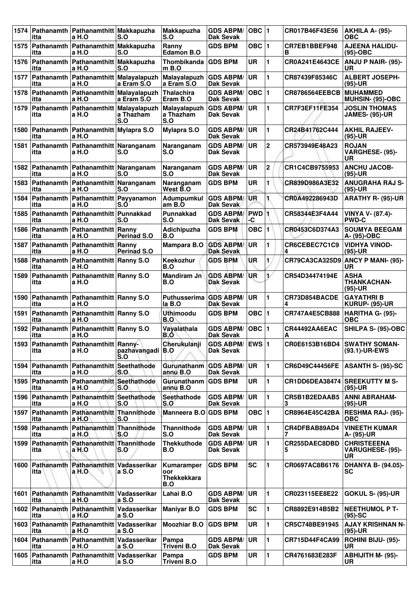| 1574 | itta               | Pathanamth   Pathanamthitt   Makkapuzha<br>a H.O    | S.O                     | <b>Makkapuzha</b><br>S.O                       | <b>GDS ABPM/</b><br>Dak Sevak        | $OBC$  1                      |                | CR017B46F43E56                | AKHILA A- (95)-<br>OBC                         |
|------|--------------------|-----------------------------------------------------|-------------------------|------------------------------------------------|--------------------------------------|-------------------------------|----------------|-------------------------------|------------------------------------------------|
| 1575 | itta               | Pathanamth   Pathanamthitt   Makkapuzha<br>a H.O    | S.O                     | Ranny<br>Edamon B.O                            | <b>GDS BPM</b>                       | OBC $ 1$                      |                | CR7EB1BBEF948<br>в            | <b>AJEENA HALIDU-</b><br>$(95)-OBC$            |
| 1576 | itta               | Pathanamth Pathanamthitt Makkapuzha<br>a H.O        | S.O                     | Thombikanda<br>$m$ B.O                         | <b>GDS BPM</b>                       | <b>UR</b>                     | 1              | CR0A241E4643CE                | ANJU P NAIR- (95)-<br>UR                       |
| 1577 | itta               | Pathanamth   Pathanamthitt   Malayalapuzh<br>a H.O  | a Eram S.O              | Malayalapuzh<br>a Eram S.O                     | <b>GDS ABPM/</b><br>Dak Sevak        | <b>UR</b>                     | 1              | CR87439F85346C                | <b>ALBERT JOSEPH-</b><br>$(95)-UR$             |
| 1578 | itta               | Pathanamth   Pathanamthitt   Malayalapuzh<br>a H.O  | a Eram S.O              | <b>Thalachira</b><br>Eram B.O                  | <b>GDS ABPM/</b><br><b>Dak Sevak</b> | $OBC$  1                      |                | <b>CR8786564EEBCB</b>         | <b>MUHAMMED</b><br>MUHSIN- (95)-OBC            |
| 1579 | itta               | Pathanamth   Pathanamthitt   Malayalapuzh<br>a H.O  | a Thazham<br>S.O        | Malayalapuzh<br>a Thazham<br>S.O               | <b>GDS ABPM/</b><br>Dak Sevak        | <b>UR</b>                     | 1              | CR7F3EF11FE354                | <b>JOSLIN THOMAS</b><br>JAMES- (95)-UR         |
| 1580 | itta               | Pathanamth   Pathanamthitt   Mylapra S.O<br>a H.O   |                         | <b>Mylapra S.O</b>                             | <b>GDS ABPM/</b><br><b>Dak Sevak</b> | <b>UR</b>                     | 1.             | CR24B41762C444                | <b>AKHIL RAJEEV-</b><br>$(95)-UR$              |
| 1581 | itta               | Pathanamth   Pathanamthitt   Naranganam<br>a H.O    | S.O                     | Naranganam<br>S.O                              | <b>GDS ABPM/</b><br>Dak Sevak        | <b>UR</b>                     | 2              | CR573949E48A23                | <b>ROJAN</b><br>VARGHESE- (95)-<br>UR          |
| 1582 | itta               | Pathanamth   Pathanamthitt   Naranganam<br>a H.O    | S.O                     | Naranganam<br>S.O                              | <b>GDS ABPM/</b><br><b>Dak Sevak</b> | <b>UR</b>                     | 2              | CR1C4CB9755953                | <b>ANCHU JACOB-</b><br>$(95)-UR$               |
| 1583 | itta               | Pathanamth   Pathanamthitt   Naranganam<br>a H.O    | S.O                     | Naranganam<br>West B.O                         | <b>GDS BPM</b>                       | UR                            | 1              | CR839D986A3E32                | <b>ANUGRAHA RAJ S-</b><br>$(95)-UR$            |
| 1584 | itta               | Pathanamth   Pathanamthitt   Payyanamon<br>a H.O    | S.Ó                     | <b>Adumpumkul</b><br>am B.O                    | <b>GDS ABPM/</b><br>Dak Sevak        | <b>UR</b>                     | 1.             | CR0A492286943D                | <b>ARATHY R- (95)-UR</b>                       |
| 1585 | itta               | Pathanamth Pathanamthitt Punnakkad<br>a H.O         | S.O                     | <b>Punnakkad</b><br>S.O                        | <b>GDS ABPM/</b><br><b>Dak Sevak</b> | <b>PWD</b> <sub>1</sub><br>-C |                | CR58344E3F4A44                | <b>VINYA V- (87.4)-</b><br><b>PWD-C</b>        |
| 1586 | itta               | Pathanamth   Pathanamthitt   Ranny<br>a H.O         | Perinad S.O             | Adichipuzha<br>B.O                             | <b>GDS BPM</b>                       | <b>OBC</b>                    | $\blacksquare$ | CR0453C6D374A3                | <b>SOUMYA BEEGAM</b><br> A- (95)-OBC           |
| 1587 | itta               | Pathanamth   Pathanamthitt   Ranny<br>a H.O         | <b>Perinad S.O</b>      | Mampara B.O                                    | <b>GDS ABPM/</b><br><b>Dak Sevak</b> | <b>UR</b>                     | 1              | CR6CEBEC7C1C9<br>4            | VIDHYA VINOD-<br>$(95)-UR$                     |
| 1588 | itta               | Pathanamth   Pathanamthitt   Ranny S.O<br>a H.O     |                         | Keekozhur<br>B.O                               | <b>GDS BPM</b>                       | UR                            | 1              | CR79CA3CA325D9                | <b>ANCY P MANI- (95)-</b><br>UR                |
| 1589 | Pathanamth<br>itta | Pathanamthitt Ranny S.O<br>a H.O                    |                         | Mandiram Jn<br>B.O                             | <b>GDS ABPM/</b><br><b>Dak Sevak</b> | <b>UR</b>                     | 1/             | CR54D34474194E                | <b>ASHA</b><br><b>THANKACHAN-</b><br>$(95)-UR$ |
| 1590 | itta               | Pathanamth   Pathanamthitt   Ranny S.O<br>a H.O     |                         | Puthusserima<br>la B.O                         | <b>GDS ABPM/</b><br><b>Dak Sevak</b> | <b>UR</b>                     | 1              | CR73D854BACDE<br>4            | <b>GAYATHRIB</b><br><b>KURUP- (95)-UR</b>      |
| 1591 | itta               | Pathanamth   Pathanamthitt   Ranny S.O<br>a H.O     |                         | <b>Uthimoodu</b><br>B.O                        | <b>GDS BPM</b>                       | OBC $ 1$                      |                | CR747A4E5CB888                | HARITHA G- (95)-<br><b>OBC</b>                 |
| 1592 | itta               | Pathanamth   Pathanamthitt   Ranny S.O<br>a H.O     |                         | Vayalathala<br>B.O                             | <b>GDS ABPM/</b><br><b>Dak Sevak</b> | $OBC$  1                      |                | CR44492AA6EAC<br>А            | SHILPA S- (95)-OBC                             |
|      | itta               | 1593 Pathanamth Pathanamthitt Ranny-<br>a H.O       | pazhavangadi B.O<br>S.O | Cherukulanji                                   | <b>GDS ABPM/ EWS 1</b><br>Dak Sevak  |                               |                |                               | CR0E6153B16BD4 SWATHY SOMAN-<br>(93.1)-UR-EWS  |
| 1594 | itta               | Pathanamth   Pathanamthitt   Seethathode<br>a H.O   | S.O                     | <b>Gurunathanm</b><br>annú B.O                 | <b>GDS ABPM/</b><br><b>Dak Sevak</b> | ∣UR                           | 1.             | CR6D49C44456FE                | <b>ASANTH S- (95)-SC</b>                       |
| 1595 | Pathanamth<br>itta | Pathanamthitt Seethathode<br>a H.O                  | S.O                     | Gurunathanm<br>annu B.O                        | <b>GDS BPM</b>                       | UR                            | 1              | CR1DD6DEA38474 SREEKUTTY M S- | $(95)-UR$                                      |
|      | itta               | 1596 Pathanamth Pathanamthitt Seethathode<br>a H.O  | S.O                     | Seethathode<br>S.O                             | <b>GDS ABPM/</b><br><b>Dak Sevak</b> | <b>UR</b>                     | 1              | CR5B1B2EDAAB5<br>3            | <b>ANNI ABRAHAM-</b><br>$(95)-UR$              |
| 1597 | itta               | Pathanamth Pathanamthitt Thannithode<br>a H.O       | S.O                     | Manneera B.O                                   | <b>GDS BPM</b>                       | OBC $ 1$                      |                | CR8964E45C42BA                | <b>RESHMA RAJ- (95)-</b><br><b>OBC</b>         |
| 1598 | itta               | Pathanamth Pathanamthitt Thannithode<br>a H.O       | S.O                     | <b>Thannithode</b><br>S.O                      | <b>GDS ABPM/</b><br><b>Dak Sevak</b> | UR.                           | 1.             | CR4DFBAB89AD4                 | <b>VINEETH KUMAR</b><br>A- (95)-UR             |
| 1599 | itta               | Pathanamth Pathanamthitt Thannithode<br>a H.O       | S.O                     | <b>Thekkuthode</b><br>B.O                      | <b>GDS ABPM/</b><br><b>Dak Sevak</b> | <b>UR</b>                     | 1.             | CR255DAEC8DBD                 | <b>CHRISTEEENA</b><br>VARUGHESE- (95)-<br>UR   |
| 1600 | itta               | Pathanamth Pathanamthitt Vadasserikar<br>a H.O      | a S.O                   | Kumaramper<br>oor<br><b>Thekkekkara</b><br>B.O | <b>GDS BPM</b>                       | <b>SC</b>                     | 1              | CR0697AC8B6176                | <b>DHANYA B- (94.05)-</b><br><b>SC</b>         |
|      | itta               | 1601 Pathanamth Pathanamthitt Vadasserikar<br>a H.O | a S.O                   | Lahai B.O                                      | <b>GDS ABPM/</b><br><b>Dak Sevak</b> | ∣UR                           | 1.             | CR023115EE8E22                | <b>GOKUL S- (95)-UR</b>                        |
| 1602 | itta               | Pathanamth Pathanamthitt Vadasserikar<br>a H.O      | a S.O                   | <b>Maniyar B.O</b>                             | <b>GDS BPM</b>                       | <b>SC</b>                     | 1              | CR8892E914B5B2                | <b>NEETHUMOL P T-</b><br>$(95)-SC$             |
| 1603 | itta               | Pathanamth Pathanamthitt Vadasserikar<br>a H.O      | a S.O                   | <b>Moozhiar B.O</b>                            | <b>GDS BPM</b>                       | UR                            | 1              | CR5C748BE91945                | <b>AJAY KRISHNAN N-</b><br>$(95)-UR$           |
|      | itta               | 1604 Pathanamth Pathanamthitt Vadasserikar<br>a H.O | a S.O                   | Pampa<br>Triveni B.O                           | <b>GDS ABPM/</b><br><b>Dak Sevak</b> | <b>UR</b>                     | 1.             | CR715D44F4CA99                | <b>ROHINI BIJU- (95)-</b><br>UR.               |
| 1605 | itta               | Pathanamth Pathanamthitt Vadasserikar<br>a H.O      | a S.O                   | Pampa<br>Triveni B.O                           | <b>GDS BPM</b>                       | UR                            | $\mathbf{1}$   | CR4761683E283F                | <b>ABHIJITH M- (95)-</b><br>UR                 |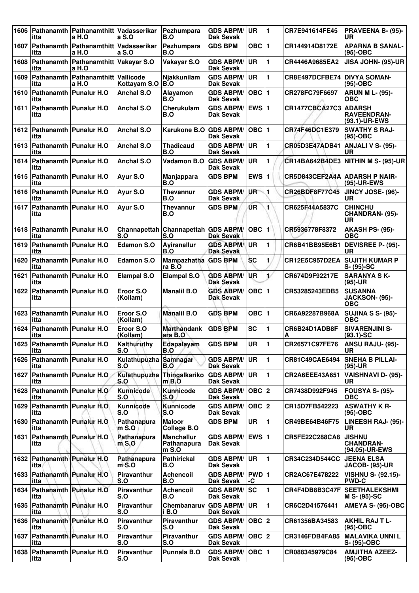| 1606 | itta                                  | Pathanamth   Pathanamthitt   Vadasserikar<br>a H.O | a S.O                        | Pezhumpara<br>B.O                         | <b>GDS ABPM/</b><br><b>Dak Sevak</b> | UR              | $\blacksquare$ | CR7E941614FE45                       | PRAVEENA B- (95)-<br>UR                              |
|------|---------------------------------------|----------------------------------------------------|------------------------------|-------------------------------------------|--------------------------------------|-----------------|----------------|--------------------------------------|------------------------------------------------------|
| 1607 | itta                                  | Pathanamth   Pathanamthitt   Vadasserikar<br>a H.O | a S.O                        | Pezhumpara<br>B.O                         | <b>GDS BPM</b>                       | <b>OBC</b>      | $\blacksquare$ | CR144914D8172E                       | <b>APARNA B SANAL-</b><br>$(95)-OBC$                 |
| 1608 | itta                                  | Pathanamth   Pathanamthitt   Vakayar S.O<br>a H.O  |                              | Vakayar S.O                               | <b>GDS ABPM/</b><br>Dak Sevak        | UR              | 1              | CR4446A9685EA2                       | JISA JOHN- (95)-UR                                   |
| 1609 | Pathanamth<br>itta                    | Pathanamthitt<br>a H.O                             | Vallicode<br>Kottayam S.O    | Njakkunilam<br>B.O                        | <b>GDS ABPM/</b><br><b>Dak Sevak</b> | <b>UR</b>       | 1              | CR8E497DCFBE74                       | <b>DIVYA SOMAN-</b><br>$(95)-OBC$                    |
| 1610 | Pathanamth   Punalur H.O<br>itta      |                                                    | <b>Anchal S.O</b>            | Alayamon<br>B.O                           | <b>GDS ABPM/</b><br><b>Dak Sevak</b> | OBC   1         |                | CR278FC79F6697                       | <b>ARUN M L- (95)-</b><br><b>OBC</b>                 |
| 1611 | itta                                  | Pathanamth   Punalur H.O                           | <b>Anchal S.O</b>            | Cherukulam<br>B.O                         | <b>GDS ABPM/</b><br>Dak Sevak        | <b>EWS 1</b>    |                | <b>CR1477CBCA27C3</b>                | <b>ADARSH</b><br><b>RAVEENDRAN-</b><br>(93.1)-UR-EWS |
| 1612 | itta                                  | Pathanamth   Punalur H.O                           | <b>Anchal S.O</b>            | Karukone B.O                              | <b>GDS ABPM/</b><br><b>Dak Sevak</b> | OBC 1           |                | CR74F46DC1E379                       | <b>SWATHY S RAJ-</b><br>$(95)-OBC$                   |
| 1613 | itta                                  | Pathanamth   Punalur H.O                           | Anchal S.O                   | <b>Thadicaud</b><br>B.O                   | <b>GDS ABPM/</b><br><b>Dak Sevak</b> | <b>UR</b>       | 1              | <b>CR05D3E47ADB41</b>                | <b>ANJALI V S- (95)-</b><br><b>UR</b>                |
| 1614 | Pathanamth   Punalur H.O<br>itta      |                                                    | <b>Anchal S.O</b>            | Vadamon B.O                               | <b>GDS ABPM/</b><br><b>Dak Sevak</b> | <b>UR</b>       | 1              |                                      | CR14BA642B4DE3 NITHIN M S- (95)-UR                   |
| 1615 | Pathanamth   Punalur H.O<br>itta      |                                                    | Ayur S.O                     | Manjappara<br>B.O                         | <b>GDS BPM</b>                       | EWS $ 1$        |                | <b>CR5D843CEF2A4A ADARSH P NAIR-</b> | (95)-UR-EWS                                          |
| 1616 | Pathanamth   Punalur H.O<br>itta      |                                                    | Ayur S.O                     | <b>Thevannur</b><br>B.O                   | <b>GDS ABPM/</b><br>Dak Sevak        | UR <sup>-</sup> | 1              | CR26BDF8F77C45                       | JINCY JOSE- (96)-<br>UR                              |
| 1617 | itta                                  | <b>Pathanamth   Punalur H.O</b>                    | Ayur S.O                     | <b>Thevannur</b><br>B.O                   | <b>GDS BPM</b>                       | ŪR              | 1              | CR625F44A5837C                       | <b>CHINCHU</b><br>CHANDRAN- (95)-<br><b>UR</b>       |
| 1618 | Pathanamth<br>itta                    | <b>Punalur H.O</b>                                 | Channapettah<br>S.O          | Channapettah GDS ABPM/<br>S.O             | Dak Sevak                            | OBC 1           |                | CR5936778F8372                       | AKASH PS- (95)-<br>ОВС                               |
| 1619 | Pathanamth   Punalur H.O<br>itta      |                                                    | <b>Edamon S.O</b>            | Ayiranallur<br>B.O                        | <b>GDS ABPM/</b><br><b>Dak Sevak</b> | <b>UR</b>       | 1              | CR6B41BB95E6B1                       | <b>DEVISREE P- (95)-</b><br><b>UR</b>                |
| 1620 | itta                                  | Pathanamth   Punalur H.O                           | <b>Edamon S.O</b>            | Mampazhatha GDS BPM<br>ra B.O             |                                      | <b>SC</b>       | 1              | <b>CR12E5C957D2EA</b>                | <b>SUJITH KUMAR P</b><br>$S - (95) - SC$             |
| 1621 | itta                                  | Pathanamth   Punalur H.O                           | <b>Elampal S.O</b>           | <b>Elampal S.O</b>                        | <b>GDS ABPM/</b><br><b>Dak Sevak</b> | UR              | 17             | CR674D9F92217E                       | <b>SARANYA SK-</b><br>$(95)-UR$                      |
| 1622 | Pathanamth   Punalur H.O<br>itta      |                                                    | Eroor S.O<br>(Kollam)        | <b>Manalil B.O</b>                        | <b>GDS ABPM/</b><br>Dak Sevak        | $OBC$ 1         |                | CR53285243EDB5                       | <b>SUSANNA</b><br>JACKSON- (95)-<br><b>OBC</b>       |
| 1623 | itta                                  | Pathanamth   Punalur H.O                           | Eroor S.O<br>(Kollam)        | <b>Manalil B.O</b>                        | <b>GDS BPM</b>                       | OBC ∣1          |                | CR6A92287B968A                       | <b>SUJINA S S- (95)-</b><br><b>OBC</b>               |
| 1624 | Pathanamth   Punalur H.O<br>itta      |                                                    | Eroor S.O<br>(Kollam)        | <b>Marthandank</b><br>ara B.O             | <b>GDS BPM</b>                       | <b>SC</b>       | 1              | CR6B24D1ADB8F<br>А                   | <b>SIVARENJINI S-</b><br>$(93.1)$ -SC                |
| 1625 | <b>Pathanamth Punalur H.O</b><br>itta |                                                    | Kalthuruthy<br>S.O           | Edapalayam<br>B.O                         | <b>GDS BPM</b>                       | UR              | 11             | CR26571C97FE76                       | ANSU RAJU- (95)-<br><b>UR</b>                        |
| 1626 | <b>Pathanamth Punalur H.O</b><br>itta |                                                    | Kulathupuzha Samnagar<br>S.O | B.O                                       | <b>GDS ABPM/</b><br>Dak Sevak        | UR              | 1              | CR81C49CAE6494                       | <b>SNEHA B PILLAI-</b><br>$(95)-UR$                  |
| 1627 | itta                                  | Pathanamth   Punalur H.O.                          | Kulathupuzha<br>S.O          | Thingalkariko<br>$m$ B.O                  | <b>GDS ABPM/</b><br><b>Dak Sevak</b> | <b>UR</b>       | 1              | CR2A6EEE43A651                       | <b>VAISHNAVI D- (95)-</b><br>UR                      |
| 1628 | itta                                  | Pathanamth   Punalur H.O                           | Kunnicode<br>S.O             | Kunnicode<br>S.O                          | <b>GDS ABPM/</b><br>Dak Sevak        | OBC  2          |                | CR7438D992F945                       | <b>FOUSYA S- (95)-</b><br><b>OBC</b>                 |
| 1629 | itta                                  | Pathanamth   Punalur H.O.                          | Kunnicode<br>S.O             | <b>Kunnicode</b><br>S.O                   | <b>GDS ABPM/</b><br><b>Dak Sevak</b> | $OBC$ 2         |                | CR15D7FB542223                       | <b>ASWATHY K R-</b><br>$(95)-OBC$                    |
| 1630 | itta                                  | Pathanamth Punalur H.O.                            | Pathanapura<br>$m$ S.O       | <b>Maloor</b><br>College B.O              | <b>GDS BPM</b>                       | <b>UR</b>       | 1              | CR49BE64B46F75                       | LINEESH RAJ- (95)-<br>UR                             |
| 1631 | itta                                  | Pathanamth Punalur H.O                             | Pathanapura<br>$m$ S.O       | <b>Manchallur</b><br>Pathanapura<br>m S.O | <b>GDS ABPM/</b><br>Dak Sevak        | <b>EWS 1</b>    |                | CR5FE22C288CA8                       | <b>JISHNU</b><br><b>CHANDRAN-</b><br>(94.05)-UR-EWS  |
| 1632 | Pathanamth Punalur H.O<br>itta        |                                                    | Pathanapura<br>$m$ S.O       | <b>Pathirickal</b><br>B.O                 | <b>GDS ABPM/</b><br><b>Dak Sevak</b> | <b>UR</b>       | 1              | <b>CR34C234D544CC</b>                | <b>JEENA ELSA</b><br><b>JACOB- (95)-UR</b>           |
| 1633 | itta                                  | Pathanamth Punalur H.O                             | Piravanthur<br>S.O           | <b>Achencoil</b><br>B.O                   | <b>GDS ABPM/</b><br><b>Dak Sevak</b> | PWD 1<br>-C     |                | CR2AC67E478222                       | <b>VISHNU S- (92.15)-</b><br><b>PWD-C</b>            |
|      | itta                                  | 1634 Pathanamth Punalur H.O                        | Piravanthur<br>S.O           | <b>Achencoil</b><br>B.O                   | <b>GDS ABPM/</b><br><b>Dak Sevak</b> | lsc             | 1              |                                      | CR4F4DB8B3C47F   SEETHALEKSHMI<br>M S- (95)-SC       |
| 1635 | itta                                  | Pathanamth Punalur H.O                             | <b>Piravanthur</b><br>S.O    | Chembanaruv<br>i B.O                      | <b>GDS ABPM/</b><br>Dak Sevak        | UR              | 1              | CR6C2D41576441                       | AMEYA S- (95)-OBC                                    |
| 1636 | itta                                  | Pathanamth Punalur H.O                             | Piravanthur<br>S.O           | Piravanthur<br>S.O                        | <b>GDS ABPM/</b><br>Dak Sevak        | OBC  2          |                | CR61356BA34583                       | AKHIL RAJ T L-<br>(95)-OBC                           |
|      | 1637 Pathanamth Punalur H.O<br>itta   |                                                    | Piravanthur<br>S.O           | Piravanthur<br>S.O                        | <b>GDS ABPM/</b><br>Dak Sevak        | OBC  2          |                | CR3146FDB4FA85                       | MALAVIKA UNNI L<br>S- (95)-OBC                       |
| 1638 | Pathanamth   Punalur H.O<br>itta      |                                                    | Piravanthur<br>S.O           | Punnala B.O                               | <b>GDS ABPM/</b><br>Dak Sevak        | OBC  1          |                | CR088345979C84                       | <b>AMJITHA AZEEZ-</b><br>$(95)-OBC$                  |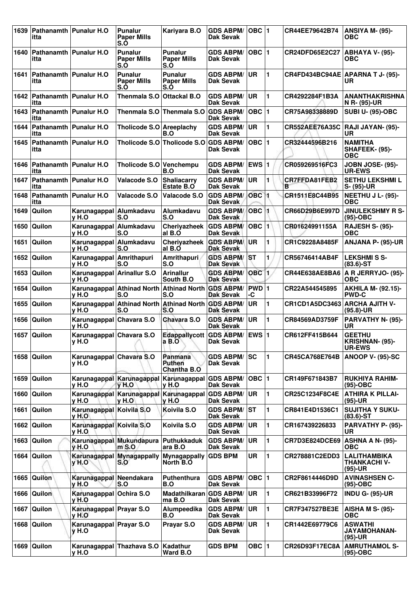| 1639 | itta                                    | Pathanamth   Punalur H.O                  | <b>Punalur</b><br><b>Paper Mills</b><br>S.Ò               | Kariyara B.O                                   | <b>GDS ABPM/</b><br>Dak Sevak        | $OBC$  1           |                | CR44EE79642B74        | <b>ANSIYA M- (95)-</b><br>ОВС                     |
|------|-----------------------------------------|-------------------------------------------|-----------------------------------------------------------|------------------------------------------------|--------------------------------------|--------------------|----------------|-----------------------|---------------------------------------------------|
| 1640 | itta                                    | Pathanamth   Punalur H.O                  | <b>Punalur</b><br><b>Paper Mills</b><br>S.O               | <b>Punalur</b><br><b>Paper Mills</b><br>S.O    | <b>GDS ABPM/</b><br><b>Dak Sevak</b> | <b>OBC 11</b>      |                | <b>CR24DFD65E2C27</b> | <b>ABHAYA V- (95)-</b><br>ОВС                     |
| 1641 | <b>Pathanamth Punalur H.O</b><br>itta   |                                           | Punalur<br><b>Paper Mills</b><br>S.Ò                      | <b>Punalur</b><br><b>Paper Mills</b><br>S.O    | <b>GDS ABPM/</b><br>Dak Sevak        | ∣UR.               | $\mathbf 1$    |                       | CR4FD434BC94AE APARNA T J- (95)-<br>UR.           |
| 1642 | Pathanamth   Punalur H.O<br>itta        |                                           | Thenmala S.O                                              | <b>Ottackal B.O</b>                            | <b>GDS ABPM/</b><br><b>Dak Sevak</b> | <b>UR</b>          | 1              | CR4292284F1B3A        | <b>ANANTHAKRISHNA</b><br>N R- (95)-UR             |
| 1643 | itta                                    | Pathanamth   Punalur H.O                  |                                                           | Thenmala S.O Thenmala S.O                      | <b>GDS ABPM/</b><br><b>Dak Sevak</b> | $OBC$  1           |                | CR75A98338889D        | <b>SUBI U- (95)-OBC</b>                           |
| 1644 | Pathanamth<br>itta                      | Punalur H.O                               | Tholicode S.O Areeplachy                                  | B.O                                            | <b>GDS ABPM/</b><br><b>Dak Sevak</b> | UR                 | 1              | <b>CR552AEE76A35C</b> | RAJI JAYAN- (95)-<br>UR                           |
| 1645 | itta                                    | Pathanamth   Punalur H.O                  |                                                           | Tholicode S.O Tholicode S.O GDS ABPM/          | <b>Dak Sevak</b>                     | OBC  1             |                | CR32444596B216        | <b>NAMITHA</b><br>SHAFEEK- (95)-<br><b>OBC</b>    |
| 1646 | <b>Pathanamth   Punalur H.O</b><br>itta |                                           | Tholicode S.O Venchempu                                   | B.O                                            | <b>GDS ABPM/</b><br><b>Dak Sevak</b> | <b>EWS 1</b>       |                | CR059269516FC3        | <b>JOBN JOSE- (95)-</b><br><b>UR-EWS</b>          |
| 1647 | Pathanamth   Punalur H.O<br>itta        |                                           | Valacode S.O                                              | <b>Shaliacarry</b><br>Estate B.O               | <b>GDS ABPM/</b><br><b>Dak Sevak</b> | <b>UR</b>          | 1              | CR7FFDA81FEB2<br>в    | <b>SETHU LEKSHMI L</b><br>S- (95)-UR              |
| 1648 | Pathanamth<br>itta                      | <b>Punalur H.O</b>                        | Valacode S.O                                              | Valacode S.O                                   | <b>GDS ABPM/</b><br>Dak Sevak        | OBC <sub>1</sub>   |                | CR1511E8C44B95        | <b>NEETHU J L- (95)-</b><br>ОВС                   |
| 1649 | Quilon                                  | Karunagappal Alumkadavu<br>v H.O          | S.O                                                       | Alumkadavu<br>S.O                              | <b>GDS ABPM/</b><br>Dak Sevak        | OBC <sub>1</sub>   |                | CR66D29B6E997D        | <b>JINULEKSHMY R S-</b><br>$(95)-OBC$             |
| 1650 | Quilon                                  | Karunagappal Alumkadavu<br>v H.O          | S.O                                                       | Cheriyazheek<br>al B.O                         | <b>GDS ABPM/</b><br>Dak Sevak        | OBC  1             |                | CR01624991155A        | <b>RAJESH S- (95)-</b><br><b>OBC</b>              |
| 1651 | Quilon                                  | Karunagappal   Alumkadavu<br>v H.O        | S.O                                                       | Cheriyazheek<br>al B.O                         | <b>GDS ABPM</b><br><b>Dak Sevak</b>  | ∣UR                | 1              | CR1C9228A8485F        | ANJANA P- (95)-UR                                 |
| 1652 | Quilon                                  | Karunagappal Amrithapuri<br>v H.O         | S.O                                                       | <b>Amrithapuri</b><br>S.O                      | <b>GDS ABPM/</b><br><b>Dak Sevak</b> | <b>ST</b>          | 1              | CR56746414AB4F        | <b>LEKSHMISS-</b><br>$(83.6)$ -ST                 |
| 1653 | <b>Quilon</b>                           | Karunagappal Arinallur S.O<br>v H.O       |                                                           | <b>Arinallur</b><br>South B.O                  | <b>GDS ABPM/</b><br><b>Dak Sevak</b> | <b>OBC</b>         | $\blacksquare$ | CR44E638AE8BA6        | A R JERRYJO- (95)-<br><b>OBC</b>                  |
| 1654 | Quilon                                  | y H.O                                     | Karunagappal Athinad North<br>S.O                         | <b>Athinad North</b><br>S.O                    | <b>GDS ABPM/</b><br><b>Dak Sevak</b> | <b>PWD</b> 1<br>-C |                | CR22A544545895        | <b>AKHILA M- (92.15)-</b><br><b>PWD-C</b>         |
| 1655 | Quilon                                  | y H.O                                     | Karunagappal Athinad North Athinad North GDS ABPM/<br>S.O | S.O                                            | Dak Sevak                            | <b>UR</b>          | 1              | CR1CD1A5DC3463        | <b>ARCHA AJITH V-</b><br>(95.8)-UR                |
| 1656 | Quilon                                  | Karunagappal Chavara S.O<br>v H.O         |                                                           | <b>Chavara S.O</b>                             | <b>GDS ABPM/</b><br><b>Dak Sevak</b> | <b>UR</b>          | 1              | CR84569AD3759F        | PARVATHY N- (95)-<br>UR                           |
|      | 1657 Quilon                             | Karunagappal Chavara S.O<br>y H.O         |                                                           | <b>Edappallycott</b><br>а в.∪                  | <b>GDS ABPM/ EWS 1</b><br>Dak Sevak  |                    |                | CR612FF415B644        | <b>GEETHU</b><br>KRISHNAN- (95)-<br><b>UR-EWS</b> |
|      | 1658 Quilon                             | Karunagappal Chavara S.O<br>v H.O         |                                                           | <b>Panmana</b><br>Puthen<br><b>Chantha B.O</b> | <b>GDS ABPM/</b><br>Dak Sevak        | ISC.               | 1              | CR45CA768E764B        | ANOOP V- (95)-SC                                  |
| 1659 | Quilon                                  | v H.O                                     | Karunagappal Karunagappal Karunagappal<br>v H.O           | v H.O                                          | <b>GDS ABPM/</b><br><b>Dak Sevak</b> | OBC   1            |                | CR149F671843B7        | <b>RUKHIYA RAHIM-</b><br>$(95)-OBC$               |
| 1660 | Quilon                                  | v H.O                                     | Karunagappal Karunagappal<br><b>v</b> H.O                 | Karunagappal<br>V H.O                          | <b>GDS ABPM/</b><br>Dak Sevak        | ∣UR.               | 1              | CR25C1234F8C4E        | <b>ATHIRA K PILLAI-</b><br>(95)-UR                |
| 1661 | <b>Quilon</b>                           | Karunagappal Koivila S.O<br>y H.O         |                                                           | Koivila S.O                                    | <b>GDS ABPM/</b><br><b>Dak Sevak</b> | lst                | 1              | CR841E4D1536C1        | <b>SUJITHA Y SUKU-</b><br>$(83.6)$ -ST            |
|      | 1662 Quilon                             | Karunagappal Koivila S.O<br><b>v</b> H.O. |                                                           | Koivila S.O                                    | <b>GDS ABPM/</b><br><b>Dak Sevak</b> | UR.                | 1              | CR167439226833        | PARVATHY P- (95)-<br>UR                           |
| 1663 | Quilon                                  | $y$ H.O                                   | Karunagappal Mukundapura<br>$m$ S.O                       | Puthukkaduk<br>ara B.O                         | <b>GDS ABPM/</b><br>Dak Sevak        | <b>UR</b>          | 1              | CR7D3E824DCE69        | <b>ASHNA A N- (95)-</b><br>ОВС                    |
| 1664 | Quilon                                  | <b>y H.O</b>                              | Karunagappal Mynagappally<br>S.O                          | <b>Mynagappally</b><br>North B.O.              | <b>GDS BPM</b>                       | <b>UR</b>          | 1              | CR278881C2EDD3        | <b>LALITHAMBIKA</b><br>THANKACHI V-<br>(95)-UR    |
| 1665 | Quilon                                  | Karunagappal<br>$v$ H.O                   | <b>Neendakara</b><br>S.O                                  | <b>Puthenthura</b><br>B.O                      | <b>GDS ABPM/</b><br><b>Dak Sevak</b> | OBC  1             |                | CR2F8614446D9D        | <b>AVINASHSEN C-</b><br>(95)-OBC                  |
| 1666 | <b>Quilon</b>                           | Karunagappal Ochira S.O<br>y H.O          |                                                           | Madathilkaran GDS ABPM/<br>ma B.O              | Dak Sevak                            | ∣UR.               | 1              | CR621B33996F72        | <b>INDU G- (95)-UR</b>                            |
| 1667 | Quilon                                  | Karunagappal Prayar S.O<br>$v H.$ O       |                                                           | Alumpeedika<br>B.O                             | <b>GDS ABPM/</b><br><b>Dak Sevak</b> | ∣UR                | 1              | CR7F347527BE3E        | <b>AISHA M S- (95)-</b><br><b>OBC</b>             |
| 1668 | Quilon                                  | Karunagappal Prayar S.O<br>$y$ H.O        |                                                           | Prayar S.O                                     | <b>GDS ABPM/</b><br>Dak Sevak        | <b>UR</b>          | 1              | CR1442E69779C6        | <b>ASWATHI</b><br><b>JAYAMOHANAN-</b><br>(95)-UR  |
| 1669 | Quilon                                  | y H.O                                     | Karunagappal Thazhava S.O                                 | Kadathur<br>Ward B.O                           | <b>GDS BPM</b>                       | OBC ∣1             |                | CR26D93F17EC8A        | <b>AMRUTHAMOL S-</b><br>(95)-OBC                  |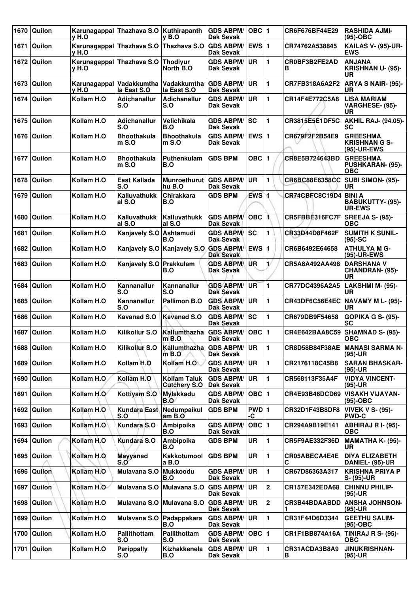| 1670 | Quilon        | v H.O      | Karunagappal Thazhava S.O Kuthirapanth  | v B.O                                      | <b>GDS ABPM/</b><br>Dak Sevak        | $OBC$  1           |                         | CR6F676BF44E29        | <b>RASHIDA AJMI-</b><br>$(95)-OBC$                       |
|------|---------------|------------|-----------------------------------------|--------------------------------------------|--------------------------------------|--------------------|-------------------------|-----------------------|----------------------------------------------------------|
| 1671 | Quilon        | y H.O      | Karunagappal Thazhava S.O               | Thazhava S.O                               | <b>GDS ABPM/</b><br><b>Dak Sevak</b> | EWS $ 1$           |                         | CR74762A538845        | <b>KAILAS V- (95)-UR-</b><br><b>EWS</b>                  |
|      | 1672 Quilon   | y H.O      | Karunagappal Thazhava S.O               | <b>Thodivur</b><br>North B.O               | <b>GDS ABPM/</b><br><b>Dak Sevak</b> | <b>UR</b>          | 1                       | CR0BF3B2FE2AD<br>в    | <b>ANJANA</b><br><b>KRISHNAN U- (95)-</b><br>UR          |
| 1673 | Quilon        | v H.O      | Karunagappal Vadakkumtha<br>la East S.O | Vadakkumtha<br>la East S.O                 | <b>GDS ABPM/</b><br>Dak Sevak        | <b>UR</b>          | $\blacksquare$          | CR7FB318A6A2F2        | ARYA S NAIR- (95)-<br>UR                                 |
| 1674 | Quilon        | Kollam H.O | Adichanallur<br>S.O                     | <b>Adichanallur</b><br>S.O                 | <b>GDS ABPM/</b><br>Dak Sevak        | <b>UR</b>          | 1                       | CR14F4E772C5A8        | <b>LISA MARIAM</b><br>VARGHESE- (95)-<br><b>UR</b>       |
| 1675 | Quilon        | Kollam H.O | <b>Adichanallur</b><br>S.O              | Velichikala<br>B.O                         | <b>GDS ABPM/</b><br><b>Dak Sevak</b> | SC                 | 1                       | CR3815E5E1DF5C        | <b>AKHIL RAJ- (94.05)-</b><br><b>SC</b>                  |
| 1676 | Quilon        | Kollam H.O | <b>Bhoothakula</b><br>m S.O             | <b>Bhoothakula</b><br>m S.O                | <b>GDS ABPM/</b><br>Dak Sevak        | EWS $ 1$           |                         | CR679F2F2B54E9        | <b>GREESHMA</b><br><b>KRISHNAN G S-</b><br>(95)-UR-EWS   |
| 1677 | Quilon        | Kollam H.O | <b>Bhoothakula</b><br>$m S.$ O          | Puthenkulam<br>B.O                         | <b>GDS BPM</b>                       | OBC $ 1$           |                         | CR8E5B724643BD        | <b>GREESHMA</b><br><b>PUSHKARAN- (95)-</b><br><b>OBC</b> |
| 1678 | Quilon        | Kollam H.O | East Kallada<br>S.O                     | <b>Munroethurut</b><br>hu B.O              | <b>GDS ABPM/</b><br>Dak Sevak        | <b>UR</b>          | 1                       | CR6BC88E6358CC        | <b>SUBI SIMON- (95)-</b><br>UR                           |
| 1679 | Quilon        | Kollam H.O | <b>Kalluvathukk</b><br>al S.O           | <b>Chirakkara</b><br>B.O                   | <b>GDS BPM</b>                       | $EWS$ <sub>1</sub> |                         | CR74CBFC8C19D4 BINI A | BABUKUTTY- (95)-<br><b>UR-EWS</b>                        |
| 1680 | Quilon        | Kollam H.O | Kalluvathukk<br>al S.O                  | Kalluvathukk<br>al S.O                     | <b>GDS ABPM/</b><br><b>Dak Sevak</b> | $OBC$ 1            |                         | CR5FBBE316FC7F        | SREEJA S- (95)-<br>OBC                                   |
| 1681 | Quilon        | Kollam H.O | Kanjavely S.O Ashtamudi                 | B.O                                        | <b>GDS ABPM/</b><br><b>Dak Sevak</b> | SC                 | 1                       | CR33D44D8F462F        | <b>SUMITH K SUNIL-</b><br>$(95)-SC$                      |
| 1682 | Quilon        | Kollam H.O | Kanjavely S.O                           | Kanjavely S.O GDS ABPM/                    | <b>Dak Sevak</b>                     | EWS $ 1$           |                         | CR6B6492E64658        | <b>ATHULYA M G-</b><br>(95)-UR-EWS                       |
| 1683 | Quilon        | Kollam H.O | Kanjavely S.O                           | Prakkulam<br>B.O                           | <b>GDS ABPM/</b><br>Dak Sevak        | UR                 | 1/                      | CR5A8A492AA498        | <b>DARSHANA V</b><br>CHANDRAN- (95)-<br><b>UR</b>        |
| 1684 | Quilon        | Kollam H.O | Kannanallur<br>S.O                      | Kannanallur<br>S.O                         | <b>GDS ABPM/</b><br><b>Dak Sevak</b> | <b>UR</b>          | 1                       | CR77DC4396A2A5        | LAKSHMI M- (95)-<br>UR                                   |
| 1685 | Quilon        | Kollam H.O | Kannanallur<br>S.O                      | Pallimon B.O                               | <b>GDS ABPM/</b><br><b>Dak Sevak</b> | <b>UR</b>          | 1                       | CR43DF6C56E4EC        | NAVAMY M L- (95)-<br><b>UR</b>                           |
| 1686 | Quilon        | Kollam H.O | <b>Kavanad S.O</b>                      | <b>Kavanad S.O</b>                         | <b>GDS ABPM/</b><br><b>Dak Sevak</b> | <b>SC</b>          | 1                       | CR679DB9F54658        | GOPIKA G S- (95)-<br><b>SC</b>                           |
| 1687 | Quilon        | Kollam H.O | <b>Kilikollur S.O</b>                   | Kallumthazha<br>$m$ B.O.                   | <b>GDS ABPM/</b><br><b>Dak Sevak</b> | $OBC$  1           |                         | CR4E642BAA8C59        | <b>SHAMNAD S- (95)-</b><br><b>OBC</b>                    |
| 1688 | Quilon        | Kollam H.O | <b>Kilikollur S.O</b>                   | Kallumthazha<br>$m$ B.O                    | <b>GDS ABPM/</b><br>Dak Sevak        | <b>UR</b>          | $\blacksquare$          | CR8D58B84F38AE        | <b>MANASI SARMA N-</b><br>$(95)-UR$                      |
| 1689 | Quilon        | Kollam H.O | Kollam H.O                              | Kollam H.O                                 | <b>GDS ABPM/</b><br><b>Dak Sevak</b> | <b>UR</b>          | 1                       | CR2176118C45B8        | <b>SARAN BHASKAR-</b><br>$(95)-UR$                       |
| 1690 | Quilon        | Kollam H.O | Kollam H.O                              | <b>Kollam Taluk</b><br><b>Cutchery S.O</b> | <b>GDS ABPM/</b><br><b>Dak Sevak</b> | <b>UR</b>          | 1                       | CR568113F35A4F        | <b>VIDYA VINCENT-</b><br>(95)-UR                         |
| 1691 | Quilon        | Kollam H.O | Kottiyam S.O                            | <b>Mylakkadu</b><br>B.O                    | <b>GDS ABPM/</b><br>Dak Sevak        | OBC $ 1$           |                         | CR4E93B46DCD69        | <b>VISAKH VIJAYAN-</b><br>(95)-OBC                       |
|      | 1692 Quilon   | Kollam H.O | <b>Kundara East</b><br>S.O              | Nedumpaikul<br>am B.O                      | <b>GDS BPM</b>                       | PWD 1<br>-C        |                         | CR32D1F43B8DF8        | <b>VIVEK V S- (95)-</b><br><b>PWD-C</b>                  |
| 1693 | Quilon        | Kollam H.O | Kundara S.O                             | Ambipoika<br>B.O                           | <b>GDS ABPM/</b><br>Dak Sevak        | OBC $ 1$           |                         | CR294A9B19E141        | <b>ABHIRAJ RI- (95)-</b><br><b>OBC</b>                   |
| 1694 | Quilon        | Kollam H.O | Kundara S.O                             | Ambipoika<br>B.O                           | <b>GDS BPM</b>                       | <b>UR</b>          | 1                       | CR5F9AE332F36D        | <b>MAMATHA K- (95)-</b><br>UR.                           |
|      | 1695   Quilon | Kollam H.O | <b>Mayyanad</b><br>S.O                  | Kakkotumool<br>a B.O                       | <b>GDS BPM</b>                       | <b>UR</b>          | 1                       | CR05ABECA4E4E<br>С    | <b>DIYA ELIZABETH</b><br>DANIEL- (95)-UR                 |
| 1696 | Quilon        | Kollam H.O | Mulavana S.O                            | <b>Mukkoodu</b><br>B.O                     | <b>GDS ABPM/</b><br><b>Dak Sevak</b> | <b>UR</b>          | 1                       | CR67D86363A317        | <b>KRISHNA PRIYA P</b><br>S- (95)-UR                     |
| 1697 | Quilon        | Kollam H.O | Mulavana S.O                            | Mulavana S.O                               | <b>GDS ABPM/</b><br>Dak Sevak        | <b>UR</b>          | $\overline{\mathbf{2}}$ | CR157E342EDA68        | <b>CHINNU PHILIP-</b><br>(95)-UR                         |
| 1698 | Quilon        | Kollam H.O | Mulavana S.O                            | Mulavana S.O                               | <b>GDS ABPM/</b><br>Dak Sevak        | <b>UR</b>          | $\overline{2}$          | CR3B44BDAABDD         | <b>ANSHA JOHNSON-</b><br>(95)-UR                         |
| 1699 | Quilon        | Kollam H.O | Mulavana S.O                            | Padappakara<br>B.O                         | <b>GDS ABPM/</b><br>Dak Sevak        | UR                 | 1                       | CR31F44D6D3344        | <b>GEETHU SALIM-</b><br>(95)-OBC                         |
| 1700 | Quilon        | Kollam H.O | Pallithottam<br>S.O                     | Pallithottam<br>S.O                        | <b>GDS ABPM/</b><br>Dak Sevak        | OBC $ 1$           |                         | CR1F1BB874A16A        | <b>TINIRAJ R S- (95)-</b><br>ОВС                         |
| 1701 | Quilon        | Kollam H.O | <b>Parippally</b><br>S.O                | Kizhakkenela<br>B.O                        | <b>GDS ABPM/</b><br><b>Dak Sevak</b> | UR                 | $\blacksquare$          | CR31ACDA3B8A9<br>В    | <b>JINUKRISHNAN-</b><br>$(95)-UR$                        |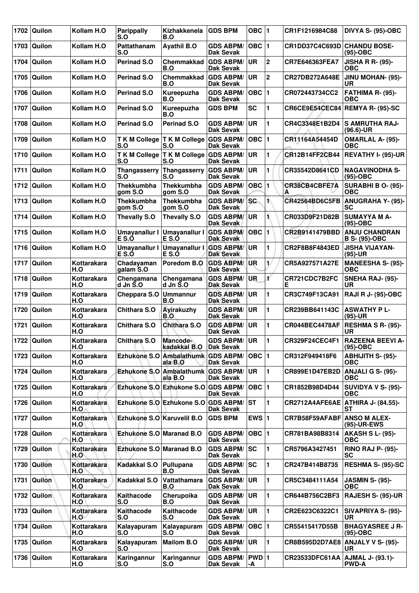| 1702 | Quilon        | Kollam H.O         | <b>Parippally</b><br>S.O     | Kizhakkenela<br>B.O                           | <b>GDS BPM</b>                          | OBC $ 1$   |                  | CR1F1216984C88                     | DIVYA S- (95)-OBC                            |
|------|---------------|--------------------|------------------------------|-----------------------------------------------|-----------------------------------------|------------|------------------|------------------------------------|----------------------------------------------|
| 1703 | Quilon        | Kollam H.O         | Pattathanam<br>S.O           | <b>Ayathil B.O</b>                            | <b>GDS ABPM/</b><br>Dak Sevak           | OBC  1     |                  | CR1DD37C4C693D CHANDU BOSE-        | $(95)-OBC$                                   |
| 1704 | Quilon        | Kollam H.O         | <b>Perinad S.O</b>           | <b>Chemmakkad</b><br>B.O                      | <b>GDS ABPM/</b><br><b>Dak Sevak</b>    | <b>UR</b>  | $\mathbf{2}$     | CR7E646363FEA7                     | <b>JISHA R R- (95)-</b><br><b>OBC</b>        |
| 1705 | Quilon        | Kollam H.O         | <b>Perinad S.O</b>           | <b>Chemmakkad</b><br>B.O                      | <b>GDS ABPM/</b><br><b>Dak Sevak</b>    | <b>UR</b>  | $\boldsymbol{2}$ | CR27DB272A648E                     | JINU MOHAN- (95)-<br>UR                      |
| 1706 | Quilon        | Kollam H.O         | <b>Perinad S.O</b>           | Kureepuzha<br>B.O                             | <b>GDS ABPM/</b><br>Dak Sevak           | OBC  1     |                  | CR072443734CC2                     | FATHIMA R- (95)-<br>ОВС                      |
| 1707 | Quilon        | Kollam H.O         | Perinad S.O                  | Kureepuzha<br>B.O                             | <b>GDS BPM</b>                          | <b>SC</b>  | 1                |                                    | CR6CE9E54CEC84 REMYA R- (95)-SC              |
| 1708 | Quilon        | Kollam H.O         | <b>Perinad S.O</b>           | Perinad S.O                                   | <b>GDS ABPM/</b><br><b>Dak Sevak</b>    | <b>UR</b>  | 1                | CR4C3348E1B2D4                     | <b>S AMRUTHA RAJ-</b><br>$(96.6)$ -UR        |
| 1709 | Quilon        | Kollam H.O         | S.O                          | T K M College T K M College GDS ABPM/<br>S.O  | <b>Dak Sevak</b>                        | OBC  1     |                  | CR11164A54454D                     | <b>OMARLAL A- (95)-</b><br><b>OBC</b>        |
| 1710 | Quilon        | Kollam H.O         | <b>TKM College</b><br>S.O    | T K M College<br>S.O                          | <b>GDS ABPM/</b><br><b>Dak Sevak</b>    | <b>UR</b>  | 1                | <b>CR12B14FF2CB44</b>              | REVATHY I- (95)-UR                           |
| 1711 | Quilon        | Kollam H.O         | <b>Thangasserry</b><br>S.O   | Thangasserry<br>S.O                           | <b>GDS ABPM/</b><br><b>Dak Sevak</b>    | <b>IUR</b> | 1                | CR35542D8641CD                     | <b>NAGAVINODHA S-</b><br>(95)-OBC            |
| 1712 | Quilon        | Kollam H.O         | <b>Thekkumbha</b><br>gom S.O | <b>Thekkumbha</b><br>gom S.O                  | <b>GDS ABPM/</b><br><b>Dak Sevak</b>    | OBC  1     |                  | CR38CB4CBFE7A<br>А                 | <b>SURABHI B O- (95)-</b><br>ОВС             |
| 1713 | Quilon        | Kollam H.O         | Thekkumbha<br>gom S.O        | <b>Thekkumbha</b><br>gom S.O                  | <b>GDS ABPM/ SC</b><br>Dak Sevak        |            | 1\               | CR42564BD6C5FB                     | <b>ANUGRAHA Y- (95)-</b><br>SC               |
| 1714 | Quilon        | Kollam H.O         | <b>Thevally S.O</b>          | <b>Thevally S.O</b>                           | <b>GDS ABPM/</b><br><b>Dak Sevak</b>    | <b>UR</b>  | 1.               | CR033D9F21D82B                     | <b>SUMAYYA M A-</b><br>$(95)-OBC$            |
| 1715 | Quilon        | Kollam H.O         | Umayanallur I<br>E S.Ó       | Umayanallur I<br>E S.Ó                        | <b>GDS ABPM/</b><br><b>Dak Sevak</b>    | OBC  1     |                  | CR2B9141479BBD                     | <b>ANJU CHANDRAN</b><br><b>B S- (95)-OBC</b> |
| 1716 | Quilon        | Kollam H.O         | Umayanallur I<br>E S.Ó       | Umayanallur I<br>E S.Ó                        | <b>GDS ABPM/</b><br><b>Dak Sevak</b>    | <b>UR</b>  | 1                | CR2F8B8F4843ED                     | <b>JISHA VIJAYAN-</b><br>$(95)-UR$           |
| 1717 | Quilon        | Kottarakara<br>H.O | Chadayaman<br>galam S.O      | Poredom B.O                                   | <b>GDS ABPM/ UR</b><br><b>Dak Sevak</b> |            | $\mathbf{1}$     | CR5A927571A27E                     | <b>MANEESHA S- (95)-</b><br><b>OBC</b>       |
| 1718 | Quilon        | Kottarakara<br>H.O | Chengamana<br>d Jn S.O       | Chengamana<br>$d$ Jn $\tilde{S}$ .O           | <b>GDS ABPM/</b><br><b>Dak Sevak</b>    | IUR.       | ¥                | CR721CDC7B2FC<br>Е                 | <b>SNEHA RAJ- (95)-</b><br>UR                |
| 1719 | Quilon        | Kottarakara<br>H.O | Cheppara S.O                 | <b>Ummannur</b><br>B.O                        | <b>GDS ABPM/</b><br><b>Dak Sevak</b>    | ∣UR        | 1                | CR3C749F13CA91                     | <b>RAJI R J- (95)-OBC</b>                    |
| 1720 | Quilon        | Kottarakara<br>H.O | <b>Chithara S.O</b>          | Ayirakuzhy<br>B.O                             | <b>GDS ABPM/</b><br><b>Dak Sevak</b>    | ∣UR        | 1                | CR239BB641143C                     | <b>ASWATHY PL-</b><br>(95)-UR                |
| 1721 | Quilon        | Kottarakara<br>H.O | Chithara S.O                 | Chithara S.O                                  | <b>GDS ABPM/</b><br><b>Dak Sevak</b>    | UR         | 1                | CR044BEC4478AF                     | <b>RESHMA S R- (95)-</b><br>UR               |
|      | 1722 Quilon   | Kottarakara<br>H.O | <b>Chithara S.O</b>          | Mancode-<br>kadakkal B.O Dak Sevak            | <b>GDS ABPM/ UR</b>                     |            | 1                | CR329F24CEC4F1                     | <b>RAZEENA BEEVI A-</b><br>$(95)-OBC$        |
|      | 1723   Quilon | Kottarakara<br>H.O |                              | Ezhukone S.O Ambalathumk GDS ABPM/<br>ala B.O | <b>Dak Sevak</b>                        | OBC  1     |                  | CR312F949418F6                     | <b>ABHIJITH S- (95)-</b><br>ОВС              |
| 1724 | Quilon        | Kottarakara<br>H.O |                              | Ezhukone S.O Ambalathumk GDS ABPM/<br>ala B.O | <b>Dak Sevak</b>                        | <b>UR</b>  | 1                | CR899E1D47EB2D ANJALI G S- (95)-   | <b>OBC</b>                                   |
| 1725 | Quilon        | Kottarakara<br>H.O |                              | Ezhukone S.O Ezhukone S.O GDS ABPM/           | <b>Dak Sevak</b>                        | OBC  1     |                  | CR1852B98D4D44                     | SUVIDYA V S- (95)-<br><b>OBC</b>             |
|      | 1726   Quilon | Kottarakara<br>H.O |                              | Ezhukone S.O Ezhukone S.O GDS ABPM/ ST        | Dak Sevak                               |            | 1                | CR2712A4AFE6AE                     | <b>ATHIRA J- (84.55)-</b><br>SТ              |
| 1727 | Quilon        | Kottarakara<br>H.O | Ezhukone S.O Karuvelil B.O   |                                               | <b>GDS BPM</b>                          | EWS $ 1$   |                  | <b>CR7B58F59AFABF ANSO M ALEX-</b> | (95)-UR-EWS                                  |
| 1728 | Quilon        | Kottarakara<br>H.O | Ezhukone S.O Maranad B.O     |                                               | <b>GDS ABPM/</b><br><b>Dak Sevak</b>    | OBC  1     |                  | CR781BA98B8314                     | <b>AKASH S L- (95)-</b><br>ОВС               |
| 1729 | Quilon        | Kottarakara<br>H.O | Ezhukone S.O Maranad B.O     |                                               | <b>GDS ABPM/ SC</b><br><b>Dak Sevak</b> |            | 1                | CR5796A3427451                     | <b>RINO RAJ P- (95)-</b><br><b>SC</b>        |
| 1730 | Quilon        | Kottarakara<br>H.O | Kadakkal S.O                 | Pullupana<br>B.O                              | <b>GDS ABPM/</b><br><b>Dak Sevak</b>    | ISC.       | 1                | CR247B414B8735                     | <b>RESHMA S- (95)-SC</b>                     |
| 1731 | Quilon        | Kottarakara<br>H.O | Kadakkal S.O                 | Vattathamara<br>B.O                           | <b>GDS ABPM/</b><br><b>Dak Sevak</b>    | ∣UR        | 1                | CR5C3484111A54                     | <b>JASMIN S- (95)-</b><br><b>OBC</b>         |
|      | 1732 Quilon   | Kottarakara<br>H.O | Kaithacode<br>S.O            | Cherupoika<br>B.O                             | <b>GDS ABPM/</b><br><b>Dak Sevak</b>    | <b>UR</b>  | 1                | CR644B756C2BF3                     | <b>RAJESH S- (95)-UR</b>                     |
| 1733 | Quilon        | Kottarakara<br>H.O | Kaithacode<br>S.O            | Kaithacode<br>S.O                             | <b>GDS ABPM/</b><br>Dak Sevak           | <b>UR</b>  | 1                | CR2E623C6322C1                     | SIVAPRIYA S- (95)-<br>UR                     |
| 1734 | Quilon        | Kottarakara<br>H.O | Kalayapuram<br>S.O           | Kalayapuram<br>S.O                            | <b>GDS ABPM/</b><br><b>Dak Sevak</b>    | OBC 1      |                  | CR55415417D55B                     | <b>BHAGYASREE J R-</b><br>$(95)-OBC$         |
| 1735 | Quilon        | Kottarakara<br>H.O | Kalayapuram<br>S.O           | <b>Mailom B.O</b>                             | <b>GDS ABPM/ UR</b><br><b>Dak Sevak</b> |            | 1                |                                    | CR8B595D2D7AE8   ANJALY V S- (95)-<br>UR     |
| 1736 | Quilon        | Kottarakara<br>H.O | Karingannur<br>S.O           | Karingannur<br>S.O                            | GDS ABPM/ PWD 1<br><b>Dak Sevak</b>     | -A         |                  | CR23533DFC61AA                     | AJMAL J- (93.1)-<br><b>PWD-A</b>             |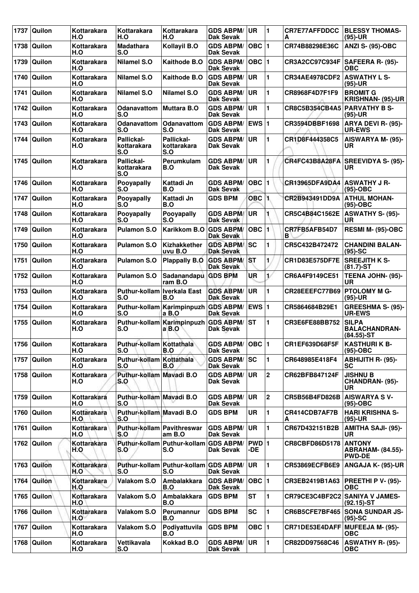| 1737 | Quilon        | Kottarakara<br>H.O        | Kottarakara<br>H.O                 | Kottarakara<br>H.O                           | <b>GDS ABPM/</b><br><b>Dak Sevak</b>    | ∣UR                     | 1              | <b>CR7E77AFFDDCC</b><br>A       | <b>BLESSY THOMAS-</b><br>$(95)-UR$                    |
|------|---------------|---------------------------|------------------------------------|----------------------------------------------|-----------------------------------------|-------------------------|----------------|---------------------------------|-------------------------------------------------------|
| 1738 | Quilon        | Kottarakara<br>H.O        | <b>Madathara</b><br>S.O            | Kollayil B.O                                 | <b>GDS ABPM/</b><br><b>Dak Sevak</b>    | OBC  1                  |                | CR74B88298E36C                  | <b>ANZI S- (95)-OBC</b>                               |
| 1739 | Quilon        | <b>Kottarakara</b><br>H.O | <b>Nilamel S.O</b>                 | Kaithode B.O                                 | <b>GDS ABPM/</b><br><b>Dak Sevak</b>    | OBC  1                  |                | CR3A2CC97C934F                  | <b>SAFEERA R- (95)-</b><br>ОВС                        |
| 1740 | Quilon        | Kottarakara<br>H.O        | Nilamel S.O                        | Kaithode B.O                                 | <b>GDS ABPM/</b><br><b>Dak Sevak</b>    | <b>UR</b>               | 1              | CR34AE4978CDF2                  | <b>ASWATHY L S-</b><br>$(95)-UR$                      |
| 1741 | Quilon        | Kottarakara<br>H.O        | <b>Nilamel S.O</b>                 | Nilamel S.O                                  | <b>GDS ABPM/</b><br>Dak Sevak           | <b>UR</b>               | 1              | CR8968F4D7F1F9                  | <b>BROMIT G</b><br>KRISHNAN- (95)-UR                  |
| 1742 | Quilon        | Kottarakara<br>H.O        | <b>Odanavattom</b><br>S.O          | <b>Muttara B.O</b>                           | <b>GDS ABPM/</b><br><b>Dak Sevak</b>    | ∣UR                     | 1              | CR8C5B354CB4A5                  | <b>PARVATHY B S-</b><br>$(95)-UR$                     |
| 1743 | Quilon        | Kottarakara<br>H.O        | <b>Odanavattom</b><br>S.O          | Odanavattom<br>S.O                           | <b>GDS ABPM/</b><br><b>Dak Sevak</b>    | <b>EWS</b> <sub>1</sub> |                | CR3594DBBF1698                  | ARYA DEVI R- (95)-<br><b>UR-EWS</b>                   |
| 1744 | Quilon        | Kottarakara<br>H.O        | Pallickal-<br>kottarakara<br>S.O   | Pallickal-<br>kottarakara<br>S.O             | <b>GDS ABPM/</b><br><b>Dak Sevak</b>    | UR                      | $\mathbf{1}$   | CR1D8F444358C5                  | AISWARYA M- (95)-<br><b>UR</b>                        |
| 1745 | Quilon        | Kottarakara<br>H.O        | Pallickal-<br>kottarakara<br>S.O   | Perumkulam<br>B.O                            | <b>GDS ABPM/</b><br>Dak Sevak           | <b>UR</b>               | 1              | CR4FC43B8A28FA                  | <b>SREEVIDYA S- (95)-</b><br>UR                       |
| 1746 | Quilon        | Kottarakara<br>H.O        | Pooyapally<br>S.O                  | Kattadi Jn<br>B.O                            | <b>GDS ABPM/</b><br><b>Dak Sevak</b>    | OBC  1                  |                | CR13965DFA9DA4                  | <b>ASWATHY J R-</b><br>$(95)-OBC$                     |
| 1747 | Quilon        | Kottarakara<br>H.O        | Pooyapally<br>S.O                  | Kattadi Jn<br>B.O                            | <b>GDS BPM</b>                          | OBC <sub>1</sub>        |                | CR2B943491DD9A                  | <b>ATHUL MOHAN-</b><br>(95)-OBC                       |
| 1748 | Quilon        | Kottarakara<br>H.O        | Pooyapally<br>S.O                  | Pooyapally<br>S.O                            | <b>GDS ABPM/</b><br><b>Dak Sevak</b>    | <b>UR</b>               | 1              | CR5C4B84C1562E                  | <b>ASWATHY S- (95)-</b><br>UR                         |
| 1749 | Quilon        | Kottarakara<br>H.O        | Pulamon S.O                        | Karikkom B.O                                 | <b>GDS ABPM/</b><br>Dak Sevak           | OBC                     | $\mathbf{1}$   | CR7FB5AFB54D7<br>в              | RESMI M- (95)-OBC                                     |
| 1750 | Quilon        | Kottarakara<br>H.O        | <b>Pulamon S.O</b>                 | <b>Kizhakkether</b><br>uvu B.O               | <b>GDS ABPM/ SC</b><br><b>Dak Sevak</b> |                         | 1              | CR5C432B472472                  | <b>CHANDINI BALAN-</b><br>$(95)-SC$                   |
| 1751 | Quilon        | Kottarakara<br>H.O        | <b>Pulamon S.O</b>                 | <b>Plappally B.O</b>                         | <b>GDS ABPM/ ST</b><br><b>Dak Sevak</b> |                         | 1.             | CR1D83E575DF7E                  | <b>SREEJITH K S-</b><br>$(81.7)$ -ST                  |
| 1752 | Quilon        | Kottarakara<br>H.O        | <b>Pulamon S.O</b>                 | Sadanandapu GDS BPM<br>ram B.O               |                                         | UR                      | $\mathcal{V}$  | CR6A4F9149CE51                  | TEENA JOHN- (95)-<br>UR                               |
| 1753 | Quilon        | Kottarakara<br>H.O        | Puthur-kollam Iverkala East<br>S.O | B.O                                          | <b>GDS ABPM/</b><br><b>Dak Sevak</b>    | <b>UR</b>               | 1              | CR28EEEFC77B69                  | <b>PTOLOMY M G-</b><br>$(95)-UR$                      |
| 1754 | Quilon        | Kottarakara<br>H.O        | S.O                                | Puthur-kollam Karimpinpuzh<br>a B.O          | <b>GDS ABPM/</b><br><b>Dak Sevak</b>    | <b>EWS</b> <sub>1</sub> |                | CR5864684B29E1                  | GREESHMA S- (95)-<br><b>UR-EWS</b>                    |
| 1755 | Quilon        | Kottarakara<br>H.O        | Puthur-kollam<br>S.O               | Karimpinpuzh GDS ABPM/<br>a B.O              | <b>Dak Sevak</b>                        | <b>IST</b>              | 1              | CR3E6FE88BB752                  | <b>SILPA</b><br><b>BALACHANDRAN-</b><br>$(84.55)$ -ST |
|      | 1756   Quilon | Kottarakara<br>H.O        | Puthur-kollam Kottathala<br>S.O    | B.O                                          | GDS ABPM/   OBC   1<br>Dak Sevak        |                         |                | <b>CR1EF639D68F5F</b>           | KASTHURI K B-<br>$(95)-OBC$                           |
|      | 1757 Quilon   | Kottarakara<br>H.O        | Puthur-kollam Kottathala<br>S.O    | B.O                                          | <b>GDS ABPM/ SC</b><br><b>Dak Sevak</b> |                         | $\blacksquare$ | CR648985E418F4                  | <b>ABHIJITH R- (95)-</b><br>SC                        |
|      | 1758 Quilon   | Kottarakara<br>H.O        | Puthur-kollam Mavadi B.O<br>S.O    |                                              | <b>GDS ABPM/</b><br>Dak Sevak           | <b>UR</b>               | 2              | CR62BFB847124F                  | <b>JISHNU B</b><br>CHANDRAN- (95)-<br><b>UR</b>       |
|      | 1759 Quilon   | Kottarakara<br>H.O        | Puthur-kollam Mavadi B.O<br>S.O    |                                              | <b>GDS ABPM/</b><br>Dak Sevak           | UR.                     | 2              | CR5B56B4FD826B                  | <b>AISWARYA S V-</b><br>(95)-OBC                      |
|      | 1760   Quilon | Kottarakara<br>H.O        | Puthur-kollam Mavadi B.O<br>S.O    |                                              | <b>GDS BPM</b>                          | <b>UR</b>               | $\mathbf{1}$   | CR414CDB7AF7B<br>А              | <b>HARI KRISHNA S-</b><br>$(95)-UR$                   |
| 1761 | Quilon        | Kottarakara<br>H.O        | Puthur-kollam<br>S.O               | Pavithreswar<br>am B.O                       | <b>GDS ABPM/</b><br>Dak Sevak           | UR.                     | 1              | CR67D432151B2B                  | <b>AMITHA SAJI- (95)-</b><br>UR                       |
|      | 1762   Quilon | Kottarakara<br>H.O        | Puthur-kollam<br>S.O               | Puthur-kollam GDS ABPM/<br>S.O               | <b>Dak Sevak</b>                        | PWD 1<br>-DE.           |                | CR8CBFD86D5178   ANTONY         | <b>ABRAHAM- (84.55)-</b><br><b>PWD-DE</b>             |
|      | 1763 Quilon   | Kottarakara<br>H.O        | S.O                                | Puthur-kollam Puthur-kollam GDS ABPM/<br>S.O | <b>Dak Sevak</b>                        | <b>UR</b>               | $\blacksquare$ | CR53869ECFB6E9                  | ANGAJA K- (95)-UR                                     |
| 1764 | Quilon        | Kottarakara<br>H.O        | Valakom S.O                        | Ambalakkara<br>B.O                           | <b>GDS ABPM/</b><br><b>Dak Sevak</b>    | OBC  1                  |                | CR3EB2419B1A63                  | <b>PREETHI P V- (95)-</b><br>ОВС                      |
| 1765 | Quilon        | Kottarakara<br>H.O        | <b>Valakom S.O</b>                 | Ambalakkara<br>B.O                           | <b>GDS BPM</b>                          | ST                      | 1              |                                 | CR79CE3C4BF2C2 SANIYA V JAMES-<br>$(92.15)$ -ST       |
|      | 1766   Quilon | Kottarakara<br>H.O        | Valakom S.O                        | Perumannur<br>B.O                            | <b>GDS BPM</b>                          | <b>SC</b>               | 1              |                                 | CR6B5CFE7BF465 SONA SUNDAR JS-<br>$(95)-SC$           |
| 1767 | Quilon        | Kottarakara<br>H.O        | Valakom S.O                        | Podiyattuvila<br>B.O                         | <b>GDS BPM</b>                          | OBC $ 1$                |                | CR71DE53E4DAFF MUFEEJA M- (95)- | <b>OBC</b>                                            |
| 1768 | Quilon        | Kottarakara<br>H.O        | Vettikavala<br>S.O                 | Kokkad B.O                                   | <b>GDS ABPM/</b><br><b>Dak Sevak</b>    | <b>UR</b>               | 1              | CR82DD97568C46                  | <b>ASWATHY R- (95)-</b><br><b>OBC</b>                 |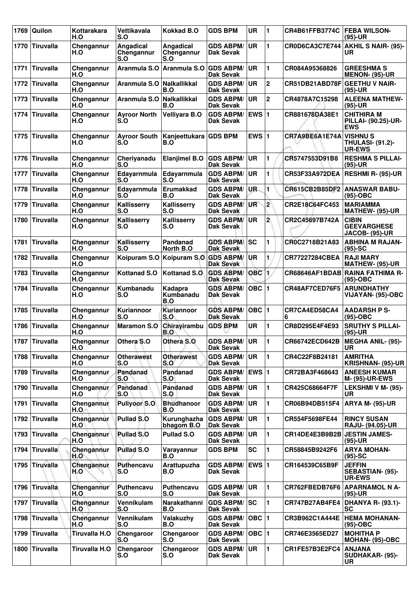| 1769 | Quilon           | Kottarakara<br>H.O   | Vettikavala<br>S.O             | <b>Kokkad B.O</b>                   | <b>GDS BPM</b>                         | <b>UR</b>   | 1              | CR4B61FFB3774C               | <b>FEBA WILSON-</b><br>$(95)-UR$                            |
|------|------------------|----------------------|--------------------------------|-------------------------------------|----------------------------------------|-------------|----------------|------------------------------|-------------------------------------------------------------|
| 1770 | <b>Tiruvalla</b> | Chengannur<br>H.O    | Angadical<br>Chengannur<br>S.O | Angadical<br>Chengannur<br>S.O      | <b>GDS ABPM/</b><br>Dak Sevak          | <b>UR</b>   | 1              | CR0D6CA3C7E744               | <b>AKHIL S NAIR- (95)-</b><br>UR                            |
| 1771 | <b>Tiruvalla</b> | Chengannur<br>H.O    | Aranmula S.O                   | Aranmula S.O                        | <b>GDS ABPM/</b><br>Dak Sevak          | <b>UR</b>   | 1              | CR084A95368826               | <b>GREESHMA S</b><br><b>MENON- (95)-UR</b>                  |
| 1772 | Tiruvalla        | Chengannur<br>H.O    | Aranmula S.O                   | Nalkallikkal<br>B.O                 | <b>GDS ABPM/</b><br>Dak Sevak          | <b>UR</b>   | $\mathbf 2$    | CR51DB21ABD78F               | <b>GEETHU V NAIR-</b><br>$(95)-UR$                          |
| 1773 | <b>Tiruvalla</b> | Chengannur<br>H.O    | Aranmula S.O                   | Nalkallikkal<br>B.O                 | <b>GDS ABPM/</b><br>Dak Sevak          | <b>UR</b>   | $\mathbf 2$    | CR4878A7C15298               | <b>ALEENA MATHEW-</b><br>$(95)-UR$                          |
| 1774 | <b>Tiruvalla</b> | Chengannur<br>H.O    | <b>Ayroor North</b><br>S.O     | Velliyara B.O                       | <b>GDS ABPM/</b><br>Dak Sevak          | <b>EWS1</b> |                | CR881678DA38E1               | <b>CHITHIRA M</b><br>PILLAI- (90.25)-UR-<br><b>EWS</b>      |
| 1775 | <b>Tiruvalla</b> | Chengannur<br>H.O    | <b>Ayroor South</b><br>S.O     | Kanjeettukara GDS BPM<br>B.O        |                                        | EWS $ 1$    |                | CR7A9BE6A1E74A               | <b>VISHNU S</b><br><b>THULASI- (91.2)-</b><br><b>UR-EWS</b> |
| 1776 | <b>Tiruvalla</b> | Chengannur<br>H.O    | Cheriyanadu<br>S.O             | <b>Elanjimel B.O</b>                | <b>GDS ABPM/</b><br><b>Dak Sevak</b>   | <b>UR</b>   | 1              | CR5747553D91B8               | <b>RESHMA S PILLAI-</b><br>$(95)-UR$                        |
| 1777 | <b>Tiruvalla</b> | Chengannur<br>H.O    | Edayarnmula<br>S.O             | Edavarnmula<br>S.O                  | <b>GDS ABPM/</b><br>Dak Sevak          | <b>UR</b>   | 1              | CR53F33A972DEA               | <b>RESHMI R- (95)-UR</b>                                    |
| 1778 | <b>Tiruvalla</b> | Chengannur<br>H.O    | Edayarnmula<br>S.O             | <b>Erumakkad</b><br>B.O             | <b>GDS ABPM/</b><br><b>Dak Sevak</b>   | UR.         | 1              |                              | CR615CB2B85DF2   ANASWAR BABU-<br>$(95)-OBC$                |
| 1779 | <b>Tiruvalla</b> | Chengannur<br>H.O    | Kallisserry<br>S.O             | Kallisserry<br>S.O                  | <b>GDS ABPM/</b><br>Dak Sevak          | UR          | $\mathbf{2}$   | CR2E18C64FC453               | <b>MARIAMMA</b><br>MATHEW- (95)-UR                          |
| 1780 | <b>Tiruvalla</b> | Chengannur<br>H.O    | Kallisserry<br>S.O             | Kallisserry<br>S.O                  | <b>GDS ABPM/</b><br><b>Dak Sevak</b>   | <b>UR</b>   | $\overline{2}$ | CR2C45697B742A               | <b>CIBIN</b><br><b>GEEVARGHESE</b><br><b>JACOB- (95)-UR</b> |
| 1781 | <b>Tiruvalla</b> | Chengannur<br>H.O    | Kallisserry<br>S.O             | Pandanad<br>North B.O               | <b>GDS ABPM/</b><br>Dak Sevak          | SC          | 1              | CR0C2718B21A83               | <b>ABHINA M RAJAN-</b><br>$(95)-SC$                         |
| 1782 | <b>Tiruvalla</b> | Chengannur<br>H.O    |                                | Koipuram S.O Koipuram S.O GDS ABPM/ | <b>Dak Sevak</b>                       | <b>UR</b>   | 1              | <b>CR77227284CBEA</b>        | <b>RAJI MARY</b><br>MATHEW- (95)-UR                         |
| 1783 | <b>Tiruvalla</b> | Chengannur<br>H.O    | Kottanad S.O                   | Kottanad S.O.                       | <b>GDS ABPM/</b><br><b>Dak Sevak</b>   | <b>OBC</b>  | 1.             |                              | CR68646AF1BDAB RAINA FATHIMA R-<br>$(95)-OBC$               |
| 1784 | <b>Tiruvalla</b> | Chengannur<br>H.O    | Kumbanadu<br>S.O               | Kadapra<br>Kumbanadu<br>B.O         | <b>GDS ABPM/</b><br><b>Dak Sevak</b>   | $OBC$ 1     |                | CR48AF7CED76F5               | <b>ARUNDHATHY</b><br>VIJAYAN- (95)-OBC                      |
| 1785 | <b>Tiruvalla</b> | Chengannur<br>H.O    | Kuriannoor<br>S.O              | Kuriannoor<br>S.O                   | <b>GDS ABPM/</b><br>Dak Sevak          | OBC  1      |                | CR7CA4ED58CA4<br>6           | <b>AADARSH P S-</b><br>$(95)-OBC$                           |
| 1786 | <b>Tiruvalla</b> | Chengannur<br>H.O    | <b>Maramon S.O</b>             | Chirayirambu<br>B.O                 | <b>GDS BPM</b>                         | <b>UR</b>   | 1              | CR8D295E4F4E93               | <b>SRUTHY S PILLAI-</b><br>$(95)-UR$                        |
|      | 1787 Tiruvalla   | Chengannur<br>H.O    | Othera S.O                     | Othera S.O                          | <b>GDS ABPM/UR</b><br><b>Dak Sevak</b> |             | 1              | CR66742ECD642B               | <b>MEGHA ANIL- (95)-</b><br>UR                              |
| 1788 | <b>Tiruvalla</b> | Chengannur<br>H.O    | <b>Otherawest</b><br>S.O       | <b>Otherawest</b><br>S.O            | <b>GDS ABPM/</b><br>Dak Sevak          | <b>UR</b>   | 1              | CR4C22F8B24181               | <b>AMRITHA</b><br>KRISHNAN- (95)-UR                         |
| 1789 | <b>Tiruvalla</b> | Chengannur<br>H.O    | Pandanad<br>S.O                | Pandanad<br>S.O                     | <b>GDS ABPM/</b><br>Dak Sevak          | EWS 1       |                | CR72BA3F468643               | <b>ANEESH KUMAR</b><br><b>M- (95)-UR-EWS</b>                |
| 1790 | <b>Tiruvalla</b> | Chengannur<br>H.O    | Pandanad<br>S.O                | Pandanad<br>S.0                     | <b>GDS ABPM/</b><br><b>Dak Sevak</b>   | <b>UR</b>   | 1              | CR425C68664F7F               | LEKSHMI V M- (95)-<br><b>UR</b>                             |
| 1791 | <b>Tiruvalla</b> | Chengannur<br>H.O.   | Puliyoor S.O                   | <b>Bhudhanoor</b><br>B.O            | <b>GDS ABPM/</b><br>Dak Sevak          | <b>UR</b>   | 1              | CR06B94DB515F4               | <b>ARYA M- (95)-UR</b>                                      |
| 1792 | <b>Tiruvalla</b> | Chengannur<br>H.O    | Pullad S.O                     | Kurunghazha<br>bhagom B.O           | <b>GDS ABPM/</b><br>Dak Sevak          | <b>UR</b>   | 1              | CR554F5698FE44               | <b>RINCY SUSAN</b><br><b>RAJU- (94.05)-UR</b>               |
| 1793 | <b>Tiruvalla</b> | Chengannur<br>H.O    | Pullad S.O                     | Pullad S.O                          | <b>GDS ABPM/</b><br>Dak Sevak          | <b>UR</b>   | 1              | CR14DE4E3B9B2B JESTIN JAMES- | $(95)-UR$                                                   |
| 1794 | <b>Tiruvalla</b> | Chengannur<br>H.O    | <b>Pullad S.O</b>              | Varayannur<br>B.O                   | <b>GDS BPM</b>                         | <b>SC</b>   | 1              | CR58845B9242F6               | <b>ARYA MOHAN-</b><br>$(95)-SC$                             |
| 1795 | <b>Tiruvalla</b> | Chengannur<br>H.O    | Puthencavu<br>S.O              | Arattupuzha<br>B.O                  | <b>GDS ABPM/</b><br>Dak Sevak          | EWS 1       |                | CR164539C65B9F               | <b>JEFFIN</b><br>SEBASTIAN- (95)-<br><b>UR-EWS</b>          |
| 1796 | <b>Tiruvalla</b> | Chengannur<br>H.O    | Puthencavu<br>S.O              | <b>Puthencavu</b><br>S.O            | <b>GDS ABPM/</b><br>Dak Sevak          | ∣UR         | 1              | CR762FBEDB76F6               | <b>APARNAMOL N A-</b><br>$(95)-UR$                          |
| 1797 | <b>Tiruvalla</b> | Chengannur<br>H.O    | Vennikulam<br>S.O              | Narakathanni<br>B.O                 | <b>GDS ABPM/</b><br>Dak Sevak          | lsc         | 1              | CR747B27AB4FE4               | <b>DHANYA R- (93.1)-</b><br>SC                              |
| 1798 | <b>Tiruvalla</b> | Chengannur<br>H.O    | Vennikulam<br>S.O              | Valakuzhy<br>B.O                    | <b>GDS ABPM/</b><br>Dak Sevak          | OBC  1      |                | CR3B962C1A444E               | <b>HEMA MOHANAN-</b><br>$(95)-OBC$                          |
| 1799 | <b>Tiruvalla</b> | Tiruvalla H.O        | Chengaroor<br>S.O              | Chengaroor<br>S.O                   | <b>GDS ABPM/</b><br><b>Dak Sevak</b>   | OBC  1      |                | CR746E3565ED27               | <b>MOHITHA P</b><br>MOHAN- (95)-OBC                         |
| 1800 | <b>Tiruvalla</b> | <b>Tiruvalla H.O</b> | Chengaroor<br>S.O              | Chengaroor<br>S.O                   | <b>GDS ABPM/</b><br>Dak Sevak          | <b>UR</b>   | $\blacksquare$ | CR1FE57B3E2FC4               | <b>ANJANA</b><br>SUDHAKAR- (95)-<br>UR                      |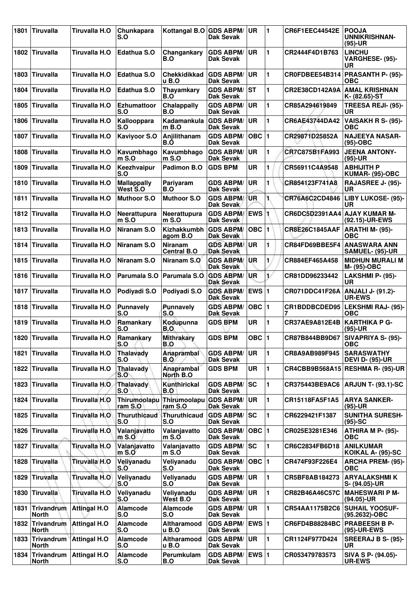| 1801 | <b>Tiruvalla</b>           | Tiruvalla H.O         | Chunkapara<br>S.O              | Kottangal B.O GDS ABPM/              | Dak Sevak                            | <b>UR</b>    | 1                     | CR6F1EEC44542E        | <b>POOJA</b><br>UNNIKRISHNAN-<br>$(95)-UR$        |
|------|----------------------------|-----------------------|--------------------------------|--------------------------------------|--------------------------------------|--------------|-----------------------|-----------------------|---------------------------------------------------|
| 1802 | Tiruvalla                  | Tiruvalla H.O         | Edathua S.O                    | Changankary<br>B.O                   | <b>GDS ABPM/</b><br>Dak Sevak        | <b>UR</b>    | 1                     | CR2444F4D1B763        | <b>LINCHU</b><br>VARGHESE- (95)-<br><b>UR</b>     |
| 1803 | <b>Tiruvalla</b>           | Tiruvalla H.O         | Edathua S.O                    | <b>Chekkidikkad</b><br>u B.O         | <b>GDS ABPM/</b><br><b>Dak Sevak</b> | <b>UR</b>    | 1                     | CR0FDBEE54B314        | <b>PRASANTH P- (95)-</b><br><b>OBC</b>            |
| 1804 | <b>Tiruvalla</b>           | Tiruvalla H.O         | <b>Edathua S.O</b>             | <b>Thayamkary</b><br>B.O             | <b>GDS ABPM/</b><br>Dak Sevak        | lst          | 1                     | CR2E38CD142A9A        | <b>AMAL KRISHNAN</b><br>K- (82.65)-ST             |
| 1805 | Tiruvalla                  | Tiruvalla H.O         | <b>Ezhumattoor</b><br>S.O      | Chalappally<br>B.O                   | <b>GDS ABPM/</b><br><b>Dak Sevak</b> | <b>UR</b>    | 1                     | CR85A294619849        | TREESA REJI- (95)-<br>UR                          |
| 1806 | <b>Tiruvalla</b>           | Tiruvalla H.O         | Kallooppara<br>S.O             | Kadamankula<br>$m$ B.O               | <b>GDS ABPM/</b><br><b>Dak Sevak</b> | <b>UR</b>    | 1                     | CR6AE43744DA42        | VAISAKH R S- (95)-<br><b>OBC</b>                  |
| 1807 | <b>Tiruvalla</b>           | Tiruvalla H.O         | <b>Kaviyoor S.O</b>            | Anjilithanam<br>B.O                  | <b>GDS ABPM/</b><br>Dak Sevak        | $OBC$  1     |                       | CR29871D25852A        | <b>NAJEEYA NASAR-</b><br>$(95)-OBC$               |
| 1808 | Tiruvalla                  | Tiruvalla H.O         | Kavumbhago<br>$m$ S.O          | Kavumbhago<br>$m S.$ O               | <b>GDS ABPM/</b><br>Dak Sevak        | <b>UR</b>    | 1                     | CR7C875B1FA993        | <b>JEENA ANTONY-</b><br>$(95)-UR$                 |
| 1809 | <b>Tiruvalla</b>           | Tiruvalla H.O         | Keezhvaipur<br>S.O             | Padimon B.O                          | <b>GDS BPM</b>                       | <b>UR</b>    | 1                     | CR56911C4A9548        | <b>ABHIJITH P</b><br>KUMAR- (95)-OBC              |
| 1810 | Tiruvalla                  | Tiruvalla H.O         | <b>Mallappally</b><br>West S.O | Pariyaram<br>B.O                     | <b>GDS ABPM/</b><br>Dak Sevak        | <b>UR</b>    | 1                     | CR854123F741A8        | RAJASREE J- (95)-<br>UR                           |
| 1811 | Tiruvalla                  | Tiruvalla H.O         | <b>Muthoor S.O</b>             | <b>Muthoor S.O</b>                   | <b>GDS ABPM/</b><br>Dak Sevak        | <b>UR</b>    | 1.                    | CR76A6C2CD4846        | LIBY LUKOSE- (95)-<br><b>UR</b>                   |
| 1812 | ∣Tiruvalla                 | Tiruvalla H.O         | Neerattupura<br>$m$ S.O        | Neerattupura<br>$m S.$ O             | <b>GDS ABPM/</b><br><b>Dak Sevak</b> | <b>EWS</b>   |                       | CR6DC5D2391AA4        | <b>AJAY KUMAR M-</b><br>(92.15)-UR-EWS            |
| 1813 | <b>Tiruvalla</b>           | Tiruvalla H.O         | Niranam S.O                    | <b>Kizhakkumbh</b><br>agom B.O       | <b>GDS ABPM/</b><br>Dak Sevak        | OBC  1       |                       | <b>CR8E26C1845AAF</b> | <b>ARATHI M- (95)-</b><br><b>OBC</b>              |
| 1814 | <b>Tiruvalla</b>           | Tiruvalla H.O         | Niranam S.O                    | <b>Niranam</b><br><b>Central B.O</b> | <b>GDS ABPM/</b><br><b>Dak Sevak</b> | <b>UR</b>    | 1                     | CR84FD69BBE5F4        | <b>ANASWARA ANN</b><br>SAMUEL- (95)-UR            |
| 1815 | <b>Tiruvalla</b>           | Tiruvalla H.O         | Niranam S.O                    | Niranam S.O                          | <b>GDS ABPM/</b><br><b>Dak Sevak</b> | <b>UR</b>    | 1                     | CR884EF465A458        | <b>MIDHUN MURALI M</b><br>M- (95)-OBC             |
| 1816 | Tiruvalla                  | Tiruvalla H.O         | Parumala S.O                   | Parumala S.O                         | <b>GDS ABPM/</b><br><b>Dak Sevak</b> | <b>UR</b>    | $\mathbf{1}^{\prime}$ | CR81DD96233442        | LAKSHMI P- (95)-<br>UR                            |
| 1817 | Tiruvalla                  | Tiruvalla H.O         | Podiyadi S.O                   | Podiyadi S.O                         | <b>GDS ABPM/</b><br><b>Dak Sevak</b> | EWS 1        |                       | CR071DDC41F26A        | ANJALI J- (91.2)-<br><b>UR-EWS</b>                |
| 1818 | Tiruvalla                  | Tiruvalla H.O         | <b>Punnavely</b><br>S.O        | <b>Punnavely</b><br>S.O              | <b>GDS ABPM/</b><br><b>Dak Sevak</b> | $OBC$  1     |                       | CR1BDDBCDED95         | <b>LEKSHMI RAJ- (95)-</b><br><b>OBC</b>           |
| 1819 | <b>Tiruvalla</b>           | Tiruvalla H.O         | Ramankary<br>S.O               | Kodupunna<br>B.O                     | <b>GDS BPM</b>                       | <b>UR</b>    | 1                     | CR37AE9A812E4B        | KARTHIKA P G-<br>$(95)-UR$                        |
|      | 1820 Tiruvalla             | Tiruvalla H.O         | Ramankary<br>S.O               | <b>Mithrakary</b><br>B.O             | <b>GDS BPM</b>                       | $OBC$  1     |                       |                       | CR87B844BB9D67   SIVAPRIYA S- (95)-<br><b>OBC</b> |
| 1821 | Tiruvalla                  | Tiruvalla H.O         | Thalavady<br>S.O               | <b>Anaprambal</b><br><b>B.O</b>      | <b>GDS ABPM/</b><br><b>Dak Sevak</b> | UR           | 1                     | CR8A9AB989F945        | <b>SARASWATHY</b><br><b>DEVI D- (95)-UR</b>       |
| 1822 | Tiruvalla                  | Tiruvalla H.O         | <b>Thalavady</b><br>S.O        | Anaprambal<br>North B.O              | <b>GDS BPM</b>                       | <b>UR</b>    | 1                     | CR4CBB9B568A15        | <b>RESHMA R- (95)-UR</b>                          |
| 1823 | Tiruvalla                  | Tiruvalla H.O         | Thalavady<br>S.O               | Kunthirickal<br>B.O                  | <b>GDS ABPM/</b><br><b>Dak Sevak</b> | SC           | 1                     | CR375443BE9AC6        | <b>ARJUN T- (93.1)-SC</b>                         |
| 1824 | Tiruvalla                  | Tiruvalla H.O         | Thirumoolapu<br>ram S.O        | Thirumoolapu<br>ram S.O              | <b>GDS ABPM/</b><br><b>Dak Sevak</b> | UR           | 1                     | CR15118FA5F1A5        | <b>ARYA SANKER-</b><br>$(95)-UR$                  |
| 1825 | <b>Tiruvalla</b>           | Tiruvalla H.O         | Thuruthicaud<br>S.O            | Thuruthicaud<br>S.O                  | <b>GDS ABPM/</b><br><b>Dak Sevak</b> | SC           | 1                     | CR6229421F1387        | <b>SUNITHA SURESH-</b><br>$(95)-SC$               |
| 1826 | Tiruvalla                  | <b>Tiruvalla H.O.</b> | Valanjavatto<br>$m$ S.O        | Valanjavatto<br>$m S.$ O             | <b>GDS ABPM/</b><br><b>Dak Sevak</b> | $OBC$  1     |                       | CR025E3281E346        | ATHIRA M P- (95)-<br><b>OBC</b>                   |
| 1827 | Tiruvalla                  | Tiruvalla H.O         | Valanjavatto<br>$m$ S.O        | Valanjavatto<br>$m S.$ O             | <b>GDS ABPM/</b><br><b>Dak Sevak</b> | SC           | 1                     | CR6C2834FB6D18        | <b>ANILKUMAR</b><br>KOIKAL A- (95)-SC             |
| 1828 | <b>Tiruvalla</b>           | <b>Tiruvalla H.O</b>  | Veliyanadu<br>S.O              | Veliyanadu<br>S.O                    | <b>GDS ABPM/</b><br>Dak Sevak        | $OBC$  1     |                       | CR474F93F226E4        | <b>ARCHA PREM- (95)-</b><br><b>OBC</b>            |
| 1829 | <b>Tiruvalla</b>           | <b>Tiruvalla H.O</b>  | Veliyanadu<br>S.O              | Veliyanadu<br>S.O                    | <b>GDS ABPM/</b><br><b>Dak Sevak</b> | <b>UR</b>    | 1                     | CR5BF8AB184273        | <b>ARYALAKSHMI K</b><br>S- (94.05)-UR             |
| 1830 | <b>Tiruvalla</b>           | Tiruvalla H.O         | Veliyanadu<br>S.O              | Veliyanadu<br>West B.O               | <b>GDS ABPM/</b><br><b>Dak Sevak</b> | UR           | 1                     | CR82B46A46C57C        | <b>MAHESWARI P M-</b><br>(94.05)-UR               |
| 1831 | <b>Trivandrum</b><br>North | <b>Attingal H.O</b>   | Alamcode<br>S.O                | <b>Alamcode</b><br>S.O               | <b>GDS ABPM/</b><br><b>Dak Sevak</b> | <b>UR</b>    | 1                     | CR54AA1175B2C6        | <b>SUHAIL YOOSUF-</b><br>(95.2632)-OBC            |
| 1832 | Trivandrum<br><b>North</b> | <b>Attingal H.O</b>   | Alamcode<br>S.O                | Altharamood<br>u B.O                 | <b>GDS ABPM/</b><br><b>Dak Sevak</b> | <b>EWS 1</b> |                       | CR6FD4B88284BC        | <b>PRABEESH B P-</b><br>(95)-UR-EWS               |
| 1833 | <b>Trivandrum</b><br>North | <b>Attingal H.O</b>   | Alamcode<br>S.O                | Altharamood<br>u B.O                 | <b>GDS ABPM/</b><br><b>Dak Sevak</b> | UR           | 1                     | CR1124F977D424        | SREERAJ B S- (95)-<br>UR                          |
| 1834 | Trivandrum<br><b>North</b> | <b>Attingal H.O</b>   | <b>Alamcode</b><br>S.O         | Perumkulam<br>B.O                    | <b>GDS ABPM/</b><br><b>Dak Sevak</b> | EWS 1        |                       | CR053479783573        | SIVA S P- (94.05)-<br><b>UR-EWS</b>               |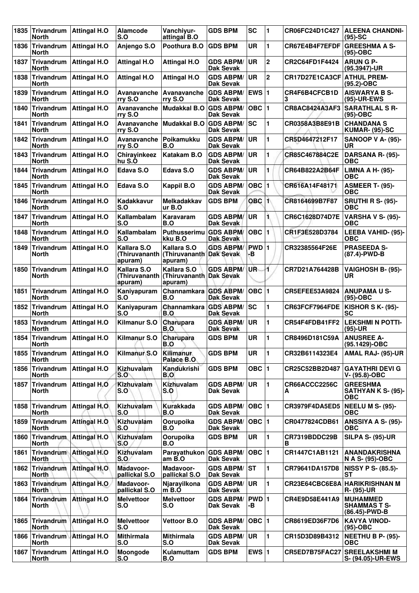| 1835 | Trivandrum<br><b>North</b>        | <b>Attingal H.O</b>          | Alamcode<br>S.O                         | Vanchiyur-<br>attingal B.O                         | <b>GDS BPM</b>                       | <b>SC</b>    | 1              | CR06FC24D1C427     | <b>ALEENA CHANDNI-</b><br>$(95)-SC$                     |
|------|-----------------------------------|------------------------------|-----------------------------------------|----------------------------------------------------|--------------------------------------|--------------|----------------|--------------------|---------------------------------------------------------|
|      | 1836 Trivandrum<br>North          | <b>Attingal H.O</b>          | Anjengo S.O                             | Poothura B.O                                       | <b>GDS BPM</b>                       | <b>UR</b>    | 1              | CR67E4B4F7EFDF     | <b>GREESHMA A S-</b><br>(95)-OBC                        |
| 1837 | Trivandrum<br>North               | <b>Attingal H.O</b>          | <b>Attingal H.O</b>                     | <b>Attingal H.O</b>                                | <b>GDS ABPM/</b><br>Dak Sevak        | UR           | $\mathbf 2$    | CR2C64FD1F4424     | <b>ARUNGP-</b><br>$(95.3947)$ -UR                       |
| 1838 | Trivandrum<br>North               | <b>Attingal H.O</b>          | <b>Attingal H.O</b>                     | <b>Attingal H.O</b>                                | <b>GDS ABPM/</b><br>Dak Sevak        | <b>UR</b>    | $\overline{2}$ | CR17D27E1CA3CF     | <b>ATHUL PREM-</b><br>(95.2)-OBC                        |
| 1839 | Trivandrum<br>North               | <b>Attingal H.O</b>          | Avanavanche<br>rry S.O                  | Avanavanche<br>rry S.O                             | <b>GDS ABPM/</b><br>Dak Sevak        | EWS $ 1$     |                | CR4F6B4CFCB1D<br>3 | <b>AISWARYA B S-</b><br>(95)-UR-EWS                     |
| 1840 | Trivandrum<br>North               | <b>Attingal H.O</b>          | Avanavanche<br>rry S.O                  | <b>Mudakkal B.O</b>                                | <b>GDS ABPM/</b><br>Dak Sevak        | $OBC$  1     |                | CR8AC8424A3AF3     | <b>SARATHLAL S R-</b><br>(95)-OBC                       |
| 1841 | Trivandrum<br>North               | <b>Attingal H.O</b>          | Avanavanche<br>rry S.O                  | Mudakkal B.O GDS ABPM/                             | Dak Sevak                            | <b>SC</b>    | 1              | CR0358A3B8E91B     | <b>CHANDANA S</b><br><b>KUMAR- (95)-SC</b>              |
|      | 1842 Trivandrum<br><b>North</b>   | <b>Attingal H.O</b>          | Avanavanche<br>rry S.O                  | Poikamukku<br>B.O                                  | <b>GDS ABPM/</b><br>Dak Sevak        | UR.          | 1              | CR5D4647212F17     | <b>SANOOP V A- (95)-</b><br>UR                          |
| 1843 | Trivandrum<br>North               | <b>Attingal H.O</b>          | Chirayinkeez<br>hu S.O                  | Katakam B.O                                        | <b>GDS ABPM/</b><br>Dak Sevak        | UR           | 1              | CR85C467884C2E     | DARSANA R- (95)-<br>ОВС                                 |
| 1844 | Trivandrum<br><b>North</b>        | <b>Attingal H.O</b>          | Edava S.O                               | Edava S.O                                          | <b>GDS ABPM/</b><br><b>Dak Sevak</b> | <b>UR</b>    | 1              | CR64B822A2B64F     | <b>LIMNA A H- (95)-</b><br><b>OBC</b>                   |
|      | 1845 Trivandrum<br><b>North</b>   | <b>Attingal H.O</b>          | Edava S.O                               | <b>Kappil B.O</b>                                  | <b>GDS ABPM/</b><br><b>Dak Sevak</b> | OBC $ 1$     |                | CR616A14F48171     | <b>ASMEER T- (95)-</b><br>ОВС                           |
| 1846 | Trivandrum<br>North               | <b>Attingal H.O</b>          | Kadakkavur<br>S.O                       | <b>Melkadakkav</b><br>ur B.O                       | <b>GDS BPM</b>                       | <b>OBC 1</b> |                | CR8164699B7F87     | <b>SRUTHI R S- (95)-</b><br>OBC                         |
| 1847 | Trivandrum<br>North               | <b>Attingal H.O</b>          | Kallambalam<br>S.O                      | Karavaram<br>B.O                                   | <b>GDS ABPM/</b><br>Dak Sevak        | UR           | Ť.             | CR6C1628D74D7E     | <b>VARSHA V S- (95)-</b><br><b>OBC</b>                  |
|      | 1848 Trivandrum<br>North          | <b>Attingal H.O</b>          | Kallambalam<br>S.O                      | Puthusserimu GDS ABPM/<br>kku B.O                  | Dak Sevak                            | $OBC$  1     |                | CR1F3E528D3784     | LEEBA VAHID- (95)-<br><b>OBC</b>                        |
| 1849 | Trivandrum<br><b>North</b>        | <b>Attingal H.O</b>          | Kallara S.O<br>(Thiruvananth<br>apuram) | Kallara S.O<br>(Thiruvananth Dak Sevak)<br>apuram) | <b>GDS ABPM/</b>                     | PWD 1<br>-В  |                | CR32385564F26E     | <b>PRASEEDA S-</b><br>(87.4)-PWD-B                      |
| 1850 | Trivandrum<br><b>North</b>        | <b>Attingal H.O</b>          | Kallara S.O<br>(Thiruvananth<br>apuram) | Kallara S.O<br>(Thiruvananth Dak Sevak<br>apuram)  | <b>GDS ABPM/</b>                     | UR.          | 4              | CR7D21A764428B     | VAIGHOSH B- (95)-<br>UR                                 |
|      | 1851 Trivandrum<br>North          | <b>Attingal H.O</b>          | Kaniyapuram<br>S.O                      | Channamkara GDS ABPM/<br>B.O                       | <b>Dak Sevak</b>                     | $OBC$  1     |                | CR5EFEE53A9824     | <b>ANUPAMA U S-</b><br>(95)-OBC                         |
| 1852 | Trivandrum<br>North               | <b>Attingal H.O</b>          | Kaniyapuram<br>S.O                      | Channamkara<br>B.O                                 | <b>GDS ABPM/</b><br>Dak Sevak        | lsc          | 1              | CR63FCF7964FDE     | <b>KISHOR S K- (95)-</b><br>SC                          |
| 1853 | Trivandrum<br><b>North</b>        | <b>Attingal H.O</b>          | Kilmanur S.O                            | Charupara<br>B.O                                   | <b>GDS ABPM/</b><br>Dak Sevak        | <b>UR</b>    | 1              | CR54F4FDB41FF2     | <b>LEKSHMI N POTTI-</b><br>(95)-UR                      |
|      | 1854 Trivandrum<br><b>North</b>   | <b>Attingal H.O</b>          | Kilmanur S.O                            | Charupara<br>B.O                                   | <b>GDS BPM</b>                       | <b>UR</b>    | 1              | CR8496D181C59A     | <b>ANUSREE A-</b><br>(95.1429)-OBC                      |
| 1855 | <b>Trivandrum</b><br><b>North</b> | <b>Attingal H.O</b>          | Kilmanur S.O                            | <b>Kilimanur</b><br>Palace B.O                     | <b>GDS BPM</b>                       | <b>UR</b>    | 1              | CR32B6114323E4     | AMAL RAJ- (95)-UR                                       |
| 1856 | Trivandrum<br>North               | <b>Attingal H.O</b>          | <b>Kizhuvalam</b><br>S.O                | Kandukrishi<br>B.O                                 | <b>GDS BPM</b>                       | OBC $ 1$     |                | CR25C52BB2D487     | <b>GAYATHRI DEVI G</b><br>$V - (95.8) - OBC$            |
|      | 1857 Trivandrum<br><b>North</b>   | <b>Attingal H.O.</b>         | Kizhuvalam<br>S.O                       | Kizhuvalam<br>S.O                                  | <b>GDS ABPM/</b><br>Dak Sevak        | <b>UR</b>    | 1              | CR66ACCC2256C<br>А | <b>GREESHMA</b><br>SATHYAN K S- (95)-<br>ОВС            |
|      | 1858 Trivandrum<br><b>North</b>   | <b>Attingal H.O.</b>         | Kizhuvalam<br>S.O                       | Kurakkada<br>B.O                                   | <b>GDS ABPM/</b><br>Dak Sevak        | OBC $ 1$     |                | CR3979F4DA5ED5     | <b>NEELU M S- (95)-</b><br><b>OBC</b>                   |
|      | 1859 Trivandrum<br><b>North</b>   | <b>Attingal H.O.</b>         | Kizhuvalam<br>S.O                       | Oorupoika<br>B.O                                   | <b>GDS ABPM/</b><br>Dak Sevak        | OBC $ 1$     |                | CR0477824CDB61     | ANSSIYA A S- (95)-<br><b>OBC</b>                        |
| 1860 | Trivandrum.<br><b>North</b>       | <b>Attingal H.O</b>          | Kizhuvalam<br>S.O                       | Oorupoika<br>B.O                                   | <b>GDS BPM</b>                       | UR           | 1              | CR7319BDDC29B<br>в | <b>SILPA S- (95)-UR</b>                                 |
|      | 1861 Trivandrum<br><b>North</b>   | <b>Attingal H.O</b>          | Kizhuvalam<br>S.O                       | Parayathukon GDS ABPM/<br>am $B.O$                 | Dak Sevak                            | OBC $ 1$     |                | CR1447C1AB1121     | <b>ANANDAKRISHNA</b><br>N A S- (95)-OBC                 |
|      | 1862 Trivandrum<br><b>North</b>   | <b>Attingal H.O</b>          | Madavoor-<br>pallickal S.O              | Madavoor-<br>pallickal S.O                         | <b>GDS ABPM/</b><br>Dak Sevak        | lst          | 1              | CR79641DA157D8     | <b>NISSY P S- (85.5)-</b><br>SТ                         |
| 1863 | Trivandrum<br><b>North</b>        | <b>Attingal H.O.</b>         | Madavoor-<br>pallickal S.O              | Njarayilkona<br>$m$ B.O                            | <b>GDS ABPM/</b><br>Dak Sevak        | <b>UR</b>    | 1              | CR23E64CBC6E8A     | HARIKRISHNAN M<br>R- (95)-UR                            |
|      | 1864 Trivandrum<br><b>North</b>   | <b>Attingal H.O</b>          | <b>Melvettoor</b><br>S.O                | <b>Melvettoor</b><br>S.O                           | <b>GDS ABPM/</b><br>Dak Sevak        | PWD 1<br>-В  |                | CR4E9D58E441A9     | <b>MUHAMMED</b><br><b>SHAMMAS T S-</b><br>(86.45)-PWD-B |
|      | 1865 Trivandrum<br>North          | <b>Attingal H.O</b>          | <b>Melvettoor</b><br>S.O                | <b>Vettoor B.O</b>                                 | <b>GDS ABPM/</b><br>Dak Sevak        | OBC $ 1$     |                | CR8619ED36F7D6     | <b>KAVYA VINOD-</b><br>(95)-OBC                         |
|      | North                             | 1866 Trivandrum Attingal H.O | <b>Mithirmala</b><br>S.O                | <b>Mithirmala</b><br>S.O                           | <b>GDS ABPM/</b><br>Dak Sevak        | <b>UR</b>    | 1              | CR15D3D89B4312     | NEETHU B P- (95)-<br><b>OBC</b>                         |
| 1867 | Trivandrum<br><b>North</b>        | <b>Attingal H.O</b>          | Moongode<br>S.O                         | Kulamuttam<br>B.O                                  | <b>GDS BPM</b>                       | EWS $ 1$     |                | CR5ED7B75FAC27     | <b>SREELAKSHMIM</b><br>S- (94.05)-UR-EWS                |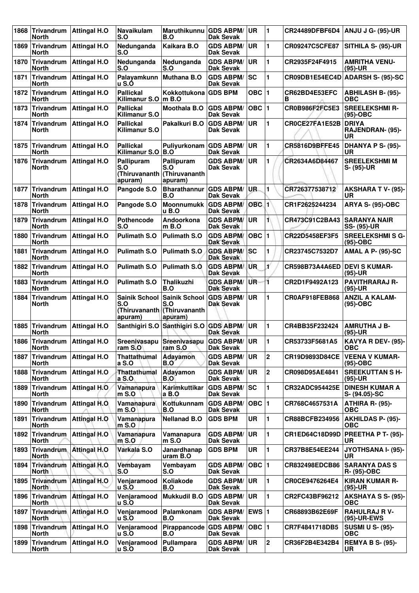| 1868 | Trivandrum<br>North                            | <b>Attingal H.O</b>             | Navaikulam<br>S.O                             | <b>Maruthikunnu</b><br>B.O                                             | <b>GDS ABPM/</b><br><b>Dak Sevak</b>   | UR               | 1              | CR24489DFBF6D4        | ANJU J G- (95)-UR                             |
|------|------------------------------------------------|---------------------------------|-----------------------------------------------|------------------------------------------------------------------------|----------------------------------------|------------------|----------------|-----------------------|-----------------------------------------------|
| 1869 | <b>Trivandrum</b><br><b>North</b>              | <b>Attingal H.O</b>             | Nedunganda<br>S.O                             | Kaikara B.O                                                            | <b>GDS ABPM/</b><br><b>Dak Sevak</b>   | <b>UR</b>        | 1              | CR09247C5CFE87        | SITHILA S- (95)-UR                            |
| 1870 | <b>Trivandrum</b><br>North                     | <b>Attingal H.O</b>             | Nedunganda<br>S.O                             | Nedunganda<br>S.O                                                      | <b>GDS ABPM/</b><br><b>Dak Sevak</b>   | <b>UR</b>        | 1              | CR2935F24F4915        | <b>AMRITHA VENU-</b><br>$(95)-UR$             |
| 1871 | <b>Trivandrum</b><br>North                     | <b>Attingal H.O</b>             | Palayamkunn<br>u S.Ó                          | <b>Muthana B.O</b>                                                     | <b>GDS ABPM/</b><br><b>Dak Sevak</b>   | <b>SC</b>        | 1              | CR09DB1E54EC4D        | <b>ADARSH S- (95)-SC</b>                      |
| 1872 | <b>Trivandrum</b><br><b>North</b>              | <b>Attingal H.O</b>             | <b>Pallickal</b><br>Kilimanur S.O             | Kokkottukona GDS BPM<br>$m$ B.O                                        |                                        | OBC $ 1$         |                | CR62BD4E53EFC<br>в    | <b>ABHILASH B- (95)-</b><br><b>OBC</b>        |
| 1873 | Trivandrum<br>North                            | <b>Attingal H.O</b>             | <b>Pallickal</b><br><b>Kilimanur S.O</b>      | <b>Moothala B.O</b>                                                    | <b>GDS ABPM/</b><br><b>Dak Sevak</b>   | $OBC$  1         |                | CR0B986F2FC5E3        | <b>SREELEKSHMI R-</b><br>$(95)-OBC$           |
| 1874 | <b>Trivandrum</b><br>North                     | <b>Attingal H.O</b>             | <b>Pallickal</b><br><b>Kilimanur S.O</b>      | Pakalkuri B.O                                                          | <b>GDS ABPM/</b><br><b>Dak Sevak</b>   | <b>UR</b>        | 1              | CR0CE27FA1E52B        | <b>DRIYA</b><br><b>RAJENDRAN- (95)-</b><br>UR |
| 1875 | <b>Trivandrum</b><br>North                     | <b>Attingal H.O</b>             | <b>Pallickal</b><br>Kilimanur S.O             | Puliyurkonam GDS ABPM/<br>B.O                                          | Dak Sevak                              | <b>UR</b>        | 1              | <b>CR5816D9BFFE45</b> | DHANYA P S- (95)-<br>UR                       |
| 1876 | Trivandrum<br><b>North</b>                     | <b>Attingal H.O</b>             | Pallipuram<br>S.O<br>(Thiruvananth<br>apuram) | Pallipuram<br>S.O<br>(Thiruvananth<br>apuram)                          | <b>GDS ABPM/</b><br>Dak Sevak          | <b>UR</b>        | 1              | CR2634A6D84467        | <b>SREELEKSHMI M</b><br>S- (95)-UR            |
| 1877 | <b>Trivandrum</b><br><b>North</b>              | <b>Attingal H.O</b>             | Pangode S.O                                   | <b>Bharathannur</b><br>B.O                                             | <b>GDS ABPM/</b><br>Dak Sevak          | UR.              | 1              | CR726377538712        | <b>AKSHARA T V- (95)-</b><br>UR               |
| 1878 | <b>Trivandrum</b><br><b>North</b>              | <b>Attingal H.O</b>             | Pangode S.O                                   | <b>Moonnumukk</b><br>u B.O                                             | <b>GDS ABPM/</b><br>Dak Sevak          | OBC <sub>1</sub> |                | CR1F2625244234        | <b>ARYA S- (95)-OBC</b>                       |
| 1879 | Trivandrum<br><b>North</b>                     | <b>Attingal H.O</b>             | <b>Pothencode</b><br>S.O                      | Andoorkona<br>$m$ B.O                                                  | <b>GDS ABPM/</b><br><b>Dak Sevak</b>   | <b>UR</b>        | 1              | CR473C91C2BA43        | <b>SARANYA NAIR</b><br><b>SS- (95)-UR</b>     |
| 1880 | Trivandrum<br>North                            | <b>Attingal H.O</b>             | <b>Pulimath S.O</b>                           | <b>Pulimath S.O</b>                                                    | <b>GDS ABPM/</b><br>Dak Sevak          | OBC              | $\blacksquare$ | CR22D5458EF3F5        | <b>SREELEKSHMI S G-</b><br>(95)-OBC           |
| 1881 | <b>Trivandrum</b><br>North                     | <b>Attingal H.O</b>             | <b>Pulimath S.O</b>                           | <b>Pulimath S.O</b>                                                    | <b>GDS ABPM/</b><br><b>Dak Sevak</b>   | lsc              | 1              | CR23745C7532D7        | <b>AMAL A P- (95)-SC</b>                      |
| 1882 | Trivandrum<br><b>North</b>                     | <b>Attingal H.O</b>             | <b>Pulimath S.O</b>                           | <b>Pulimath S.O.</b>                                                   | <b>GDS ABPM</b><br><b>Dak Sevak</b>    | <b>UR</b>        | $\mathbf{r}$   | CR598B73A4A6ED        | <b>DEVI S KUMAR-</b><br>$(95)-UR$             |
| 1883 | <b>Trivandrum</b><br><b>North</b>              | <b>Attingal H.O</b>             | <b>Pulimath S.O</b>                           | <b>Thalikuzhi</b><br>B.O                                               | <b>GDS ABPM/</b><br><b>Dak Sevak</b>   | UR-              | 1              | CR2D1F9492A123        | <b>PAVITHRARAJ R-</b><br>$(95)-UR$            |
| 1884 | <b>Trivandrum</b><br><b>North</b>              | <b>Attingal H.O</b>             | <b>Sainik School</b><br>S.O<br>apuram)        | <b>Sainik School</b><br>S.O<br>(Thiruvananth (Thiruvananth)<br>apuram) | <b>GDS ABPM/</b><br><b>Dak Sevak</b>   | <b>UR</b>        | 1              | <b>CR0AF918FEB868</b> | <b>ANZIL A KALAM-</b><br>$(95)-OBC$           |
|      | 1885 Trivandrum<br><b>North</b>                | <b>Attingal H.O</b>             |                                               | Santhigiri S.O Santhigiri S.O GDS ABPM/                                | <b>Dak Sevak</b>                       | UR               | $\blacksquare$ | CR4BB35F232424        | <b>AMRUTHA J B-</b><br>$(95)-UR$              |
|      | 1886 Trivandrum   Attingal H.O<br><b>North</b> |                                 | ram S.O                                       | Sreenivasapu Sreenivasapu<br>ram S.O                                   | <b>GDS ABPM/UR</b><br><b>Dak Sevak</b> |                  | 1              | CR53733F5681A5        | KAVYA R DEV- (95)-<br><b>OBC</b>              |
| 1887 | Trivandrum<br><b>North</b>                     | <b>Attingal H.O</b>             | <b>Thattathumal</b><br>a S.O                  | <b>Adayamon</b><br>B.O                                                 | <b>GDS ABPM/</b><br>Dak Sevak          | UR.              | $\mathbf 2$    | CR19D9893D84CE        | <b>VEENA V KUMAR-</b><br>$(95)-OBC$           |
|      | 1888 Trivandrum<br><b>North</b>                | <b>Attingal H.O.</b>            | Thattathumal<br>a S.0                         | Adayamon<br>B.O                                                        | <b>GDS ABPM/</b><br>Dak Sevak          | <b>UR</b>        | $\mathbf 2$    | CR098D95AE4841        | <b>SREEKUTTAN SH-</b><br>$(95)-UR$            |
|      | <b>North</b>                                   | 1889 Trivandrum   Attingal H.O. | Vamanapura<br>$m$ S.O                         | Karimkuttikar<br>$a$ B.O                                               | <b>GDS ABPM/</b><br>Dak Sevak          | <b>SC</b>        | 1.             | <b>CR32ADC954425E</b> | <b>DINESH KUMAR A</b><br>S- (94.05)-SC        |
| 1890 | Trivandrum<br><b>North</b>                     | <b>Attingal H.O.</b>            | Vamanapura<br>$m$ S.O                         | Kottukunnam<br>B.O                                                     | <b>GDS ABPM/</b><br>Dak Sevak          | $OBC$  1         |                | CR768C4657531A        | ATHIRA R- (95)-<br>ОВС                        |
| 1891 | Trivandrum<br><b>North</b>                     | <b>Attingal H.O</b>             | Vamanapura<br>$m$ S.O                         | <b>Nellanad B.O</b>                                                    | <b>GDS BPM</b>                         | <b>UR</b>        | 1              | CR88BCFB234956        | <b>AKHILDAS P- (95)-</b><br><b>OBC</b>        |
|      | <b>North</b>                                   | 1892 Trivandrum Attingal H.O    | Vamanapura<br>$m$ S.O                         | Vamanapura<br>$m$ S.O                                                  | <b>GDS ABPM/</b><br>Dak Sevak          | <b>UR</b>        | 1              | CR1ED64C18D99D        | <b>PREETHA P T- (95)-</b><br>UR               |
| 1893 | Trivandrum<br><b>North</b>                     | <b>Attingal H.O</b>             | Varkala S.O                                   | Janardhanap<br>uram B.O                                                | <b>GDS BPM</b>                         | UR               | 1              | CR37B8E54EE244        | JYOTHSANA I- (95)-<br>UR                      |
|      | 1894 Trivandrum<br><b>North</b>                | <b>Attingal H.O.</b>            | Vembayam<br>S.O                               | Vembayam<br>S.O                                                        | <b>GDS ABPM/</b><br>Dak Sevak          | OBC 1            |                | CR832498EDCB86        | <b>SARANYA DAS S</b><br>R- (95)-OBC           |
|      | <b>North</b>                                   | 1895 Trivandrum Attingal H.O    | Venjaramood<br><b>u</b> S.O                   | Koliakode<br>B.O                                                       | <b>GDS ABPM/</b><br>Dak Sevak          | <b>UR</b>        | 1.             | CR0CE9476264E4        | <b>KIRAN KUMAR R-</b><br>(95)-UR              |
|      | 1896 Trivandrum<br><b>North</b>                | <b>Attingal H.O</b>             | Venjaramood<br><b>u</b> S.O                   | <b>Mukkudil B.O</b>                                                    | <b>GDS ABPM/</b><br><b>Dak Sevak</b>   | UR               | 1              | CR2FC43BF96212        | <b>AKSHAYA S S- (95)-</b><br><b>OBC</b>       |
|      | <b>North</b>                                   | 1897 Trivandrum   Attingal H.O  | Venjaramood<br><b>u</b> S.O                   | Palamkonam<br>B.O                                                      | <b>GDS ABPM/</b><br><b>Dak Sevak</b>   | EWS $ 1$         |                | CR68893B62E69F        | <b>RAHULRAJ R V-</b><br>(95)-UR-EWS           |
|      | <b>North</b>                                   | 1898 Trivandrum Attingal H.O    | Venjaramood<br><b>u</b> S.O                   | Pirappancode GDS ABPM/<br>B.O                                          | Dak Sevak                              | OBC 1            |                | CR7F4841718DB5        | <b>SUSMI U S- (95)-</b><br><b>OBC</b>         |
| 1899 | Trivandrum<br><b>North</b>                     | <b>Attingal H.O</b>             | Venjaramood<br><b>u</b> S.O                   | Pullampara<br>B.O                                                      | <b>GDS ABPM/</b><br>Dak Sevak          | UR.              | $\mathbf{2}$   | CR36F2B4E342B4        | <b>REMYA B S- (95)-</b><br>UR                 |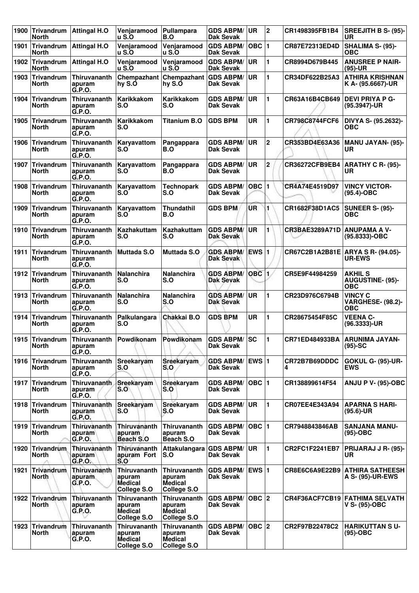| 1900 | <b>Trivandrum</b><br><b>North</b> | <b>Attingal H.O</b>                     | Venjaramood<br><b>u</b> S.O                                    | Pullampara<br>B.O                                              | <b>GDS ABPM/</b><br><b>Dak Sevak</b>    | UR               | $\mathbf{2}$   | CR1498395FB1B4     | <b>SREEJITH B S- (95)-</b><br>UR                         |
|------|-----------------------------------|-----------------------------------------|----------------------------------------------------------------|----------------------------------------------------------------|-----------------------------------------|------------------|----------------|--------------------|----------------------------------------------------------|
| 1901 | <b>Trivandrum</b><br>North        | <b>Attingal H.O</b>                     | Venjaramood<br><b>u</b> S.O                                    | Venjaramood<br><b>u</b> S.O                                    | <b>GDS ABPM/</b><br><b>Dak Sevak</b>    | <b>OBC</b>       | $\mathbf{1}$   | CR87E72313ED4D     | SHALIMA S- (95)-<br><b>OBC</b>                           |
| 1902 | <b>Trivandrum</b><br>North        | <b>Attingal H.O</b>                     | Venjaramood<br><b>u</b> S.O                                    | Venjaramood<br>u S.O                                           | <b>GDS ABPM/</b><br><b>Dak Sevak</b>    | <b>UR</b>        | 1              | CR8994D679B445     | <b>ANUSREE P NAIR-</b><br>$(95)-UR$                      |
| 1903 | <b>Trivandrum</b><br>North        | Thiruvananth<br>apuram<br>G.P.O.        | Chempazhant<br>hy S.O                                          | Chempazhant<br>hy S.O                                          | <b>GDS ABPM/</b><br>Dak Sevak           | UR               | 1              | CR34DF622B25A3     | <b>ATHIRA KRISHNAN</b><br>K A- (95.6667)-UR              |
| 1904 | <b>Trivandrum</b><br>North        | Thiruvananth<br>apuram<br>G.P.O.        | Karikkakom<br>S.O                                              | <b>Karikkakom</b><br>S.O                                       | <b>GDS ABPM/</b><br>Dak Sevak           | <b>UR</b>        | 1              | CR63A16B4CB649     | <b>DEVI PRIYA P G-</b><br>(95.3947)-UR                   |
| 1905 | Trivandrum<br><b>North</b>        | Thiruvananth<br>apuram<br>G.P.O.        | Karikkakom<br>S.O                                              | <b>Titanium B.O</b>                                            | <b>GDS BPM</b>                          | <b>UR</b>        | 1              | CR798C8744FCF6     | DIVYA S- (95.2632)-<br>ОВС                               |
| 1906 | <b>Trivandrum</b><br>North        | Thiruvananth<br>apuram<br>G.P.O.        | Karyavattom<br>S.O                                             | Pangappara<br>B.O                                              | <b>GDS ABPM/</b><br><b>Dak Sevak</b>    | <b>UR</b>        | $\mathbf 2$    | CR353BD4E63A36     | <b>MANU JAYAN- (95)-</b><br>UR                           |
| 1907 | Trivandrum<br>North               | Thiruvananth<br>apuram<br>G.P.O.        | Karyavattom<br>S.O                                             | Pangappara<br>B.O                                              | <b>GDS ABPM/</b><br>Dak Sevak           | <b>UR</b>        | $\mathbf 2$    | CR36272CFB9EB4     | ARATHY C R- (95)-<br><b>UR</b>                           |
| 1908 | <b>Trivandrum</b><br>North        | Thiruvananth<br>apuram<br>G.P.O.        | Karyavattom<br>S.O                                             | <b>Technopark</b><br>S.O                                       | <b>GDS ABPM/</b><br><b>Dak Sevak</b>    | <b>OBC</b>       | 1              | CR4A74E4519D97     | <b>VINCY VICTOR-</b><br>$(95.4)$ -OBC                    |
| 1909 | <b>Trivandrum</b><br>North        | Thiruvananth<br>apuram<br>G.P.O.        | Karyavattom<br>S.O                                             | <b>Thundathil</b><br>B.O                                       | <b>GDS BPM</b>                          | ÚR               | 1              | CR1682F38D1AC5     | <b>SUNEER S- (95)-</b><br>ОВС                            |
| 1910 | <b>Trivandrum</b><br>North        | <b>Thiruvananth</b><br>apuram<br>G.P.O. | <b>Kazhakuttam</b><br>S.O                                      | <b>Kazhakuttam</b><br>S.O                                      | <b>GDS ABPM/</b><br>Dak Sevak           | <b>UR</b>        | 1              | CR3BAE3289A71D     | <b>ANUPAMA A V-</b><br>(95.8333)-OBC                     |
| 1911 | <b>Trivandrum</b><br><b>North</b> | Thiruvananth<br>apuram<br>G.P.O.        | <b>Muttada S.O</b>                                             | <b>Muttada S.O</b>                                             | <b>GDS ABPM/</b><br><b>Dak Sevak</b>    | ∣EWS ∣1          |                | CR67C2B1A2B81E     | ARYA S R- (94.05)-<br><b>UR-EWS</b>                      |
| 1912 | Trivandrum<br>North               | Thiruvananth<br>apuram<br>G.P.O.        | <b>Nalanchira</b><br>S.O                                       | <b>Nalanchira</b><br>S.O                                       | <b>GDS ABPM/</b><br><b>Dak Sevak</b>    | OBC <sub>1</sub> |                | CR5E9F44984259     | <b>AKHIL S</b><br><b>AUGUSTINE- (95)-</b><br><b>OBC</b>  |
| 1913 | Trivandrum<br>North               | Thiruvananth<br>apuram<br>G.P.O.        | <b>Nalanchira</b><br>S.O                                       | Nalanchira<br>S.O                                              | <b>GDS ABPM/</b><br>Dak Sevak           | <b>UR</b>        | 1              | CR23D976C6794B     | <b>VINCY C</b><br><b>VARGHESE- (98.2)-</b><br><b>OBC</b> |
| 1914 | <b>Trivandrum</b><br>North        | Thiruvananth<br>apuram<br>G.P.O.        | Palkulangara<br>S.O                                            | Chakkai B.O                                                    | <b>GDS BPM</b>                          | UR               | 1              | CR28675454F85C     | <b>VEENA C-</b><br>(96.3333)-UR                          |
|      | 1915 Trivandrum<br><b>North</b>   | Thiruvananth<br>apuram<br>G.P.O.        | Powdikonam                                                     | Powdikonam                                                     | <b>GDS ABPM/ SC</b><br><b>Dak Sevak</b> |                  | 1              | CR71ED484933BA     | <b>ARUNIMA JAYAN-</b><br>$(95)-SC$                       |
|      | 1916 Trivandrum<br>North          | <b>Thiruvananth</b><br>apuram<br>G.P.O. | Sreekaryam<br>S.O                                              | Sreekaryam<br>S.O                                              | <b>GDS ABPM/</b><br>Dak Sevak           | <b>EWS 1</b>     |                | CR72B7B69DDDC<br>4 | <b>GOKUL G- (95)-UR-</b><br><b>EWS</b>                   |
| 1917 | Trivandrum<br>North               | Thiruvananth<br>apuram<br>G.P.O.        | Sreekaryam<br>S.O                                              | Sreekaryam<br>S.O                                              | <b>GDS ABPM/</b><br>Dak Sevak           | OBC  1           |                | CR138899614F54     | <b>ANJU P V- (95)-OBC</b>                                |
|      | 1918 Trivandrum<br>North          | Thiruvananth<br>apuram<br>G.P.O.        | Sreekaryam<br>S.O                                              | <b>Sreekaryam</b><br>S.O                                       | <b>GDS ABPM/</b><br><b>Dak Sevak</b>    | UR               | $\blacksquare$ | CR07EE4E343A94     | <b>APARNA S HARI-</b><br>$(95.6)$ -UR                    |
|      | 1919 Trivandrum<br>North          | <b>Thiruvananth</b><br>apuram<br>G.P.O. | Thiruvananth<br>apuram<br>Beach S.O                            | <b>Thiruvananth</b><br>apuram<br>Beach S.O                     | <b>GDS ABPM/</b><br><b>Dak Sevak</b>    | OBC  1           |                | CR7948843846AB     | <b>SANJANA MANU-</b><br>$(95)-OBC$                       |
| 1920 | <b>Trivandrum</b><br>North        | <b>Thiruvananth</b><br>apuram<br>G.P.O. | Thiruvananth<br>apuram Fort<br>S.O                             | Attakulangara GDS ABPM/<br>S.O                                 | <b>Dak Sevak</b>                        | <b>UR</b>        | 1              | CR2FC1F2241EB7     | PRIJARAJ J R- (95)-<br>UR                                |
| 1921 | <b>Trivandrum</b><br>North        | Thiruvananth<br>apuram<br>G.P.O.        | <b>Thiruvananth</b><br>apuram<br><b>Medical</b><br>College S.O | Thiruvananth<br>apuram<br><b>Medical</b><br>College S.O        | <b>GDS ABPM/</b><br>Dak Sevak           | <b>EWS 1</b>     |                | CR8E6C6A9E22B9     | <b>ATHIRA SATHEESH</b><br>A S- (95)-UR-EWS               |
| 1922 | Trivandrum<br>North               | Thiruvananth<br>apuram<br>G.P.O.        | Thiruvananth<br>apuram<br><b>Medical</b><br>College S.O        | Thiruvananth<br>apuram<br>Medical<br>College S.O               | <b>GDS ABPM/</b><br>Dak Sevak           |                  |                |                    | CR4F36ACF7CB19 FATHIMA SELVATH<br>V S- (95)-OBC          |
| 1923 | <b>Trivandrum</b><br><b>North</b> | Thiruvananth<br>apuram<br>G.P.O.        | <b>Thiruvananth</b><br>apuram<br><b>Medical</b><br>College S.O | <b>Thiruvananth</b><br>apuram<br><b>Medical</b><br>College S.O | <b>GDS ABPM/</b><br>Dak Sevak           | $OBC$ 2          |                | CR2F97B22478C2     | <b>HARIKUTTAN SU-</b><br>$(95)-OBC$                      |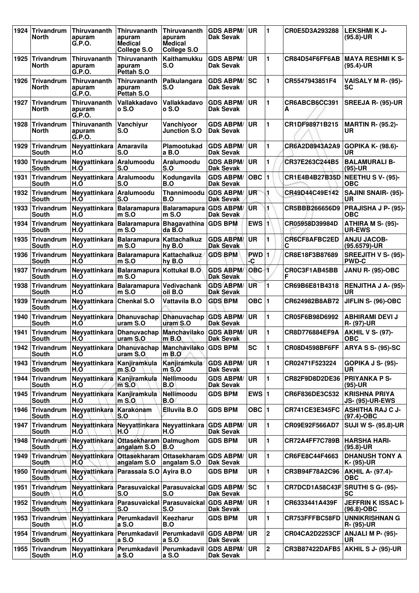| 1924 | <b>Trivandrum</b><br>North        | Thiruvananth<br>apuram<br>G.P.O.  | Thiruvananth<br>apuram<br><b>Medical</b><br>College S.O | Thiruvananth<br>apuram<br><b>Medical</b><br>College S.O | <b>GDS ABPM/</b><br>Dak Sevak        | UR               | $\blacksquare$ | CR0E5D3A293288                   | <b>LEKSHMIK J-</b><br>$(95.8) - UR$            |
|------|-----------------------------------|-----------------------------------|---------------------------------------------------------|---------------------------------------------------------|--------------------------------------|------------------|----------------|----------------------------------|------------------------------------------------|
| 1925 | Trivandrum<br>North               | Thiruvananth<br>apuram<br>G.P.O.  | Thiruvananth<br>apuram<br>Pettah S.O                    | Kaithamukku<br>S.O                                      | <b>GDS ABPM/</b><br>Dak Sevak        | <b>UR</b>        | $\blacksquare$ | CR84D54F6FF6AB                   | MAYA RESHMI K S-<br>$(95.4)$ -UR               |
| 1926 | <b>Trivandrum</b><br>North        | Thiruvananth<br>apuram<br>G.P.O.  | Thiruvananth<br>apuram<br>Pettah S.O                    | Palkulangara<br>S.O                                     | <b>GDS ABPM/</b><br>Dak Sevak        | lsc              | 1              | CR5547943851F4                   | VAISALY M R- (95)-<br>SC                       |
| 1927 | <b>Trivandrum</b><br>North        | Thiruvananth<br>apuram<br>G.P.O.  | Vallakkadavo<br>o S.O                                   | Vallakkadavo<br>o S.O                                   | <b>GDS ABPM/</b><br>Dak Sevak        | <b>UR</b>        | 1              | CR6ABCB6CC391<br>A               | SREEJA R- (95)-UR                              |
| 1928 | Trivandrum<br><b>North</b>        | Thiruvananth<br>apuram<br>G.P.O.  | Vanchiyur<br>S.O                                        | Vanchiyoor<br><b>Junction S.O</b>                       | <b>GDS ABPM/</b><br>Dak Sevak        | <b>UR</b>        | 1              | CR1DF98971B215                   | <b>MARTIN R- (95.2)-</b><br>UR                 |
| 1929 | Trivandrum<br>South               | Neyyattinkara<br>H.O              | <b>Amaravila</b><br>S.O                                 | Plamootukad<br>a B.O                                    | <b>GDS ABPM/</b><br>Dak Sevak        | <b>UR</b>        | 1              | CR6A2D8943A2A9                   | <b>GOPIKA K- (98.6)-</b><br>UR                 |
| 1930 | <b>Trivandrum</b><br>South        | Neyyattinkara<br>H.O              | Aralumoodu<br>S.O                                       | Aralumoodu<br>S.O                                       | <b>GDS ABPM/</b><br>Dak Sevak        | UR               | 1              | CR37E263C244B5                   | <b>BALAMURALI B-</b><br>(95)-UR                |
| 1931 | Trivandrum<br>South               | Neyyattinkara<br>H.O              | Aralumoodu<br>S.O                                       | Kodungavila<br>B.O                                      | <b>GDS ABPM/</b><br><b>Dak Sevak</b> | OBC 1            |                | CR1E4B4B27B35D                   | NEETHUS V- (95)-<br>OBC                        |
| 1932 | <b>Trivandrum</b><br>South        | Neyyattinkara<br>H.O              | Aralumoodu<br>S.O                                       | Thannimoodu<br>B.O                                      | <b>GDS ABPM/</b><br>Dak Sevak        | UR               | 1              | CR49D44C49E142                   | <b>SAJINI SNAIR- (95)-</b><br>UR               |
| 1933 | Trivandrum<br>South               | Neyyattinkara<br>H.Ŏ              | <b>Balaramapura</b><br>$m S.$ O                         | Balaramapura GDS ABPM/<br>$m S.$ O                      | Dak Sevak                            | <b>UR</b>        | 1              | CR5BBB266656D9                   | PRAJISHA J P- (95)-<br><b>OBC</b>              |
| 1934 | Trivandrum<br>South               | Neyyattinkara<br>H.O              | Balaramapura Bhagavathina GDS BPM<br>$m S.$ O           | $da$ $B$ <sub>-</sub> $O$                               |                                      | EWS 1            |                | CR05958D39984D                   | ATHIRA M S- (95)-<br><b>UR-EWS</b>             |
| 1935 | <b>Trivandrum</b><br><b>South</b> | Neyyattinkara<br>H.O              | <b>Balaramapura</b><br>m S.O                            | Kattachalkuz<br>hy B.O                                  | <b>GDS ABPM/</b><br><b>Dak Sevak</b> | UR               | 1              | CR6CF8AFBC2ED<br>C               | <b>ANJU JACOB-</b><br>(95.6579)-UR             |
| 1936 | Trivandrum<br>South               | Neyyattinkara<br>H.Ŏ              | Balaramapura Kattachalkuz<br>$m$ S.O                    | hy B.O                                                  | <b>GDS BPM</b>                       | PWD 1<br>-C      |                | CR8E18F3B87689                   | SREEJITH V S- (95)-<br><b>PWD-C</b>            |
| 1937 | Trivandrum<br>South               | Neyyattinkara<br>H.O              | Balaramapura Kottukal B.O<br>$m S.$ O                   |                                                         | <b>GDS ABPM/</b><br><b>Dak Sevak</b> | OBC <sub>1</sub> |                | CR0C3F1AB45BB                    | <b>JANU R- (95)-OBC</b>                        |
| 1938 | <b>Trivandrum</b><br>South        | Neyyattinkara<br>H.O              | <b>Balaramapura</b><br>m S.O                            | Vedivachank<br>oil B.O                                  | <b>GDS ABPM/</b><br><b>Dak Sevak</b> | UR               | 1              | CR69B6E81B4318                   | <b>RENJITHA J A- (95)-</b><br>UR               |
| 1939 | Trivandrum<br>South               | Neyyattinkara<br>H.Ó              | <b>Chenkal S.O</b>                                      | Vattavila B.O                                           | <b>GDS BPM</b>                       | OBC $ 1$         |                | CR624982B8AB72                   | JIFLIN S- (96)-OBC                             |
| 1940 | Trivandrum<br>South               | H.O                               | Neyyattinkara Dhanuvachap<br>uram S.O                   | Dhanuvachap GDS ABPM/<br>uram S.O                       | Dak Sevak                            | <b>UR</b>        | 1              | CR05F6B98D6992                   | ABHIRAMI DEVI J<br><b>R- (97)-UR</b>           |
| 1941 | <b>Trivandrum</b><br>South        | Neyyattinkara<br>H.O              | Dhanuvachap<br>uram S.O                                 | <b>Manchavilako</b><br>$m$ B.O                          | <b>GDS ABPM/</b><br>Dak Sevak        | <b>UR</b>        | 1              | CR8D776884EF9A                   | <b>AKHIL V S- (97)-</b><br><b>OBC</b>          |
|      | 1942 Trivandrum<br><b>South</b>   | Neyyattinkara<br>H.Ó              | Dhanuvachap<br>uram S.O                                 | Manchavilako GDS BPM<br>$m$ B.O                         |                                      | <b>SC</b>        | $\blacksquare$ | <b>CR08D4598BF6FF</b>            | <b>ARYA S S- (95)-SC</b>                       |
|      | 1943 Trivandrum<br>South          | Neyyattinkara Kanjiramkula<br>H.O | $m$ S.O                                                 | Kanjiramkula<br>$m$ S.O                                 | <b>GDS ABPM/</b><br>Dak Sevak        | <b>UR</b>        | 1              | CR02471F523224                   | <b>GOPIKA J S- (95)-</b><br>UR                 |
| 1944 | <b>Trivandrum</b><br>South        | Neyyattinkara<br>H.O              | Kanjiramkula<br>$m$ S.O                                 | Nellimoodu<br>B.O                                       | <b>GDS ABPM/</b><br>Dak Sevak        | <b>UR</b>        | 1              | CR82F9D8D2DE36                   | <b>PRIYANKA P S-</b><br>(95)-UR                |
|      | 1945 Trivandrum<br>South          | Neyyattinkara<br>H.O              | Kanjiramkula<br>$m$ S.O.                                | Nellimoodu<br><b>B.O</b>                                | <b>GDS BPM</b>                       | EWS $ 1$         |                | CR6F836DE3C532                   | <b>KRISHNA PRIYA</b><br><b>JS- (95)-UR-EWS</b> |
|      | 1946 Trivandrum<br>South          | Neyyattinkara<br>H.O              | Karakonam<br>S.O                                        | <b>Elluvila B.O</b>                                     | <b>GDS BPM</b>                       | $OBC$   1        |                | <b>CR741CE3E345FC</b>            | <b>ASHITHA RAJ C J-</b><br>(97.4)-OBC          |
| 1947 | <b>Trivandrum</b><br><b>South</b> | Neyyattinkara<br>H.O              | Neyyattinkara<br>H.O                                    | Neyyattinkara<br>H.O                                    | <b>GDS ABPM/</b><br><b>Dak Sevak</b> | <b>UR</b>        | 1              | CR09E92F566AD7                   | <b>SUJI W S- (95.8)-UR</b>                     |
| 1948 | Trivandrum<br>South               | Neyyattinkara<br>H.Ó              | <b>Ottasekharam</b><br>angalam S.O                      | Dalmughom<br>B.O                                        | <b>GDS BPM</b>                       | UR               | 1              | CR72A4FF7C789B                   | <b>HARSHA HARI-</b><br>$(95.8) - UR$           |
|      | 1949 Trivandrum<br>South          | Neyyattinkara<br>H.O              | <b>Ottasekharam</b><br>angalam S.O                      | Ottasekharam GDS ABPM/<br>angalam S.O                   | Dak Sevak                            | <b>UR</b>        | 1              | CR6FE8C44F4663                   | <b>DHANUSH TONY A</b><br>K- (95)-UR            |
| 1950 | Trivandrum<br>South               | Neyyattinkara<br>H.O              | Parassala S.O                                           | Avira B.O                                               | <b>GDS BPM</b>                       | UR               | 1              | CR3B94F78A2C96                   | <b>AKHIL A- (97.4)-</b><br>ОВС                 |
| 1951 | Trivandrum<br>South               | Neyyattinkara<br>H.O              | Parasuvaickal<br>S.O                                    | Parasuvaickal GDS ABPM/<br>S.O                          | Dak Sevak                            | <b>SC</b>        | 1              | CR7DCD1A58C43F SRUTHI S G- (95)- | <b>SC</b>                                      |
|      | 1952 Trivandrum<br>South          | Neyyattinkara<br>H.O              | Parasuvaickal Parasuvaickal GDS ABPM/<br>S.O            | S.O                                                     | Dak Sevak                            | <b>UR</b>        | 1              | CR6333441A439F                   | <b>JEFFRIN K ISSAC I-</b><br>$(96.8)-OBC$      |
| 1953 | Trivandrum<br>South               | Neyyattinkara<br>H.O              | Perumkadavil<br>a S.O                                   | Keezharur<br>B.O                                        | <b>GDS BPM</b>                       | <b>UR</b>        | 1              | CR753FFFBC58FD                   | <b>UNNIKRISHNAN G</b><br>R- (95)-UR            |
| 1954 | Trivandrum<br>South               | Neyyattinkara<br>H.Ó              | Perumkadavil<br>a S.O                                   | Perumkadavil GDS ABPM/<br>a S.O                         | Dak Sevak                            | UR               | $\mathbf 2$    | CR04CA2D2253CF                   | <b>ANJALI M P- (95)-</b><br>UR                 |
|      | 1955 Trivandrum<br>South          | Neyyattinkara<br>H.Ó              | Perumkadavil   Perumkadavil   GDS ABPM/<br>a S.O        | a S.O                                                   | <b>Dak Sevak</b>                     | ∣UR              | $\overline{2}$ | <b>CR3B87422DAFB5</b>            | <b>AKHIL S J- (95)-UR</b>                      |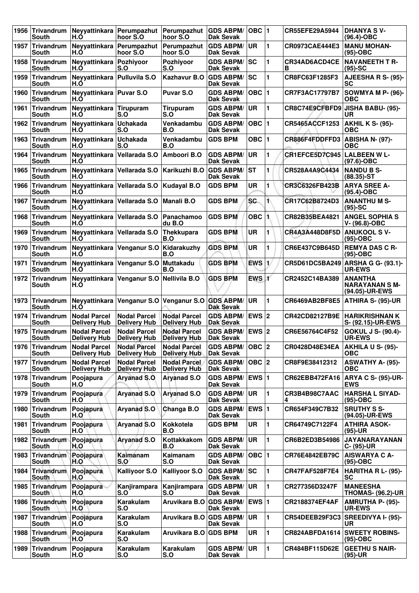| 1956 | Trivandrum<br><b>South</b>      | Neyyattinkara Perumpazhut<br>H.Ó           | hoor S.O                                   | Perumpazhut  <br>hoor S.O                  | <b>GDS ABPM/</b><br>Dak Sevak        | OBC 1                   |              | CR55EFE29A5944                     | <b>DHANYA SV-</b><br>$(96.4)$ -OBC                        |
|------|---------------------------------|--------------------------------------------|--------------------------------------------|--------------------------------------------|--------------------------------------|-------------------------|--------------|------------------------------------|-----------------------------------------------------------|
| 1957 | Trivandrum<br>South             | Neyyattinkara<br>H.O                       | Perumpazhut<br>hoor S.O                    | Perumpazhut<br>hoor S.O                    | <b>GDS ABPM/</b><br><b>Dak Sevak</b> | <b>UR</b>               | 1            | CR0973CAE444E3                     | <b>MANU MOHAN-</b><br>(95)-OBC                            |
| 1958 | <b>Trivandrum</b><br>South      | Neyyattinkara<br>H.O                       | Pozhiyoor<br>S.O                           | Pozhiyoor<br>S.O                           | <b>GDS ABPM/</b><br>Dak Sevak        | sc                      | 1            | CR34AD6ACD4CE<br>в                 | <b>NAVANEETH T R-</b><br>$(95)$ -SC                       |
| 1959 | Trivandrum<br>South             | Neyyattinkara<br>H.Ŏ                       | <b>Pulluvila S.O</b>                       | Kazhavur B.O                               | <b>GDS ABPM/</b><br><b>Dak Sevak</b> | SC                      | 1            | CR8FC63F1285F3                     | AJEESHA R S- (95)-<br>SC                                  |
| 1960 | <b>Trivandrum</b><br>South      | Neyyattinkara<br>H.O                       | <b>Puvar S.O</b>                           | <b>Puvar S.O</b>                           | <b>GDS ABPM/</b><br><b>Dak Sevak</b> |                         |              | CR7F3AC17797B7                     | SOWMYA M P- (96)-<br><b>OBC</b>                           |
| 1961 | <b>Trivandrum</b><br>South      | Neyyattinkara<br>H.O                       | Tirupuram<br>S.O                           | Tirupuram<br>S.O                           | <b>GDS ABPM/</b><br><b>Dak Sevak</b> | <b>UR</b>               | 1            | CR8C74E9CFBFD9                     | <b>JISHA BABU- (95)-</b><br>UR                            |
| 1962 | Trivandrum<br><b>South</b>      | Neyyattinkara<br>H.Ŏ                       | Uchakada<br>S.O                            | Venkadambu<br>B.O                          | <b>GDS ABPM/</b><br>Dak Sevak        | $OBC$  1                |              | CR5465ACCF1253                     | <b>AKHIL K S- (95)-</b><br><b>OBC</b>                     |
| 1963 | Trivandrum<br>South             | Neyyattinkara<br>H.O                       | Uchakada<br>S.O                            | Venkadambu<br>B.O                          | <b>GDS BPM</b>                       | OBC $ 1$                |              | CR886F4FDDFFD3                     | <b>ABISHA N- (97)-</b><br><b>OBC</b>                      |
| 1964 | Trivandrum<br>South             | Neyyattinkara<br>H.O                       | Vellarada S.O                              | Amboori B.O                                | <b>GDS ABPM/</b><br>Dak Sevak        | <b>UR</b>               | 1            | CR1EFCE5D7C945                     | <b>LALBEEN W L-</b><br>$(97.6)$ -OBC                      |
| 1965 | Trivandrum<br><b>South</b>      | Neyyattinkara<br>H.Ŏ                       | Vellarada S.O                              | Karikuzhi B.O                              | <b>GDS ABPM/</b><br><b>Dak Sevak</b> | ST                      | 1            | CR528A4A9C4434                     | <b>NANDU B S-</b><br>$(88.35)$ -ST                        |
| 1966 | <b>Trivandrum</b><br>South      | Neyyattinkara<br>H.O                       | Vellarada S.O                              | Kudayal B.O                                | <b>GDS BPM</b>                       | <b>UR</b>               | 1            | CR3C6326FB423B                     | <b>ARYA SREE A-</b><br>(95.4)-OBC                         |
| 1967 | Trivandrum<br>South             | Neyyattinkara<br>H.O                       | Vellarada S.O                              | <b>Manali B.O</b>                          | <b>GDS BPM</b>                       | <b>SC</b>               | 1            | CR17C62B8724D3                     | <b>ANANTHUMS-</b><br>$(95)-SC$                            |
| 1968 | Trivandrum<br>South             | Neyyattinkara<br>H.Ŏ                       | Vellarada S.O                              | Panachamoo<br>du B.O                       | <b>GDS BPM</b>                       | OBC 1                   |              | CR82B35BEA4821                     | <b>ANGEL SOPHIA S</b><br>V-(96.8)-OBC                     |
| 1969 | Trivandrum<br>South             | Neyyattinkara<br>H.Ó                       | Vellarada S.O                              | Thekkupara<br>B.O                          | <b>GDS BPM</b>                       | <b>UR</b>               | 1            | <b>CR4A3A448D8F5D</b>              | <b>ANUKOOL SV-</b><br>(95)-OBC                            |
| 1970 | Trivandrum<br>South             | Neyyattinkara<br>H.O                       | Venganur S.O                               | Kidarakuzhy<br>B.O                         | <b>GDS BPM</b>                       | <b>UR</b>               | 1            | CR6E437C9B645D                     | <b>REMYA DAS C R-</b><br>(95)-OBC                         |
| 1971 | <b>Trivandrum</b><br>South      | Neyyattinkara<br>H.Ó                       | Venganur S.O                               | Muttakadu<br>B.O                           | <b>GDS BPM</b>                       | $EWS$ <sub>1</sub>      |              | CR5D61DC5BA249                     | ARSHA G G- (93.1)-<br><b>UR-EWS</b>                       |
| 1972 | <b>Trivandrum</b><br>South      | Neyyattinkara<br>H.O                       | Venganur S.O Nellivila B.O                 |                                            | <b>GDS BPM</b>                       | EWS 1                   |              | CR2452C14BA389                     | <b>ANANTHA</b><br><b>NARAYANAN S M-</b><br>(94.05)-UR-EWS |
| 1973 | Trivandrum<br><b>South</b>      | Neyyattinkara<br>H.Ó                       |                                            | Venganur S.O Venganur S.O GDS ABPM/        | <b>Dak Sevak</b>                     | UR                      | 1            | CR6469AB2BF8E5                     | <b>ATHIRA S- (95)-UR</b>                                  |
| 1974 | Trivandrum<br>South             | <b>Nodal Parcel</b><br><b>Delivery Hub</b> | <b>Nodal Parcel</b><br><b>Delivery Hub</b> | <b>Nodal Parcel</b><br><b>Delivery Hub</b> | <b>GDS ABPM/</b><br><b>Dak Sevak</b> | EWS 2                   |              | CR42CD82127B9E                     | <b>HARIKRISHNAN K</b><br>S- (92.15)-UR-EWS                |
| 1975 | <b>Trivandrum</b><br>South      | <b>Nodal Parcel</b><br><b>Delivery Hub</b> | <b>Nodal Parcel</b><br><b>Delivery Hub</b> | <b>Nodal Parcel</b><br><b>Delivery Hub</b> | <b>GDS ABPM/</b><br><b>Dak Sevak</b> | EWS $ 2$                |              | CR6E56764C4F52                     | <b>GOKUL J S- (90.4)-</b><br><b>UR-EWS</b>                |
|      | 1976 Trivandrum<br><b>South</b> | <b>Nodal Parcel</b><br><b>Delivery Hub</b> | <b>Nodal Parcel</b><br><b>Delivery Hub</b> | <b>Nodal Parcel</b><br><b>Delivery Hub</b> | <b>GDS ABPM/</b><br>Dak Sevak        | OBC  2                  |              | CR0428D48E34EA   AKHILA U S- (95)- | <b>OBC</b>                                                |
| 1977 | Trivandrum<br>South             | <b>Nodal Parcel</b><br><b>Delivery Hub</b> | <b>Nodal Parcel</b><br><b>Delivery Hub</b> | <b>Nodal Parcel</b><br><b>Delivery Hub</b> | <b>GDS ABPM/</b><br><b>Dak Sevak</b> | OBC 2                   |              | CR8F9E38412312                     | ASWATHY A- (95)-<br><b>OBC</b>                            |
| 1978 | Trivandrum<br>South             | Poojapura<br>H.O                           | <b>Aryanad S.O.</b>                        | <b>Aryanad S.O</b>                         | <b>GDS ABPM/</b><br>Dak Sevak        | EWS $ 1$                |              | CR62EBB472FA16                     | <b>ARYA C S- (95)-UR-</b><br><b>EWS</b>                   |
|      | 1979 Trivandrum<br>South        | Poojapura<br>H.O                           | <b>Aryanad S.O</b>                         | <b>Aryanad S.O</b>                         | <b>GDS ABPM/</b><br><b>Dak Sevak</b> | UR                      | 1            | CR3B4B98C7AAC<br>4                 | <b>HARSHA L SIYAD-</b><br>$(95)$ -OBC                     |
| 1980 | Trivandrum<br>South             | Poojapura<br>H.O                           | <b>Aryanad S.O</b>                         | Changa B.O                                 | <b>GDS ABPM/</b><br>Dak Sevak        | <b>EWS</b> <sub>1</sub> |              | CR654F349C7B32                     | <b>SRUTHY S S-</b><br>(94.05)-UR-EWS                      |
| 1981 | Trivandrum<br>South             | Poojapura<br>H.O                           | <b>Aryanad S.O</b>                         | <b>Kokkotela</b><br>B.O                    | <b>GDS BPM</b>                       | <b>UR</b>               | 1            | CR64749C7122F4                     | <b>ATHIRA ASOK-</b><br>(95)-UR                            |
|      | 1982 Trivandrum<br>South        | Poojapura<br>H.O                           | <b>Aryanad S.O</b>                         | Kottakkakom<br>B.O                         | <b>GDS ABPM/</b><br><b>Dak Sevak</b> | UR                      | 1            | CR6B2ED3B54986                     | <b>JAYANARAYANAN</b><br>C- (95)-UR                        |
| 1983 | Trivandrum<br><b>South</b>      | Poojapura<br>H.O                           | Kaimanam<br>S.O                            | Kaimanam<br>S.O                            | <b>GDS ABPM/</b><br><b>Dak Sevak</b> | OBC  1                  |              | CR76E4842EB79C                     | <b>AISWARYA C A-</b><br>(95)-OBC                          |
| 1984 | Trivandrum<br>South             | Poojapura<br>H.O                           | <b>Kalliyoor S.O</b>                       | <b>Kalliyoor S.O</b>                       | <b>GDS ABPM/</b><br><b>Dak Sevak</b> | <b>SC</b>               | 1            | <b>CR47FAF528F7E4</b>              | HARITHA R L- (95)-<br><b>SC</b>                           |
|      | 1985 Trivandrum<br>South        | Poojapura<br>H.O                           | Kanjirampara<br>S.O                        | Kanjirampara<br>S.O                        | <b>GDS ABPM/</b><br>Dak Sevak        | <b>UR</b>               | 1            | CR277356D3247F                     | <b>MANEESHA</b><br><b>THOMAS- (96.2)-UR</b>               |
| 1986 | Trivandrum<br>South             | Poojapura<br>H.O                           | Karakulam<br>S.O                           | Aruvikara B.O                              | <b>GDS ABPM/</b><br><b>Dak Sevak</b> | <b>EWS</b> <sub>1</sub> |              | CR2188374EF4AF                     | AMRUTHA P- (95)-<br><b>UR-EWS</b>                         |
| 1987 | Trivandrum<br>South             | Poojapura<br>H.O                           | Karakulam<br>S.O                           | Aruvikara B.O GDS ABPM/                    | Dak Sevak                            | <b>UR</b>               | 1            | CR54DEEB29F3C3                     | <b>SREEDIVYA I- (95)-</b><br>UR                           |
|      | 1988 Trivandrum<br>South        | Poojapura<br>H.O                           | Karakulam<br>S.O                           | Aruvikara B.O GDS BPM                      |                                      | UR                      | 1            | CR824ABFDA1614                     | <b>SWEETY ROBINS-</b><br>(95)-OBC                         |
| 1989 | Trivandrum<br>South             | Poojapura<br>H.O                           | Karakulam<br>S.O                           | Karakulam<br>S.O                           | <b>GDS ABPM/</b><br><b>Dak Sevak</b> | UR.                     | $\mathbf{1}$ | CR484BF115D62E                     | <b>GEETHU S NAIR-</b><br>(95)-UR                          |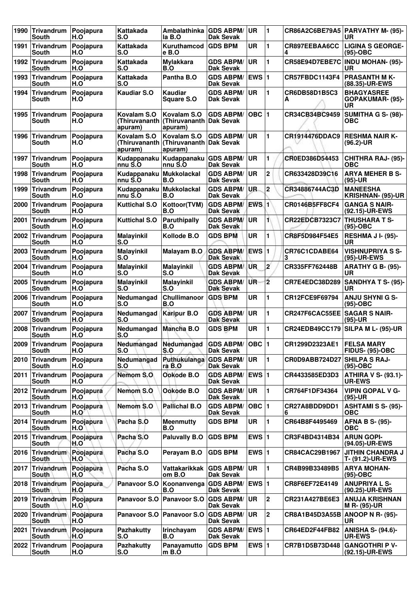| 1990 | Trivandrum<br>South               | Poojapura<br>H.O | Kattakada<br>S.O                        | Ambalathinka<br>la B.O                              | <b>GDS ABPM/</b><br><b>Dak Sevak</b> | <b>UR</b>               | $\blacksquare$ |                                     | CR86A2C6BE79A5   PARVATHY M- (95)-<br>UR           |
|------|-----------------------------------|------------------|-----------------------------------------|-----------------------------------------------------|--------------------------------------|-------------------------|----------------|-------------------------------------|----------------------------------------------------|
| 1991 | <b>Trivandrum</b><br>South        | Poojapura<br>H.O | Kattakada<br>S.O                        | Kuruthamcod<br>e B.O                                | <b>GDS BPM</b>                       | <b>UR</b>               | 1              | CR897EEBAA6CC<br>4                  | <b>LIGINA S GEORGE-</b><br>$(95)-OBC$              |
| 1992 | <b>Trivandrum</b><br><b>South</b> | Poojapura<br>H.O | Kattakada<br>S.O                        | <b>Mylakkara</b><br>B.O                             | <b>GDS ABPM/</b><br><b>Dak Sevak</b> | UR                      | 1              | CR58E94D7EBE7C                      | <b>INDU MOHAN- (95)-</b><br>UR                     |
| 1993 | Trivandrum<br>South               | Poojapura<br>H.O | Kattakada<br>S.O                        | Pantha B.O                                          | <b>GDS ABPM/</b><br><b>Dak Sevak</b> | EWS $ 1$                |                | CR57FBDC1143F4                      | <b>PRASANTH MK-</b><br>(88.35)-UR-EWS              |
| 1994 | Trivandrum<br>South               | Poojapura<br>H.O | <b>Kaudiar S.O</b>                      | <b>Kaudiar</b><br><b>Square S.O</b>                 | <b>GDS ABPM/</b><br>Dak Sevak        | <b>UR</b>               | $\blacksquare$ | CR6DB58D1B5C3<br>А                  | <b>BHAGYASREE</b><br>GOPAKUMAR- (95)-<br>UR        |
| 1995 | <b>Trivandrum</b><br>South        | Poojapura<br>H.O | Kovalam S.O<br>(Thiruvananth<br>apuram) | Kovalam S.O<br>(Thiruvananth Dak Sevak<br>apuram)   | <b>GDS ABPM/</b>                     | OBC $ 1$                |                | CR34CB34BC9459                      | <b>SUMITHA G S- (98)-</b><br><b>OBC</b>            |
| 1996 | <b>Trivandrum</b><br>South        | Poojapura<br>H.O | Kovalam S.O<br>(Thiruvananth<br>apuram) | Kovalam S.O<br>(Thiruvananth   Dak Sevak<br>apuram) | <b>GDS ABPM/</b>                     | UR                      | 1              | CR1914476DDAC9                      | <b>RESHMA NAIR K-</b><br>$(96.2)$ -UR              |
| 1997 | Trivandrum<br>South               | Poojapura<br>H.O | Kudappanaku<br>nnu S.O                  | Kudappanaku<br>nnu S.O                              | <b>GDS ABPM/</b><br>Dak Sevak        | <b>UR</b>               | 1              | CR0ED386D54453                      | <b>CHITHRA RAJ- (95)-</b><br>ОВС                   |
| 1998 | Trivandrum<br><b>South</b>        | Poojapura<br>H.O | Kudappanaku<br>nnu S.O                  | <b>Mukkolackal</b><br>B.O                           | <b>GDS ABPM/</b><br><b>Dak Sevak</b> | <b>UR</b>               | $\mathbf 2$    | CR633428D39C16                      | <b>ARYA MEHER B S-</b><br>$(95)-UR$                |
| 1999 | Trivandrum<br>South               | Poojapura<br>H.O | Kudappanaku<br>nnu S.O                  | <b>Mukkolackal</b><br>B.O                           | <b>GDS ABPM/</b><br><b>Dak Sevak</b> | UR.                     | $\mathbf 2$    | CR34886744AC3D                      | <b>MANEESHA</b><br>KRISHNAN- (95)-UR               |
| 2000 | <b>Trivandrum</b><br>South        | Poojapura<br>H.O | <b>Kuttichal S.O</b>                    | Kottoor(TVM)<br>B.O                                 | <b>GDS ABPM/</b><br>Dak Sevak        | EWS 1                   |                | <b>CR0146B5FF8CF4</b>               | <b>GANGA S NAIR-</b><br>(92.15)-UR-EWS             |
| 2001 | <b>Trivandrum</b><br>South        | Poojapura<br>H.O | Kuttichal S.O                           | Paruthipally<br>B.O                                 | <b>GDS ABPM/</b><br><b>Dak Sevak</b> | <b>UR</b>               | 1)             | <b>CR22EDCB7323C7</b>               | <b>THUSHARA T S-</b><br>$(95)-OBC$                 |
| 2002 | Trivandrum<br>South               | Poojapura<br>H.O | <b>Malayinkil</b><br>S.O                | Kollode B.O                                         | <b>GDS BPM</b>                       | <b>UR</b>               | 1              | CR8F5D984F54E5                      | <b>RESHMA J I- (95)-</b><br>UR                     |
| 2003 | <b>Trivandrum</b><br>South        | Poojapura<br>H.O | <b>Malayinkil</b><br>S.O                | <b>Malayam B.O</b>                                  | <b>GDS ABPM/</b><br><b>Dak Sevak</b> | EWS $ 1$                |                | CR76C1CDABE64<br>З                  | <b>VISHNUPRIYA S S-</b><br>(95)-UR-EWS             |
| 2004 | Trivandrum<br><b>South</b>        | Poojapura<br>H.O | <b>Malayinkil</b><br>S.O                | <b>Malayinkil</b><br>S.O                            | <b>GDS ABPM/</b><br><b>Dak Sevak</b> | <b>UR</b>               | 2              | CR335FF762448B                      | <b>ARATHY G B- (95)-</b><br><b>UR</b>              |
| 2005 | Trivandrum<br>South               | Poojapura<br>H.O | <b>Malayinkil</b><br>S.O                | <b>Malayinkil</b><br>S.O                            | <b>GDS ABPM/</b><br><b>Dak Sevak</b> | <b>UR</b>               | $\overline{2}$ | CR7E4EDC38D289                      | <b>SANDHYA T S- (95)-</b><br>UR                    |
| 2006 | <b>Trivandrum</b><br>South        | Poojapura<br>H.O | Nedumangad<br>S.O                       | <b>Chullimanoor</b><br>B.O                          | <b>GDS BPM</b>                       | <b>UR</b>               | 1              | CR12FCE9F69794                      | <b>ANJU SHYNI G S-</b><br>$(95)-OBC$               |
| 2007 | Trivandrum<br>South               | Poojapura<br>H.O | Nedumangad<br>S.O                       | <b>Karipur B.O</b>                                  | <b>GDS ABPM/</b><br><b>Dak Sevak</b> | <b>UR</b>               | 1              | <b>CR247F6CAC55EE SAGAR S NAIR-</b> | $(95)-UR$                                          |
| 2008 | <b>Trivandrum</b><br>South        | Poojapura<br>H.O | Nedumangad<br>S.O                       | Mancha B.O                                          | <b>GDS BPM</b>                       | <b>UR</b>               | 1              |                                     | CR24EDB49CC179 SILPA M L- (95)-UR                  |
| 2009 | Trivandrum<br>South               | Poojapura<br>H.O | Nedumangad<br>S.O                       | Nedumangad<br>S.O                                   | <b>GDS ABPM/</b><br>Dak Sevak        | OBC  1                  |                | CR1299D2323AE1                      | ⊺FELSA MARY<br><b>FIDUS- (95)-OBC</b>              |
|      | 2010 Trivandrum<br>South          | Poojapura<br>H.O | Nedumangad<br>S.O                       | Puthukulanga<br>ra B.O                              | <b>GDS ABPM/</b><br>Dak Sevak        | <b>UR</b>               | 1              | CR0D9ABB724D27 SHILPA S RAJ-        | (95)-OBC                                           |
| 2011 | Trivandrum<br><b>South</b>        | Poojapura<br>H.O | Nemom S.O                               | Ookode B.O                                          | <b>GDS ABPM/</b><br>Dak Sevak        | <b>EWS</b> <sub>1</sub> |                | CR4433585ED3D3                      | <b>ATHIRA V S- (93.1)-</b><br><b>UR-EWS</b>        |
|      | 2012 Trivandrum<br>South          | Poojapura<br>H.O | Nemom S.O                               | Ookode B.O                                          | <b>GDS ABPM/</b><br>Dak Sevak        | <b>UR</b>               | 1              | CR764F1DF34364                      | <b>VIPIN GOPAL V G-</b><br>$(95)-UR$               |
|      | 2013 Trivandrum<br>South          | Poojapura<br>H.O | Nemom S.O                               | <b>Pallichal B.O</b>                                | <b>GDS ABPM/</b><br>Dak Sevak        | OBC $ 1$                |                | CR27A8BDD9DD1<br>6                  | <b>ASHTAMI S S- (95)-</b><br><b>OBC</b>            |
|      | 2014 Trivandrum<br><b>South</b>   | Poojapura<br>H.O | Pacha S.O                               | <b>Meenmutty</b><br>B.O                             | <b>GDS BPM</b>                       | UR                      | 1              | CR64B8F4495469                      | <b>AFNA B S- (95)-</b><br><b>OBC</b>               |
|      | 2015 Trivandrum<br>South          | Poojapura<br>H.O | Pacha S.O                               | <b>Paluvally B.O</b>                                | <b>GDS BPM</b>                       | EWS $ 1$                |                | CR3F4BD4314B34                      | <b>ARUN GOPI-</b><br>(94.05)-UR-EWS                |
|      | 2016 Trivandrum<br><b>South</b>   | Poojapura<br>H.O | Pacha S.O                               | Perayam B.O                                         | <b>GDS BPM</b>                       | EWS $ 1$                |                | CR84CAC29B1967                      | <b>JITHIN CHANDRA J</b><br><b>T- (91.2)-UR-EWS</b> |
| 2017 | Trivandrum<br>South               | Poojapura<br>H.O | Pacha S.O                               | Vattakarikkak<br>om B.O                             | <b>GDS ABPM/</b><br>Dak Sevak        | UR                      | 1              | CR4B99B33489B5                      | ARYA MOHAN-<br>$(95)$ -OBC                         |
| 2018 | Trivandrum<br><b>South</b>        | Poojapura<br>H.O | Panavoor S.O                            | Koonanvenga<br>B.O                                  | <b>GDS ABPM/</b><br>Dak Sevak        | <b>EWS</b> <sub>1</sub> |                | CR8F6EF72E4149                      | <b>ANUPRIYA L S-</b><br>(90.25)-UR-EWS             |
|      | 2019 Trivandrum<br>South          | Poojapura<br>H.O | Panavoor S.O                            | Panavoor S.O                                        | <b>GDS ABPM/</b><br>Dak Sevak        | <b>UR</b>               | 2              | CR231A427BE6E3                      | <b>ANUJA KRISHNAN</b><br>M R- (95)-UR              |
| 2020 | Trivandrum<br>South               | Poojapura<br>H.O | Panavoor S.O                            | <b>Panavoor S.O</b>                                 | <b>GDS ABPM/</b><br>Dak Sevak        | <b>UR</b>               | $\overline{2}$ | CR8A1B45D3A55B   ANOOP N R- (95)-   | UR                                                 |
| 2021 | Trivandrum<br>South               | Poojapura<br>H.O | <b>Pazhakutty</b><br>S.O                | <b>Irinchayam</b><br>B.O                            | <b>GDS ABPM/</b><br>Dak Sevak        | $EWS$  1                |                | CR64ED2F44FB82                      | <b>ANISHA S- (94.6)-</b><br><b>UR-EWS</b>          |
| 2022 | Trivandrum<br>South               | Poojapura<br>H.O | <b>Pazhakutty</b><br>S.O                | Panayamutto<br>m B.O                                | <b>GDS BPM</b>                       | EWS $ 1$                |                | CR7B1D5B73D448                      | <b>GANGOTHRI P V-</b><br>(92.15)-UR-EWS            |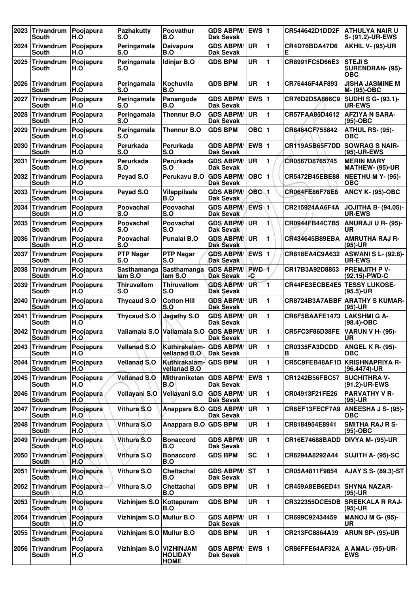| 2023 | <b>Trivandrum</b><br>South           | Poojapura<br>H.O | <b>Pazhakutty</b><br>S.O  | Poovathur<br>B.O                      | <b>GDS ABPM/</b><br>Dak Sevak        | EWS $ 1$               |                | CR544642D1DD2F        | <b>ATHULYA NAIR U</b><br>S- (91.2)-UR-EWS              |
|------|--------------------------------------|------------------|---------------------------|---------------------------------------|--------------------------------------|------------------------|----------------|-----------------------|--------------------------------------------------------|
| 2024 | Trivandrum<br>South                  | Poojapura<br>H.O | Peringamala<br>S.O        | Daivapura<br>B.O                      | <b>GDS ABPM/</b><br><b>Dak Sevak</b> | <b>UR</b>              | $\blacksquare$ | CR4D76BDA47D6<br>Е    | <b>AKHIL V- (95)-UR</b>                                |
| 2025 | <b>Trivandrum</b><br>South           | Poojapura<br>H.O | Peringamala<br>S.O        | Idinjar B.O                           | <b>GDS BPM</b>                       | UR                     | 1              | CR8991FC5D66E3        | <b>STEJIS</b><br><b>SURENDRAN- (95)-</b><br><b>OBC</b> |
| 2026 | <b>Trivandrum</b><br>South           | Poojapura<br>H.O | Peringamala<br>S.O        | Kochuvila<br>B.O                      | <b>GDS BPM</b>                       | <b>UR</b>              | $\blacksquare$ | CR76446F4AF893        | <b>JISHA JASMINE M</b><br>M- (95)-OBC                  |
| 2027 | <b>Trivandrum</b><br>South           | Poojapura<br>H.O | Peringamala<br>S.O        | Panangode<br>B.O                      | <b>GDS ABPM/</b><br>Dak Sevak        | EWS $ 1$               |                | CR76D2D5A866C9        | SUDHI S G- (93.1)-<br><b>UR-EWS</b>                    |
| 2028 | Trivandrum<br>South                  | Poojapura<br>H.O | Peringamala<br>S.O        | <b>Thennur B.O</b>                    | <b>GDS ABPM/</b><br>Dak Sevak        | <b>UR</b>              | $\blacksquare$ | CR57FAA85D4612        | <b>AFZIYA N SARA-</b><br>$(95)-OBC$                    |
| 2029 | <b>Trivandrum</b><br>South           | Poojapura<br>H.O | Peringamala<br>S.O        | <b>Thennur B.O</b>                    | <b>GDS BPM</b>                       | OBC $ 1$               |                | CR8464CF755842        | ATHUL RS- (95)-<br><b>OBC</b>                          |
| 2030 | <b>Trivandrum</b><br>South           | Poojapura<br>H.O | Perurkada<br>S.O          | Perurkada<br>S.O                      | <b>GDS ABPM/</b><br>Dak Sevak        | EWS $ 1$               |                | <b>CR119A5B65F7DD</b> | <b>SOWRAG S NAIR-</b><br>(95)-UR-EWS                   |
| 2031 | <b>Trivandrum</b><br>South           | Poojapura<br>H.O | Perurkada<br>S.O          | Perurkada<br>S.O                      | <b>GDS ABPM/</b><br>Dak Sevak        | <b>UR</b>              | 1              | CR0567D8765745        | <b>MERIN MARY</b><br><b>MATHEW- (95)-UR</b>            |
| 2032 | <b>Trivandrum</b><br>South           | Poojapura<br>H.O | Peyad S.O                 | Perukavu B.O                          | <b>GDS ABPM/</b><br>Dak Sevak        | $OBC$ <sub>1</sub>     |                | CR5472B45EBE88        | <b>NEETHU M Y- (95)-</b><br><b>OBC</b>                 |
| 2033 | <b>Trivandrum</b><br>South           | Poojapura<br>H.O | Peyad S.O                 | Vilappilsala<br>B.O                   | <b>GDS ABPM/</b><br>Dak Sevak        | OBC 1                  |                | CR064FE86F78E8        | <b>ANCY K- (95)-OBC</b>                                |
| 2034 | Trivandrum<br>South                  | Poojapura<br>H.O | Poovachal<br>S.O          | Poovachal<br>S.O                      | <b>GDS ABPM/</b><br><b>Dak Sevak</b> | $EWS$ <sub>1</sub>     |                | CR215924AA6F4A        | <b>JOJITHA B- (94.05)-</b><br><b>UR-EWS</b>            |
| 2035 | Trivandrum<br>South                  | Poojapura<br>H.O | Poovachal<br>S.O          | Poovachal<br>S.O                      | <b>GDS ABPM/</b><br><b>Dak Sevak</b> | <b>UR</b>              | $\blacksquare$ | CR0944FB44C7B5        | ANURAJI U R- (95)-<br>UR                               |
| 2036 | <b>Trivandrum</b><br>South           | Poojapura<br>H.O | Poovachal<br>S.O          | <b>Punalal B.O</b>                    | <b>GDS ABPM/</b><br><b>Dak Sevak</b> | <b>UR</b>              | 1              | CR434645B89EBA        | <b>AMRUTHA RAJ R-</b><br>$(95)-UR$                     |
| 2037 | <b>Trivandrum</b><br><b>South</b>    | Poojapura<br>H.O | <b>PTP Nagar</b><br>S.O   | <b>PTP Nagar</b><br>S.O               | <b>GDS ABPM/</b><br>Dak Sevak        | EWS $ 1$               |                | CR818EA4C9A632        | <b>ASWANI S L- (92.8)-</b><br><b>UR-EWS</b>            |
| 2038 | <b>Trivandrum</b><br>South           | Poojapura<br>H.O | Sasthamanga<br>lam S.O    | Sasthamanga<br>lam S.O                | <b>GDS ABPM/</b><br>Dak Sevak        | PWD <sub>1</sub><br>-C |                | CR17B3A92D8853        | <b>PREMJITH P V-</b><br>(92.15)-PWD-C                  |
| 2039 | <b>Trivandrum</b><br>South           | Poojapura<br>H.O | <b>Thiruvallom</b><br>S.O | <b>Thiruvallom</b><br>S.O             | <b>GDS ABPM/</b><br><b>Dak Sevak</b> | UR                     | $\blacksquare$ | CR44FE3ECBE4E5        | <b>TESSY LUKOSE-</b><br>(95.5)-UR                      |
| 2040 | <b>Trivandrum</b><br>South           | Poojapura<br>H.O | <b>Thycaud S.O</b>        | <b>Cotton Hill</b><br>S.O             | <b>GDS ABPM/</b><br><b>Dak Sevak</b> | <b>UR</b>              | 1              |                       | CR8724B3A7ABBF ARATHY S KUMAR-<br>$(95)-UR$            |
| 2041 | <b>Trivandrum</b><br>South           | Poojapura<br>H.O | <b>Thycaud S.O</b>        | <b>Jagathy S.O</b>                    | <b>GDS ABPM/</b><br><b>Dak Sevak</b> | <b>UR</b>              | $\blacksquare$ | CR6F5BAAFE1473        | <b>LAKSHMI G A-</b><br>$(98.4)$ -OBC                   |
| 2042 | <b>Trivandrum</b><br>South           | Poojapura<br>H.O | Valiamala S.O             | Valiamala S.O                         | <b>GDS ABPM/</b><br><b>Dak Sevak</b> | <b>UR</b>              | 1              | CR5FC3F86D38FE        | <b>VARUN V H- (95)-</b><br>UR                          |
|      | 2043 Trivandrum<br><b>South</b>      | Poojapura<br>H.O | <b>Vellanad S.O</b>       | Kuthirakalam-<br>vellanad B.O         | <b>GDS ABPM/</b><br><b>Dak Sevak</b> | <b>UR</b>              | 11             | CR0335FA3DCDD<br>В    | <b>ANGEL K R- (95)-</b><br><b>OBC</b>                  |
|      | 2044 Trivandrum<br>South             | Poojapura<br>H.O | <b>Vellanad S.O</b>       | Kuthirakalam- GDS BPM<br>vellanad B.O |                                      | UR                     | $\blacksquare$ |                       | CR5C9FEB48AF1D KRISHNAPRIYA R-<br>(96.4474)-UR         |
| 2045 | Trivandrum<br>South                  | Poojapura<br>H.O | <b>Vellanad S.O</b>       | <b>Mithraniketan</b><br>B.O           | <b>GDS ABPM/</b><br>Dak Sevak        | EWS $ 1$               |                | CR1242B56FBC57        | <b>SUCHITHRA V-</b><br>(91.2)-UR-EWS                   |
| 2046 | Trivandrum<br>South                  | Poojapura<br>H.O | Vellayani S.O             | Vellayani S.O                         | <b>GDS ABPM/</b><br><b>Dak Sevak</b> | UR                     | 1              | CR04913F21FE26        | <b>PARVATHY V R-</b><br>$(95)-UR$                      |
| 2047 | Trivandrum<br>South                  | Poojapura<br>H.O | Vithura S.O               | Anappara B.O                          | <b>GDS ABPM/</b><br>Dak Sevak        | <b>UR</b>              | $\blacksquare$ | CR6EF13FECF7A9        | ANEESHA J S- (95)-<br><b>OBC</b>                       |
| 2048 | Trivandrum<br>South                  | Poojapura<br>H.O | Vithura S.O               | Anappara B.O GDS BPM                  |                                      | UR                     | $\mathbf{1}$   | CR8184954E8941        | <b>SMITHA RAJ R S-</b><br>(95)-OBC                     |
| 2049 | Trivandrum<br>South                  | Poojapura<br>H.O | Vithura S.O               | <b>Bonaccord</b><br>B.O               | <b>GDS ABPM/</b><br>Dak Sevak        | <b>UR</b>              | 1              | CR16E74688BADD        | DIVYA M- (95)-UR                                       |
| 2050 | Trivandrum Poojapura<br><b>South</b> | H.O              | Vithura S.O               | <b>Bonaccord</b><br>B.O               | <b>GDS BPM</b>                       | SC                     | 1              | CR6294A8292A44        | SUJITH A- (95)-SC                                      |
| 2051 | Trivandrum<br>South                  | Poojapura<br>H.O | Vithura S.O               | Chettachal<br>B.O                     | <b>GDS ABPM/</b><br>Dak Sevak        | lst                    | 1              | CR05A4811F9854        | AJAY S S- (89.3)-ST                                    |
| 2052 | Trivandrum<br><b>South</b>           | Poojapura<br>H.O | Vithura S.O               | Chettachal<br>B.O                     | <b>GDS BPM</b>                       | UR                     | 1              | CR459A8EB6ED41        | <b>SHYNA NAZAR-</b><br>$(95)-UR$                       |
| 2053 | Trivandrum<br>South                  | Poojapura<br>H.O | Vizhinjam S.O             | Kottapuram<br>B.O                     | <b>GDS BPM</b>                       | <b>UR</b>              | $\blacksquare$ | <b>CR322355DCE5DB</b> | <b>SREEKALA R RAJ-</b><br>$(95)-UR$                    |
| 2054 | <b>Trivandrum</b><br>South           | Poojapura<br>H.O | Vizhinjam S.O Mullur B.O  |                                       | <b>GDS ABPM/</b><br>Dak Sevak        | <b>UR</b>              | $\mathbf{1}$   | CR699C92434459        | <b>MANOJ M G- (95)-</b><br><b>UR</b>                   |
| 2055 | Trivandrum<br>South                  | Poojapura<br>H.O | Vizhinjam S.O Mullur B.O  |                                       | <b>GDS BPM</b>                       | UR                     | $\blacksquare$ | CR213FC8864A39        | <b>ARUN SP- (95)-UR</b>                                |
| 2056 | Trivandrum<br>South                  | Poojapura<br>H.O | Vizhinjam S.O VIZHINJAM   | <b>HOLIDAY</b><br><b>HOME</b>         | <b>GDS ABPM/</b><br>Dak Sevak        | EWS $ 1$               |                | CR86FFE64AF32A        | A AMAL- (95)-UR-<br><b>EWS</b>                         |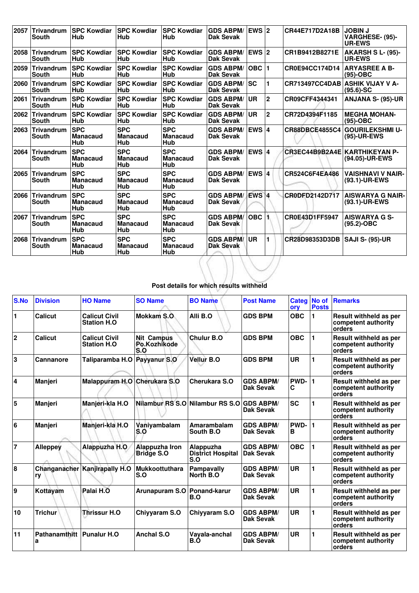| 2057 | <b>Trivandrum</b><br><b>South</b> | <b>ISPC Kowdiar</b><br>Hub           | <b>SPC Kowdiar</b><br>Hub            | <b>SPC Kowdiar</b><br>Hub            | <b>GDS ABPM/</b><br>Dak Sevak        | EWS $ 2$           |              | CR44E717D2A18B                  | <b>JOBIN J</b><br>VARGHESE- (95)-<br><b>UR-EWS</b> |
|------|-----------------------------------|--------------------------------------|--------------------------------------|--------------------------------------|--------------------------------------|--------------------|--------------|---------------------------------|----------------------------------------------------|
| 2058 | <b>Trivandrum</b><br><b>South</b> | <b>SPC Kowdiar</b><br>Hub            | <b>SPC Kowdiar</b><br><b>Hub</b>     | <b>SPC Kowdiar</b><br>Hub            | <b>GDS ABPM/</b><br><b>Dak Sevak</b> | EWS 2              |              | CR1B9412B8271E                  | AKARSH S L- (95)-<br><b>UR-EWS</b>                 |
| 2059 | Trivandrum<br><b>South</b>        | <b>SPC Kowdiar</b><br>Hub            | <b>SPC Kowdiar</b><br><b>Hub</b>     | <b>SPC Kowdiar</b><br>Hub            | <b>GDS ABPM/</b><br><b>Dak Sevak</b> | $OBC$  1           |              | CR0E94CC174D14                  | <b>ARYASREE A B-</b><br>$(95)-OBC$                 |
| 2060 | Trivandrum<br><b>South</b>        | <b>ISPC Kowdiar</b><br>Hub           | <b>SPC Kowdiar</b><br>Hub            | <b>SPC Kowdiar</b><br>Hub            | <b>GDS ABPM/</b><br><b>Dak Sevak</b> | <b>SC</b>          |              | CR713497CC4DAB ASHIK VIJAY V A- | $(95.6)$ -SC                                       |
| 2061 | Trivandrum<br><b>South</b>        | <b>SPC Kowdiar</b><br>Hub            | <b>SPC Kowdiar</b><br><b>Hub</b>     | <b>SPC Kowdiar</b><br>Hub            | <b>GDS ABPM/</b><br><b>Dak Sevak</b> | <b>UR</b>          | $\mathbf{2}$ | CR09CFF4344341                  | <b>ANJANA S- (95)-UR</b>                           |
| 2062 | Trivandrum<br><b>South</b>        | <b>SPC Kowdiar</b><br>Hub            | <b>SPC Kowdiar</b><br>Hub            | <b>SPC Kowdiar</b><br>Hub            | <b>GDS ABPM/</b><br><b>Dak Sevak</b> | <b>UR</b>          | $\mathbf{2}$ | CR72D4394F1185                  | <b>MEGHA MOHAN-</b><br>$(95)-OBC$                  |
| 2063 | Trivandrum<br><b>South</b>        | <b>SPC</b><br><b>Manacaud</b><br>Hub | <b>SPC</b><br><b>Manacaud</b><br>Hub | <b>SPC</b><br><b>Manacaud</b><br>Hub | <b>GDS ABPM/</b><br><b>Dak Sevak</b> | EWS $ 4$           |              | <b>CR88DBCE4855C4</b>           | <b>GOURILEKSHMI U-</b><br>(95)-UR-EWS              |
| 2064 | <b>Trivandrum</b><br><b>South</b> | <b>SPC</b><br><b>Manacaud</b><br>Hub | <b>SPC</b><br><b>Manacaud</b><br>Hub | <b>SPC</b><br><b>Manacaud</b><br>Hub | <b>GDS ABPM/</b><br><b>Dak Sevak</b> | EWS 4              |              | CR3EC44B9B2A4E KARTHIKEYAN P-   | (94.05)-UR-EWS                                     |
| 2065 | <b>Trivandrum</b><br>South        | <b>SPC</b><br><b>Manacaud</b><br>Hub | <b>SPC</b><br><b>Manacaud</b><br>Hub | <b>SPC</b><br><b>Manacaud</b><br>Hub | <b>GDS ABPM/</b><br><b>Dak Sevak</b> | <b>EWS 4</b>       |              | CR524C6F4EA486                  | <b>VAISHNAVI V NAIR-</b><br>(93.1)-UR-EWS          |
| 2066 | <b>Trivandrum</b><br>South        | <b>SPC</b><br><b>Manacaud</b><br>Hub | <b>SPC</b><br><b>Manacaud</b><br>Hub | <b>SPC</b><br><b>Manacaud</b><br>Hub | <b>GDS ABPM/</b><br><b>Dak Sevak</b> | EWS <sup>1</sup>   |              | CR0DFD2142D717                  | <b>AISWARYA G NAIR-</b><br>(93.1)-UR-EWS           |
| 2067 | Trivandrum<br><b>South</b>        | <b>SPC</b><br><b>Manacaud</b><br>Hub | <b>SPC</b><br><b>Manacaud</b><br>Hub | <b>SPC</b><br><b>Manacaud</b><br>Hub | <b>GDS ABPM/</b><br><b>Dak Sevak</b> | $OBC$ <sup>1</sup> |              | CR0E43D1FF5947                  | <b>AISWARYA G S-</b><br>(95.2)-OBC                 |
| 2068 | <b>Trivandrum</b><br><b>South</b> | <b>SPC</b><br>Manacaud<br>Hub        | <b>SPC</b><br><b>Manacaud</b><br>Hub | <b>SPC</b><br><b>Manacaud</b><br>Hub | <b>GDS ABPM/</b><br><b>Dak Sevak</b> | <b>UR</b>          |              | CR28D98353D3DB                  | SAJI S- (95)-UR                                    |

## **Post details for which results withheld**

| <b>S.No</b>             | <b>Division</b>    | <b>HO Name</b>                              | <b>SO Name</b>                           | <b>BO Name</b>                               | <b>Post Name</b>                     | <b>Categ</b><br>ory | <b>No of</b><br><b>Posts</b> | <b>Remarks</b>                                                 |
|-------------------------|--------------------|---------------------------------------------|------------------------------------------|----------------------------------------------|--------------------------------------|---------------------|------------------------------|----------------------------------------------------------------|
| $\mathbf{1}$            | Calicut            | <b>Calicut Civil</b><br><b>Station H.O.</b> | Mokkam S.O.                              | Alli B.O                                     | <b>GDS BPM</b>                       | <b>OBC</b>          | 1                            | Result withheld as per<br>competent authority<br>orders        |
| $\overline{2}$          | Calicut            | <b>Calicut Civil</b><br><b>Station H.O.</b> | <b>Nit Campus</b><br>Po.Kozhikode<br>S.O | <b>Chulur B.O</b>                            | <b>GDS BPM</b>                       | <b>OBC</b>          | 1                            | Result withheld as per<br>competent authority<br>orders        |
| 3                       | Cannanore          | Taliparamba H.O Payyanur S.O                |                                          | Vellur B.O                                   | <b>GDS BPM</b>                       | UR                  |                              | <b>Result withheld as per</b><br>competent authority<br>orders |
| 14                      | <b>Manjeri</b>     | Malappuram H.O Cherukara S.O                |                                          | Cherukara S.O                                | <b>GDS ABPM/</b><br>Dak Sevak        | PWD-<br>C           | 1                            | Result withheld as per<br>competent authority<br>orders        |
| $\overline{\mathbf{5}}$ | <b>Manjeri</b>     | Manjeri-kla H.O                             | Nilambur RS S.O                          | Nilambur RS S.O                              | <b>GDS ABPM/</b><br>Dak Sevak        | <b>SC</b>           |                              | <b>Result withheld as per</b><br>competent authority<br>orders |
| 6                       | <b>Manjeri</b>     | Manjeri-kla H.O                             | Vaniyambalam<br>S.O                      | Amarambalam<br>South B.O                     | <b>GDS ABPM/</b><br>Dak Sevak        | PWD-<br>в           | 1                            | Result withheld as per<br>competent authority<br>orders        |
| $\overline{7}$          | <b>Alleppey</b>    | Alappuzha H.O                               | Alappuzha Iron<br><b>Bridge S.O</b>      | Alappuzha<br><b>District Hospital</b><br>S.O | <b>GDS ABPM/</b><br><b>Dak Sevak</b> | <b>OBC</b>          |                              | <b>Result withheld as per</b><br>competent authority<br>orders |
| 8                       | ry                 | Changanacher Kanjirapally H.O               | <b>Mukkoottuthara</b><br>S.O             | <b>Pampavally</b><br>North B.O               | <b>GDS ABPM/</b><br>Dak Sevak        | UR                  |                              | Result withheld as per<br>competent authority<br>orders        |
| 9                       | Kottayam           | Palai H.O                                   | Arunapuram S.O                           | Ponand-karur<br>B.O                          | <b>GDS ABPM/</b><br>Dak Sevak        | UR                  |                              | Result withheld as per<br>competent authority<br>orders        |
| 10                      | <b>Trichur</b>     | <b>Thrissur H.O</b>                         | Chiyyaram S.O                            | Chiyyaram S.O                                | <b>GDS ABPM/</b><br>Dak Sevak        | UR                  | 1                            | Result withheld as per<br>competent authority<br>orders        |
| 11                      | Pathanamthitt<br>a | <b>Punalur H.O.</b>                         | Anchal S.O                               | Vayala-anchal<br>B.Ó                         | <b>GDS ABPM/</b><br><b>Dak Sevak</b> | <b>UR</b>           | 1                            | Result withheld as per<br>competent authority<br>orders        |